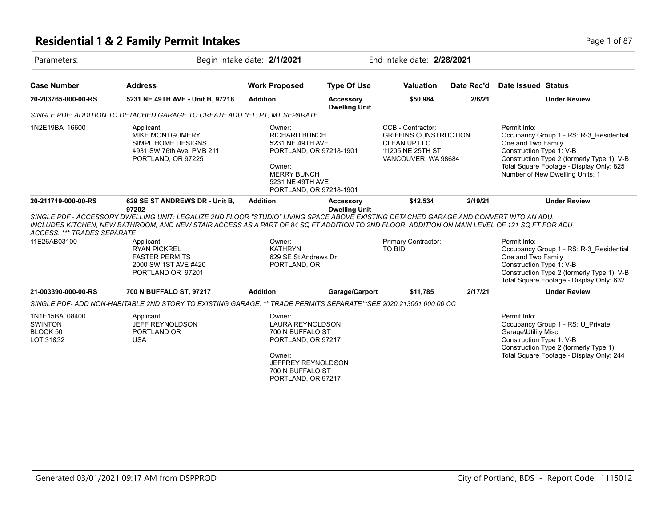## **Residential 1 & 2 Family Permit Intakes Page 1 of 87** Page 1 of 87

| Parameters:                                               |                                                                                                                                                                                                                                                                                                                                    | Begin intake date: 2/1/2021                                                                                                                                  |                                          | End intake date: 2/28/2021                                                                                   |            |                                                                  |                                                                                                                                                                      |
|-----------------------------------------------------------|------------------------------------------------------------------------------------------------------------------------------------------------------------------------------------------------------------------------------------------------------------------------------------------------------------------------------------|--------------------------------------------------------------------------------------------------------------------------------------------------------------|------------------------------------------|--------------------------------------------------------------------------------------------------------------|------------|------------------------------------------------------------------|----------------------------------------------------------------------------------------------------------------------------------------------------------------------|
| <b>Case Number</b>                                        | <b>Address</b>                                                                                                                                                                                                                                                                                                                     | <b>Work Proposed</b>                                                                                                                                         | <b>Type Of Use</b>                       | <b>Valuation</b>                                                                                             | Date Rec'd | Date Issued Status                                               |                                                                                                                                                                      |
| 20-203765-000-00-RS                                       | 5231 NE 49TH AVE - Unit B, 97218                                                                                                                                                                                                                                                                                                   | <b>Addition</b>                                                                                                                                              | <b>Accessory</b><br><b>Dwelling Unit</b> | \$50,984                                                                                                     | 2/6/21     |                                                                  | <b>Under Review</b>                                                                                                                                                  |
|                                                           | SINGLE PDF: ADDITION TO DETACHED GARAGE TO CREATE ADU *ET, PT, MT SEPARATE                                                                                                                                                                                                                                                         |                                                                                                                                                              |                                          |                                                                                                              |            |                                                                  |                                                                                                                                                                      |
| 1N2E19BA 16600                                            | Applicant:<br><b>MIKE MONTGOMERY</b><br>SIMPL HOME DESIGNS<br>4931 SW 76th Ave, PMB 211<br>PORTLAND, OR 97225                                                                                                                                                                                                                      | Owner:<br><b>RICHARD BUNCH</b><br>5231 NE 49TH AVE<br>PORTLAND, OR 97218-1901<br>Owner:<br><b>MERRY BUNCH</b><br>5231 NE 49TH AVE<br>PORTLAND, OR 97218-1901 |                                          | CCB - Contractor:<br><b>GRIFFINS CONSTRUCTION</b><br>CLEAN UP LLC<br>11205 NE 25TH ST<br>VANCOUVER, WA 98684 |            | Permit Info:<br>One and Two Family<br>Construction Type 1: V-B   | Occupancy Group 1 - RS: R-3 Residential<br>Construction Type 2 (formerly Type 1): V-B<br>Total Square Footage - Display Only: 825<br>Number of New Dwelling Units: 1 |
| 20-211719-000-00-RS<br>ACCESS. *** TRADES SEPARATE        | 629 SE ST ANDREWS DR - Unit B,<br>97202<br>SINGLE PDF - ACCESSORY DWELLING UNIT: LEGALIZE 2ND FLOOR "STUDIO" LIVING SPACE ABOVE EXISTING DETACHED GARAGE AND CONVERT INTO AN ADU.<br>INCLUDES KITCHEN. NEW BATHROOM. AND NEW STAIR ACCESS AS A PART OF 84 SQ FT ADDITION TO 2ND FLOOR. ADDITION ON MAIN LEVEL OF 121 SQ FT FOR ADU | <b>Addition</b>                                                                                                                                              | <b>Accessory</b><br><b>Dwelling Unit</b> | \$42,534                                                                                                     | 2/19/21    |                                                                  | <b>Under Review</b>                                                                                                                                                  |
| 11E26AB03100                                              | Applicant:<br><b>RYAN PICKREL</b><br><b>FASTER PERMITS</b><br>2000 SW 1ST AVE #420<br>PORTLAND OR 97201                                                                                                                                                                                                                            | Owner:<br><b>KATHRYN</b><br>629 SE St Andrews Dr<br>PORTLAND, OR                                                                                             |                                          | Primary Contractor:<br><b>TO BID</b>                                                                         |            | Permit Info:<br>One and Two Family<br>Construction Type 1: V-B   | Occupancy Group 1 - RS: R-3 Residential<br>Construction Type 2 (formerly Type 1): V-B<br>Total Square Footage - Display Only: 632                                    |
| 21-003390-000-00-RS                                       | 700 N BUFFALO ST, 97217                                                                                                                                                                                                                                                                                                            | <b>Addition</b>                                                                                                                                              | Garage/Carport                           | \$11,785                                                                                                     | 2/17/21    |                                                                  | <b>Under Review</b>                                                                                                                                                  |
|                                                           | SINGLE PDF- ADD NON-HABITABLE 2ND STORY TO EXISTING GARAGE. ** TRADE PERMITS SEPARATE**SEE 2020 213061 000 00 CC                                                                                                                                                                                                                   |                                                                                                                                                              |                                          |                                                                                                              |            |                                                                  |                                                                                                                                                                      |
| 1N1E15BA 08400<br><b>SWINTON</b><br>BLOCK 50<br>LOT 31&32 | Applicant:<br>JEFF REYNOLDSON<br>PORTLAND OR<br><b>USA</b>                                                                                                                                                                                                                                                                         | Owner:<br>LAURA REYNOLDSON<br>700 N BUFFALO ST<br>PORTLAND, OR 97217<br>Owner:<br>JEFFREY REYNOLDSON<br>700 N BUFFALO ST<br>PORTLAND, OR 97217               |                                          |                                                                                                              |            | Permit Info:<br>Garage\Utility Misc.<br>Construction Type 1: V-B | Occupancy Group 1 - RS: U Private<br>Construction Type 2 (formerly Type 1):<br>Total Square Footage - Display Only: 244                                              |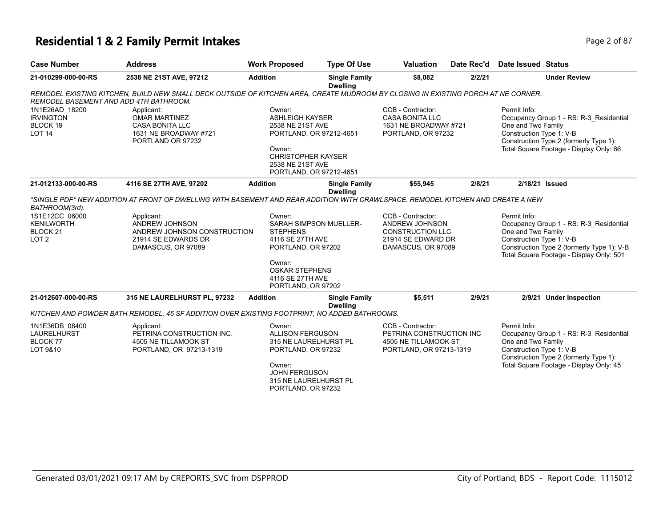#### **Residential 1 & 2 Family Permit Intakes Page 1 0 AM 2016 12 AM 2016 12 AM 2016 12 AM 2016 12 AM 2016 12 AM 2016 12 AM 2016 12 AM 2016 12 AM 2016 12 AM 2016 12 AM 2016 12 AM 2016 12 AM 2016 12 AM 2016 12 AM 2016 12 AM 20**

| <b>Case Number</b>                                                                               | <b>Address</b>                                                                                                                                                                                                                               | <b>Work Proposed</b>                                                                                                                                                  | <b>Type Of Use</b>                               | <b>Valuation</b>                                                                                           | Date Rec'd | <b>Date Issued Status</b>                                                                                                                                                                           |
|--------------------------------------------------------------------------------------------------|----------------------------------------------------------------------------------------------------------------------------------------------------------------------------------------------------------------------------------------------|-----------------------------------------------------------------------------------------------------------------------------------------------------------------------|--------------------------------------------------|------------------------------------------------------------------------------------------------------------|------------|-----------------------------------------------------------------------------------------------------------------------------------------------------------------------------------------------------|
| 21-010299-000-00-RS                                                                              | 2538 NE 21ST AVE, 97212                                                                                                                                                                                                                      | <b>Addition</b>                                                                                                                                                       | <b>Single Family</b><br><b>Dwelling</b>          | \$8,082                                                                                                    | 2/2/21     | <b>Under Review</b>                                                                                                                                                                                 |
| REMODEL BASEMENT AND ADD 4TH BATHROOM.                                                           | REMODEL EXISTING KITCHEN, BUILD NEW SMALL DECK OUTSIDE OF KITCHEN AREA, CREATE MUDROOM BY CLOSING IN EXISTING PORCH AT NE CORNER.                                                                                                            |                                                                                                                                                                       |                                                  |                                                                                                            |            |                                                                                                                                                                                                     |
| 1N1E26AD 18200<br><b>IRVINGTON</b><br>BLOCK 19<br><b>LOT 14</b>                                  | Applicant:<br><b>OMAR MARTINEZ</b><br><b>CASA BONITA LLC</b><br>1631 NE BROADWAY #721<br>PORTLAND OR 97232                                                                                                                                   | Owner:<br><b>ASHLEIGH KAYSER</b><br>2538 NE 21ST AVE<br>PORTLAND, OR 97212-4651<br>Owner:<br><b>CHRISTOPHER KAYSER</b><br>2538 NE 21ST AVE<br>PORTLAND, OR 97212-4651 |                                                  | CCB - Contractor:<br><b>CASA BONITA LLC</b><br>1631 NE BROADWAY #721<br>PORTLAND, OR 97232                 |            | Permit Info:<br>Occupancy Group 1 - RS: R-3_Residential<br>One and Two Family<br>Construction Type 1: V-B<br>Construction Type 2 (formerly Type 1):<br>Total Square Footage - Display Only: 66      |
| 21-012133-000-00-RS                                                                              | 4116 SE 27TH AVE, 97202                                                                                                                                                                                                                      | <b>Addition</b>                                                                                                                                                       | <b>Single Family</b>                             | \$55,945                                                                                                   | 2/8/21     | 2/18/21 Issued                                                                                                                                                                                      |
| BATHROOM(3rd).<br>1S1E12CC 06000<br><b>KENILWORTH</b><br>BLOCK <sub>21</sub><br>LOT <sub>2</sub> | *SINGLE PDF* NEW ADDITION AT FRONT OF DWELLING WITH BASEMENT AND REAR ADDITION WITH CRAWLSPACE. REMODEL KITCHEN AND CREATE A NEW<br>Applicant:<br>ANDREW JOHNSON<br>ANDREW JOHNSON CONSTRUCTION<br>21914 SE EDWARDS DR<br>DAMASCUS, OR 97089 | Owner:<br><b>STEPHENS</b><br>4116 SE 27TH AVE<br>PORTLAND, OR 97202<br>Owner:<br><b>OSKAR STEPHENS</b><br>4116 SE 27TH AVE<br>PORTLAND, OR 97202                      | <b>Dwelling</b><br><b>SARAH SIMPSON MUELLER-</b> | CCB - Contractor:<br>ANDREW JOHNSON<br><b>CONSTRUCTION LLC</b><br>21914 SE EDWARD DR<br>DAMASCUS, OR 97089 |            | Permit Info:<br>Occupancy Group 1 - RS: R-3_Residential<br>One and Two Family<br>Construction Type 1: V-B<br>Construction Type 2 (formerly Type 1): V-B<br>Total Square Footage - Display Only: 501 |
| 21-012607-000-00-RS                                                                              | 315 NE LAURELHURST PL, 97232                                                                                                                                                                                                                 | <b>Addition</b>                                                                                                                                                       | <b>Single Family</b><br><b>Dwelling</b>          | \$5,511                                                                                                    | 2/9/21     | 2/9/21 Under Inspection                                                                                                                                                                             |
|                                                                                                  | KITCHEN AND POWDER BATH REMODEL, 45 SF ADDITION OVER EXISTING FOOTPRINT, NO ADDED BATHROOMS.                                                                                                                                                 |                                                                                                                                                                       |                                                  |                                                                                                            |            |                                                                                                                                                                                                     |
| 1N1E36DB 08400<br><b>LAURELHURST</b><br><b>BLOCK 77</b><br>LOT 9&10                              | Applicant:<br>PETRINA CONSTRUCTION INC.<br>4505 NE TILLAMOOK ST<br>PORTLAND, OR 97213-1319                                                                                                                                                   | Owner:<br><b>ALLISON FERGUSON</b><br>315 NE LAURELHURST PL<br>PORTLAND, OR 97232<br>Owner:<br><b>JOHN FERGUSON</b><br>315 NE LAURELHURST PL<br>PORTLAND, OR 97232     |                                                  | CCB - Contractor:<br>PETRINA CONSTRUCTION INC<br>4505 NE TILLAMOOK ST<br>PORTLAND, OR 97213-1319           |            | Permit Info:<br>Occupancy Group 1 - RS: R-3_Residential<br>One and Two Family<br>Construction Type 1: V-B<br>Construction Type 2 (formerly Type 1):<br>Total Square Footage - Display Only: 45      |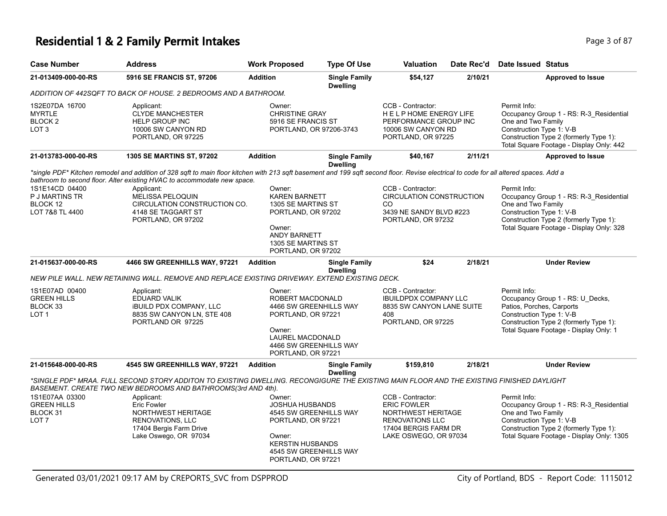## **Residential 1 & 2 Family Permit Intakes Page 1 0 AM 2014 12 AM 2014 12 AM 2014 12 AM 2014 12 AM 2014 13 AM 2016 13 AM 2016 13 AM 2016 13 AM 2016 13 AM 2016 13 AM 2016 13 AM 2016 13 AM 2016 13 AM 2016 13 AM 2016 13 AM 20**

| <b>Case Number</b>                                              | <b>Address</b>                                                                                                                                                                                                                                                                                                                               | <b>Work Proposed</b>                                                                                                                                                  | <b>Type Of Use</b>                      | <b>Valuation</b>                                                                                                                         | Date Rec'd | Date Issued Status                                                                                                                                                                               |
|-----------------------------------------------------------------|----------------------------------------------------------------------------------------------------------------------------------------------------------------------------------------------------------------------------------------------------------------------------------------------------------------------------------------------|-----------------------------------------------------------------------------------------------------------------------------------------------------------------------|-----------------------------------------|------------------------------------------------------------------------------------------------------------------------------------------|------------|--------------------------------------------------------------------------------------------------------------------------------------------------------------------------------------------------|
| 21-013409-000-00-RS                                             | 5916 SE FRANCIS ST, 97206                                                                                                                                                                                                                                                                                                                    | <b>Addition</b>                                                                                                                                                       | <b>Single Family</b><br><b>Dwelling</b> | \$54,127                                                                                                                                 | 2/10/21    | <b>Approved to Issue</b>                                                                                                                                                                         |
|                                                                 | ADDITION OF 442SQFT TO BACK OF HOUSE. 2 BEDROOMS AND A BATHROOM.                                                                                                                                                                                                                                                                             |                                                                                                                                                                       |                                         |                                                                                                                                          |            |                                                                                                                                                                                                  |
| 1S2E07DA 16700<br>MYRTLE<br>BLOCK 2<br>LOT 3                    | Applicant:<br><b>CLYDE MANCHESTER</b><br><b>HELP GROUP INC</b><br>10006 SW CANYON RD<br>PORTLAND, OR 97225                                                                                                                                                                                                                                   | Owner:<br><b>CHRISTINE GRAY</b><br>5916 SE FRANCIS ST<br>PORTLAND, OR 97206-3743                                                                                      |                                         | CCB - Contractor:<br>HELP HOME ENERGY LIFE<br>PERFORMANCE GROUP INC<br>10006 SW CANYON RD<br>PORTLAND, OR 97225                          |            | Permit Info:<br>Occupancy Group 1 - RS: R-3_Residential<br>One and Two Family<br>Construction Type 1: V-B<br>Construction Type 2 (formerly Type 1):<br>Total Square Footage - Display Only: 442  |
| 21-013783-000-00-RS                                             | <b>1305 SE MARTINS ST, 97202</b>                                                                                                                                                                                                                                                                                                             | <b>Addition</b>                                                                                                                                                       | <b>Single Family</b><br><b>Dwelling</b> | \$40,167                                                                                                                                 | 2/11/21    | <b>Approved to Issue</b>                                                                                                                                                                         |
|                                                                 | *single PDF* Kitchen remodel and addition of 328 sqft to main floor kitchen with 213 sqft basement and 199 sqft second floor. Revise electrical to code for all altered spaces. Add a<br>bathroom to second floor. Alter existing HVAC to accommodate new space.                                                                             |                                                                                                                                                                       |                                         |                                                                                                                                          |            |                                                                                                                                                                                                  |
| 1S1E14CD 04400<br>P J MARTINS TR<br>BLOCK 12<br>LOT 7&8 TL 4400 | Applicant:<br>MELISSA PELOQUIN<br>CIRCULATION CONSTRUCTION CO.<br>4148 SE TAGGART ST<br>PORTLAND, OR 97202                                                                                                                                                                                                                                   | Owner:<br><b>KAREN BARNETT</b><br>1305 SE MARTINS ST<br>PORTLAND, OR 97202<br>Owner:<br><b>ANDY BARNETT</b><br>1305 SE MARTINS ST<br>PORTLAND, OR 97202               |                                         | CCB - Contractor:<br>CIRCULATION CONSTRUCTION<br>CO<br>3439 NE SANDY BLVD #223<br>PORTLAND, OR 97232                                     |            | Permit Info:<br>Occupancy Group 1 - RS: R-3 Residential<br>One and Two Family<br>Construction Type 1: V-B<br>Construction Type 2 (formerly Type 1):<br>Total Square Footage - Display Only: 328  |
| 21-015637-000-00-RS                                             | 4466 SW GREENHILLS WAY, 97221                                                                                                                                                                                                                                                                                                                | <b>Addition</b>                                                                                                                                                       | <b>Single Family</b><br><b>Dwelling</b> | \$24                                                                                                                                     | 2/18/21    | <b>Under Review</b>                                                                                                                                                                              |
|                                                                 | NEW PILE WALL. NEW RETAINING WALL. REMOVE AND REPLACE EXISTING DRIVEWAY. EXTEND EXISTING DECK.                                                                                                                                                                                                                                               |                                                                                                                                                                       |                                         |                                                                                                                                          |            |                                                                                                                                                                                                  |
| 1S1E07AD 00400<br><b>GREEN HILLS</b><br>BLOCK 33<br>LOT 1       | Applicant:<br><b>EDUARD VALIK</b><br><b>IBUILD PDX COMPANY, LLC</b><br>8835 SW CANYON LN, STE 408<br>PORTLAND OR 97225                                                                                                                                                                                                                       | Owner:<br>ROBERT MACDONALD<br>4466 SW GREENHILLS WAY<br>PORTLAND, OR 97221<br>Owner:<br>LAUREL MACDONALD<br>4466 SW GREENHILLS WAY<br>PORTLAND, OR 97221              |                                         | CCB - Contractor:<br><b>IBUILDPDX COMPANY LLC</b><br>8835 SW CANYON LANE SUITE<br>408<br>PORTLAND, OR 97225                              |            | Permit Info:<br>Occupancy Group 1 - RS: U_Decks,<br>Patios, Porches, Carports<br>Construction Type 1: V-B<br>Construction Type 2 (formerly Type 1):<br>Total Square Footage - Display Only: 1    |
| 21-015648-000-00-RS                                             | 4545 SW GREENHILLS WAY, 97221                                                                                                                                                                                                                                                                                                                | <b>Addition</b>                                                                                                                                                       | <b>Single Family</b><br><b>Dwelling</b> | \$159,810                                                                                                                                | 2/18/21    | <b>Under Review</b>                                                                                                                                                                              |
| 1S1E07AA 03300<br><b>GREEN HILLS</b><br>BLOCK 31<br>LOT 7       | *SINGLE PDF* MRAA. FULL SECOND STORY ADDITON TO EXISTING DWELLING. RECONGIGURE THE EXISTING MAIN FLOOR AND THE EXISTING FINISHED DAYLIGHT<br>BASEMENT. CREATE TWO NEW BEDROOMS AND BATHROOMS(3rd AND 4th).<br>Applicant:<br><b>Eric Fowler</b><br>NORTHWEST HERITAGE<br>RENOVATIONS, LLC<br>17404 Bergis Farm Drive<br>Lake Oswego, OR 97034 | Owner:<br><b>JOSHUA HUSBANDS</b><br>4545 SW GREENHILLS WAY<br>PORTLAND, OR 97221<br>Owner:<br><b>KERSTIN HUSBANDS</b><br>4545 SW GREENHILLS WAY<br>PORTLAND, OR 97221 |                                         | CCB - Contractor:<br><b>ERIC FOWLER</b><br>NORTHWEST HERITAGE<br><b>RENOVATIONS LLC</b><br>17404 BERGIS FARM DR<br>LAKE OSWEGO, OR 97034 |            | Permit Info:<br>Occupancy Group 1 - RS: R-3 Residential<br>One and Two Family<br>Construction Type 1: V-B<br>Construction Type 2 (formerly Type 1):<br>Total Square Footage - Display Only: 1305 |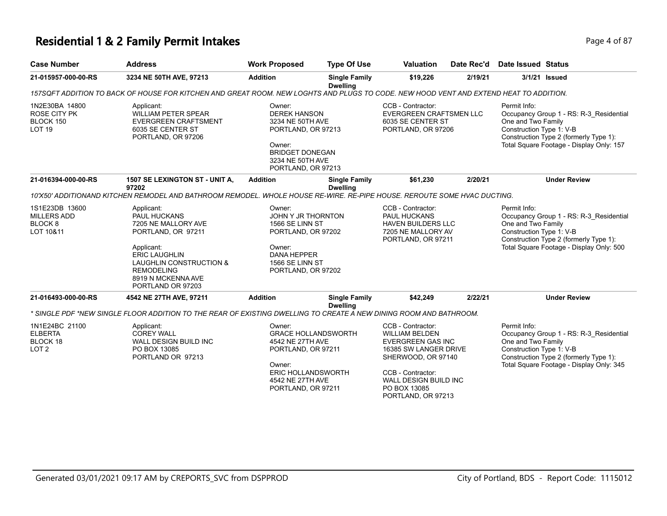## **Residential 1 & 2 Family Permit Intakes Page 1 of 87** Page 4 of 87

| <b>Case Number</b>                                                      | <b>Address</b>                                                                                                                                                                                           | <b>Work Proposed</b>                                                                                                                                     | <b>Type Of Use</b>                      | <b>Valuation</b>                                                                                                                                                                                                 | Date Rec'd | Date Issued Status                                             |                                                                                                                               |
|-------------------------------------------------------------------------|----------------------------------------------------------------------------------------------------------------------------------------------------------------------------------------------------------|----------------------------------------------------------------------------------------------------------------------------------------------------------|-----------------------------------------|------------------------------------------------------------------------------------------------------------------------------------------------------------------------------------------------------------------|------------|----------------------------------------------------------------|-------------------------------------------------------------------------------------------------------------------------------|
| 21-015957-000-00-RS                                                     | 3234 NE 50TH AVE, 97213                                                                                                                                                                                  | <b>Addition</b>                                                                                                                                          | <b>Single Family</b><br><b>Dwelling</b> | \$19,226                                                                                                                                                                                                         | 2/19/21    |                                                                | 3/1/21 Issued                                                                                                                 |
|                                                                         | 157SQFT ADDITION TO BACK OF HOUSE FOR KITCHEN AND GREAT ROOM. NEW LOGHTS AND PLUGS TO CODE. NEW HOOD VENT AND EXTEND HEAT TO ADDITION.                                                                   |                                                                                                                                                          |                                         |                                                                                                                                                                                                                  |            |                                                                |                                                                                                                               |
| 1N2E30BA 14800<br><b>ROSE CITY PK</b><br>BLOCK 150<br>LOT <sub>19</sub> | Applicant:<br><b>WILLIAM PETER SPEAR</b><br><b>EVERGREEN CRAFTSMENT</b><br>6035 SE CENTER ST<br>PORTLAND, OR 97206                                                                                       | Owner:<br><b>DEREK HANSON</b><br>3234 NE 50TH AVE<br>PORTLAND, OR 97213<br>Owner:<br><b>BRIDGET DONEGAN</b><br>3234 NE 50TH AVE<br>PORTLAND, OR 97213    |                                         | CCB - Contractor:<br><b>EVERGREEN CRAFTSMEN LLC</b><br>6035 SE CENTER ST<br>PORTLAND, OR 97206                                                                                                                   |            | Permit Info:<br>One and Two Family<br>Construction Type 1: V-B | Occupancy Group 1 - RS: R-3_Residential<br>Construction Type 2 (formerly Type 1):<br>Total Square Footage - Display Only: 157 |
| 21-016394-000-00-RS                                                     | 1507 SE LEXINGTON ST - UNIT A.<br>97202                                                                                                                                                                  | <b>Addition</b>                                                                                                                                          | <b>Single Family</b><br><b>Dwelling</b> | \$61,230                                                                                                                                                                                                         | 2/20/21    |                                                                | <b>Under Review</b>                                                                                                           |
|                                                                         | 10'X50' ADDITIONAND KITCHEN REMODEL AND BATHROOM REMODEL. WHOLE HOUSE RE-WIRE. RE-PIPE HOUSE, REROUTE SOME HVAC DUCTING.                                                                                 |                                                                                                                                                          |                                         |                                                                                                                                                                                                                  |            |                                                                |                                                                                                                               |
| 1S1E23DB 13600<br><b>MILLERS ADD</b><br>BLOCK <sub>8</sub><br>LOT 10&11 | Applicant:<br>PAUL HUCKANS<br>7205 NE MALLORY AVE<br>PORTLAND, OR 97211<br>Applicant:<br><b>ERIC LAUGHLIN</b><br>LAUGHLIN CONSTRUCTION &<br><b>REMODELING</b><br>8919 N MCKENNA AVE<br>PORTLAND OR 97203 | Owner:<br>JOHN Y JR THORNTON<br>1566 SE LINN ST<br>PORTLAND, OR 97202<br>Owner:<br><b>DANA HEPPER</b><br>1566 SE LINN ST<br>PORTLAND, OR 97202           |                                         | CCB - Contractor:<br>PAUL HUCKANS<br><b>HAVEN BUILDERS LLC</b><br>7205 NE MALLORY AV<br>PORTLAND, OR 97211                                                                                                       |            | Permit Info:<br>One and Two Family<br>Construction Type 1: V-B | Occupancy Group 1 - RS: R-3_Residential<br>Construction Type 2 (formerly Type 1):<br>Total Square Footage - Display Only: 500 |
| 21-016493-000-00-RS                                                     | 4542 NE 27TH AVE, 97211                                                                                                                                                                                  | <b>Addition</b>                                                                                                                                          | <b>Single Family</b><br><b>Dwelling</b> | \$42,249                                                                                                                                                                                                         | 2/22/21    |                                                                | <b>Under Review</b>                                                                                                           |
|                                                                         | * SINGLE PDF *NEW SINGLE FLOOR ADDITION TO THE REAR OF EXISTING DWELLING TO CREATE A NEW DINING ROOM AND BATHROOM.                                                                                       |                                                                                                                                                          |                                         |                                                                                                                                                                                                                  |            |                                                                |                                                                                                                               |
| 1N1E24BC 21100<br><b>ELBERTA</b><br>BLOCK 18<br>LOT <sub>2</sub>        | Applicant:<br><b>COREY WALL</b><br><b>WALL DESIGN BUILD INC</b><br>PO BOX 13085<br>PORTLAND OR 97213                                                                                                     | Owner:<br><b>GRACE HOLLANDSWORTH</b><br>4542 NE 27TH AVE<br>PORTLAND, OR 97211<br>Owner:<br>ERIC HOLLANDSWORTH<br>4542 NE 27TH AVE<br>PORTLAND, OR 97211 |                                         | CCB - Contractor:<br><b>WILLIAM BELDEN</b><br><b>EVERGREEN GAS INC</b><br>16385 SW LANGER DRIVE<br>SHERWOOD, OR 97140<br>CCB - Contractor:<br><b>WALL DESIGN BUILD INC</b><br>PO BOX 13085<br>PORTLAND, OR 97213 |            | Permit Info:<br>One and Two Family<br>Construction Type 1: V-B | Occupancy Group 1 - RS: R-3_Residential<br>Construction Type 2 (formerly Type 1):<br>Total Square Footage - Display Only: 345 |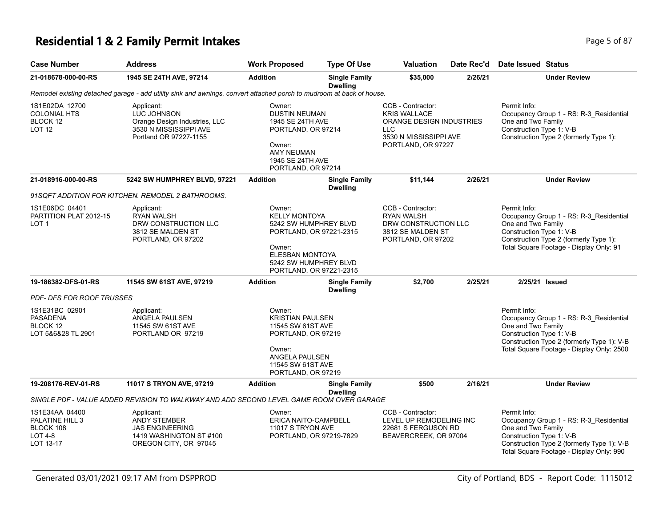#### **Residential 1 & 2 Family Permit Intakes Page 1 and 2 Family Permit Intakes Page 1 and 2 Family Page 5 of 87**

| <b>Case Number</b>                                                     | <b>Address</b>                                                                                                       | <b>Work Proposed</b>                                                                                                                                                       | <b>Type Of Use</b>                      | <b>Valuation</b>                                                                                                                   | Date Rec'd | Date Issued Status                                                                                                                                                                                   |
|------------------------------------------------------------------------|----------------------------------------------------------------------------------------------------------------------|----------------------------------------------------------------------------------------------------------------------------------------------------------------------------|-----------------------------------------|------------------------------------------------------------------------------------------------------------------------------------|------------|------------------------------------------------------------------------------------------------------------------------------------------------------------------------------------------------------|
| 21-018678-000-00-RS                                                    | 1945 SE 24TH AVE, 97214                                                                                              | <b>Addition</b>                                                                                                                                                            | <b>Single Family</b><br><b>Dwelling</b> | \$35,000                                                                                                                           | 2/26/21    | <b>Under Review</b>                                                                                                                                                                                  |
|                                                                        | Remodel existing detached garage - add utility sink and awnings. convert attached porch to mudroom at back of house. |                                                                                                                                                                            |                                         |                                                                                                                                    |            |                                                                                                                                                                                                      |
| 1S1E02DA 12700<br>COLONIAL HTS<br>BLOCK 12<br>LOT 12                   | Applicant:<br>LUC JOHNSON<br>Orange Design Industries, LLC<br>3530 N MISSISSIPPI AVE<br>Portland OR 97227-1155       | Owner:<br><b>DUSTIN NEUMAN</b><br>1945 SE 24TH AVE<br>PORTLAND, OR 97214<br>Owner:<br><b>AMY NEUMAN</b><br>1945 SE 24TH AVE<br>PORTLAND, OR 97214                          |                                         | CCB - Contractor:<br><b>KRIS WALLACE</b><br>ORANGE DESIGN INDUSTRIES<br><b>LLC</b><br>3530 N MISSISSIPPI AVE<br>PORTLAND, OR 97227 |            | Permit Info:<br>Occupancy Group 1 - RS: R-3_Residential<br>One and Two Family<br>Construction Type 1: V-B<br>Construction Type 2 (formerly Type 1):                                                  |
| 21-018916-000-00-RS                                                    | 5242 SW HUMPHREY BLVD, 97221                                                                                         | <b>Addition</b>                                                                                                                                                            | <b>Single Family</b><br><b>Dwelling</b> | \$11,144                                                                                                                           | 2/26/21    | <b>Under Review</b>                                                                                                                                                                                  |
|                                                                        | 91SQFT ADDITION FOR KITCHEN. REMODEL 2 BATHROOMS.                                                                    |                                                                                                                                                                            |                                         |                                                                                                                                    |            |                                                                                                                                                                                                      |
| 1S1E06DC 04401<br>PARTITION PLAT 2012-15<br>LOT 1                      | Applicant:<br><b>RYAN WALSH</b><br>DRW CONSTRUCTION LLC<br>3812 SE MALDEN ST<br>PORTLAND, OR 97202                   | Owner:<br><b>KELLY MONTOYA</b><br>5242 SW HUMPHREY BLVD<br>PORTLAND, OR 97221-2315<br>Owner:<br><b>ELESBAN MONTOYA</b><br>5242 SW HUMPHREY BLVD<br>PORTLAND, OR 97221-2315 |                                         | CCB - Contractor:<br><b>RYAN WALSH</b><br>DRW CONSTRUCTION LLC<br>3812 SE MALDEN ST<br>PORTLAND, OR 97202                          |            | Permit Info:<br>Occupancy Group 1 - RS: R-3_Residential<br>One and Two Family<br>Construction Type 1: V-B<br>Construction Type 2 (formerly Type 1):<br>Total Square Footage - Display Only: 91       |
| 19-186382-DFS-01-RS                                                    | 11545 SW 61ST AVE, 97219                                                                                             | <b>Addition</b><br><b>Single Family</b><br><b>Dwelling</b>                                                                                                                 |                                         | \$2,700                                                                                                                            | 2/25/21    | 2/25/21 Issued                                                                                                                                                                                       |
| PDF- DFS FOR ROOF TRUSSES                                              |                                                                                                                      |                                                                                                                                                                            |                                         |                                                                                                                                    |            |                                                                                                                                                                                                      |
| 1S1E31BC 02901<br>PASADENA<br>BLOCK 12<br>LOT 5&6&28 TL 2901           | Applicant:<br>ANGELA PAULSEN<br>11545 SW 61ST AVE<br>PORTLAND OR 97219                                               | Owner:<br><b>KRISTIAN PAULSEN</b><br>11545 SW 61ST AVE<br>PORTLAND, OR 97219<br>Owner:<br>ANGELA PAULSEN<br>11545 SW 61ST AVE<br>PORTLAND, OR 97219                        |                                         |                                                                                                                                    |            | Permit Info:<br>Occupancy Group 1 - RS: R-3_Residential<br>One and Two Family<br>Construction Type 1: V-B<br>Construction Type 2 (formerly Type 1): V-B<br>Total Square Footage - Display Only: 2500 |
| 19-208176-REV-01-RS                                                    | 11017 S TRYON AVE, 97219                                                                                             | <b>Addition</b>                                                                                                                                                            | <b>Single Family</b><br><b>Dwelling</b> | \$500                                                                                                                              | 2/16/21    | <b>Under Review</b>                                                                                                                                                                                  |
|                                                                        | SINGLE PDF - VALUE ADDED REVISION TO WALKWAY AND ADD SECOND LEVEL GAME ROOM OVER GARAGE                              |                                                                                                                                                                            |                                         |                                                                                                                                    |            |                                                                                                                                                                                                      |
| 1S1E34AA 04400<br>PALATINE HILL 3<br>BLOCK 108<br>LOT 4-8<br>LOT 13-17 | Applicant:<br><b>ANDY STEMBER</b><br><b>JAS ENGINEERING</b><br>1419 WASHINGTON ST #100<br>OREGON CITY, OR 97045      | Owner:<br>ERICA NAITO-CAMPBELL<br>11017 S TRYON AVE<br>PORTLAND, OR 97219-7829                                                                                             |                                         | CCB - Contractor:<br>LEVEL UP REMODELING INC<br>22681 S FERGUSON RD<br>BEAVERCREEK, OR 97004                                       |            | Permit Info:<br>Occupancy Group 1 - RS: R-3_Residential<br>One and Two Family<br>Construction Type 1: V-B<br>Construction Type 2 (formerly Type 1): V-B<br>Total Square Footage - Display Only: 990  |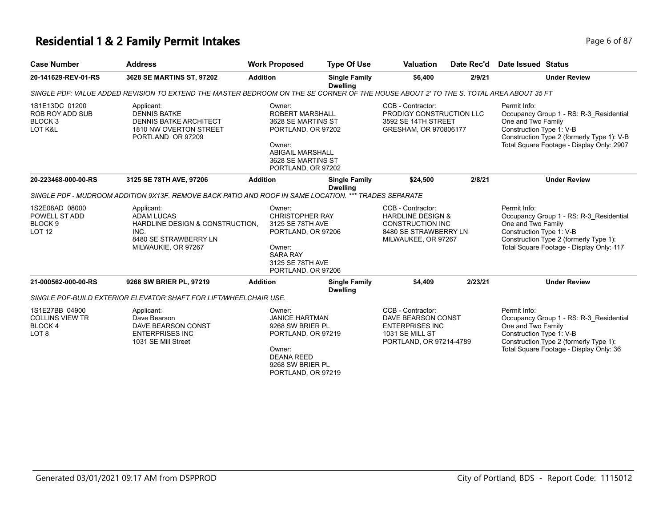## **Residential 1 & 2 Family Permit Intakes**

|  | Page 6 of 87 |  |  |  |
|--|--------------|--|--|--|
|--|--------------|--|--|--|

| <b>Case Number</b>                                                      | <b>Address</b>                                                                                                                        | <b>Work Proposed</b>                                                                                                                                          | <b>Type Of Use</b>                      | <b>Valuation</b>                                                                                                             | Date Rec'd | <b>Date Issued Status</b>                                      |                                                                                                                                    |
|-------------------------------------------------------------------------|---------------------------------------------------------------------------------------------------------------------------------------|---------------------------------------------------------------------------------------------------------------------------------------------------------------|-----------------------------------------|------------------------------------------------------------------------------------------------------------------------------|------------|----------------------------------------------------------------|------------------------------------------------------------------------------------------------------------------------------------|
| 20-141629-REV-01-RS                                                     | 3628 SE MARTINS ST, 97202                                                                                                             | <b>Addition</b>                                                                                                                                               | <b>Single Family</b><br><b>Dwelling</b> | \$6,400                                                                                                                      | 2/9/21     |                                                                | <b>Under Review</b>                                                                                                                |
|                                                                         | SINGLE PDF: VALUE ADDED REVISION TO EXTEND THE MASTER BEDROOM ON THE SE CORNER OF THE HOUSE ABOUT 2' TO THE S. TOTAL AREA ABOUT 35 FT |                                                                                                                                                               |                                         |                                                                                                                              |            |                                                                |                                                                                                                                    |
| 1S1E13DC 01200<br>ROB ROY ADD SUB<br>BLOCK <sub>3</sub><br>LOT K&L      | Applicant:<br><b>DENNIS BATKE</b><br><b>DENNIS BATKE ARCHITECT</b><br>1810 NW OVERTON STREET<br>PORTLAND OR 97209                     | Owner:<br><b>ROBERT MARSHALL</b><br>3628 SE MARTINS ST<br>PORTLAND, OR 97202<br>Owner:<br><b>ABIGAIL MARSHALL</b><br>3628 SE MARTINS ST<br>PORTLAND, OR 97202 |                                         | CCB - Contractor:<br>PRODIGY CONSTRUCTION LLC<br>3592 SE 14TH STREET<br>GRESHAM, OR 970806177                                |            | Permit Info:<br>One and Two Family<br>Construction Type 1: V-B | Occupancy Group 1 - RS: R-3 Residential<br>Construction Type 2 (formerly Type 1): V-B<br>Total Square Footage - Display Only: 2907 |
| 20-223468-000-00-RS                                                     | 3125 SE 78TH AVE, 97206                                                                                                               | <b>Addition</b>                                                                                                                                               | <b>Single Family</b><br><b>Dwelling</b> | \$24.500                                                                                                                     | 2/8/21     |                                                                | <b>Under Review</b>                                                                                                                |
|                                                                         | SINGLE PDF - MUDROOM ADDITION 9X13F. REMOVE BACK PATIO AND ROOF IN SAME LOCATION. *** TRADES SEPARATE                                 |                                                                                                                                                               |                                         |                                                                                                                              |            |                                                                |                                                                                                                                    |
| 1S2E08AD 08000<br>POWELL ST ADD<br>BLOCK <sub>9</sub><br><b>LOT 12</b>  | Applicant:<br><b>ADAM LUCAS</b><br>HARDLINE DESIGN & CONSTRUCTION.<br>INC.<br>8480 SE STRAWBERRY LN<br>MILWAUKIE, OR 97267            | Owner:<br><b>CHRISTOPHER RAY</b><br>3125 SE 78TH AVE<br>PORTLAND, OR 97206<br>Owner:<br><b>SARA RAY</b><br>3125 SE 78TH AVE<br>PORTLAND, OR 97206             |                                         | CCB - Contractor:<br><b>HARDLINE DESIGN &amp;</b><br><b>CONSTRUCTION INC</b><br>8480 SE STRAWBERRY LN<br>MILWAUKEE, OR 97267 |            | Permit Info:<br>One and Two Family<br>Construction Type 1: V-B | Occupancy Group 1 - RS: R-3 Residential<br>Construction Type 2 (formerly Type 1):<br>Total Square Footage - Display Only: 117      |
| 21-000562-000-00-RS                                                     | 9268 SW BRIER PL, 97219                                                                                                               | <b>Addition</b>                                                                                                                                               | <b>Single Family</b><br><b>Dwelling</b> | \$4,409                                                                                                                      | 2/23/21    |                                                                | <b>Under Review</b>                                                                                                                |
|                                                                         | SINGLE PDF-BUILD EXTERIOR ELEVATOR SHAFT FOR LIFT/WHEELCHAIR USE.                                                                     |                                                                                                                                                               |                                         |                                                                                                                              |            |                                                                |                                                                                                                                    |
| 1S1E27BB 04900<br><b>COLLINS VIEW TR</b><br>BLOCK 4<br>LOT <sub>8</sub> | Applicant:<br>Dave Bearson<br>DAVE BEARSON CONST<br><b>ENTERPRISES INC</b><br>1031 SE Mill Street                                     | Owner:<br><b>JANICE HARTMAN</b><br>9268 SW BRIER PL<br>PORTLAND, OR 97219<br>Owner:<br><b>DEANA REED</b><br>9268 SW BRIER PL<br>PORTLAND, OR 97219            |                                         | CCB - Contractor:<br>DAVE BEARSON CONST<br><b>ENTERPRISES INC</b><br>1031 SE MILL ST<br>PORTLAND, OR 97214-4789              |            | Permit Info:<br>One and Two Family<br>Construction Type 1: V-B | Occupancy Group 1 - RS: R-3 Residential<br>Construction Type 2 (formerly Type 1):<br>Total Square Footage - Display Only: 36       |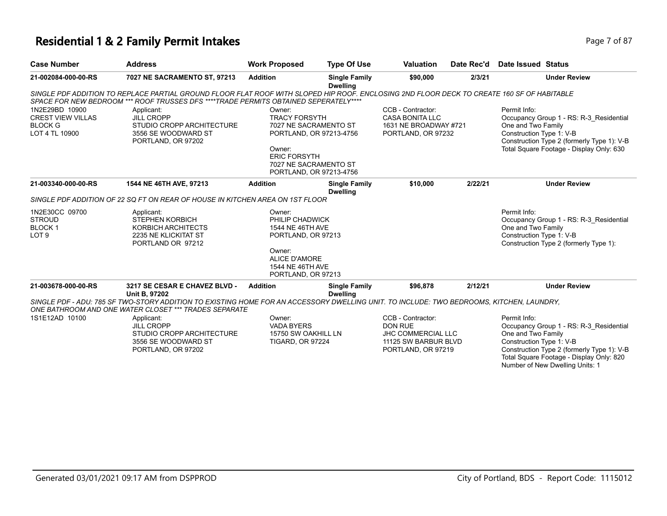## **Residential 1 & 2 Family Permit Intakes Page 7 of 87 Page 7 of 87**

|  | Page 7 o |
|--|----------|
|  |          |

| \$90,000<br>7027 NE SACRAMENTO ST, 97213<br><b>Addition</b><br><b>Single Family</b><br>2/3/21<br>21-002084-000-00-RS<br><b>Dwelling</b><br>SINGLE PDF ADDITION TO REPLACE PARTIAL GROUND FLOOR FLAT ROOF WITH SLOPED HIP ROOF. ENCLOSING 2ND FLOOR DECK TO CREATE 160 SF OF HABITABLE<br>SPACE FOR NEW BEDROOM *** ROOF TRUSSES DFS ****TRADE PERMITS OBTAINED SEPERATELY****<br>1N2E29BD 10900<br>CCB - Contractor:<br>Applicant:<br>Owner:<br><b>CREST VIEW VILLAS</b><br><b>JILL CROPP</b><br><b>TRACY FORSYTH</b><br><b>CASA BONITA LLC</b><br><b>BLOCK G</b><br>STUDIO CROPP ARCHITECTURE<br>7027 NE SACRAMENTO ST<br>1631 NE BROADWAY #721<br>LOT 4 TL 10900<br>3556 SE WOODWARD ST<br>PORTLAND, OR 97213-4756<br>PORTLAND, OR 97232<br>PORTLAND, OR 97202<br>Owner:<br><b>ERIC FORSYTH</b><br>7027 NE SACRAMENTO ST<br>PORTLAND, OR 97213-4756<br><b>Addition</b><br>\$10,000<br>2/22/21<br>21-003340-000-00-RS<br>1544 NE 46TH AVE, 97213<br><b>Single Family</b><br><b>Dwelling</b><br>SINGLE PDF ADDITION OF 22 SQ FT ON REAR OF HOUSE IN KITCHEN AREA ON 1ST FLOOR<br>1N2E30CC 09700<br>Applicant:<br>Owner:<br><b>STROUD</b><br><b>STEPHEN KORBICH</b><br>PHILIP CHADWICK<br><b>BLOCK1</b><br>KORBICH ARCHITECTS<br>1544 NE 46TH AVE<br>LOT <sub>9</sub><br>2235 NE KLICKITAT ST<br>PORTLAND, OR 97213 | <b>Date Issued Status</b>                                                                                                 |
|--------------------------------------------------------------------------------------------------------------------------------------------------------------------------------------------------------------------------------------------------------------------------------------------------------------------------------------------------------------------------------------------------------------------------------------------------------------------------------------------------------------------------------------------------------------------------------------------------------------------------------------------------------------------------------------------------------------------------------------------------------------------------------------------------------------------------------------------------------------------------------------------------------------------------------------------------------------------------------------------------------------------------------------------------------------------------------------------------------------------------------------------------------------------------------------------------------------------------------------------------------------------------------------------------------------------|---------------------------------------------------------------------------------------------------------------------------|
|                                                                                                                                                                                                                                                                                                                                                                                                                                                                                                                                                                                                                                                                                                                                                                                                                                                                                                                                                                                                                                                                                                                                                                                                                                                                                                                    | <b>Under Review</b>                                                                                                       |
|                                                                                                                                                                                                                                                                                                                                                                                                                                                                                                                                                                                                                                                                                                                                                                                                                                                                                                                                                                                                                                                                                                                                                                                                                                                                                                                    |                                                                                                                           |
|                                                                                                                                                                                                                                                                                                                                                                                                                                                                                                                                                                                                                                                                                                                                                                                                                                                                                                                                                                                                                                                                                                                                                                                                                                                                                                                    |                                                                                                                           |
|                                                                                                                                                                                                                                                                                                                                                                                                                                                                                                                                                                                                                                                                                                                                                                                                                                                                                                                                                                                                                                                                                                                                                                                                                                                                                                                    | Permit Info:                                                                                                              |
|                                                                                                                                                                                                                                                                                                                                                                                                                                                                                                                                                                                                                                                                                                                                                                                                                                                                                                                                                                                                                                                                                                                                                                                                                                                                                                                    | Occupancy Group 1 - RS: R-3_Residential                                                                                   |
|                                                                                                                                                                                                                                                                                                                                                                                                                                                                                                                                                                                                                                                                                                                                                                                                                                                                                                                                                                                                                                                                                                                                                                                                                                                                                                                    | One and Two Family<br>Construction Type 1: V-B                                                                            |
|                                                                                                                                                                                                                                                                                                                                                                                                                                                                                                                                                                                                                                                                                                                                                                                                                                                                                                                                                                                                                                                                                                                                                                                                                                                                                                                    | Construction Type 2 (formerly Type 1): V-B                                                                                |
|                                                                                                                                                                                                                                                                                                                                                                                                                                                                                                                                                                                                                                                                                                                                                                                                                                                                                                                                                                                                                                                                                                                                                                                                                                                                                                                    | Total Square Footage - Display Only: 630                                                                                  |
|                                                                                                                                                                                                                                                                                                                                                                                                                                                                                                                                                                                                                                                                                                                                                                                                                                                                                                                                                                                                                                                                                                                                                                                                                                                                                                                    |                                                                                                                           |
|                                                                                                                                                                                                                                                                                                                                                                                                                                                                                                                                                                                                                                                                                                                                                                                                                                                                                                                                                                                                                                                                                                                                                                                                                                                                                                                    |                                                                                                                           |
|                                                                                                                                                                                                                                                                                                                                                                                                                                                                                                                                                                                                                                                                                                                                                                                                                                                                                                                                                                                                                                                                                                                                                                                                                                                                                                                    |                                                                                                                           |
|                                                                                                                                                                                                                                                                                                                                                                                                                                                                                                                                                                                                                                                                                                                                                                                                                                                                                                                                                                                                                                                                                                                                                                                                                                                                                                                    | <b>Under Review</b>                                                                                                       |
|                                                                                                                                                                                                                                                                                                                                                                                                                                                                                                                                                                                                                                                                                                                                                                                                                                                                                                                                                                                                                                                                                                                                                                                                                                                                                                                    |                                                                                                                           |
|                                                                                                                                                                                                                                                                                                                                                                                                                                                                                                                                                                                                                                                                                                                                                                                                                                                                                                                                                                                                                                                                                                                                                                                                                                                                                                                    | Permit Info:                                                                                                              |
|                                                                                                                                                                                                                                                                                                                                                                                                                                                                                                                                                                                                                                                                                                                                                                                                                                                                                                                                                                                                                                                                                                                                                                                                                                                                                                                    | Occupancy Group 1 - RS: R-3 Residential                                                                                   |
|                                                                                                                                                                                                                                                                                                                                                                                                                                                                                                                                                                                                                                                                                                                                                                                                                                                                                                                                                                                                                                                                                                                                                                                                                                                                                                                    | One and Two Family                                                                                                        |
|                                                                                                                                                                                                                                                                                                                                                                                                                                                                                                                                                                                                                                                                                                                                                                                                                                                                                                                                                                                                                                                                                                                                                                                                                                                                                                                    | Construction Type 1: V-B                                                                                                  |
| PORTLAND OR 97212<br>Owner:                                                                                                                                                                                                                                                                                                                                                                                                                                                                                                                                                                                                                                                                                                                                                                                                                                                                                                                                                                                                                                                                                                                                                                                                                                                                                        | Construction Type 2 (formerly Type 1):                                                                                    |
| <b>ALICE D'AMORE</b>                                                                                                                                                                                                                                                                                                                                                                                                                                                                                                                                                                                                                                                                                                                                                                                                                                                                                                                                                                                                                                                                                                                                                                                                                                                                                               |                                                                                                                           |
| 1544 NE 46TH AVE                                                                                                                                                                                                                                                                                                                                                                                                                                                                                                                                                                                                                                                                                                                                                                                                                                                                                                                                                                                                                                                                                                                                                                                                                                                                                                   |                                                                                                                           |
| PORTLAND, OR 97213                                                                                                                                                                                                                                                                                                                                                                                                                                                                                                                                                                                                                                                                                                                                                                                                                                                                                                                                                                                                                                                                                                                                                                                                                                                                                                 |                                                                                                                           |
| 2/12/21<br>21-003678-000-00-RS<br><b>Addition</b><br>\$96,878<br>3217 SE CESAR E CHAVEZ BLVD -<br><b>Single Family</b>                                                                                                                                                                                                                                                                                                                                                                                                                                                                                                                                                                                                                                                                                                                                                                                                                                                                                                                                                                                                                                                                                                                                                                                             | <b>Under Review</b>                                                                                                       |
| <b>Dwelling</b><br><b>Unit B. 97202</b><br>SINGLE PDF - ADU: 785 SF TWO-STORY ADDITION TO EXISTING HOME FOR AN ACCESSORY DWELLING UNIT. TO INCLUDE: TWO BEDROOMS, KITCHEN, LAUNDRY,                                                                                                                                                                                                                                                                                                                                                                                                                                                                                                                                                                                                                                                                                                                                                                                                                                                                                                                                                                                                                                                                                                                                |                                                                                                                           |
| ONE BATHROOM AND ONE WATER CLOSET *** TRADES SEPARATE                                                                                                                                                                                                                                                                                                                                                                                                                                                                                                                                                                                                                                                                                                                                                                                                                                                                                                                                                                                                                                                                                                                                                                                                                                                              |                                                                                                                           |
| CCB - Contractor:<br>1S1E12AD 10100<br>Owner:<br>Applicant:                                                                                                                                                                                                                                                                                                                                                                                                                                                                                                                                                                                                                                                                                                                                                                                                                                                                                                                                                                                                                                                                                                                                                                                                                                                        | Permit Info:                                                                                                              |
| <b>JILL CROPP</b><br><b>VADA BYERS</b><br>DON RUE                                                                                                                                                                                                                                                                                                                                                                                                                                                                                                                                                                                                                                                                                                                                                                                                                                                                                                                                                                                                                                                                                                                                                                                                                                                                  | Occupancy Group 1 - RS: R-3 Residential                                                                                   |
| STUDIO CROPP ARCHITECTURE<br>15750 SW OAKHILL LN<br>JHC COMMERCIAL LLC                                                                                                                                                                                                                                                                                                                                                                                                                                                                                                                                                                                                                                                                                                                                                                                                                                                                                                                                                                                                                                                                                                                                                                                                                                             | One and Two Family                                                                                                        |
| 3556 SE WOODWARD ST<br><b>TIGARD, OR 97224</b><br>11125 SW BARBUR BLVD                                                                                                                                                                                                                                                                                                                                                                                                                                                                                                                                                                                                                                                                                                                                                                                                                                                                                                                                                                                                                                                                                                                                                                                                                                             | Construction Type 1: V-B                                                                                                  |
| PORTLAND, OR 97202<br>PORTLAND, OR 97219                                                                                                                                                                                                                                                                                                                                                                                                                                                                                                                                                                                                                                                                                                                                                                                                                                                                                                                                                                                                                                                                                                                                                                                                                                                                           | Construction Type 2 (formerly Type 1): V-B<br>Total Square Footage - Display Only: 820<br>Number of New Dwelling Units: 1 |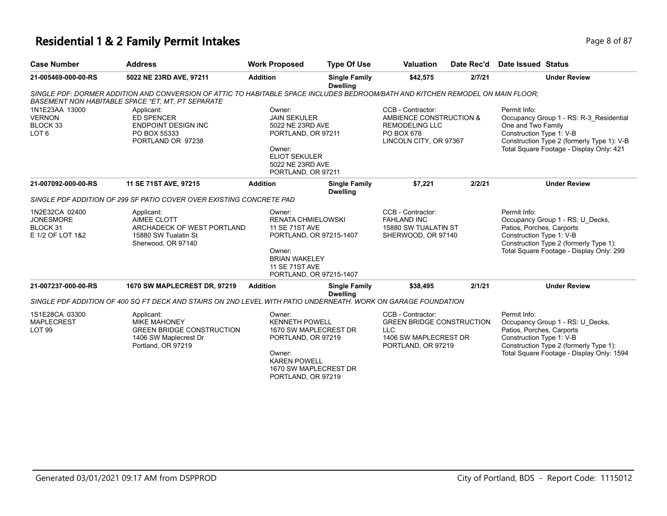# **Residential 1 & 2 Family Permit Intakes Page 1 and Security Page 8 of 87**

| <b>Case Number</b>                                                 | <b>Address</b>                                                                                                                                                                       | <b>Work Proposed</b>                                                                                                                                                          | <b>Type Of Use</b>                      | <b>Valuation</b>                                                                                                   | Date Rec'd | <b>Date Issued Status</b>                                                                                                                                                                           |
|--------------------------------------------------------------------|--------------------------------------------------------------------------------------------------------------------------------------------------------------------------------------|-------------------------------------------------------------------------------------------------------------------------------------------------------------------------------|-----------------------------------------|--------------------------------------------------------------------------------------------------------------------|------------|-----------------------------------------------------------------------------------------------------------------------------------------------------------------------------------------------------|
| 21-005469-000-00-RS                                                | 5022 NE 23RD AVE, 97211                                                                                                                                                              | <b>Addition</b>                                                                                                                                                               | <b>Single Family</b><br><b>Dwelling</b> | \$42,575                                                                                                           | 2/7/21     | <b>Under Review</b>                                                                                                                                                                                 |
|                                                                    | SINGLE PDF: DORMER ADDITION AND CONVERSION OF ATTIC TO HABITABLE SPACE INCLUDES BEDROOM/BATH AND KITCHEN REMODEL ON MAIN FLOOR:<br>BASEMENT NON HABITABLE SPACE *ET, MT, PT SEPARATE |                                                                                                                                                                               |                                         |                                                                                                                    |            |                                                                                                                                                                                                     |
| 1N1E23AA 13000<br><b>VERNON</b><br>BLOCK 33<br>LOT <sub>6</sub>    | Applicant:<br><b>ED SPENCER</b><br><b>ENDPOINT DESIGN INC</b><br>PO BOX 55333<br>PORTLAND OR 97238                                                                                   | Owner:<br><b>JAIN SEKULER</b><br>5022 NE 23RD AVE<br>PORTLAND, OR 97211<br>Owner:<br><b>ELIOT SEKULER</b><br>5022 NE 23RD AVE<br>PORTLAND, OR 97211                           |                                         | CCB - Contractor:<br>AMBIENCE CONSTRUCTION &<br><b>REMODELING LLC</b><br>PO BOX 678<br>LINCOLN CITY, OR 97367      |            | Permit Info:<br>Occupancy Group 1 - RS: R-3 Residential<br>One and Two Family<br>Construction Type 1: V-B<br>Construction Type 2 (formerly Type 1): V-B<br>Total Square Footage - Display Only: 421 |
| 21-007092-000-00-RS                                                | 11 SE 71ST AVE, 97215                                                                                                                                                                | <b>Addition</b>                                                                                                                                                               | <b>Single Family</b><br><b>Dwelling</b> | \$7,221                                                                                                            | 2/2/21     | <b>Under Review</b>                                                                                                                                                                                 |
|                                                                    | SINGLE PDF ADDITION OF 299 SF PATIO COVER OVER EXISTING CONCRETE PAD                                                                                                                 |                                                                                                                                                                               |                                         |                                                                                                                    |            |                                                                                                                                                                                                     |
| 1N2E32CA 02400<br><b>JONESMORE</b><br>BLOCK 31<br>E 1/2 OF LOT 1&2 | Applicant:<br>AIMEE CLOTT<br>ARCHADECK OF WEST PORTLAND<br>15880 SW Tualatin St<br>Sherwood, OR 97140                                                                                | Owner:<br><b>RENATA CHMIELOWSKI</b><br><b>11 SE 71ST AVE</b><br>PORTLAND, OR 97215-1407<br>Owner:<br><b>BRIAN WAKELEY</b><br><b>11 SE 71ST AVE</b><br>PORTLAND, OR 97215-1407 |                                         | CCB - Contractor:<br><b>FAHLAND INC</b><br>15880 SW TUALATIN ST<br>SHERWOOD, OR 97140                              |            | Permit Info:<br>Occupancy Group 1 - RS: U Decks,<br>Patios, Porches, Carports<br>Construction Type 1: V-B<br>Construction Type 2 (formerly Type 1):<br>Total Square Footage - Display Only: 299     |
| 21-007237-000-00-RS                                                | 1670 SW MAPLECREST DR, 97219                                                                                                                                                         | <b>Addition</b>                                                                                                                                                               | <b>Single Family</b><br><b>Dwelling</b> | \$38,495                                                                                                           | 2/1/21     | <b>Under Review</b>                                                                                                                                                                                 |
|                                                                    | SINGLE PDF ADDITION OF 400 SQ FT DECK AND STAIRS ON 2ND LEVEL WITH PATIO UNDERNEATH. WORK ON GARAGE FOUNDATION                                                                       |                                                                                                                                                                               |                                         |                                                                                                                    |            |                                                                                                                                                                                                     |
| 1S1E28CA 03300<br><b>MAPLECREST</b><br>LOT <sub>99</sub>           | Applicant:<br><b>MIKE MAHONEY</b><br><b>GREEN BRIDGE CONSTRUCTION</b><br>1406 SW Maplecrest Dr<br>Portland, OR 97219                                                                 | Owner:<br><b>KENNETH POWELL</b><br>1670 SW MAPLECREST DR<br>PORTLAND, OR 97219<br>Owner:<br><b>KAREN POWELL</b><br>1670 SW MAPLECREST DR<br>PORTLAND, OR 97219                |                                         | CCB - Contractor:<br><b>GREEN BRIDGE CONSTRUCTION</b><br><b>LLC</b><br>1406 SW MAPLECREST DR<br>PORTLAND, OR 97219 |            | Permit Info:<br>Occupancy Group 1 - RS: U Decks,<br>Patios, Porches, Carports<br>Construction Type 1: V-B<br>Construction Type 2 (formerly Type 1):<br>Total Square Footage - Display Only: 1594    |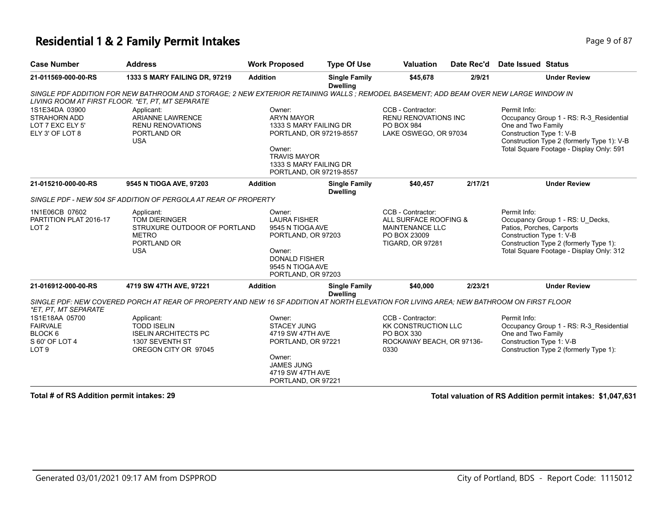#### **Residential 1 & 2 Family Permit Intakes Page 1 and Security Page 9 of 87**

| <b>Case Number</b>                                                                 | <b>Address</b>                                                                                                                           | <b>Work Proposed</b>                                                                                                                                                   | <b>Type Of Use</b>                      | <b>Valuation</b>                                                                                                | Date Rec'd | <b>Date Issued Status</b>                                             |                                                                                                                                   |
|------------------------------------------------------------------------------------|------------------------------------------------------------------------------------------------------------------------------------------|------------------------------------------------------------------------------------------------------------------------------------------------------------------------|-----------------------------------------|-----------------------------------------------------------------------------------------------------------------|------------|-----------------------------------------------------------------------|-----------------------------------------------------------------------------------------------------------------------------------|
| 21-011569-000-00-RS                                                                | 1333 S MARY FAILING DR, 97219                                                                                                            | <b>Addition</b>                                                                                                                                                        | <b>Single Family</b><br><b>Dwelling</b> | \$45,678                                                                                                        | 2/9/21     |                                                                       | <b>Under Review</b>                                                                                                               |
| LIVING ROOM AT FIRST FLOOR. *ET, PT, MT SEPARATE                                   | SINGLE PDF ADDITION FOR NEW BATHROOM AND STORAGE; 2 NEW EXTERIOR RETAINING WALLS; REMODEL BASEMENT; ADD BEAM OVER NEW LARGE WINDOW IN    |                                                                                                                                                                        |                                         |                                                                                                                 |            |                                                                       |                                                                                                                                   |
| 1S1E34DA 03900<br>STRAHORN ADD<br>LOT 7 EXC ELY 5'<br>ELY 3' OF LOT 8              | Applicant:<br><b>ARIANNE LAWRENCE</b><br><b>RENU RENOVATIONS</b><br>PORTLAND OR<br><b>USA</b>                                            | Owner:<br><b>ARYN MAYOR</b><br>1333 S MARY FAILING DR<br>PORTLAND, OR 97219-8557<br>Owner:<br><b>TRAVIS MAYOR</b><br>1333 S MARY FAILING DR<br>PORTLAND, OR 97219-8557 |                                         | CCB - Contractor:<br><b>RENU RENOVATIONS INC</b><br>PO BOX 984<br>LAKE OSWEGO, OR 97034                         |            | Permit Info:<br>One and Two Family<br>Construction Type 1: V-B        | Occupancy Group 1 - RS: R-3_Residential<br>Construction Type 2 (formerly Type 1): V-B<br>Total Square Footage - Display Only: 591 |
| 21-015210-000-00-RS                                                                | 9545 N TIOGA AVE, 97203                                                                                                                  | <b>Addition</b>                                                                                                                                                        | <b>Single Family</b><br><b>Dwelling</b> | \$40,457                                                                                                        | 2/17/21    |                                                                       | <b>Under Review</b>                                                                                                               |
|                                                                                    | SINGLE PDF - NEW 504 SF ADDITION OF PERGOLA AT REAR OF PROPERTY                                                                          |                                                                                                                                                                        |                                         |                                                                                                                 |            |                                                                       |                                                                                                                                   |
| 1N1E06CB 07602<br>PARTITION PLAT 2016-17<br>LOT <sub>2</sub>                       | Applicant:<br><b>TOM DIERINGER</b><br>STRUXURE OUTDOOR OF PORTLAND<br><b>METRO</b><br>PORTLAND OR<br><b>USA</b>                          | Owner:<br><b>LAURA FISHER</b><br>9545 N TIOGA AVE<br>PORTLAND, OR 97203<br>Owner:<br><b>DONALD FISHER</b><br>9545 N TIOGA AVE<br>PORTLAND, OR 97203                    |                                         | CCB - Contractor:<br>ALL SURFACE ROOFING &<br><b>MAINTENANCE LLC</b><br>PO BOX 23009<br><b>TIGARD, OR 97281</b> |            | Permit Info:<br>Patios, Porches, Carports<br>Construction Type 1: V-B | Occupancy Group 1 - RS: U Decks,<br>Construction Type 2 (formerly Type 1):<br>Total Square Footage - Display Only: 312            |
| 21-016912-000-00-RS                                                                | 4719 SW 47TH AVE, 97221                                                                                                                  | <b>Addition</b>                                                                                                                                                        | <b>Single Family</b>                    | \$40,000                                                                                                        | 2/23/21    |                                                                       | <b>Under Review</b>                                                                                                               |
| *ET, PT, MT SEPARATE                                                               | SINGLE PDF: NEW COVERED PORCH AT REAR OF PROPERTY AND NEW 16 SF ADDITION AT NORTH ELEVATION FOR LIVING AREA: NEW BATHROOM ON FIRST FLOOR |                                                                                                                                                                        | <b>Dwelling</b>                         |                                                                                                                 |            |                                                                       |                                                                                                                                   |
| 1S1E18AA 05700<br><b>FAIRVALE</b><br>BLOCK 6<br>S 60' OF LOT 4<br>LOT <sub>9</sub> | Applicant:<br><b>TODD ISELIN</b><br><b>ISELIN ARCHITECTS PC</b><br>1307 SEVENTH ST<br>OREGON CITY OR 97045                               | Owner:<br><b>STACEY JUNG</b><br>4719 SW 47TH AVE<br>PORTLAND, OR 97221<br>Owner:<br><b>JAMES JUNG</b><br>4719 SW 47TH AVE<br>PORTLAND, OR 97221                        |                                         | CCB - Contractor:<br><b>KK CONSTRUCTION LLC</b><br>PO BOX 330<br>ROCKAWAY BEACH, OR 97136-<br>0330              |            | Permit Info:<br>One and Two Family<br>Construction Type 1: V-B        | Occupancy Group 1 - RS: R-3_Residential<br>Construction Type 2 (formerly Type 1):                                                 |

**Total # of RS Addition permit intakes: 29 Total valuation of RS Addition permit intakes: \$1,047,631**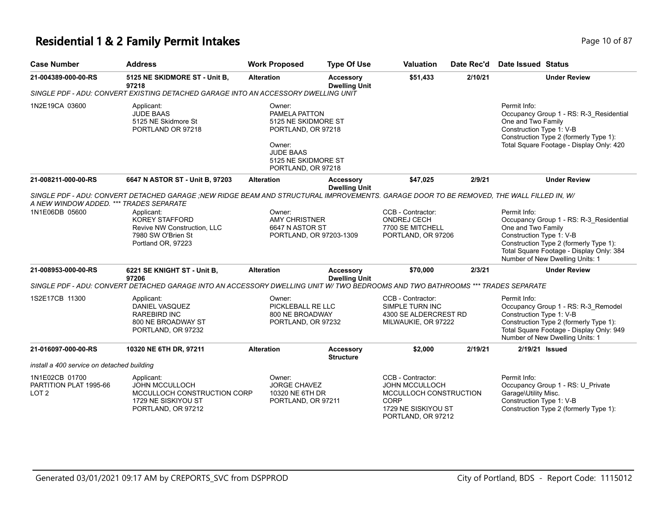#### **Residential 1 & 2 Family Permit Intakes Page 10 of 87 Page 10 of 87**

| <b>Case Number</b>                                           | <b>Address</b>                                                                                                                           | <b>Work Proposed</b>                                                                                                                            | <b>Type Of Use</b>                       | <b>Valuation</b>                                                                                                                 | Date Rec'd | Date Issued Status                                                                                                                                                                                                                 |
|--------------------------------------------------------------|------------------------------------------------------------------------------------------------------------------------------------------|-------------------------------------------------------------------------------------------------------------------------------------------------|------------------------------------------|----------------------------------------------------------------------------------------------------------------------------------|------------|------------------------------------------------------------------------------------------------------------------------------------------------------------------------------------------------------------------------------------|
| 21-004389-000-00-RS                                          | 5125 NE SKIDMORE ST - Unit B,<br>97218                                                                                                   | <b>Alteration</b>                                                                                                                               | <b>Accessory</b><br><b>Dwelling Unit</b> | \$51,433                                                                                                                         | 2/10/21    | <b>Under Review</b>                                                                                                                                                                                                                |
|                                                              | SINGLE PDF - ADU: CONVERT EXISTING DETACHED GARAGE INTO AN ACCESSORY DWELLING UNIT                                                       |                                                                                                                                                 |                                          |                                                                                                                                  |            |                                                                                                                                                                                                                                    |
| 1N2E19CA 03600                                               | Applicant:<br><b>JUDE BAAS</b><br>5125 NE Skidmore St<br>PORTLAND OR 97218                                                               | Owner:<br>PAMELA PATTON<br>5125 NE SKIDMORE ST<br>PORTLAND, OR 97218<br>Owner:<br><b>JUDE BAAS</b><br>5125 NE SKIDMORE ST<br>PORTLAND, OR 97218 |                                          |                                                                                                                                  |            | Permit Info:<br>Occupancy Group 1 - RS: R-3_Residential<br>One and Two Family<br>Construction Type 1: V-B<br>Construction Type 2 (formerly Type 1):<br>Total Square Footage - Display Only: 420                                    |
| 21-008211-000-00-RS                                          | 6647 N ASTOR ST - Unit B, 97203                                                                                                          | <b>Alteration</b>                                                                                                                               | <b>Accessory</b>                         | \$47,025                                                                                                                         | 2/9/21     | <b>Under Review</b>                                                                                                                                                                                                                |
| A NEW WINDOW ADDED. *** TRADES SEPARATE                      | SINGLE PDF - ADU: CONVERT DETACHED GARAGE ;NEW RIDGE BEAM AND STRUCTURAL IMPROVEMENTS. GARAGE DOOR TO BE REMOVED, THE WALL FILLED IN, W/ |                                                                                                                                                 | <b>Dwelling Unit</b>                     |                                                                                                                                  |            |                                                                                                                                                                                                                                    |
| 1N1E06DB 05600                                               | Applicant:<br><b>KOREY STAFFORD</b><br>Revive NW Construction, LLC<br>7980 SW O'Brien St<br>Portland OR, 97223                           | Owner:<br>AMY CHRISTNER<br>6647 N ASTOR ST<br>PORTLAND, OR 97203-1309                                                                           |                                          | CCB - Contractor:<br>ONDREJ CECH<br>7700 SE MITCHELL<br>PORTLAND, OR 97206                                                       |            | Permit Info:<br>Occupancy Group 1 - RS: R-3_Residential<br>One and Two Family<br>Construction Type 1: V-B<br>Construction Type 2 (formerly Type 1):<br>Total Square Footage - Display Only: 384<br>Number of New Dwelling Units: 1 |
| 21-008953-000-00-RS                                          | 6221 SE KNIGHT ST - Unit B,<br>97206                                                                                                     | <b>Alteration</b>                                                                                                                               | <b>Accessory</b><br><b>Dwelling Unit</b> | \$70,000                                                                                                                         | 2/3/21     | <b>Under Review</b>                                                                                                                                                                                                                |
|                                                              | SINGLE PDF - ADU: CONVERT DETACHED GARAGE INTO AN ACCESSORY DWELLING UNIT W/ TWO BEDROOMS AND TWO BATHROOMS *** TRADES SEPARATE          |                                                                                                                                                 |                                          |                                                                                                                                  |            |                                                                                                                                                                                                                                    |
| 1S2E17CB 11300                                               | Applicant:<br><b>DANIEL VASQUEZ</b><br><b>RAREBIRD INC</b><br>800 NE BROADWAY ST<br>PORTLAND, OR 97232                                   | Owner:<br>PICKLEBALL RE LLC<br>800 NE BROADWAY<br>PORTLAND, OR 97232                                                                            |                                          | CCB - Contractor:<br>SIMPLE TURN INC<br>4300 SE ALDERCREST RD<br>MILWAUKIE, OR 97222                                             |            | Permit Info:<br>Occupancy Group 1 - RS: R-3_Remodel<br>Construction Type 1: V-B<br>Construction Type 2 (formerly Type 1):<br>Total Square Footage - Display Only: 949<br>Number of New Dwelling Units: 1                           |
| 21-016097-000-00-RS                                          | 10320 NE 6TH DR, 97211                                                                                                                   | <b>Alteration</b>                                                                                                                               | <b>Accessory</b><br><b>Structure</b>     | \$2,000                                                                                                                          | 2/19/21    | 2/19/21 Issued                                                                                                                                                                                                                     |
| install a 400 service on detached building                   |                                                                                                                                          |                                                                                                                                                 |                                          |                                                                                                                                  |            |                                                                                                                                                                                                                                    |
| 1N1E02CB 01700<br>PARTITION PLAT 1995-66<br>LOT <sub>2</sub> | Applicant:<br><b>JOHN MCCULLOCH</b><br>MCCULLOCH CONSTRUCTION CORP<br>1729 NE SISKIYOU ST<br>PORTLAND, OR 97212                          | Owner:<br><b>JORGE CHAVEZ</b><br>10320 NE 6TH DR<br>PORTLAND, OR 97211                                                                          |                                          | CCB - Contractor:<br><b>JOHN MCCULLOCH</b><br>MCCULLOCH CONSTRUCTION<br><b>CORP</b><br>1729 NE SISKIYOU ST<br>PORTLAND, OR 97212 |            | Permit Info:<br>Occupancy Group 1 - RS: U_Private<br>Garage\Utility Misc.<br>Construction Type 1: V-B<br>Construction Type 2 (formerly Type 1):                                                                                    |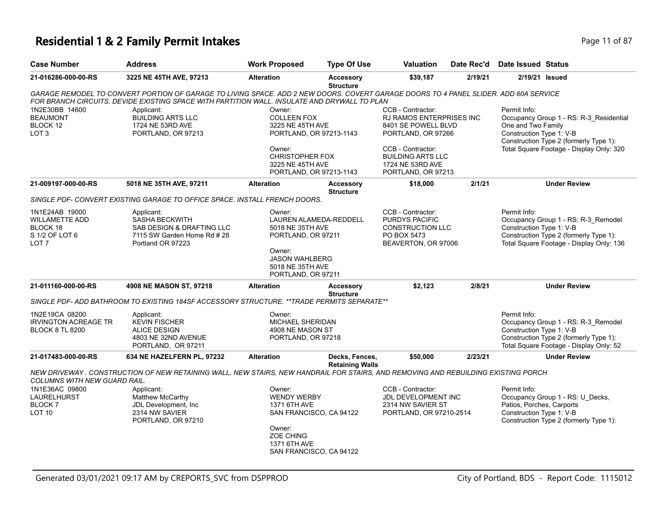## **Residential 1 & 2 Family Permit Intakes Page 11 of 87 Page 11 of 87**

| <b>Case Number</b>                                                                                                                                    | <b>Address</b>                                                                                                                                                                                                                       | <b>Work Proposed</b>                                                                                                                             | <b>Type Of Use</b>                       | Valuation                                                                                                   | Date Rec'd | Date Issued Status                                                                                                                                  |                                                                                                                           |
|-------------------------------------------------------------------------------------------------------------------------------------------------------|--------------------------------------------------------------------------------------------------------------------------------------------------------------------------------------------------------------------------------------|--------------------------------------------------------------------------------------------------------------------------------------------------|------------------------------------------|-------------------------------------------------------------------------------------------------------------|------------|-----------------------------------------------------------------------------------------------------------------------------------------------------|---------------------------------------------------------------------------------------------------------------------------|
| 21-016286-000-00-RS                                                                                                                                   | 3225 NE 45TH AVE, 97213                                                                                                                                                                                                              | <b>Alteration</b>                                                                                                                                | <b>Accessory</b><br><b>Structure</b>     | \$39,187                                                                                                    | 2/19/21    |                                                                                                                                                     | 2/19/21 Issued                                                                                                            |
|                                                                                                                                                       | GARAGE REMODEL TO CONVERT PORTION OF GARAGE TO LIVING SPACE. ADD 2 NEW DOORS. COVERT GARAGE DOORS TO 4 PANEL SLIDER. ADD 60A SERVICE<br>FOR BRANCH CIRCUITS. DEVIDE EXISTING SPACE WITH PARTITION WALL. INSULATE AND DRYWALL TO PLAN |                                                                                                                                                  |                                          |                                                                                                             |            |                                                                                                                                                     |                                                                                                                           |
| 1N2E30BB 14600<br>Applicant:<br><b>BUILDING ARTS LLC</b><br><b>BEAUMONT</b><br>BLOCK 12<br>1724 NE 53RD AVE<br>LOT <sub>3</sub><br>PORTLAND, OR 97213 |                                                                                                                                                                                                                                      | Owner:<br><b>COLLEEN FOX</b><br>3225 NE 45TH AVE<br>PORTLAND, OR 97213-1143                                                                      |                                          | CCB - Contractor:<br>RJ RAMOS ENTERPRISES INC<br>8401 SE POWELL BLVD<br>PORTLAND, OR 97266                  |            | Permit Info:<br>Occupancy Group 1 - RS: R-3_Residential<br>One and Two Family<br>Construction Type 1: V-B<br>Construction Type 2 (formerly Type 1): |                                                                                                                           |
|                                                                                                                                                       |                                                                                                                                                                                                                                      | Owner:<br><b>CHRISTOPHER FOX</b><br>3225 NE 45TH AVE<br>PORTLAND, OR 97213-1143                                                                  |                                          | CCB - Contractor:<br><b>BUILDING ARTS LLC</b><br>1724 NE 53RD AVE<br>PORTLAND, OR 97213                     |            |                                                                                                                                                     | Total Square Footage - Display Only: 320                                                                                  |
| 21-009197-000-00-RS                                                                                                                                   | 5018 NE 35TH AVE, 97211                                                                                                                                                                                                              | <b>Alteration</b>                                                                                                                                | <b>Accessory</b><br><b>Structure</b>     | \$18,000                                                                                                    | 2/1/21     |                                                                                                                                                     | <b>Under Review</b>                                                                                                       |
|                                                                                                                                                       | SINGLE PDF- CONVERT EXISTING GARAGE TO OFFICE SPACE. INSTALL FRENCH DOORS.                                                                                                                                                           |                                                                                                                                                  |                                          |                                                                                                             |            |                                                                                                                                                     |                                                                                                                           |
| 1N1E24AB 19000<br><b>WILLAMETTE ADD</b><br>BLOCK 18<br>S 1/2 OF LOT 6<br>LOT <sub>7</sub>                                                             | Applicant:<br><b>SASHA BECKWITH</b><br>SAB DESIGN & DRAFTING LLC<br>7115 SW Garden Home Rd # 28<br>Portland OR 97223                                                                                                                 | Owner:<br>5018 NE 35TH AVE<br>PORTLAND, OR 97211<br>Owner:                                                                                       | LAUREN ALAMEDA-REDDELL                   | CCB - Contractor:<br><b>PURDYS PACIFIC</b><br><b>CONSTRUCTION LLC</b><br>PO BOX 5473<br>BEAVERTON, OR 97006 |            | Permit Info:<br>Construction Type 1: V-B                                                                                                            | Occupancy Group 1 - RS: R-3_Remodel<br>Construction Type 2 (formerly Type 1):<br>Total Square Footage - Display Only: 136 |
|                                                                                                                                                       |                                                                                                                                                                                                                                      | <b>JASON WAHLBERG</b><br>5018 NE 35TH AVE<br>PORTLAND, OR 97211                                                                                  |                                          |                                                                                                             |            |                                                                                                                                                     |                                                                                                                           |
| 21-011160-000-00-RS                                                                                                                                   | 4908 NE MASON ST, 97218                                                                                                                                                                                                              | <b>Alteration</b>                                                                                                                                | <b>Accessory</b><br><b>Structure</b>     | \$2,123                                                                                                     | 2/8/21     |                                                                                                                                                     | <b>Under Review</b>                                                                                                       |
|                                                                                                                                                       | SINGLE PDF- ADD BATHROOM TO EXISTING 184SF ACCESSORY STRUCTURE. **TRADE PERMITS SEPARATE**                                                                                                                                           |                                                                                                                                                  |                                          |                                                                                                             |            |                                                                                                                                                     |                                                                                                                           |
| 1N2E19CA 08200<br><b>IRVINGTON ACREAGE TR</b><br><b>BLOCK 8 TL 8200</b>                                                                               | Applicant:<br><b>KEVIN FISCHER</b><br><b>ALICE DESIGN</b><br>4803 NE 32ND AVENUE<br>PORTLAND, OR 97211                                                                                                                               | Owner:<br>MICHAEL SHERIDAN<br>4908 NE MASON ST<br>PORTLAND, OR 97218                                                                             |                                          |                                                                                                             |            | Permit Info:<br>Construction Type 1: V-B                                                                                                            | Occupancy Group 1 - RS: R-3_Remodel<br>Construction Type 2 (formerly Type 1):<br>Total Square Footage - Display Only: 52  |
| 21-017483-000-00-RS                                                                                                                                   | 634 NE HAZELFERN PL, 97232                                                                                                                                                                                                           | <b>Alteration</b>                                                                                                                                | Decks, Fences,<br><b>Retaining Walls</b> | \$50,000                                                                                                    | 2/23/21    |                                                                                                                                                     | <b>Under Review</b>                                                                                                       |
| COLUMNS WITH NEW GUARD RAIL.                                                                                                                          | NEW DRIVEWAY . CONSTRUCTION OF NEW RETAINING WALL, NEW STAIRS, NEW HANDRAIL FOR STAIRS, AND REMOVING AND REBUILDING EXISTING PORCH                                                                                                   |                                                                                                                                                  |                                          |                                                                                                             |            |                                                                                                                                                     |                                                                                                                           |
| 1N1E36AC 09800<br>LAURELHURST<br><b>BLOCK7</b><br><b>LOT 10</b>                                                                                       | Applicant:<br>Matthew McCarthy<br>JDL Development, Inc<br>2314 NW SAVIER<br>PORTLAND, OR 97210                                                                                                                                       | Owner:<br><b>WENDY WERBY</b><br>1371 6TH AVE<br>SAN FRANCISCO, CA 94122<br>Owner:<br><b>ZOE CHING</b><br>1371 6TH AVE<br>SAN FRANCISCO, CA 94122 |                                          | CCB - Contractor:<br>JDL DEVELOPMENT INC<br>2314 NW SAVIER ST<br>PORTLAND, OR 97210-2514                    |            | Permit Info:<br>Patios, Porches, Carports<br>Construction Type 1: V-B                                                                               | Occupancy Group 1 - RS: U_Decks,<br>Construction Type 2 (formerly Type 1):                                                |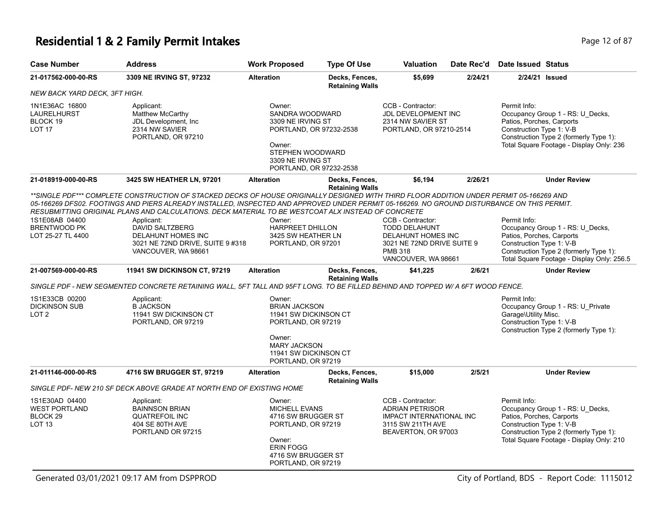# **Residential 1 & 2 Family Permit Intakes Page 12 of 87** Page 12 of 87

| <b>Case Number</b>                                                             | <b>Address</b>                                                                                                                                                                                                                                                                                                                                                                                                                                                                                                         | <b>Work Proposed</b>                                                                                                                                    | <b>Type Of Use</b>                       | <b>Valuation</b>                                                                                                                       | Date Rec'd | <b>Date Issued Status</b>                                                                                                                                                                         |
|--------------------------------------------------------------------------------|------------------------------------------------------------------------------------------------------------------------------------------------------------------------------------------------------------------------------------------------------------------------------------------------------------------------------------------------------------------------------------------------------------------------------------------------------------------------------------------------------------------------|---------------------------------------------------------------------------------------------------------------------------------------------------------|------------------------------------------|----------------------------------------------------------------------------------------------------------------------------------------|------------|---------------------------------------------------------------------------------------------------------------------------------------------------------------------------------------------------|
| 21-017562-000-00-RS                                                            | 3309 NE IRVING ST, 97232                                                                                                                                                                                                                                                                                                                                                                                                                                                                                               | <b>Alteration</b>                                                                                                                                       | Decks, Fences,<br><b>Retaining Walls</b> | \$5,699                                                                                                                                | 2/24/21    | 2/24/21 Issued                                                                                                                                                                                    |
| NEW BACK YARD DECK, 3FT HIGH.                                                  |                                                                                                                                                                                                                                                                                                                                                                                                                                                                                                                        |                                                                                                                                                         |                                          |                                                                                                                                        |            |                                                                                                                                                                                                   |
| 1N1E36AC 16800<br>LAURELHURST<br>BLOCK 19<br><b>LOT 17</b>                     | Applicant:<br><b>Matthew McCarthy</b><br>JDL Development, Inc.<br>2314 NW SAVIER<br>PORTLAND, OR 97210                                                                                                                                                                                                                                                                                                                                                                                                                 | Owner:<br>SANDRA WOODWARD<br>3309 NE IRVING ST<br>PORTLAND, OR 97232-2538<br>Owner:<br>STEPHEN WOODWARD<br>3309 NE IRVING ST<br>PORTLAND, OR 97232-2538 |                                          | CCB - Contractor:<br>JDL DEVELOPMENT INC<br>2314 NW SAVIER ST<br>PORTLAND, OR 97210-2514                                               |            | Permit Info:<br>Occupancy Group 1 - RS: U Decks,<br>Patios, Porches, Carports<br>Construction Type 1: V-B<br>Construction Type 2 (formerly Type 1):<br>Total Square Footage - Display Only: 236   |
| 21-018919-000-00-RS                                                            | 3425 SW HEATHER LN, 97201                                                                                                                                                                                                                                                                                                                                                                                                                                                                                              | <b>Alteration</b>                                                                                                                                       | Decks, Fences,                           | \$6,194                                                                                                                                | 2/26/21    | <b>Under Review</b>                                                                                                                                                                               |
| 1S1E08AB 04400<br><b>BRENTWOOD PK</b><br>LOT 25-27 TL 4400                     | **SINGLE PDF*** COMPLETE CONSTRUCTION OF STACKED DECKS OF HOUSE ORIGINALLY DESIGNED WITH THIRD FLOOR ADDITION UNDER PERMIT 05-166269 AND<br>05-166269 DFS02. FOOTINGS AND PIERS ALREADY INSTALLED. INSPECTED AND APPROVED UNDER PERMIT 05-166269. NO GROUND DISTURBANCE ON THIS PERMIT.<br>RESUBMITTING ORIGINAL PLANS AND CALCULATIONS. DECK MATERIAL TO BE WESTCOAT ALX INSTEAD OF CONCRETE<br>Applicant:<br><b>DAVID SALTZBERG</b><br>DELAHUNT HOMES INC<br>3021 NE 72ND DRIVE, SUITE 9 #318<br>VANCOUVER, WA 98661 | Owner:<br><b>HARPREET DHILLON</b><br>3425 SW HEATHER LN<br>PORTLAND, OR 97201                                                                           | <b>Retaining Walls</b>                   | CCB - Contractor:<br><b>TODD DELAHUNT</b><br>DELAHUNT HOMES INC<br>3021 NE 72ND DRIVE SUITE 9<br><b>PMB 318</b><br>VANCOUVER, WA 98661 |            | Permit Info:<br>Occupancy Group 1 - RS: U_Decks,<br>Patios, Porches, Carports<br>Construction Type 1: V-B<br>Construction Type 2 (formerly Type 1):<br>Total Square Footage - Display Only: 256.5 |
| 21-007569-000-00-RS                                                            | <b>11941 SW DICKINSON CT, 97219</b>                                                                                                                                                                                                                                                                                                                                                                                                                                                                                    | <b>Alteration</b>                                                                                                                                       | Decks, Fences,<br><b>Retaining Walls</b> | \$41,225                                                                                                                               | 2/6/21     | <b>Under Review</b>                                                                                                                                                                               |
|                                                                                | SINGLE PDF - NEW SEGMENTED CONCRETE RETAINING WALL, 5FT TALL AND 95FT LONG. TO BE FILLED BEHIND AND TOPPED W/ A 6FT WOOD FENCE.                                                                                                                                                                                                                                                                                                                                                                                        |                                                                                                                                                         |                                          |                                                                                                                                        |            |                                                                                                                                                                                                   |
| 1S1E33CB 00200<br><b>DICKINSON SUB</b><br>LOT <sub>2</sub>                     | Applicant:<br><b>B JACKSON</b><br>11941 SW DICKINSON CT<br>PORTLAND, OR 97219                                                                                                                                                                                                                                                                                                                                                                                                                                          | Owner:<br><b>BRIAN JACKSON</b><br>11941 SW DICKINSON CT<br>PORTLAND, OR 97219<br>Owner:<br><b>MARY JACKSON</b>                                          |                                          |                                                                                                                                        |            | Permit Info:<br>Occupancy Group 1 - RS: U Private<br>Garage\Utility Misc.<br>Construction Type 1: V-B<br>Construction Type 2 (formerly Type 1):                                                   |
|                                                                                |                                                                                                                                                                                                                                                                                                                                                                                                                                                                                                                        | 11941 SW DICKINSON CT<br>PORTLAND, OR 97219                                                                                                             |                                          |                                                                                                                                        |            |                                                                                                                                                                                                   |
| 21-011146-000-00-RS                                                            | 4716 SW BRUGGER ST, 97219                                                                                                                                                                                                                                                                                                                                                                                                                                                                                              | <b>Alteration</b>                                                                                                                                       | Decks, Fences,<br><b>Retaining Walls</b> | \$15,000                                                                                                                               | 2/5/21     | <b>Under Review</b>                                                                                                                                                                               |
|                                                                                | SINGLE PDF-NEW 210 SF DECK ABOVE GRADE AT NORTH END OF EXISTING HOME                                                                                                                                                                                                                                                                                                                                                                                                                                                   |                                                                                                                                                         |                                          |                                                                                                                                        |            |                                                                                                                                                                                                   |
| 1S1E30AD 04400<br><b>WEST PORTLAND</b><br>BLOCK <sub>29</sub><br><b>LOT 13</b> | Applicant:<br><b>BAINNSON BRIAN</b><br><b>QUATREFOIL INC</b><br>404 SE 80TH AVE<br>PORTLAND OR 97215                                                                                                                                                                                                                                                                                                                                                                                                                   | Owner:<br><b>MICHELL EVANS</b><br>4716 SW BRUGGER ST<br>PORTLAND, OR 97219<br>Owner:<br><b>ERIN FOGG</b><br>4716 SW BRUGGER ST<br>PORTLAND, OR 97219    |                                          | CCB - Contractor:<br><b>ADRIAN PETRISOR</b><br>IMPACT INTERNATIONAL INC<br>3115 SW 211TH AVE<br>BEAVERTON, OR 97003                    |            | Permit Info:<br>Occupancy Group 1 - RS: U Decks,<br>Patios, Porches, Carports<br>Construction Type 1: V-B<br>Construction Type 2 (formerly Type 1):<br>Total Square Footage - Display Only: 210   |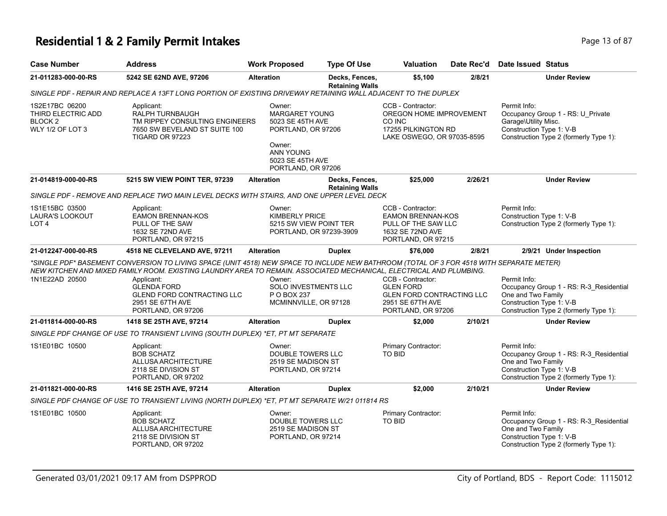# **Residential 1 & 2 Family Permit Intakes Page 13 of 87** Page 13 of 87

| <b>Case Number</b>                                                             | <b>Address</b>                                                                                                                                                                                                                                                                                                                                               | <b>Work Proposed</b>                                                                 | <b>Type Of Use</b>                       | <b>Valuation</b>                                                                                                    | Date Rec'd | Date Issued Status                                                                                                                                  |
|--------------------------------------------------------------------------------|--------------------------------------------------------------------------------------------------------------------------------------------------------------------------------------------------------------------------------------------------------------------------------------------------------------------------------------------------------------|--------------------------------------------------------------------------------------|------------------------------------------|---------------------------------------------------------------------------------------------------------------------|------------|-----------------------------------------------------------------------------------------------------------------------------------------------------|
| 21-011283-000-00-RS                                                            | 5242 SE 62ND AVE, 97206                                                                                                                                                                                                                                                                                                                                      | <b>Alteration</b>                                                                    | Decks, Fences,<br><b>Retaining Walls</b> | \$5,100                                                                                                             | 2/8/21     | <b>Under Review</b>                                                                                                                                 |
|                                                                                | SINGLE PDF - REPAIR AND REPLACE A 13FT LONG PORTION OF EXISTING DRIVEWAY RETAINING WALL ADJACENT TO THE DUPLEX                                                                                                                                                                                                                                               |                                                                                      |                                          |                                                                                                                     |            |                                                                                                                                                     |
| 1S2E17BC 06200<br>THIRD ELECTRIC ADD<br>BLOCK <sub>2</sub><br>WLY 1/2 OF LOT 3 | Applicant:<br>RALPH TURNBAUGH<br>TM RIPPEY CONSULTING ENGINEERS<br>7650 SW BEVELAND ST SUITE 100<br><b>TIGARD OR 97223</b>                                                                                                                                                                                                                                   | Owner:<br><b>MARGARET YOUNG</b><br>5023 SE 45TH AVE<br>PORTLAND, OR 97206<br>Owner:  |                                          | CCB - Contractor:<br>OREGON HOME IMPROVEMENT<br>CO INC<br>17255 PILKINGTON RD<br>LAKE OSWEGO, OR 97035-8595         |            | Permit Info:<br>Occupancy Group 1 - RS: U_Private<br>Garage\Utility Misc.<br>Construction Type 1: V-B<br>Construction Type 2 (formerly Type 1):     |
|                                                                                |                                                                                                                                                                                                                                                                                                                                                              | <b>ANN YOUNG</b><br>5023 SE 45TH AVE<br>PORTLAND, OR 97206                           |                                          |                                                                                                                     |            |                                                                                                                                                     |
| 21-014819-000-00-RS                                                            | 5215 SW VIEW POINT TER, 97239                                                                                                                                                                                                                                                                                                                                | <b>Alteration</b>                                                                    | Decks, Fences,<br><b>Retaining Walls</b> | \$25,000                                                                                                            | 2/26/21    | <b>Under Review</b>                                                                                                                                 |
|                                                                                | SINGLE PDF - REMOVE AND REPLACE TWO MAIN LEVEL DECKS WITH STAIRS, AND ONE UPPER LEVEL DECK                                                                                                                                                                                                                                                                   |                                                                                      |                                          |                                                                                                                     |            |                                                                                                                                                     |
| 1S1E15BC 03500<br><b>LAURA'S LOOKOUT</b><br>LOT <sub>4</sub>                   | Applicant:<br><b>EAMON BRENNAN-KOS</b><br>PULL OF THE SAW<br>1632 SE 72ND AVE<br>PORTLAND, OR 97215                                                                                                                                                                                                                                                          | Owner:<br><b>KIMBERLY PRICE</b><br>5215 SW VIEW POINT TER<br>PORTLAND, OR 97239-3909 |                                          | CCB - Contractor:<br><b>EAMON BRENNAN-KOS</b><br>PULL OF THE SAW LLC<br>1632 SE 72ND AVE<br>PORTLAND, OR 97215      |            | Permit Info:<br>Construction Type 1: V-B<br>Construction Type 2 (formerly Type 1):                                                                  |
| 21-012247-000-00-RS                                                            | 4518 NE CLEVELAND AVE, 97211                                                                                                                                                                                                                                                                                                                                 | <b>Alteration</b>                                                                    | <b>Duplex</b>                            | \$76,000                                                                                                            | 2/8/21     | 2/9/21 Under Inspection                                                                                                                             |
| 1N1E22AD 20500                                                                 | *SINGLE PDF* BASEMENT CONVERSION TO LIVING SPACE (UNIT 4518) NEW SPACE TO INCLUDE NEW BATHROOM (TOTAL OF 3 FOR 4518 WITH SEPARATE METER)<br>NEW KITCHEN AND MIXED FAMILY ROOM. EXISTING LAUNDRY AREA TO REMAIN. ASSOCIATED MECHANICAL, ELECTRICAL AND PLUMBING.<br>Applicant:<br><b>GLENDA FORD</b><br><b>GLEND FORD CONTRACTING LLC</b><br>2951 SE 67TH AVE | Owner:<br>SOLO INVESTMENTS LLC<br>P O BOX 237<br>MCMINNVILLE, OR 97128               |                                          | CCB - Contractor:<br><b>GLEN FORD</b><br><b>GLEN FORD CONTRACTING LLC</b><br>2951 SE 67TH AVE<br>PORTLAND, OR 97206 |            | Permit Info:<br>Occupancy Group 1 - RS: R-3_Residential<br>One and Two Family<br>Construction Type 1: V-B<br>Construction Type 2 (formerly Type 1): |
| 21-011814-000-00-RS                                                            | PORTLAND, OR 97206<br>1418 SE 25TH AVE, 97214                                                                                                                                                                                                                                                                                                                | <b>Alteration</b>                                                                    | <b>Duplex</b>                            | \$2,000                                                                                                             | 2/10/21    | <b>Under Review</b>                                                                                                                                 |
|                                                                                | SINGLE PDF CHANGE OF USE TO TRANSIENT LIVING (SOUTH DUPLEX) *ET, PT MT SEPARATE                                                                                                                                                                                                                                                                              |                                                                                      |                                          |                                                                                                                     |            |                                                                                                                                                     |
| 1S1E01BC 10500                                                                 | Applicant:<br><b>BOB SCHATZ</b><br>ALLUSA ARCHITECTURE<br>2118 SE DIVISION ST<br>PORTLAND, OR 97202                                                                                                                                                                                                                                                          | Owner:<br><b>DOUBLE TOWERS LLC</b><br>2519 SE MADISON ST<br>PORTLAND, OR 97214       |                                          | Primary Contractor:<br>TO BID                                                                                       |            | Permit Info:<br>Occupancy Group 1 - RS: R-3 Residential<br>One and Two Family<br>Construction Type 1: V-B<br>Construction Type 2 (formerly Type 1): |
| 21-011821-000-00-RS                                                            | 1416 SE 25TH AVE, 97214                                                                                                                                                                                                                                                                                                                                      | <b>Alteration</b>                                                                    | <b>Duplex</b>                            | \$2,000                                                                                                             | 2/10/21    | <b>Under Review</b>                                                                                                                                 |
|                                                                                | SINGLE PDF CHANGE OF USE TO TRANSIENT LIVING (NORTH DUPLEX) *ET, PT MT SEPARATE W/21 011814 RS                                                                                                                                                                                                                                                               |                                                                                      |                                          |                                                                                                                     |            |                                                                                                                                                     |
| 1S1E01BC 10500                                                                 | Applicant:<br><b>BOB SCHATZ</b><br>ALLUSA ARCHITECTURE<br>2118 SE DIVISION ST<br>PORTLAND, OR 97202                                                                                                                                                                                                                                                          | Owner:<br>DOUBLE TOWERS LLC<br>2519 SE MADISON ST<br>PORTLAND, OR 97214              |                                          | Primary Contractor:<br>TO BID                                                                                       |            | Permit Info:<br>Occupancy Group 1 - RS: R-3_Residential<br>One and Two Family<br>Construction Type 1: V-B<br>Construction Type 2 (formerly Type 1): |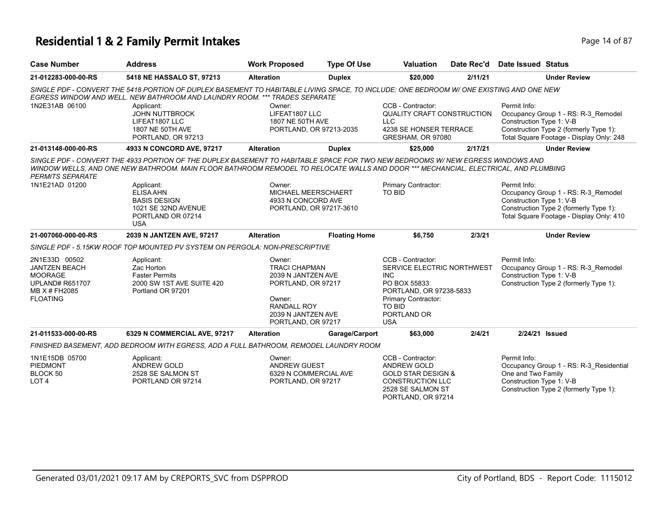## **Residential 1 & 2 Family Permit Intakes Page 14 of 87** Page 14 of 87

| <b>Case Number</b>                                                                                                    | <b>Address</b>                                                                                                                                                                                                                                                                                                          | <b>Work Proposed</b>                                                                                                                                   | <b>Type Of Use</b>      | <b>Valuation</b>                                                                                                                                                        | Date Rec'd | <b>Date Issued Status</b>                                      |                                                                                                                           |
|-----------------------------------------------------------------------------------------------------------------------|-------------------------------------------------------------------------------------------------------------------------------------------------------------------------------------------------------------------------------------------------------------------------------------------------------------------------|--------------------------------------------------------------------------------------------------------------------------------------------------------|-------------------------|-------------------------------------------------------------------------------------------------------------------------------------------------------------------------|------------|----------------------------------------------------------------|---------------------------------------------------------------------------------------------------------------------------|
| 21-012283-000-00-RS                                                                                                   | 5418 NE HASSALO ST, 97213                                                                                                                                                                                                                                                                                               | <b>Alteration</b>                                                                                                                                      | <b>Duplex</b>           | \$20,000                                                                                                                                                                | 2/11/21    |                                                                | <b>Under Review</b>                                                                                                       |
| 1N2E31AB 06100                                                                                                        | SINGLE PDF - CONVERT THE 5418 PORTION OF DUPLEX BASEMENT TO HABITABLE LIVING SPACE. TO INCLUDE: ONE BEDROOM W/ONE EXISTING AND ONE NEW<br>EGRESS WINDOW AND WELL. NEW BATHROOM AND LAUNDRY ROOM. *** TRADES SEPARATE<br>Applicant:<br><b>JOHN NUTTBROCK</b><br>LIFEAT1807 LLC<br>1807 NE 50TH AVE<br>PORTLAND, OR 97213 | Owner:<br>LIFEAT1807 LLC<br>1807 NE 50TH AVE                                                                                                           | PORTLAND, OR 97213-2035 | CCB - Contractor:<br>QUALITY CRAFT CONSTRUCTION<br><b>LLC</b><br>4238 SE HONSER TERRACE<br>GRESHAM, OR 97080                                                            |            | Permit Info:<br>Construction Type 1: V-B                       | Occupancy Group 1 - RS: R-3_Remodel<br>Construction Type 2 (formerly Type 1):<br>Total Square Footage - Display Only: 248 |
| 21-013148-000-00-RS                                                                                                   | 4933 N CONCORD AVE, 97217                                                                                                                                                                                                                                                                                               | <b>Alteration</b>                                                                                                                                      | <b>Duplex</b>           | \$25,000                                                                                                                                                                | 2/17/21    |                                                                | <b>Under Review</b>                                                                                                       |
| <b>PERMITS SEPARATE</b><br>1N1E21AD 01200                                                                             | SINGLE PDF - CONVERT THE 4933 PORTION OF THE DUPLEX BASEMENT TO HABITABLE SPACE FOR TWO NEW BEDROOMS W/ NEW EGRESS WINDOWS AND<br>WINDOW WELLS, AND ONE NEW BATHROOM. MAIN FLOOR BATHROOM REMODEL TO RELOCATE WALLS AND DOOR *** MECHANCIAL, ELECTRICAL, AND PLUMBING<br>Applicant:<br><b>ELISA AHN</b>                 | Owner:<br>MICHAEL MEERSCHAERT                                                                                                                          |                         | Primary Contractor:<br><b>TO BID</b>                                                                                                                                    |            | Permit Info:                                                   | Occupancy Group 1 - RS: R-3_Remodel                                                                                       |
|                                                                                                                       | <b>BASIS DESIGN</b><br>1021 SE 32ND AVENUE<br>PORTLAND OR 07214<br><b>USA</b>                                                                                                                                                                                                                                           | 4933 N CONCORD AVE                                                                                                                                     | PORTLAND, OR 97217-3610 |                                                                                                                                                                         |            | Construction Type 1: V-B                                       | Construction Type 2 (formerly Type 1):<br>Total Square Footage - Display Only: 410                                        |
| 21-007060-000-00-RS                                                                                                   | 2039 N JANTZEN AVE, 97217                                                                                                                                                                                                                                                                                               | <b>Alteration</b>                                                                                                                                      | <b>Floating Home</b>    | \$6,750                                                                                                                                                                 | 2/3/21     |                                                                | <b>Under Review</b>                                                                                                       |
|                                                                                                                       | SINGLE PDF - 5.15KW ROOF TOP MOUNTED PV SYSTEM ON PERGOLA: NON-PRESCRIPTIVE                                                                                                                                                                                                                                             |                                                                                                                                                        |                         |                                                                                                                                                                         |            |                                                                |                                                                                                                           |
| 2N1E33D 00502<br><b>JANTZEN BEACH</b><br><b>MOORAGE</b><br><b>UPLAND# R651707</b><br>MB X # FH2085<br><b>FLOATING</b> | Applicant:<br>Zac Horton<br><b>Faster Permits</b><br>2000 SW 1ST AVE SUITE 420<br>Portland OR 97201                                                                                                                                                                                                                     | Owner:<br><b>TRACI CHAPMAN</b><br>2039 N JANTZEN AVE<br>PORTLAND, OR 97217<br>Owner:<br><b>RANDALL ROY</b><br>2039 N JANTZEN AVE<br>PORTLAND, OR 97217 |                         | CCB - Contractor:<br>SERVICE ELECTRIC NORTHWEST<br>INC.<br>PO BOX 55833<br>PORTLAND, OR 97238-5833<br>Primary Contractor:<br><b>TO BID</b><br>PORTLAND OR<br><b>USA</b> |            | Permit Info:<br>Construction Type 1: V-B                       | Occupancy Group 1 - RS: R-3 Remodel<br>Construction Type 2 (formerly Type 1):                                             |
| 21-011533-000-00-RS                                                                                                   | 6329 N COMMERCIAL AVE, 97217                                                                                                                                                                                                                                                                                            | <b>Alteration</b>                                                                                                                                      | Garage/Carport          | \$63,000                                                                                                                                                                | 2/4/21     |                                                                | 2/24/21 Issued                                                                                                            |
|                                                                                                                       | FINISHED BASEMENT, ADD BEDROOM WITH EGRESS, ADD A FULL BATHROOM, REMODEL LAUNDRY ROOM                                                                                                                                                                                                                                   |                                                                                                                                                        |                         |                                                                                                                                                                         |            |                                                                |                                                                                                                           |
| 1N1E15DB 05700<br><b>PIEDMONT</b><br>BLOCK 50<br>LOT <sub>4</sub>                                                     | Applicant:<br><b>ANDREW GOLD</b><br>2528 SE SALMON ST<br>PORTLAND OR 97214                                                                                                                                                                                                                                              | Owner:<br><b>ANDREW GUEST</b><br>6329 N COMMERCIAL AVE<br>PORTLAND, OR 97217                                                                           |                         | CCB - Contractor:<br><b>ANDREW GOLD</b><br><b>GOLD STAR DESIGN &amp;</b><br><b>CONSTRUCTION LLC</b><br>2528 SE SALMON ST<br>PORTLAND, OR 97214                          |            | Permit Info:<br>One and Two Family<br>Construction Type 1: V-B | Occupancy Group 1 - RS: R-3_Residential<br>Construction Type 2 (formerly Type 1):                                         |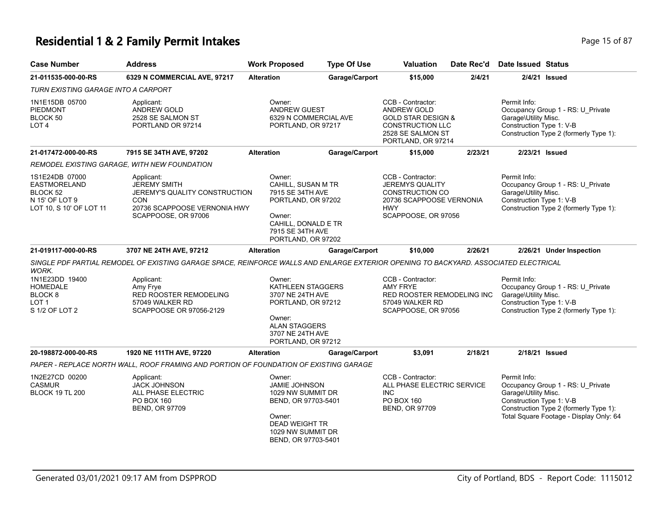# **Residential 1 & 2 Family Permit Intakes Page 15 of 87** Page 15 of 87

| <b>Case Number</b>                                                                             | <b>Address</b>                                                                                                                       | <b>Work Proposed</b>                                                                                                                                      | <b>Type Of Use</b> | <b>Valuation</b>                                                                                                                               | Date Rec'd | <b>Date Issued Status</b>                                        |                                                                                                                        |
|------------------------------------------------------------------------------------------------|--------------------------------------------------------------------------------------------------------------------------------------|-----------------------------------------------------------------------------------------------------------------------------------------------------------|--------------------|------------------------------------------------------------------------------------------------------------------------------------------------|------------|------------------------------------------------------------------|------------------------------------------------------------------------------------------------------------------------|
| 21-011535-000-00-RS                                                                            | 6329 N COMMERCIAL AVE, 97217                                                                                                         | <b>Alteration</b>                                                                                                                                         | Garage/Carport     | \$15,000                                                                                                                                       | 2/4/21     |                                                                  | 2/4/21 Issued                                                                                                          |
| TURN EXISTING GARAGE INTO A CARPORT                                                            |                                                                                                                                      |                                                                                                                                                           |                    |                                                                                                                                                |            |                                                                  |                                                                                                                        |
| 1N1E15DB 05700<br><b>PIEDMONT</b><br>BLOCK 50<br>LOT <sub>4</sub>                              | Applicant:<br>ANDREW GOLD<br>2528 SE SALMON ST<br>PORTLAND OR 97214                                                                  | Owner:<br>ANDREW GUEST<br>6329 N COMMERCIAL AVE<br>PORTLAND, OR 97217                                                                                     |                    | CCB - Contractor:<br><b>ANDREW GOLD</b><br><b>GOLD STAR DESIGN &amp;</b><br><b>CONSTRUCTION LLC</b><br>2528 SE SALMON ST<br>PORTLAND, OR 97214 |            | Permit Info:<br>Garage\Utility Misc.<br>Construction Type 1: V-B | Occupancy Group 1 - RS: U_Private<br>Construction Type 2 (formerly Type 1):                                            |
| 21-017472-000-00-RS                                                                            | 7915 SE 34TH AVE, 97202                                                                                                              | <b>Alteration</b>                                                                                                                                         | Garage/Carport     | \$15,000                                                                                                                                       | 2/23/21    | 2/23/21 Issued                                                   |                                                                                                                        |
| REMODEL EXISTING GARAGE. WITH NEW FOUNDATION                                                   |                                                                                                                                      |                                                                                                                                                           |                    |                                                                                                                                                |            |                                                                  |                                                                                                                        |
| 1S1E24DB 07000<br><b>EASTMORELAND</b><br>BLOCK 52<br>N 15' OF LOT 9<br>LOT 10, S 10' OF LOT 11 | Applicant:<br><b>JEREMY SMITH</b><br>JEREMY'S QUALITY CONSTRUCTION<br>CON<br>20736 SCAPPOOSE VERNONIA HWY<br>SCAPPOOSE, OR 97006     | Owner:<br>CAHILL, SUSAN M TR<br>7915 SE 34TH AVE<br>PORTLAND, OR 97202<br>Owner:<br>CAHILL, DONALD E TR<br>7915 SE 34TH AVE<br>PORTLAND, OR 97202         |                    | CCB - Contractor:<br><b>JEREMYS QUALITY</b><br><b>CONSTRUCTION CO</b><br>20736 SCAPPOOSE VERNONIA<br><b>HWY</b><br>SCAPPOOSE, OR 97056         |            | Permit Info:<br>Garage\Utility Misc.<br>Construction Type 1: V-B | Occupancy Group 1 - RS: U_Private<br>Construction Type 2 (formerly Type 1):                                            |
| 21-019117-000-00-RS                                                                            | 3707 NE 24TH AVE, 97212                                                                                                              | <b>Alteration</b>                                                                                                                                         | Garage/Carport     | \$10,000                                                                                                                                       | 2/26/21    |                                                                  | 2/26/21 Under Inspection                                                                                               |
| <b>WORK.</b>                                                                                   | SINGLE PDF PARTIAL REMODEL OF EXISTING GARAGE SPACE, REINFORCE WALLS AND ENLARGE EXTERIOR OPENING TO BACKYARD. ASSOCIATED ELECTRICAL |                                                                                                                                                           |                    |                                                                                                                                                |            |                                                                  |                                                                                                                        |
| 1N1E23DD 19400<br><b>HOMEDALE</b><br>BLOCK <sub>8</sub><br>LOT <sub>1</sub><br>S 1/2 OF LOT 2  | Applicant:<br>Amy Frye<br>RED ROOSTER REMODELING<br>57049 WALKER RD<br>SCAPPOOSE OR 97056-2129                                       | Owner:<br>KATHLEEN STAGGERS<br>3707 NE 24TH AVE<br>PORTLAND, OR 97212<br>Owner:<br><b>ALAN STAGGERS</b><br>3707 NE 24TH AVE<br>PORTLAND, OR 97212         |                    | CCB - Contractor:<br><b>AMY FRYE</b><br>RED ROOSTER REMODELING INC<br>57049 WALKER RD<br>SCAPPOOSE, OR 97056                                   |            | Permit Info:<br>Garage\Utility Misc.<br>Construction Type 1: V-B | Occupancy Group 1 - RS: U_Private<br>Construction Type 2 (formerly Type 1):                                            |
| 20-198872-000-00-RS                                                                            | 1920 NE 111TH AVE, 97220                                                                                                             | <b>Alteration</b>                                                                                                                                         | Garage/Carport     | \$3,091                                                                                                                                        | 2/18/21    | 2/18/21 Issued                                                   |                                                                                                                        |
|                                                                                                | PAPER - REPLACE NORTH WALL, ROOF FRAMING AND PORTION OF FOUNDATION OF EXISTING GARAGE                                                |                                                                                                                                                           |                    |                                                                                                                                                |            |                                                                  |                                                                                                                        |
| 1N2E27CD 00200<br><b>CASMUR</b><br><b>BLOCK 19 TL 200</b>                                      | Applicant:<br><b>JACK JOHNSON</b><br>ALL PHASE ELECTRIC<br>PO BOX 160<br><b>BEND, OR 97709</b>                                       | Owner:<br><b>JAMIE JOHNSON</b><br>1029 NW SUMMIT DR<br>BEND, OR 97703-5401<br>Owner:<br><b>DEAD WEIGHT TR</b><br>1029 NW SUMMIT DR<br>BEND, OR 97703-5401 |                    | CCB - Contractor:<br>ALL PHASE ELECTRIC SERVICE<br><b>INC</b><br>PO BOX 160<br>BEND, OR 97709                                                  |            | Permit Info:<br>Garage\Utility Misc.<br>Construction Type 1: V-B | Occupancy Group 1 - RS: U_Private<br>Construction Type 2 (formerly Type 1):<br>Total Square Footage - Display Only: 64 |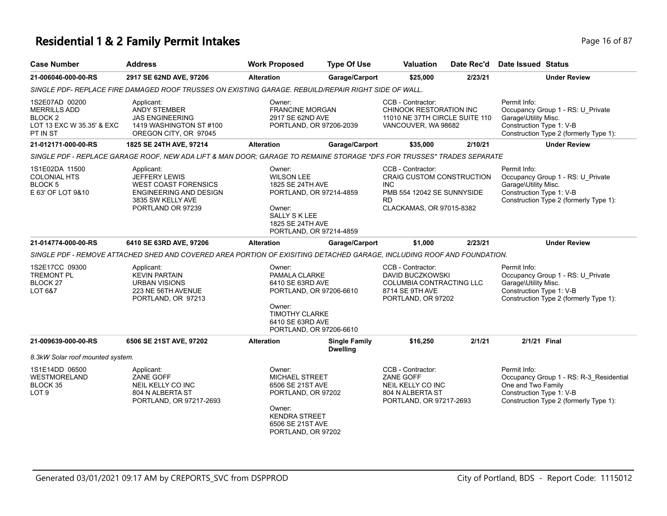## **Residential 1 & 2 Family Permit Intakes Page 16 of 87 Page 16 of 87**

| <b>Case Number</b>                                                                        | <b>Address</b>                                                                                                                        | <b>Work Proposed</b>                                                                                                                                     | <b>Type Of Use</b>                      | Valuation                                                                                                                                  | Date Rec'd | <b>Date Issued Status</b>                                                                                                                           |
|-------------------------------------------------------------------------------------------|---------------------------------------------------------------------------------------------------------------------------------------|----------------------------------------------------------------------------------------------------------------------------------------------------------|-----------------------------------------|--------------------------------------------------------------------------------------------------------------------------------------------|------------|-----------------------------------------------------------------------------------------------------------------------------------------------------|
| 21-006046-000-00-RS                                                                       | 2917 SE 62ND AVE, 97206                                                                                                               | <b>Alteration</b>                                                                                                                                        | Garage/Carport                          | \$25,000                                                                                                                                   | 2/23/21    | <b>Under Review</b>                                                                                                                                 |
|                                                                                           | SINGLE PDF- REPLACE FIRE DAMAGED ROOF TRUSSES ON EXISTING GARAGE. REBUILD/REPAIR RIGHT SIDE OF WALL.                                  |                                                                                                                                                          |                                         |                                                                                                                                            |            |                                                                                                                                                     |
| 1S2E07AD 00200<br><b>MERRILLS ADD</b><br>BLOCK 2<br>LOT 13 EXC W 35.35' & EXC<br>PT IN ST | Applicant:<br>ANDY STEMBER<br><b>JAS ENGINEERING</b><br>1419 WASHINGTON ST #100<br>OREGON CITY, OR 97045                              | Owner:<br><b>FRANCINE MORGAN</b><br>2917 SE 62ND AVE<br>PORTLAND, OR 97206-2039                                                                          |                                         | CCB - Contractor:<br>CHINOOK RESTORATION INC<br>11010 NE 37TH CIRCLE SUITE 110<br>VANCOUVER, WA 98682                                      |            | Permit Info:<br>Occupancy Group 1 - RS: U_Private<br>Garage\Utility Misc.<br>Construction Type 1: V-B<br>Construction Type 2 (formerly Type 1):     |
| 21-012171-000-00-RS                                                                       | 1825 SE 24TH AVE, 97214                                                                                                               | <b>Alteration</b>                                                                                                                                        | Garage/Carport                          | \$35,000                                                                                                                                   | 2/10/21    | <b>Under Review</b>                                                                                                                                 |
|                                                                                           | SINGLE PDF - REPLACE GARAGE ROOF, NEW ADA LIFT & MAN DOOR; GARAGE TO REMAINE STORAGE *DFS FOR TRUSSES* TRADES SEPARATE                |                                                                                                                                                          |                                         |                                                                                                                                            |            |                                                                                                                                                     |
| 1S1E02DA 11500<br><b>COLONIAL HTS</b><br>BLOCK 5<br>E 63' OF LOT 9&10                     | Applicant:<br><b>JEFFERY LEWIS</b><br><b>WEST COAST FORENSICS</b><br>ENGINEERING AND DESIGN<br>3835 SW KELLY AVE<br>PORTLAND OR 97239 | Owner:<br><b>WILSON LEE</b><br>1825 SE 24TH AVE<br>PORTLAND, OR 97214-4859<br>Owner:<br>SALLY S K LEE<br>1825 SE 24TH AVE<br>PORTLAND, OR 97214-4859     |                                         | CCB - Contractor:<br><b>CRAIG CUSTOM CONSTRUCTION</b><br><b>INC</b><br>PMB 554 12042 SE SUNNYSIDE<br><b>RD</b><br>CLACKAMAS, OR 97015-8382 |            | Permit Info:<br>Occupancy Group 1 - RS: U_Private<br>Garage\Utility Misc.<br>Construction Type 1: V-B<br>Construction Type 2 (formerly Type 1):     |
| 21-014774-000-00-RS                                                                       | 6410 SE 63RD AVE, 97206                                                                                                               | <b>Alteration</b>                                                                                                                                        | Garage/Carport                          | \$1,000                                                                                                                                    | 2/23/21    | <b>Under Review</b>                                                                                                                                 |
|                                                                                           | SINGLE PDF - REMOVE ATTACHED SHED AND COVERED AREA PORTION OF EXISITING DETACHED GARAGE, INCLUDING ROOF AND FOUNDATION.               |                                                                                                                                                          |                                         |                                                                                                                                            |            |                                                                                                                                                     |
| 1S2E17CC 09300<br><b>TREMONT PL</b><br>BLOCK 27<br>LOT 6&7                                | Applicant:<br><b>KEVIN PARTAIN</b><br><b>URBAN VISIONS</b><br>223 NE 56TH AVENUE<br>PORTLAND, OR 97213                                | Owner:<br>PAMALA CLARKE<br>6410 SE 63RD AVE<br>PORTLAND, OR 97206-6610<br>Owner:<br><b>TIMOTHY CLARKE</b><br>6410 SE 63RD AVE<br>PORTLAND, OR 97206-6610 |                                         | CCB - Contractor:<br>DAVID BUCZKOWSKI<br>COLUMBIA CONTRACTING LLC<br>8714 SE 9TH AVE<br>PORTLAND, OR 97202                                 |            | Permit Info:<br>Occupancy Group 1 - RS: U_Private<br>Garage\Utility Misc.<br>Construction Type 1: V-B<br>Construction Type 2 (formerly Type 1):     |
| 21-009639-000-00-RS                                                                       | 6506 SE 21ST AVE, 97202                                                                                                               | <b>Alteration</b>                                                                                                                                        | <b>Single Family</b><br><b>Dwelling</b> | \$16,250                                                                                                                                   | 2/1/21     | 2/1/21 Final                                                                                                                                        |
| 8.3kW Solar roof mounted system.                                                          |                                                                                                                                       |                                                                                                                                                          |                                         |                                                                                                                                            |            |                                                                                                                                                     |
| 1S1E14DD 06500<br><b>WESTMORELAND</b><br>BLOCK 35<br>LOT <sub>9</sub>                     | Applicant:<br>ZANE GOFF<br>NEIL KELLY CO INC<br>804 N ALBERTA ST<br>PORTLAND, OR 97217-2693                                           | Owner:<br>MICHAEL STREET<br>6506 SE 21ST AVE<br>PORTLAND, OR 97202<br>Owner:<br><b>KENDRA STREET</b><br>6506 SE 21ST AVE<br>PORTLAND, OR 97202           |                                         | CCB - Contractor:<br>ZANE GOFF<br>NEIL KELLY CO INC<br>804 N ALBERTA ST<br>PORTLAND, OR 97217-2693                                         |            | Permit Info:<br>Occupancy Group 1 - RS: R-3_Residential<br>One and Two Family<br>Construction Type 1: V-B<br>Construction Type 2 (formerly Type 1): |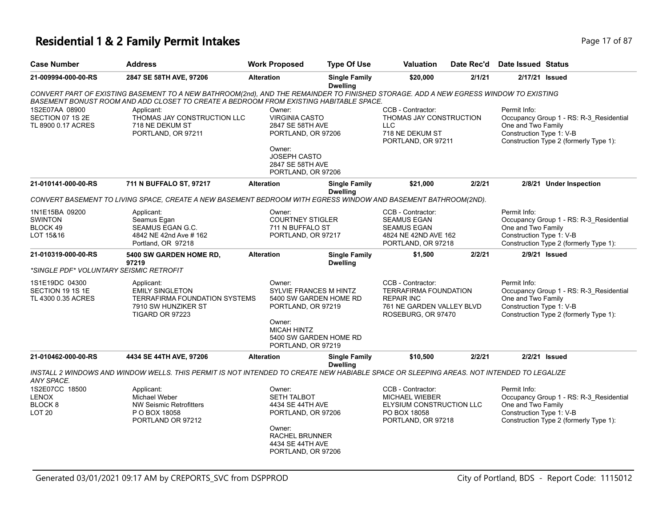## **Residential 1 & 2 Family Permit Intakes Page 17 of 87 Page 17 of 87**

| <b>Case Number</b>                                        | <b>Address</b>                                                                                                                           | <b>Work Proposed</b>                                                                                                                                             | <b>Type Of Use</b>                      | <b>Valuation</b>                                                                                                          | Date Rec'd | <b>Date Issued Status</b>                                      |                                                                                   |
|-----------------------------------------------------------|------------------------------------------------------------------------------------------------------------------------------------------|------------------------------------------------------------------------------------------------------------------------------------------------------------------|-----------------------------------------|---------------------------------------------------------------------------------------------------------------------------|------------|----------------------------------------------------------------|-----------------------------------------------------------------------------------|
| 21-009994-000-00-RS                                       | 2847 SE 58TH AVE, 97206                                                                                                                  | <b>Alteration</b>                                                                                                                                                | <b>Single Family</b><br><b>Dwelling</b> | \$20,000                                                                                                                  | 2/1/21     |                                                                | 2/17/21 Issued                                                                    |
|                                                           | CONVERT PART OF EXISTING BASEMENT TO A NEW BATHROOM(2nd), AND THE REMAINDER TO FINISHED STORAGE. ADD A NEW EGRESS WINDOW TO EXISTING     |                                                                                                                                                                  |                                         |                                                                                                                           |            |                                                                |                                                                                   |
|                                                           | BASEMENT BONUST ROOM AND ADD CLOSET TO CREATE A BEDROOM FROM EXISTING HABITABLE SPACE.                                                   |                                                                                                                                                                  |                                         |                                                                                                                           |            |                                                                |                                                                                   |
| 1S2E07AA 08900<br>SECTION 07 1S 2E<br>TL 8900 0.17 ACRES  | Applicant:<br>THOMAS JAY CONSTRUCTION LLC<br>718 NE DEKUM ST<br>PORTLAND, OR 97211                                                       | Owner:<br><b>VIRGINIA CASTO</b><br>2847 SE 58TH AVE<br>PORTLAND, OR 97206                                                                                        |                                         | CCB - Contractor:<br>THOMAS JAY CONSTRUCTION<br><b>LLC</b><br>718 NE DEKUM ST<br>PORTLAND, OR 97211                       |            | Permit Info:<br>One and Two Family<br>Construction Type 1: V-B | Occupancy Group 1 - RS: R-3 Residential<br>Construction Type 2 (formerly Type 1): |
|                                                           |                                                                                                                                          | Owner:<br>JOSEPH CASTO<br>2847 SE 58TH AVE<br>PORTLAND, OR 97206                                                                                                 |                                         |                                                                                                                           |            |                                                                |                                                                                   |
| 21-010141-000-00-RS                                       | 711 N BUFFALO ST, 97217                                                                                                                  | <b>Alteration</b>                                                                                                                                                | <b>Single Family</b><br><b>Dwelling</b> | \$21,000                                                                                                                  | 2/2/21     |                                                                | 2/8/21 Under Inspection                                                           |
|                                                           | CONVERT BASEMENT TO LIVING SPACE, CREATE A NEW BASEMENT BEDROOM WITH EGRESS WINDOW AND BASEMENT BATHROOM(2ND).                           |                                                                                                                                                                  |                                         |                                                                                                                           |            |                                                                |                                                                                   |
| 1N1E15BA 09200<br><b>SWINTON</b><br>BLOCK 49<br>LOT 15&16 | Applicant:<br>Seamus Egan<br>SEAMUS EGAN G.C.<br>4842 NE 42nd Ave # 162<br>Portland, OR 97218                                            | Owner:<br><b>COURTNEY STIGLER</b><br>711 N BUFFALO ST<br>PORTLAND, OR 97217                                                                                      |                                         | CCB - Contractor:<br><b>SEAMUS EGAN</b><br><b>SEAMUS EGAN</b><br>4824 NE 42ND AVE 162<br>PORTLAND, OR 97218               |            | Permit Info:<br>One and Two Family<br>Construction Type 1: V-B | Occupancy Group 1 - RS: R-3_Residential<br>Construction Type 2 (formerly Type 1): |
| 21-010319-000-00-RS                                       | 5400 SW GARDEN HOME RD,                                                                                                                  | <b>Alteration</b>                                                                                                                                                | <b>Single Family</b>                    | \$1,500                                                                                                                   | 2/2/21     |                                                                | 2/9/21 Issued                                                                     |
|                                                           | 97219                                                                                                                                    |                                                                                                                                                                  | <b>Dwelling</b>                         |                                                                                                                           |            |                                                                |                                                                                   |
| *SINGLE PDF* VOLUNTARY SEISMIC RETROFIT                   |                                                                                                                                          |                                                                                                                                                                  |                                         |                                                                                                                           |            |                                                                |                                                                                   |
| 1S1E19DC 04300<br>SECTION 19 1S 1E<br>TL 4300 0.35 ACRES  | Applicant:<br><b>EMILY SINGLETON</b><br><b>TERRAFIRMA FOUNDATION SYSTEMS</b><br>7910 SW HUNZIKER ST<br>TIGARD OR 97223                   | Owner:<br>SYLVIE FRANCES M HINTZ<br>5400 SW GARDEN HOME RD<br>PORTLAND, OR 97219<br>Owner:<br><b>MICAH HINTZ</b><br>5400 SW GARDEN HOME RD<br>PORTLAND, OR 97219 |                                         | CCB - Contractor:<br><b>TERRAFIRMA FOUNDATION</b><br><b>REPAIR INC</b><br>761 NE GARDEN VALLEY BLVD<br>ROSEBURG, OR 97470 |            | Permit Info:<br>One and Two Family<br>Construction Type 1: V-B | Occupancy Group 1 - RS: R-3_Residential<br>Construction Type 2 (formerly Type 1): |
| 21-010462-000-00-RS                                       | 4434 SE 44TH AVE, 97206                                                                                                                  | <b>Alteration</b>                                                                                                                                                | <b>Single Family</b>                    | \$10,500                                                                                                                  | 2/2/21     |                                                                | 2/2/21 Issued                                                                     |
| ANY SPACE.                                                | INSTALL 2 WINDOWS AND WINDOW WELLS. THIS PERMIT IS NOT INTENDED TO CREATE NEW HABIABLE SPACE OR SLEEPING AREAS. NOT INTENDED TO LEGALIZE |                                                                                                                                                                  | <b>Dwelling</b>                         |                                                                                                                           |            |                                                                |                                                                                   |
| 1S2E07CC 18500                                            | Applicant:                                                                                                                               | Owner:                                                                                                                                                           |                                         | CCB - Contractor:                                                                                                         |            | Permit Info:                                                   |                                                                                   |
| <b>LENOX</b>                                              | Michael Weber                                                                                                                            | <b>SETH TALBOT</b>                                                                                                                                               |                                         | MICHAEL WIEBER                                                                                                            |            |                                                                | Occupancy Group 1 - RS: R-3_Residential                                           |
| BLOCK <sub>8</sub><br><b>LOT 20</b>                       | <b>NW Seismic Retrofitters</b><br>P O BOX 18058<br>PORTLAND OR 97212                                                                     | 4434 SE 44TH AVE<br>PORTLAND, OR 97206<br>Owner:<br><b>RACHEL BRUNNER</b>                                                                                        |                                         | ELYSIUM CONSTRUCTION LLC<br>PO BOX 18058<br>PORTLAND, OR 97218                                                            |            | One and Two Family<br>Construction Type 1: V-B                 | Construction Type 2 (formerly Type 1):                                            |
|                                                           |                                                                                                                                          | 4434 SE 44TH AVE<br>PORTLAND, OR 97206                                                                                                                           |                                         |                                                                                                                           |            |                                                                |                                                                                   |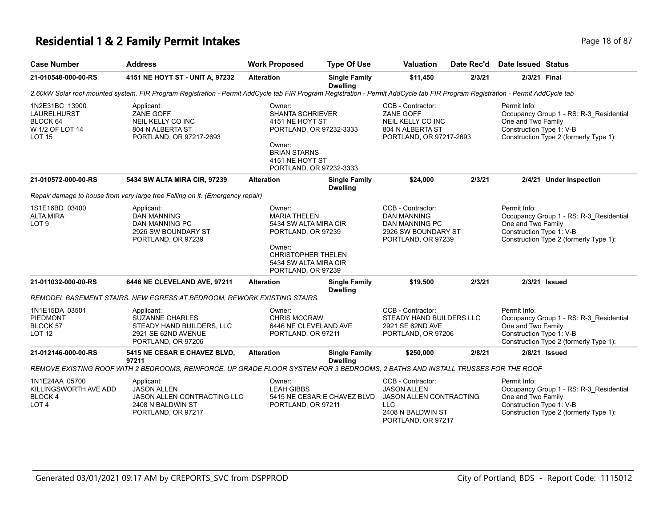## **Residential 1 & 2 Family Permit Intakes Page 18 of 87 Page 18 of 87**

| <b>Case Number</b>                                                                   | <b>Address</b>                                                                                                                                                                 | <b>Work Proposed</b>                                                                                                                                               | <b>Type Of Use</b>                      | Valuation                                                                                                                          | Date Rec'd | <b>Date Issued Status</b>                                      |                                                                                   |
|--------------------------------------------------------------------------------------|--------------------------------------------------------------------------------------------------------------------------------------------------------------------------------|--------------------------------------------------------------------------------------------------------------------------------------------------------------------|-----------------------------------------|------------------------------------------------------------------------------------------------------------------------------------|------------|----------------------------------------------------------------|-----------------------------------------------------------------------------------|
| 21-010548-000-00-RS                                                                  | 4151 NE HOYT ST - UNIT A, 97232                                                                                                                                                | <b>Alteration</b>                                                                                                                                                  | <b>Single Family</b><br><b>Dwelling</b> | \$11,450                                                                                                                           | 2/3/21     | 2/3/21 Final                                                   |                                                                                   |
|                                                                                      | 2.60kW Solar roof mounted system. FIR Program Registration - Permit AddCycle tab FIR Program Registration - Permit AddCycle tab FIR Program Registration - Permit AddCycle tab |                                                                                                                                                                    |                                         |                                                                                                                                    |            |                                                                |                                                                                   |
| 1N2E31BC 13900<br><b>LAURELHURST</b><br>BLOCK 64<br>W 1/2 OF LOT 14<br><b>LOT 15</b> | Applicant:<br>ZANE GOFF<br>NEIL KELLY CO INC<br>804 N ALBERTA ST<br>PORTLAND, OR 97217-2693                                                                                    | Owner:<br>SHANTA SCHRIEVER<br>4151 NE HOYT ST<br>PORTLAND, OR 97232-3333<br>Owner:<br><b>BRIAN STARNS</b><br>4151 NE HOYT ST<br>PORTLAND, OR 97232-3333            |                                         | CCB - Contractor:<br><b>ZANE GOFF</b><br>NEIL KELLY CO INC<br>804 N ALBERTA ST<br>PORTLAND, OR 97217-2693                          |            | Permit Info:<br>One and Two Family<br>Construction Type 1: V-B | Occupancy Group 1 - RS: R-3_Residential<br>Construction Type 2 (formerly Type 1): |
| 21-010572-000-00-RS                                                                  | 5434 SW ALTA MIRA CIR, 97239                                                                                                                                                   | <b>Alteration</b>                                                                                                                                                  | <b>Single Family</b><br><b>Dwelling</b> | \$24,000                                                                                                                           | 2/3/21     |                                                                | 2/4/21 Under Inspection                                                           |
|                                                                                      | Repair damage to house from very large tree Falling on it. (Emergency repair)                                                                                                  |                                                                                                                                                                    |                                         |                                                                                                                                    |            |                                                                |                                                                                   |
| 1S1E16BD 03400<br><b>ALTA MIRA</b><br>LOT <sub>9</sub>                               | Applicant:<br><b>DAN MANNING</b><br>DAN MANNING PC<br>2926 SW BOUNDARY ST<br>PORTLAND, OR 97239                                                                                | Owner:<br><b>MARIA THELEN</b><br>5434 SW ALTA MIRA CIR<br>PORTLAND, OR 97239<br>Owner:<br><b>CHRISTOPHER THELEN</b><br>5434 SW ALTA MIRA CIR<br>PORTLAND, OR 97239 |                                         | CCB - Contractor:<br><b>DAN MANNING</b><br>DAN MANNING PC<br>2926 SW BOUNDARY ST<br>PORTLAND, OR 97239                             |            | Permit Info:<br>One and Two Family<br>Construction Type 1: V-B | Occupancy Group 1 - RS: R-3_Residential<br>Construction Type 2 (formerly Type 1): |
| 21-011032-000-00-RS                                                                  | 6446 NE CLEVELAND AVE, 97211                                                                                                                                                   | <b>Alteration</b>                                                                                                                                                  | <b>Single Family</b><br><b>Dwelling</b> | \$19,500                                                                                                                           | 2/3/21     |                                                                | 2/3/21 Issued                                                                     |
|                                                                                      | REMODEL BASEMENT STAIRS. NEW EGRESS AT BEDROOM, REWORK EXISTING STAIRS.                                                                                                        |                                                                                                                                                                    |                                         |                                                                                                                                    |            |                                                                |                                                                                   |
| 1N1E15DA 03501<br>PIEDMONT<br>BLOCK 57<br><b>LOT 12</b>                              | Applicant:<br><b>SUZANNE CHARLES</b><br>STEADY HAND BUILDERS, LLC<br>2921 SE 62ND AVENUE<br>PORTLAND, OR 97206                                                                 | Owner:<br>CHRIS MCCRAW<br>6446 NE CLEVELAND AVE<br>PORTLAND, OR 97211                                                                                              |                                         | CCB - Contractor:<br>STEADY HAND BUILDERS LLC<br>2921 SE 62ND AVE<br>PORTLAND, OR 97206                                            |            | Permit Info:<br>One and Two Family<br>Construction Type 1: V-B | Occupancy Group 1 - RS: R-3_Residential<br>Construction Type 2 (formerly Type 1): |
| 21-012146-000-00-RS                                                                  | 5415 NE CESAR E CHAVEZ BLVD,<br>97211                                                                                                                                          | <b>Alteration</b>                                                                                                                                                  | <b>Single Family</b><br><b>Dwelling</b> | \$250,000                                                                                                                          | 2/8/21     |                                                                | 2/8/21 Issued                                                                     |
|                                                                                      | REMOVE EXISTING ROOF WITH 2 BEDROOMS, REINFORCE, UP GRADE FLOOR SYSTEM FOR 3 BEDROOMS, 2 BATHS AND INSTALL TRUSSES FOR THE ROOF                                                |                                                                                                                                                                    |                                         |                                                                                                                                    |            |                                                                |                                                                                   |
| 1N1E24AA 05700<br>KILLINGSWORTH AVE ADD<br><b>BLOCK4</b><br>LOT <sub>4</sub>         | Applicant:<br><b>JASON ALLEN</b><br>JASON ALLEN CONTRACTING LLC<br>2408 N BALDWIN ST<br>PORTLAND, OR 97217                                                                     | Owner:<br><b>LEAH GIBBS</b><br>PORTLAND, OR 97211                                                                                                                  | 5415 NE CESAR E CHAVEZ BLVD             | CCB - Contractor:<br><b>JASON ALLEN</b><br><b>JASON ALLEN CONTRACTING</b><br><b>LLC</b><br>2408 N BALDWIN ST<br>PORTLAND, OR 97217 |            | Permit Info:<br>One and Two Family<br>Construction Type 1: V-B | Occupancy Group 1 - RS: R-3_Residential<br>Construction Type 2 (formerly Type 1): |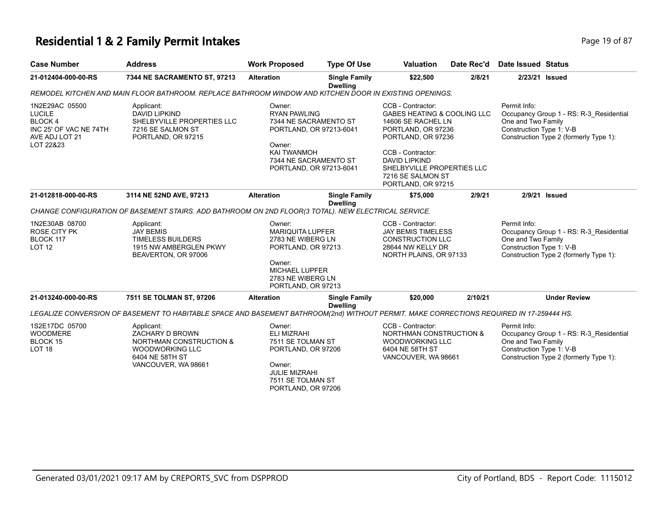#### **Residential 1 & 2 Family Permit Intakes Page 19 of 87 Page 19 of 87**

| <b>Case Number</b>                                                                                 | <b>Address</b>                                                                                                                           | <b>Work Proposed</b>                                                                                                                                                  | <b>Type Of Use</b>                      | <b>Valuation</b>                                                                                                                                                                                                                                    | Date Rec'd | <b>Date Issued Status</b>                                                                                                                           |
|----------------------------------------------------------------------------------------------------|------------------------------------------------------------------------------------------------------------------------------------------|-----------------------------------------------------------------------------------------------------------------------------------------------------------------------|-----------------------------------------|-----------------------------------------------------------------------------------------------------------------------------------------------------------------------------------------------------------------------------------------------------|------------|-----------------------------------------------------------------------------------------------------------------------------------------------------|
| 21-012404-000-00-RS                                                                                | 7344 NE SACRAMENTO ST, 97213                                                                                                             | <b>Alteration</b>                                                                                                                                                     | <b>Single Family</b><br><b>Dwelling</b> | \$22,500                                                                                                                                                                                                                                            | 2/8/21     | 2/23/21 Issued                                                                                                                                      |
|                                                                                                    | REMODEL KITCHEN AND MAIN FLOOR BATHROOM. REPLACE BATHROOM WINDOW AND KITCHEN DOOR IN EXISTING OPENINGS.                                  |                                                                                                                                                                       |                                         |                                                                                                                                                                                                                                                     |            |                                                                                                                                                     |
| 1N2E29AC 05500<br>LUCILE<br><b>BLOCK4</b><br>INC 25' OF VAC NE 74TH<br>AVE ADJ LOT 21<br>LOT 22&23 | Applicant:<br>DAVID LIPKIND<br>SHELBYVILLE PROPERTIES LLC<br>7216 SE SALMON ST<br>PORTLAND, OR 97215                                     | Owner:<br><b>RYAN PAWLING</b><br>7344 NE SACRAMENTO ST<br>PORTLAND, OR 97213-6041<br>Owner:<br><b>KAI TWANMOH</b><br>7344 NE SACRAMENTO ST<br>PORTLAND, OR 97213-6041 |                                         | CCB - Contractor:<br><b>GABES HEATING &amp; COOLING LLC</b><br>14606 SE RACHEL LN<br>PORTLAND, OR 97236<br>PORTLAND, OR 97236<br>CCB - Contractor:<br><b>DAVID LIPKIND</b><br>SHELBYVILLE PROPERTIES LLC<br>7216 SE SALMON ST<br>PORTLAND, OR 97215 |            | Permit Info:<br>Occupancy Group 1 - RS: R-3 Residential<br>One and Two Family<br>Construction Type 1: V-B<br>Construction Type 2 (formerly Type 1): |
| 21-012818-000-00-RS                                                                                | 3114 NE 52ND AVE, 97213                                                                                                                  | <b>Alteration</b>                                                                                                                                                     | <b>Single Family</b><br><b>Dwelling</b> | \$75,000                                                                                                                                                                                                                                            | 2/9/21     | 2/9/21 Issued                                                                                                                                       |
|                                                                                                    | CHANGE CONFIGURATION OF BASEMENT STAIRS. ADD BATHROOM ON 2ND FLOOR(3 TOTAL). NEW ELECTRICAL SERVICE.                                     |                                                                                                                                                                       |                                         |                                                                                                                                                                                                                                                     |            |                                                                                                                                                     |
| 1N2E30AB 08700<br>ROSE CITY PK<br>BLOCK 117<br>LOT 12                                              | Applicant:<br><b>JAY BEMIS</b><br><b>TIMELESS BUILDERS</b><br>1915 NW AMBERGLEN PKWY<br>BEAVERTON, OR 97006                              | Owner:<br><b>MARIQUITA LUPFER</b><br>2783 NE WIBERG LN<br>PORTLAND, OR 97213<br>Owner:<br><b>MICHAEL LUPFER</b><br>2783 NE WIBERG LN<br>PORTLAND, OR 97213            |                                         | CCB - Contractor:<br><b>JAY BEMIS TIMELESS</b><br><b>CONSTRUCTION LLC</b><br>28644 NW KELLY DR<br>NORTH PLAINS, OR 97133                                                                                                                            |            | Permit Info:<br>Occupancy Group 1 - RS: R-3 Residential<br>One and Two Family<br>Construction Type 1: V-B<br>Construction Type 2 (formerly Type 1): |
| 21-013240-000-00-RS                                                                                | 7511 SE TOLMAN ST, 97206                                                                                                                 | <b>Alteration</b>                                                                                                                                                     | <b>Single Family</b><br><b>Dwelling</b> | \$20,000                                                                                                                                                                                                                                            | 2/10/21    | <b>Under Review</b>                                                                                                                                 |
|                                                                                                    | LEGALIZE CONVERSION OF BASEMENT TO HABITABLE SPACE AND BASEMENT BATHROOM(2nd) WITHOUT PERMIT. MAKE CORRECTIONS REQUIRED IN 17-259444 HS. |                                                                                                                                                                       |                                         |                                                                                                                                                                                                                                                     |            |                                                                                                                                                     |
| 1S2E17DC 05700<br><b>WOODMERE</b><br><b>BLOCK 15</b><br>LOT 18                                     | Applicant:<br>ZACHARY D BROWN<br><b>NORTHMAN CONSTRUCTION &amp;</b><br>WOODWORKING LLC<br>6404 NE 58TH ST<br>VANCOUVER, WA 98661         | Owner:<br><b>ELI MIZRAHI</b><br>7511 SE TOLMAN ST<br>PORTLAND, OR 97206<br>Owner:<br><b>JULIE MIZRAHI</b><br>7511 SE TOLMAN ST<br>PORTLAND, OR 97206                  |                                         | CCB - Contractor:<br><b>NORTHMAN CONSTRUCTION &amp;</b><br><b>WOODWORKING LLC</b><br>6404 NE 58TH ST<br>VANCOUVER, WA 98661                                                                                                                         |            | Permit Info:<br>Occupancy Group 1 - RS: R-3_Residential<br>One and Two Family<br>Construction Type 1: V-B<br>Construction Type 2 (formerly Type 1): |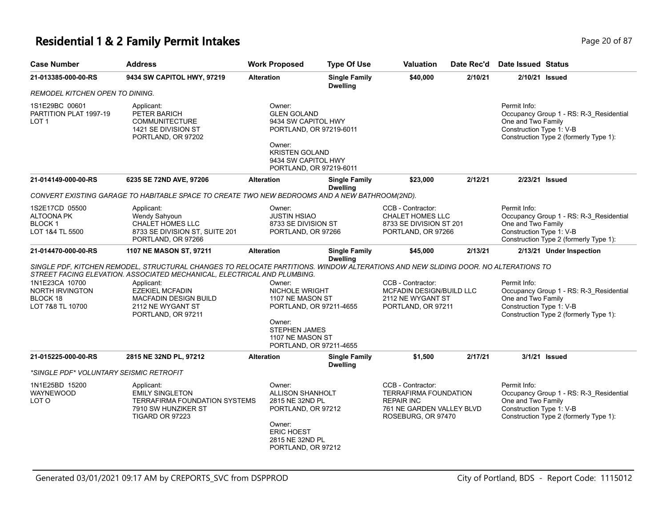# **Residential 1 & 2 Family Permit Intakes Page 20 of 87** Page 20 of 87

| <b>Case Number</b>                                                      | <b>Address</b>                                                                                                                                                                                                 | <b>Work Proposed</b>                                                                                                                                                | <b>Type Of Use</b>                      | Valuation                                                                                                          | Date Rec'd | <b>Date Issued Status</b>                                                                                                                           |
|-------------------------------------------------------------------------|----------------------------------------------------------------------------------------------------------------------------------------------------------------------------------------------------------------|---------------------------------------------------------------------------------------------------------------------------------------------------------------------|-----------------------------------------|--------------------------------------------------------------------------------------------------------------------|------------|-----------------------------------------------------------------------------------------------------------------------------------------------------|
| 21-013385-000-00-RS                                                     | 9434 SW CAPITOL HWY, 97219                                                                                                                                                                                     | <b>Alteration</b>                                                                                                                                                   | <b>Single Family</b><br><b>Dwelling</b> | \$40,000                                                                                                           | 2/10/21    | 2/10/21 Issued                                                                                                                                      |
| REMODEL KITCHEN OPEN TO DINING.                                         |                                                                                                                                                                                                                |                                                                                                                                                                     |                                         |                                                                                                                    |            |                                                                                                                                                     |
| 1S1E29BC 00601<br>PARTITION PLAT 1997-19<br>LOT 1                       | Applicant:<br>PETER BARICH<br>COMMUNITECTURE<br>1421 SE DIVISION ST<br>PORTLAND, OR 97202                                                                                                                      | Owner:<br><b>GLEN GOLAND</b><br>9434 SW CAPITOL HWY<br>PORTLAND, OR 97219-6011<br>Owner:<br><b>KRISTEN GOLAND</b><br>9434 SW CAPITOL HWY<br>PORTLAND, OR 97219-6011 |                                         |                                                                                                                    |            | Permit Info:<br>Occupancy Group 1 - RS: R-3 Residential<br>One and Two Family<br>Construction Type 1: V-B<br>Construction Type 2 (formerly Type 1): |
| 21-014149-000-00-RS                                                     | 6235 SE 72ND AVE, 97206                                                                                                                                                                                        | <b>Alteration</b>                                                                                                                                                   | <b>Single Family</b><br><b>Dwelling</b> | \$23,000                                                                                                           | 2/12/21    | 2/23/21 Issued                                                                                                                                      |
|                                                                         | CONVERT EXISTING GARAGE TO HABITABLE SPACE TO CREATE TWO NEW BEDROOMS AND A NEW BATHROOM(2ND).                                                                                                                 |                                                                                                                                                                     |                                         |                                                                                                                    |            |                                                                                                                                                     |
| 1S2E17CD 05500<br><b>ALTOONA PK</b><br><b>BLOCK1</b><br>LOT 1&4 TL 5500 | Applicant:<br>Wendy Sahyoun<br>CHALET HOMES LLC<br>8733 SE DIVISION ST, SUITE 201<br>PORTLAND, OR 97266                                                                                                        | Owner:<br><b>JUSTIN HSIAO</b><br>8733 SE DIVISION ST<br>PORTLAND, OR 97266                                                                                          |                                         | CCB - Contractor:<br><b>CHALET HOMES LLC</b><br>8733 SE DIVISION ST 201<br>PORTLAND, OR 97266                      |            | Permit Info:<br>Occupancy Group 1 - RS: R-3_Residential<br>One and Two Family<br>Construction Type 1: V-B<br>Construction Type 2 (formerly Type 1): |
| 21-014470-000-00-RS                                                     | 1107 NE MASON ST, 97211                                                                                                                                                                                        | <b>Alteration</b>                                                                                                                                                   | <b>Single Family</b><br><b>Dwelling</b> | \$45,000                                                                                                           | 2/13/21    | 2/13/21 Under Inspection                                                                                                                            |
|                                                                         | SINGLE PDF, KITCHEN REMODEL, STRUCTURAL CHANGES TO RELOCATE PARTITIONS. WINDOW ALTERATIONS AND NEW SLIDING DOOR. NO ALTERATIONS TO<br>STREET FACING ELEVATION. ASSOCIATED MECHANICAL, ELECTRICAL AND PLUMBING. |                                                                                                                                                                     |                                         |                                                                                                                    |            |                                                                                                                                                     |
| 1N1E23CA 10700<br>NORTH IRVINGTON<br>BLOCK 18<br>LOT 7&8 TL 10700       | Applicant:<br><b>EZEKIEL MCFADIN</b><br><b>MACFADIN DESIGN BUILD</b><br>2112 NE WYGANT ST<br>PORTLAND, OR 97211                                                                                                | Owner:<br><b>NICHOLE WRIGHT</b><br>1107 NE MASON ST<br>PORTLAND, OR 97211-4655<br>Owner:<br><b>STEPHEN JAMES</b><br>1107 NE MASON ST<br>PORTLAND, OR 97211-4655     |                                         | CCB - Contractor:<br><b>MCFADIN DESIGN/BUILD LLC</b><br>2112 NE WYGANT ST<br>PORTLAND, OR 97211                    |            | Permit Info:<br>Occupancy Group 1 - RS: R-3_Residential<br>One and Two Family<br>Construction Type 1: V-B<br>Construction Type 2 (formerly Type 1): |
| 21-015225-000-00-RS                                                     | 2815 NE 32ND PL, 97212                                                                                                                                                                                         | <b>Alteration</b>                                                                                                                                                   | <b>Single Family</b>                    | \$1,500                                                                                                            | 2/17/21    | 3/1/21 Issued                                                                                                                                       |
| *SINGLE PDF* VOLUNTARY SEISMIC RETROFIT                                 |                                                                                                                                                                                                                |                                                                                                                                                                     | <b>Dwelling</b>                         |                                                                                                                    |            |                                                                                                                                                     |
| 1N1E25BD 15200<br>WAYNEWOOD<br>LOT O                                    | Applicant:<br><b>EMILY SINGLETON</b><br><b>TERRAFIRMA FOUNDATION SYSTEMS</b><br>7910 SW HUNZIKER ST<br>TIGARD OR 97223                                                                                         | Owner:<br><b>ALLISON SHANHOLT</b><br>2815 NE 32ND PL<br>PORTLAND, OR 97212<br>Owner:<br><b>ERIC HOEST</b><br>2815 NE 32ND PL<br>PORTLAND, OR 97212                  |                                         | CCB - Contractor:<br>TERRAFIRMA FOUNDATION<br><b>REPAIR INC</b><br>761 NE GARDEN VALLEY BLVD<br>ROSEBURG, OR 97470 |            | Permit Info:<br>Occupancy Group 1 - RS: R-3_Residential<br>One and Two Family<br>Construction Type 1: V-B<br>Construction Type 2 (formerly Type 1): |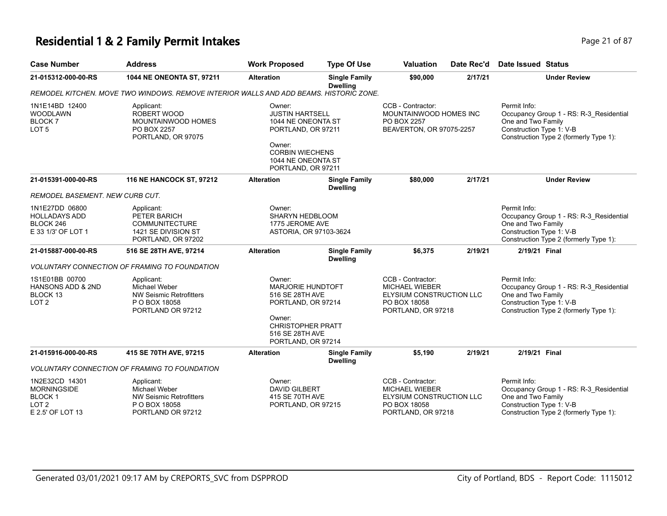#### **Residential 1 & 2 Family Permit Intakes Page 21 of 87** Page 21 of 87

**21-015887-000-00-RS 516 SE 28TH AVE, 97214 Alteration Single Family** 

| <b>Case Number</b>                                                        | <b>Address</b>                                                                                   | <b>Work Proposed</b>                                                                                                                                         | <b>Type Of Use</b>                      | <b>Valuation</b>                                                                       | Date Rec'd | Date Issued Status                                             |                                                                                   |
|---------------------------------------------------------------------------|--------------------------------------------------------------------------------------------------|--------------------------------------------------------------------------------------------------------------------------------------------------------------|-----------------------------------------|----------------------------------------------------------------------------------------|------------|----------------------------------------------------------------|-----------------------------------------------------------------------------------|
| 21-015312-000-00-RS                                                       | <b>1044 NE ONEONTA ST, 97211</b>                                                                 | <b>Alteration</b>                                                                                                                                            | <b>Single Family</b><br><b>Dwelling</b> | \$90,000                                                                               | 2/17/21    |                                                                | <b>Under Review</b>                                                               |
|                                                                           | REMODEL KITCHEN. MOVE TWO WINDOWS. REMOVE INTERIOR WALLS AND ADD BEAMS. HISTORIC ZONE.           |                                                                                                                                                              |                                         |                                                                                        |            |                                                                |                                                                                   |
| 1N1E14BD 12400<br><b>WOODLAWN</b><br><b>BLOCK7</b><br>LOT <sub>5</sub>    | Applicant:<br>ROBERT WOOD<br>MOUNTAINWOOD HOMES<br>PO BOX 2257<br>PORTLAND, OR 97075             | Owner:<br><b>JUSTIN HARTSELL</b><br>1044 NE ONEONTA ST<br>PORTLAND, OR 97211<br>Owner:<br><b>CORBIN WIECHENS</b><br>1044 NE ONEONTA ST<br>PORTLAND, OR 97211 |                                         | CCB - Contractor:<br>MOUNTAINWOOD HOMES INC<br>PO BOX 2257<br>BEAVERTON, OR 97075-2257 |            | Permit Info:<br>One and Two Family<br>Construction Type 1: V-B | Occupancy Group 1 - RS: R-3 Residential<br>Construction Type 2 (formerly Type 1): |
| 21-015391-000-00-RS                                                       | <b>116 NE HANCOCK ST, 97212</b>                                                                  | <b>Alteration</b>                                                                                                                                            | <b>Single Family</b><br><b>Dwelling</b> | \$80,000                                                                               | 2/17/21    |                                                                | <b>Under Review</b>                                                               |
| REMODEL BASEMENT. NEW CURB CUT.                                           |                                                                                                  |                                                                                                                                                              |                                         |                                                                                        |            |                                                                |                                                                                   |
| 1N1E27DD 06800<br><b>HOLLADAYS ADD</b><br>BLOCK 246<br>E 33 1/3' OF LOT 1 | Applicant:<br>PETER BARICH<br><b>COMMUNITECTURE</b><br>1421 SE DIVISION ST<br>PORTLAND, OR 97202 | Owner:<br>SHARYN HEDBLOOM<br>1775 JEROME AVE<br>ASTORIA, OR 97103-3624                                                                                       |                                         |                                                                                        |            | Permit Info:<br>One and Two Family<br>Construction Type 1: V-B | Occupancy Group 1 - RS: R-3 Residential<br>Construction Type 2 (formerly Type 1): |

**\$6,375 2/19/21 2/19/21 Final**

*VOLUNTARY CONNECTION OF FRAMING TO FOUNDATION*

| 1S1E01BB 00700<br>HANSONS ADD & 2ND<br>BLOCK 13<br>LOT 2 | Applicant:<br>Michael Weber<br>NW Seismic Retrofitters<br>P O BOX 18058<br>PORTLAND OR 97212 | Owner:<br><b>MARJORIE HUNDTOFT</b><br>516 SE 28TH AVE<br>PORTLAND, OR 97214<br>Owner:<br><b>CHRISTOPHER PRATT</b> | CCB - Contractor:<br>MICHAEL WIEBER<br>ELYSIUM CONSTRUCTION LLC<br>PO BOX 18058<br>PORTLAND, OR 97218 | Permit Info:<br>Occupancy Group 1 - RS: R-3 Residential<br>One and Two Family<br>Construction Type 1: V-B<br>Construction Type 2 (formerly Type 1): |
|----------------------------------------------------------|----------------------------------------------------------------------------------------------|-------------------------------------------------------------------------------------------------------------------|-------------------------------------------------------------------------------------------------------|-----------------------------------------------------------------------------------------------------------------------------------------------------|
|                                                          |                                                                                              | 516 SE 28TH AVE                                                                                                   |                                                                                                       |                                                                                                                                                     |

**Dwelling**

PORTLAND, OR 97214 **21-015916-000-00-RS 415 SE 70TH AVE, 97215 Alteration Single Family Dwelling \$5,190 2/19/21 2/19/21 Final** *VOLUNTARY CONNECTION OF FRAMING TO FOUNDATION* Permit Info: Occupancy Group 1 - RS: R-3\_Residential One and Two Family Construction Type 1: V-B Construction Type 2 (formerly Type 1): CCB - Contractor: MICHAEL WIEBER ELYSIUM CONSTRUCTION LLC PO BOX 18058 PORTLAND, OR 97218 Owner: DAVID GILBERT 415 SE 70TH AVE PORTLAND, OR 97215 Applicant: Michael Weber NW Seismic Retrofitters P O BOX 18058 PORTLAND OR 97212 1N2E32CD 14301 MORNINGSIDE BLOCK 1  $IOT 2$ E 2.5' OF LOT 13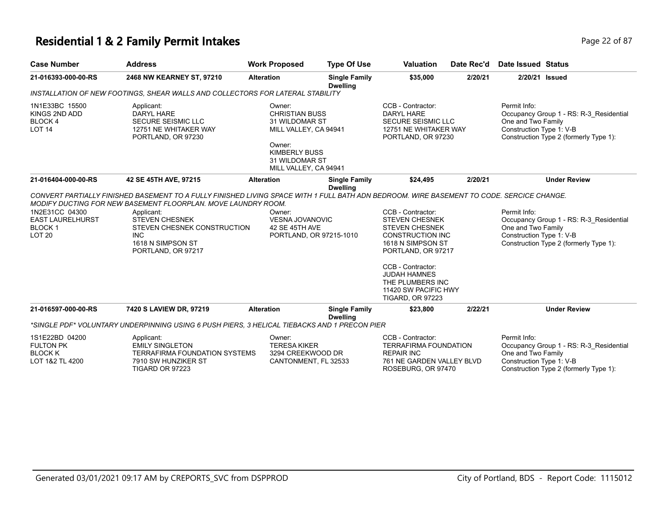#### **Residential 1 & 2 Family Permit Intakes Page 12 of 87** Page 22 of 87

| <b>Case Number</b>                                              | <b>Address</b>                                                                                       | <b>Work Proposed</b>                                                       | <b>Type Of Use</b>                      | <b>Valuation</b>                                                                                                                                                                                                                                                   | Date Rec'd | Date Issued Status |                |
|-----------------------------------------------------------------|------------------------------------------------------------------------------------------------------|----------------------------------------------------------------------------|-----------------------------------------|--------------------------------------------------------------------------------------------------------------------------------------------------------------------------------------------------------------------------------------------------------------------|------------|--------------------|----------------|
| 21-016393-000-00-RS                                             | 2468 NW KEARNEY ST, 97210                                                                            | <b>Alteration</b>                                                          | <b>Single Family</b><br><b>Dwelling</b> | \$35.000                                                                                                                                                                                                                                                           | 2/20/21    |                    | 2/20/21 Issued |
|                                                                 | INSTALLATION OF NEW FOOTINGS, SHEAR WALLS AND COLLECTORS FOR LATERAL STABILITY                       |                                                                            |                                         |                                                                                                                                                                                                                                                                    |            |                    |                |
| 1N1E33BC 15500<br>KINGS 2ND ADD<br>BLOCK 4<br>LOT <sub>14</sub> | Applicant:<br>DARYL HARE<br><b>SECURE SEISMIC LLC</b><br>12751 NE WHITAKER WAY<br>PORTLAND, OR 97230 | Owner:<br><b>CHRISTIAN BUSS</b><br>31 WILDOMAR ST<br>MILL VALLEY, CA 94941 |                                         | CCB - Contractor:<br>Permit Info:<br>Occupancy Group 1 - RS: R-3 Residential<br>DARYI HARF<br>One and Two Family<br><b>SECURE SEISMIC LLC</b><br>Construction Type 1: V-B<br>12751 NE WHITAKER WAY<br>Construction Type 2 (formerly Type 1):<br>PORTLAND, OR 97230 |            |                    |                |
|                                                                 |                                                                                                      | Owner:<br>KIMBERLY BUSS<br>31 WILDOMAR ST                                  |                                         |                                                                                                                                                                                                                                                                    |            |                    |                |

ROSEBURG, OR 97470

**21-016404-000-00-RS 42 SE 45TH AVE, 97215 Alteration Single Family Dwelling \$24,495 2/20/21 Under Review** *CONVERT PARTIALLY FINISHED BASEMENT TO A FULLY FINISHED LIVING SPACE WITH 1 FULL BATH ADN BEDROOM. WIRE BASEMENT TO CODE. SERCICE CHANGE. MODIFY DUCTING FOR NEW BASEMENT FLOORPLAN. MOVE LAUNDRY ROOM.* Permit Info: Occupancy Group 1 - RS: R-3\_Residential One and Two Family Construction Type 1: V-B Construction Type 2 (formerly Type 1): CCB - Contractor: STEVEN CHESNEK STEVEN CHESNEK CONSTRUCTION INC 1618 N SIMPSON ST PORTLAND, OR 97217 CCB - Contractor: JUDAH HAMNES THE PLUMBERS INC 11420 SW PACIFIC HWY TIGARD, OR 97223 Owner: VESNA JOVANOVIC 42 SE 45TH AVE PORTLAND, OR 97215-1010 Applicant: STEVEN CHESNEK STEVEN CHESNEK CONSTRUCTION INC 1618 N SIMPSON ST PORTLAND, OR 97217 1N2E31CC 04300 EAST LAURELHURST BLOCK 1 LOT 20 **21-016597-000-00-RS 7420 S LAVIEW DR, 97219 Alteration Single Family Dwelling \$23,800 2/22/21 Under Review** *\*SINGLE PDF\* VOLUNTARY UNDERPINNING USING 6 PUSH PIERS, 3 HELICAL TIEBACKS AND 1 PRECON PIER* Permit Info: Occupancy Group 1 - RS: R-3\_Residential One and Two Family Construction Type 1: V-B CCB - Contractor: TERRAFIRMA FOUNDATION REPAIR INC 761 NE GARDEN VALLEY BLVD Owner: TERESA KIKER 3294 CREEKWOOD DR Applicant: EMILY SINGLETON TERRAFIRMA FOUNDATION SYSTEMS 7910 SW HUNZIKER ST 1S1E22BD 04200 FULTON PK BLOCK K LOT 1&2 TL 4200

CANTONMENT, FL 32533

MILL VALLEY, CA 94941

TIGARD OR 97223

Construction Type 2 (formerly Type 1):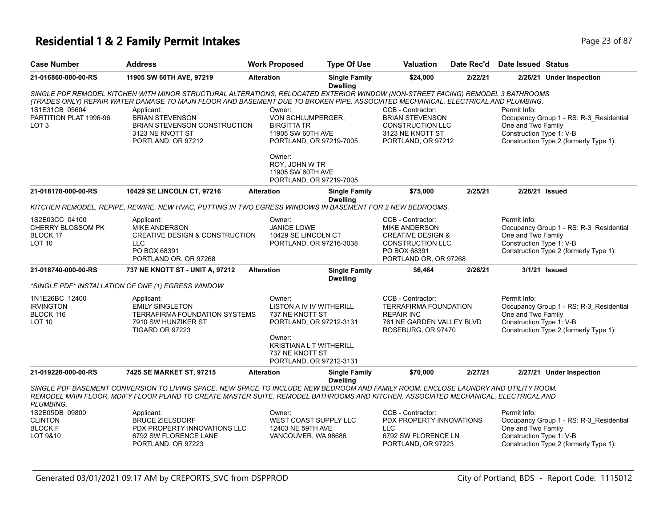# **Residential 1 & 2 Family Permit Intakes Page 23 of 87**

| <b>Case Number</b>                                                      | <b>Address</b>                                                                                                                                                                                                                                                                                                                                                                               | <b>Work Proposed</b>                                                                                                                                                       | <b>Type Of Use</b>                      | <b>Valuation</b>                                                                                                                              | Date Rec'd | <b>Date Issued Status</b>                                                                                                                           |
|-------------------------------------------------------------------------|----------------------------------------------------------------------------------------------------------------------------------------------------------------------------------------------------------------------------------------------------------------------------------------------------------------------------------------------------------------------------------------------|----------------------------------------------------------------------------------------------------------------------------------------------------------------------------|-----------------------------------------|-----------------------------------------------------------------------------------------------------------------------------------------------|------------|-----------------------------------------------------------------------------------------------------------------------------------------------------|
| 21-016860-000-00-RS                                                     | 11905 SW 60TH AVE, 97219                                                                                                                                                                                                                                                                                                                                                                     | <b>Alteration</b>                                                                                                                                                          | <b>Single Family</b><br><b>Dwelling</b> | \$24,000                                                                                                                                      | 2/22/21    | 2/26/21 Under Inspection                                                                                                                            |
| 1S1E31CB 05604<br>PARTITION PLAT 1996-96<br>LOT 3                       | SINGLE PDF REMODEL KITCHEN WITH MINOR STRUCTURAL ALTERATIONS, RELOCATED EXTERIOR WINDOW (NON-STREET FACING) REMODEL 3 BATHROOMS<br>(TRADES ONLY) REPAIR WATER DAMAGE TO MAJN FLOOR AND BASEMENT DUE TO BROKEN PIPE. ASSOCIATED MECHANICAL, ELECTRICAL AND PLUMBING.<br>Applicant:<br><b>BRIAN STEVENSON</b><br><b>BRIAN STEVENSON CONSTRUCTION</b><br>3123 NE KNOTT ST<br>PORTLAND, OR 97212 | Owner:<br>VON SCHLUMPERGER,<br><b>BIRGITTA TR</b><br>11905 SW 60TH AVE<br>PORTLAND, OR 97219-7005<br>Owner:<br>ROY, JOHN W TR                                              |                                         | CCB - Contractor:<br><b>BRIAN STEVENSON</b><br><b>CONSTRUCTION LLC</b><br>3123 NE KNOTT ST<br>PORTLAND, OR 97212                              |            | Permit Info:<br>Occupancy Group 1 - RS: R-3 Residential<br>One and Two Family<br>Construction Type 1: V-B<br>Construction Type 2 (formerly Type 1): |
|                                                                         |                                                                                                                                                                                                                                                                                                                                                                                              | 11905 SW 60TH AVE<br>PORTLAND, OR 97219-7005                                                                                                                               |                                         |                                                                                                                                               |            |                                                                                                                                                     |
| 21-018178-000-00-RS                                                     | 10429 SE LINCOLN CT, 97216                                                                                                                                                                                                                                                                                                                                                                   | <b>Alteration</b>                                                                                                                                                          | <b>Single Family</b><br><b>Dwelling</b> | \$75,000                                                                                                                                      | 2/25/21    | 2/26/21 Issued                                                                                                                                      |
|                                                                         | KITCHEN REMODEL, REPIPE, REWIRE, NEW HVAC, PUTTING IN TWO EGRESS WINDOWS IN BASEMENT FOR 2 NEW BEDROOMS.                                                                                                                                                                                                                                                                                     |                                                                                                                                                                            |                                         |                                                                                                                                               |            |                                                                                                                                                     |
| 1S2E03CC 04100<br><b>CHERRY BLOSSOM PK</b><br>BLOCK 17<br><b>LOT 10</b> | Applicant:<br><b>MIKE ANDERSON</b><br><b>CREATIVE DESIGN &amp; CONSTRUCTION</b><br><b>LLC</b><br>PO BOX 68391<br>PORTLAND OR, OR 97268                                                                                                                                                                                                                                                       | Owner:<br><b>JANICE LOWE</b><br>10429 SE LINCOLN CT<br>PORTLAND, OR 97216-3038                                                                                             |                                         | CCB - Contractor:<br><b>MIKE ANDERSON</b><br><b>CREATIVE DESIGN &amp;</b><br><b>CONSTRUCTION LLC</b><br>PO BOX 68391<br>PORTLAND OR, OR 97268 |            | Permit Info:<br>Occupancy Group 1 - RS: R-3 Residential<br>One and Two Family<br>Construction Type 1: V-B<br>Construction Type 2 (formerly Type 1): |
| 21-018740-000-00-RS                                                     | 737 NE KNOTT ST - UNIT A, 97212                                                                                                                                                                                                                                                                                                                                                              | <b>Alteration</b>                                                                                                                                                          | <b>Single Family</b><br><b>Dwelling</b> | \$6,464                                                                                                                                       | 2/26/21    | 3/1/21 Issued                                                                                                                                       |
|                                                                         | *SINGLE PDF* INSTALLATION OF ONE (1) EGRESS WINDOW                                                                                                                                                                                                                                                                                                                                           |                                                                                                                                                                            |                                         |                                                                                                                                               |            |                                                                                                                                                     |
| 1N1E26BC 12400<br><b>IRVINGTON</b><br>BLOCK 116<br>LOT <sub>10</sub>    | Applicant:<br><b>EMILY SINGLETON</b><br><b>TERRAFIRMA FOUNDATION SYSTEMS</b><br>7910 SW HUNZIKER ST<br>TIGARD OR 97223                                                                                                                                                                                                                                                                       | Owner:<br>LISTON A IV IV WITHERILL<br>737 NE KNOTT ST<br>PORTLAND, OR 97212-3131<br>Owner:<br><b>KRISTIANA L T WITHERILL</b><br>737 NE KNOTT ST<br>PORTLAND, OR 97212-3131 |                                         | CCB - Contractor:<br><b>TERRAFIRMA FOUNDATION</b><br><b>REPAIR INC</b><br>761 NE GARDEN VALLEY BLVD<br>ROSEBURG, OR 97470                     |            | Permit Info:<br>Occupancy Group 1 - RS: R-3_Residential<br>One and Two Family<br>Construction Type 1: V-B<br>Construction Type 2 (formerly Type 1): |
| 21-019228-000-00-RS                                                     | 7425 SE MARKET ST, 97215                                                                                                                                                                                                                                                                                                                                                                     | <b>Alteration</b>                                                                                                                                                          | <b>Single Family</b>                    | \$70,000                                                                                                                                      | 2/27/21    | 2/27/21 Under Inspection                                                                                                                            |
| PLUMBING.                                                               | SINGLE PDF BASEMENT CONVERSION TO LIVING SPACE. NEW SPACE TO INCLUDE NEW BEDROOM AND FAMILY ROOM. ENCLOSE LAUNDRY AND UTILITY ROOM.<br>REMODEL MAIN FLOOR, MDIFY FLOOR PLAND TO CREATE MASTER SUITE. REMODEL BATHROOMS AND KITCHEN. ASSOCIATED MECHANICAL, ELECTRICAL AND                                                                                                                    |                                                                                                                                                                            | <b>Dwelling</b>                         |                                                                                                                                               |            |                                                                                                                                                     |
| 1S2E05DB 09800<br><b>CLINTON</b><br><b>BLOCK F</b><br>LOT 9&10          | Applicant:<br><b>BRUCE ZIELSDORF</b><br>PDX PROPERTY INNOVATIONS LLC<br>6792 SW FLORENCE LANE<br>PORTLAND, OR 97223                                                                                                                                                                                                                                                                          | Owner:<br>WEST COAST SUPPLY LLC<br>12403 NE 59TH AVE<br>VANCOUVER, WA 98686                                                                                                |                                         | CCB - Contractor:<br>PDX PROPERTY INNOVATIONS<br><b>LLC</b><br>6792 SW FLORENCE LN<br>PORTLAND, OR 97223                                      |            | Permit Info:<br>Occupancy Group 1 - RS: R-3_Residential<br>One and Two Family<br>Construction Type 1: V-B<br>Construction Type 2 (formerly Type 1): |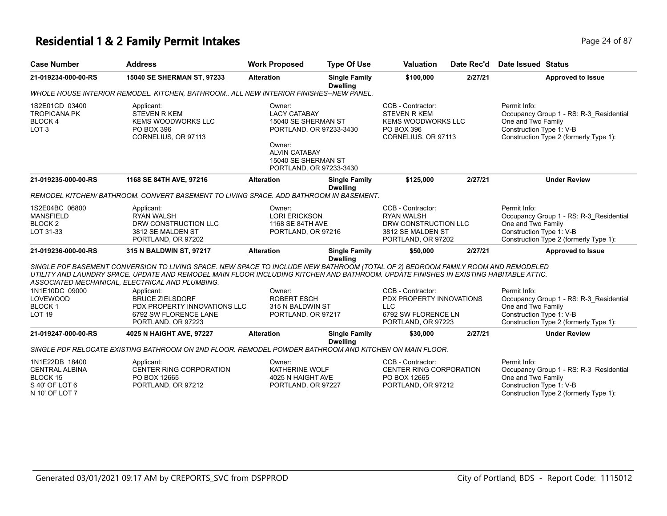#### **Residential 1 & 2 Family Permit Intakes Page 24 of 87 Page 24 of 87**

| Page 24 o |
|-----------|
|           |
|           |

| <b>Case Number</b>                                                                      | <b>Address</b>                                                                                                                                                                                                                                                                                                               | <b>Work Proposed</b>                                                                                                                                                | <b>Type Of Use</b>                      | <b>Valuation</b>                                                                                          | Date Rec'd | <b>Date Issued Status</b>                                                                                                                           |
|-----------------------------------------------------------------------------------------|------------------------------------------------------------------------------------------------------------------------------------------------------------------------------------------------------------------------------------------------------------------------------------------------------------------------------|---------------------------------------------------------------------------------------------------------------------------------------------------------------------|-----------------------------------------|-----------------------------------------------------------------------------------------------------------|------------|-----------------------------------------------------------------------------------------------------------------------------------------------------|
| 21-019234-000-00-RS                                                                     | 15040 SE SHERMAN ST, 97233                                                                                                                                                                                                                                                                                                   | <b>Alteration</b>                                                                                                                                                   | <b>Single Family</b><br><b>Dwelling</b> | \$100,000                                                                                                 | 2/27/21    | <b>Approved to Issue</b>                                                                                                                            |
|                                                                                         | WHOLE HOUSE INTERIOR REMODEL. KITCHEN, BATHROOM ALL NEW INTERIOR FINISHES--NEW PANEL.                                                                                                                                                                                                                                        |                                                                                                                                                                     |                                         |                                                                                                           |            |                                                                                                                                                     |
| 1S2E01CD 03400<br><b>TROPICANA PK</b><br>BLOCK 4<br>LOT <sub>3</sub>                    | Applicant:<br><b>STEVEN R KEM</b><br>KEMS WOODWORKS LLC<br>PO BOX 396<br>CORNELIUS, OR 97113                                                                                                                                                                                                                                 | Owner:<br><b>LACY CATABAY</b><br>15040 SE SHERMAN ST<br>PORTLAND, OR 97233-3430<br>Owner:<br><b>ALVIN CATABAY</b><br>15040 SE SHERMAN ST<br>PORTLAND, OR 97233-3430 |                                         | CCB - Contractor:<br><b>STEVEN R KEM</b><br>KEMS WOODWORKS LLC<br>PO BOX 396<br>CORNELIUS, OR 97113       |            | Permit Info:<br>Occupancy Group 1 - RS: R-3_Residential<br>One and Two Family<br>Construction Type 1: V-B<br>Construction Type 2 (formerly Type 1): |
| 21-019235-000-00-RS                                                                     | 1168 SE 84TH AVE, 97216                                                                                                                                                                                                                                                                                                      | <b>Alteration</b>                                                                                                                                                   | <b>Single Family</b><br><b>Dwelling</b> | \$125,000                                                                                                 | 2/27/21    | <b>Under Review</b>                                                                                                                                 |
|                                                                                         | REMODEL KITCHEN/BATHROOM. CONVERT BASEMENT TO LIVING SPACE. ADD BATHROOM IN BASEMENT.                                                                                                                                                                                                                                        |                                                                                                                                                                     |                                         |                                                                                                           |            |                                                                                                                                                     |
| 1S2E04BC 06800<br><b>MANSFIELD</b><br>BLOCK <sub>2</sub><br>LOT 31-33                   | Applicant:<br><b>RYAN WALSH</b><br>DRW CONSTRUCTION LLC<br>3812 SE MALDEN ST<br>PORTLAND, OR 97202                                                                                                                                                                                                                           | Owner:<br><b>LORI ERICKSON</b><br>1168 SE 84TH AVE<br>PORTLAND, OR 97216                                                                                            |                                         | CCB - Contractor:<br><b>RYAN WALSH</b><br>DRW CONSTRUCTION LLC<br>3812 SE MALDEN ST<br>PORTLAND, OR 97202 |            | Permit Info:<br>Occupancy Group 1 - RS: R-3_Residential<br>One and Two Family<br>Construction Type 1: V-B<br>Construction Type 2 (formerly Type 1): |
| 21-019236-000-00-RS                                                                     | 315 N BALDWIN ST, 97217                                                                                                                                                                                                                                                                                                      | <b>Alteration</b>                                                                                                                                                   | <b>Single Family</b><br><b>Dwelling</b> | \$50,000                                                                                                  | 2/27/21    | <b>Approved to Issue</b>                                                                                                                            |
|                                                                                         | SINGLE PDF BASEMENT CONVERSION TO LIVING SPACE. NEW SPACE TO INCLUDE NEW BATHROOM (TOTAL OF 2) BEDROOM FAMILY ROOM AND REMODELED<br>UTILITY AND LAUNDRY SPACE. UPDATE AND REMODEL MAIN FLOOR INCLUDING KITCHEN AND BATHROOM. UPDATE FINISHES IN EXISTING HABITABLE ATTIC.<br>ASSOCIATED MECHANICAL, ELECTRICAL AND PLUMBING. |                                                                                                                                                                     |                                         |                                                                                                           |            |                                                                                                                                                     |
| 1N1E10DC 09000<br><b>LOVEWOOD</b><br><b>BLOCK1</b><br>LOT <sub>19</sub>                 | Applicant:<br><b>BRUCE ZIELSDORF</b><br>PDX PROPERTY INNOVATIONS LLC<br>6792 SW FLORENCE LANE<br>PORTLAND, OR 97223                                                                                                                                                                                                          | Owner:<br><b>ROBERT ESCH</b><br>315 N BALDWIN ST<br>PORTLAND, OR 97217                                                                                              |                                         | CCB - Contractor:<br>PDX PROPERTY INNOVATIONS<br><b>LLC</b><br>6792 SW FLORENCE LN<br>PORTLAND, OR 97223  |            | Permit Info:<br>Occupancy Group 1 - RS: R-3_Residential<br>One and Two Family<br>Construction Type 1: V-B<br>Construction Type 2 (formerly Type 1): |
| 21-019247-000-00-RS                                                                     | 4025 N HAIGHT AVE, 97227                                                                                                                                                                                                                                                                                                     | <b>Alteration</b>                                                                                                                                                   | <b>Single Family</b>                    | \$30,000                                                                                                  | 2/27/21    | <b>Under Review</b>                                                                                                                                 |
|                                                                                         | SINGLE PDF RELOCATE EXISTING BATHROOM ON 2ND FLOOR. REMODEL POWDER BATHROOM AND KITCHEN ON MAIN FLOOR.                                                                                                                                                                                                                       |                                                                                                                                                                     | <b>Dwelling</b>                         |                                                                                                           |            |                                                                                                                                                     |
| 1N1E22DB 18400<br><b>CENTRAL ALBINA</b><br>BLOCK 15<br>S 40' OF LOT 6<br>N 10' OF LOT 7 | Applicant:<br>CENTER RING CORPORATION<br>PO BOX 12665<br>PORTLAND, OR 97212                                                                                                                                                                                                                                                  | Owner:<br><b>KATHERINE WOLF</b><br>4025 N HAIGHT AVE<br>PORTLAND, OR 97227                                                                                          |                                         | CCB - Contractor:<br>CENTER RING CORPORATION<br>PO BOX 12665<br>PORTLAND, OR 97212                        |            | Permit Info:<br>Occupancy Group 1 - RS: R-3_Residential<br>One and Two Family<br>Construction Type 1: V-B<br>Construction Type 2 (formerly Type 1): |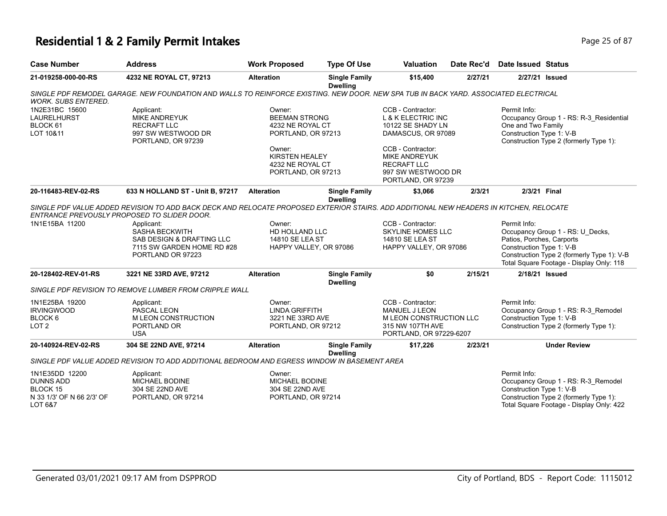# **Residential 1 & 2 Family Permit Intakes Page 25 of 87**

| <b>Case Number</b>                                                                            | <b>Address</b>                                                                                                                                                                                                                                                                                                | <b>Work Proposed</b>                                                                                                                                  | <b>Type Of Use</b>                      | <b>Valuation</b>                                                                                                                                                                                             | Date Rec'd | Date Issued Status                                                    |                                                                                                                            |
|-----------------------------------------------------------------------------------------------|---------------------------------------------------------------------------------------------------------------------------------------------------------------------------------------------------------------------------------------------------------------------------------------------------------------|-------------------------------------------------------------------------------------------------------------------------------------------------------|-----------------------------------------|--------------------------------------------------------------------------------------------------------------------------------------------------------------------------------------------------------------|------------|-----------------------------------------------------------------------|----------------------------------------------------------------------------------------------------------------------------|
| 21-019258-000-00-RS                                                                           | 4232 NE ROYAL CT, 97213                                                                                                                                                                                                                                                                                       | <b>Alteration</b>                                                                                                                                     | <b>Single Family</b><br><b>Dwelling</b> | \$15,400                                                                                                                                                                                                     | 2/27/21    | 2/27/21 Issued                                                        |                                                                                                                            |
| <b>WORK. SUBS ENTERED.</b>                                                                    | SINGLE PDF REMODEL GARAGE. NEW FOUNDATION AND WALLS TO REINFORCE EXISTING. NEW DOOR. NEW SPA TUB IN BACK YARD. ASSOCIATED ELECTRICAL                                                                                                                                                                          |                                                                                                                                                       |                                         |                                                                                                                                                                                                              |            |                                                                       |                                                                                                                            |
| 1N2E31BC 15600<br><b>LAURELHURST</b><br>BLOCK 61<br>LOT 10&11                                 | Applicant:<br><b>MIKE ANDREYUK</b><br><b>RECRAFT LLC</b><br>997 SW WESTWOOD DR<br>PORTLAND, OR 97239                                                                                                                                                                                                          | Owner:<br><b>BEEMAN STRONG</b><br>4232 NE ROYAL CT<br>PORTLAND, OR 97213<br>Owner:<br><b>KIRSTEN HEALEY</b><br>4232 NE ROYAL CT<br>PORTLAND, OR 97213 |                                         | CCB - Contractor:<br><b>L &amp; K ELECTRIC INC</b><br>10122 SE SHADY LN<br>DAMASCUS, OR 97089<br>CCB - Contractor:<br><b>MIKE ANDREYUK</b><br><b>RECRAFT LLC</b><br>997 SW WESTWOOD DR<br>PORTLAND, OR 97239 |            | Permit Info:<br>One and Two Family<br>Construction Type 1: V-B        | Occupancy Group 1 - RS: R-3_Residential<br>Construction Type 2 (formerly Type 1):                                          |
| 20-116483-REV-02-RS                                                                           | 633 N HOLLAND ST - Unit B, 97217                                                                                                                                                                                                                                                                              | <b>Alteration</b>                                                                                                                                     | <b>Single Family</b><br><b>Dwelling</b> | \$3,066                                                                                                                                                                                                      | 2/3/21     | 2/3/21 Final                                                          |                                                                                                                            |
| 1N1E15BA 11200                                                                                | SINGLE PDF VALUE ADDED REVISION TO ADD BACK DECK AND RELOCATE PROPOSED EXTERIOR STAIRS. ADD ADDITIONAL NEW HEADERS IN KITCHEN, RELOCATE<br>ENTRANCE PREVOUSLY PROPOSED TO SLIDER DOOR.<br>Applicant:<br><b>SASHA BECKWITH</b><br>SAB DESIGN & DRAFTING LLC<br>7115 SW GARDEN HOME RD #28<br>PORTLAND OR 97223 | Owner:<br>HD HOLLAND LLC<br>14810 SE LEA ST<br>HAPPY VALLEY, OR 97086                                                                                 |                                         | CCB - Contractor:<br><b>SKYLINE HOMES LLC</b><br>14810 SE LEA ST<br>HAPPY VALLEY, OR 97086                                                                                                                   |            | Permit Info:<br>Patios, Porches, Carports<br>Construction Type 1: V-B | Occupancy Group 1 - RS: U_Decks,<br>Construction Type 2 (formerly Type 1): V-B<br>Total Square Footage - Display Only: 118 |
| 20-128402-REV-01-RS                                                                           | 3221 NE 33RD AVE, 97212                                                                                                                                                                                                                                                                                       | <b>Alteration</b>                                                                                                                                     | <b>Single Family</b><br><b>Dwelling</b> | \$0                                                                                                                                                                                                          | 2/15/21    | 2/18/21 Issued                                                        |                                                                                                                            |
|                                                                                               | SINGLE PDF REVISION TO REMOVE LUMBER FROM CRIPPLE WALL                                                                                                                                                                                                                                                        |                                                                                                                                                       |                                         |                                                                                                                                                                                                              |            |                                                                       |                                                                                                                            |
| 1N1E25BA 19200<br><b>IRVINGWOOD</b><br>BLOCK <sub>6</sub><br>LOT <sub>2</sub>                 | Applicant:<br>PASCAL LEON<br><b>M LEON CONSTRUCTION</b><br>PORTLAND OR<br><b>USA</b>                                                                                                                                                                                                                          | Owner:<br><b>LINDA GRIFFITH</b><br>3221 NE 33RD AVE<br>PORTLAND, OR 97212                                                                             |                                         | CCB - Contractor:<br>MANUEL J LEON<br>M LEON CONSTRUCTION LLC<br>315 NW 107TH AVE<br>PORTLAND, OR 97229-6207                                                                                                 |            | Permit Info:<br>Construction Type 1: V-B                              | Occupancy Group 1 - RS: R-3_Remodel<br>Construction Type 2 (formerly Type 1):                                              |
| 20-140924-REV-02-RS                                                                           | 304 SE 22ND AVE, 97214                                                                                                                                                                                                                                                                                        | <b>Alteration</b>                                                                                                                                     | <b>Single Family</b><br><b>Dwelling</b> | \$17,226                                                                                                                                                                                                     | 2/23/21    |                                                                       | <b>Under Review</b>                                                                                                        |
|                                                                                               | SINGLE PDF VALUE ADDED REVISION TO ADD ADDITIONAL BEDROOM AND EGRESS WINDOW IN BASEMENT AREA                                                                                                                                                                                                                  |                                                                                                                                                       |                                         |                                                                                                                                                                                                              |            |                                                                       |                                                                                                                            |
| 1N1E35DD 12200<br><b>DUNNS ADD</b><br><b>BLOCK 15</b><br>N 33 1/3' OF N 66 2/3' OF<br>LOT 6&7 | Applicant:<br>MICHAEL BODINE<br>304 SE 22ND AVE<br>PORTLAND, OR 97214                                                                                                                                                                                                                                         | Owner:<br>MICHAEL BODINE<br>304 SE 22ND AVE<br>PORTLAND, OR 97214                                                                                     |                                         |                                                                                                                                                                                                              |            | Permit Info:<br>Construction Type 1: V-B                              | Occupancy Group 1 - RS: R-3_Remodel<br>Construction Type 2 (formerly Type 1):<br>Total Square Footage - Display Only: 422  |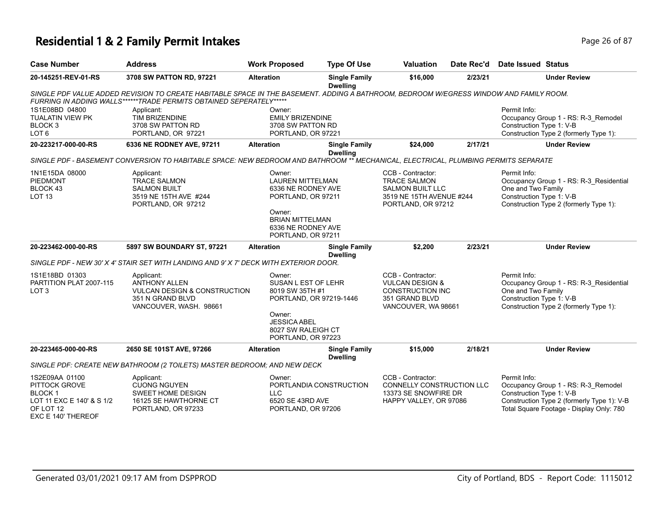## **Residential 1 & 2 Family Permit Intakes Page 26 of 87 Page 26 of 87**

| <b>Case Number</b>                                                                                               | <b>Address</b>                                                                                                                                                                                                | <b>Work Proposed</b>                                                                                                                                            | <b>Type Of Use</b>                      | <b>Valuation</b>                                                                                                      | Date Rec'd | <b>Date Issued Status</b>                                                                                                                                                 |
|------------------------------------------------------------------------------------------------------------------|---------------------------------------------------------------------------------------------------------------------------------------------------------------------------------------------------------------|-----------------------------------------------------------------------------------------------------------------------------------------------------------------|-----------------------------------------|-----------------------------------------------------------------------------------------------------------------------|------------|---------------------------------------------------------------------------------------------------------------------------------------------------------------------------|
| 20-145251-REV-01-RS                                                                                              | 3708 SW PATTON RD, 97221                                                                                                                                                                                      | <b>Alteration</b>                                                                                                                                               | <b>Single Family</b><br><b>Dwelling</b> | \$16,000                                                                                                              | 2/23/21    | <b>Under Review</b>                                                                                                                                                       |
|                                                                                                                  | SINGLE PDF VALUE ADDED REVISION TO CREATE HABITABLE SPACE IN THE BASEMENT. ADDING A BATHROOM, BEDROOM W/EGRESS WINDOW AND FAMILY ROOM.<br>FURRING IN ADDING WALLS******TRADE PERMITS OBTAINED SEPERATELY***** |                                                                                                                                                                 |                                         |                                                                                                                       |            |                                                                                                                                                                           |
| 1S1E08BD 04800<br><b>TUALATIN VIEW PK</b><br>BLOCK <sub>3</sub><br>LOT <sub>6</sub>                              | Applicant:<br><b>TIM BRIZENDINE</b><br>3708 SW PATTON RD<br>PORTLAND, OR 97221                                                                                                                                | Owner:<br><b>EMILY BRIZENDINE</b><br>3708 SW PATTON RD<br>PORTLAND, OR 97221                                                                                    |                                         |                                                                                                                       |            | Permit Info:<br>Occupancy Group 1 - RS: R-3 Remodel<br>Construction Type 1: V-B<br>Construction Type 2 (formerly Type 1):                                                 |
| 20-223217-000-00-RS                                                                                              | 6336 NE RODNEY AVE, 97211                                                                                                                                                                                     | <b>Alteration</b>                                                                                                                                               | <b>Single Family</b><br><b>Dwelling</b> | \$24,000                                                                                                              | 2/17/21    | <b>Under Review</b>                                                                                                                                                       |
|                                                                                                                  | SINGLE PDF - BASEMENT CONVERSION TO HABITABLE SPACE: NEW BEDROOM AND BATHROOM ** MECHANICAL, ELECTRICAL, PLUMBING PERMITS SEPARATE                                                                            |                                                                                                                                                                 |                                         |                                                                                                                       |            |                                                                                                                                                                           |
| 1N1E15DA 08000<br>PIEDMONT<br>BLOCK 43<br><b>LOT 13</b>                                                          | Applicant:<br><b>TRACE SALMON</b><br><b>SALMON BUILT</b><br>3519 NE 15TH AVE #244<br>PORTLAND, OR 97212                                                                                                       | Owner:<br><b>LAUREN MITTELMAN</b><br>6336 NE RODNEY AVE<br>PORTLAND, OR 97211<br>Owner:<br><b>BRIAN MITTELMAN</b><br>6336 NE RODNEY AVE<br>PORTLAND, OR 97211   |                                         | CCB - Contractor:<br><b>TRACE SALMON</b><br><b>SALMON BUILT LLC</b><br>3519 NE 15TH AVENUE #244<br>PORTLAND, OR 97212 |            | Permit Info:<br>Occupancy Group 1 - RS: R-3 Residential<br>One and Two Family<br>Construction Type 1: V-B<br>Construction Type 2 (formerly Type 1):                       |
| 20-223462-000-00-RS                                                                                              | 5897 SW BOUNDARY ST, 97221                                                                                                                                                                                    | <b>Alteration</b>                                                                                                                                               | <b>Single Family</b><br><b>Dwelling</b> | \$2,200                                                                                                               | 2/23/21    | <b>Under Review</b>                                                                                                                                                       |
|                                                                                                                  | SINGLE PDF - NEW 30' X 4' STAIR SET WITH LANDING AND 9' X 7' DECK WITH EXTERIOR DOOR.                                                                                                                         |                                                                                                                                                                 |                                         |                                                                                                                       |            |                                                                                                                                                                           |
| 1S1E18BD 01303<br>PARTITION PLAT 2007-115<br>LOT <sub>3</sub>                                                    | Applicant:<br><b>ANTHONY ALLEN</b><br><b>VULCAN DESIGN &amp; CONSTRUCTION</b><br>351 N GRAND BLVD<br>VANCOUVER, WASH. 98661                                                                                   | Owner:<br><b>SUSAN L EST OF LEHR</b><br>8019 SW 35TH #1<br>PORTLAND, OR 97219-1446<br>Owner:<br><b>JESSICA ABEL</b><br>8027 SW RALEIGH CT<br>PORTLAND, OR 97223 |                                         | CCB - Contractor:<br><b>VULCAN DESIGN &amp;</b><br>CONSTRUCTION INC<br>351 GRAND BLVD<br>VANCOUVER, WA 98661          |            | Permit Info:<br>Occupancy Group 1 - RS: R-3_Residential<br>One and Two Family<br>Construction Type 1: V-B<br>Construction Type 2 (formerly Type 1):                       |
| 20-223465-000-00-RS                                                                                              | 2650 SE 101ST AVE, 97266                                                                                                                                                                                      | <b>Alteration</b>                                                                                                                                               | <b>Single Family</b><br><b>Dwelling</b> | \$15,000                                                                                                              | 2/18/21    | <b>Under Review</b>                                                                                                                                                       |
|                                                                                                                  | SINGLE PDF: CREATE NEW BATHROOM (2 TOILETS) MASTER BEDROOM; AND NEW DECK                                                                                                                                      |                                                                                                                                                                 |                                         |                                                                                                                       |            |                                                                                                                                                                           |
| 1S2E09AA 01100<br>PITTOCK GROVE<br><b>BLOCK1</b><br>LOT 11 EXC E 140' & S 1/2<br>OF LOT 12<br>EXC E 140' THEREOF | Applicant:<br><b>CUONG NGUYEN</b><br>SWEET HOME DESIGN<br>16125 SE HAWTHORNE CT<br>PORTLAND, OR 97233                                                                                                         | Owner:<br><b>LLC</b><br>6520 SE 43RD AVE<br>PORTLAND, OR 97206                                                                                                  | PORTLANDIA CONSTRUCTION                 | CCB - Contractor:<br>CONNELLY CONSTRUCTION LLC<br>13373 SE SNOWFIRE DR<br>HAPPY VALLEY, OR 97086                      |            | Permit Info:<br>Occupancy Group 1 - RS: R-3_Remodel<br>Construction Type 1: V-B<br>Construction Type 2 (formerly Type 1): V-B<br>Total Square Footage - Display Only: 780 |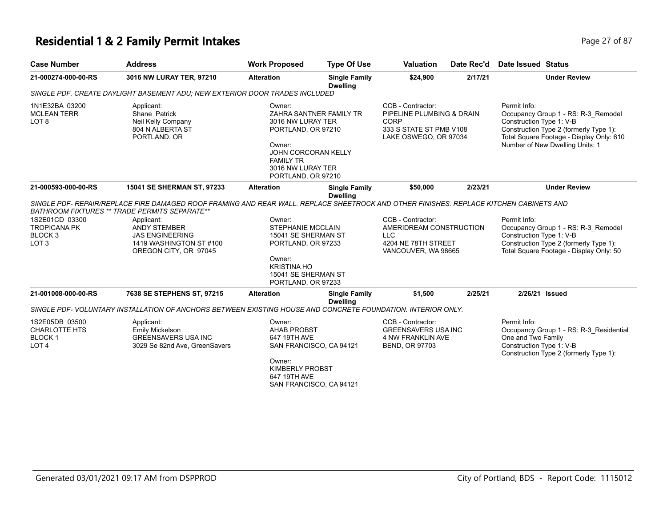#### **Residential 1 & 2 Family Permit Intakes Page 27 of 87 Page 27 of 87**

| <b>Case Number</b>                                                              | <b>Address</b>                                                                                                                                                                                 | <b>Work Proposed</b>                                                                                                                                     | <b>Type Of Use</b>                      | <b>Valuation</b>                                                                                                  | Date Rec'd | <b>Date Issued Status</b>                                                                                                                                                                                |
|---------------------------------------------------------------------------------|------------------------------------------------------------------------------------------------------------------------------------------------------------------------------------------------|----------------------------------------------------------------------------------------------------------------------------------------------------------|-----------------------------------------|-------------------------------------------------------------------------------------------------------------------|------------|----------------------------------------------------------------------------------------------------------------------------------------------------------------------------------------------------------|
| 21-000274-000-00-RS                                                             | 3016 NW LURAY TER, 97210                                                                                                                                                                       | <b>Alteration</b>                                                                                                                                        | <b>Single Family</b><br><b>Dwelling</b> | \$24,900                                                                                                          | 2/17/21    | <b>Under Review</b>                                                                                                                                                                                      |
|                                                                                 | SINGLE PDF, CREATE DAYLIGHT BASEMENT ADU: NEW EXTERIOR DOOR TRADES INCLUDED                                                                                                                    |                                                                                                                                                          |                                         |                                                                                                                   |            |                                                                                                                                                                                                          |
| 1N1E32BA 03200<br><b>MCLEAN TERR</b><br>LOT <sub>8</sub>                        | Applicant:<br>Shane Patrick<br>Neil Kelly Company<br>804 N ALBERTA ST<br>PORTLAND, OR                                                                                                          | Owner:<br>3016 NW LURAY TER<br>PORTLAND, OR 97210<br>Owner:<br><b>JOHN CORCORAN KELLY</b><br><b>FAMILY TR</b><br>3016 NW LURAY TER<br>PORTLAND, OR 97210 | ZAHRA SANTNER FAMILY TR                 | CCB - Contractor:<br>PIPELINE PLUMBING & DRAIN<br><b>CORP</b><br>333 S STATE ST PMB V108<br>LAKE OSWEGO, OR 97034 |            | Permit Info:<br>Occupancy Group 1 - RS: R-3 Remodel<br>Construction Type 1: V-B<br>Construction Type 2 (formerly Type 1):<br>Total Square Footage - Display Only: 610<br>Number of New Dwelling Units: 1 |
| 21-000593-000-00-RS                                                             | 15041 SE SHERMAN ST, 97233                                                                                                                                                                     | <b>Alteration</b>                                                                                                                                        | <b>Single Family</b><br><b>Dwelling</b> | \$50,000                                                                                                          | 2/23/21    | <b>Under Review</b>                                                                                                                                                                                      |
|                                                                                 | SINGLE PDF- REPAIR/REPLACE FIRE DAMAGED ROOF FRAMING AND REAR WALL. REPLACE SHEETROCK AND OTHER FINISHES. REPLACE KITCHEN CABINETS AND<br><b>BATHROOM FIXTURES ** TRADE PERMITS SEPARATE**</b> |                                                                                                                                                          |                                         |                                                                                                                   |            |                                                                                                                                                                                                          |
| 1S2E01CD 03300<br><b>TROPICANA PK</b><br>BLOCK <sub>3</sub><br>LOT <sub>3</sub> | Applicant:<br><b>ANDY STEMBER</b><br><b>JAS ENGINEERING</b><br>1419 WASHINGTON ST #100<br>OREGON CITY, OR 97045                                                                                | Owner:<br><b>STEPHANIE MCCLAIN</b><br>15041 SE SHERMAN ST<br>PORTLAND, OR 97233<br>Owner:<br><b>KRISTINA HO</b>                                          |                                         | CCB - Contractor:<br>AMERIDREAM CONSTRUCTION<br>LLC<br>4204 NE 78TH STREET<br>VANCOUVER, WA 98665                 |            | Permit Info:<br>Occupancy Group 1 - RS: R-3 Remodel<br>Construction Type 1: V-B<br>Construction Type 2 (formerly Type 1):<br>Total Square Footage - Display Only: 50                                     |
|                                                                                 |                                                                                                                                                                                                | 15041 SE SHERMAN ST<br>PORTLAND, OR 97233                                                                                                                |                                         |                                                                                                                   |            |                                                                                                                                                                                                          |
| 21-001008-000-00-RS                                                             | 7638 SE STEPHENS ST, 97215                                                                                                                                                                     | <b>Alteration</b>                                                                                                                                        | <b>Single Family</b><br><b>Dwelling</b> | \$1.500                                                                                                           | 2/25/21    | 2/26/21 Issued                                                                                                                                                                                           |
|                                                                                 | SINGLE PDF- VOLUNTARY INSTALLATION OF ANCHORS BETWEEN EXISTING HOUSE AND CONCRETE FOUNDATION. INTERIOR ONLY.                                                                                   |                                                                                                                                                          |                                         |                                                                                                                   |            |                                                                                                                                                                                                          |
| 1S2E05DB 03500<br><b>CHARLOTTE HTS</b><br><b>BLOCK1</b><br>LOT <sub>4</sub>     | Applicant:<br>Emily Mickelson<br><b>GREENSAVERS USA INC</b><br>3029 Se 82nd Ave, GreenSavers                                                                                                   | Owner:<br><b>AHAB PROBST</b><br>647 19TH AVE<br>SAN FRANCISCO, CA 94121<br>Owner:                                                                        |                                         | CCB - Contractor:<br>GREENSAVERS USA INC<br><b>4 NW FRANKLIN AVE</b><br><b>BEND, OR 97703</b>                     |            | Permit Info:<br>Occupancy Group 1 - RS: R-3 Residential<br>One and Two Family<br>Construction Type 1: V-B<br>Construction Type 2 (formerly Type 1):                                                      |
|                                                                                 |                                                                                                                                                                                                | <b>KIMBERLY PROBST</b><br>647 19TH AVE                                                                                                                   |                                         |                                                                                                                   |            |                                                                                                                                                                                                          |

SAN FRANCISCO, CA 94121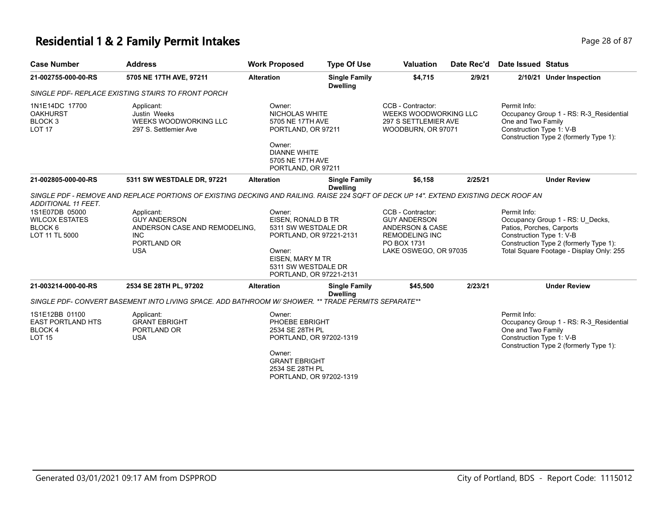## **Residential 1 & 2 Family Permit Intakes Page 18 of 87** Page 28 of 87

| <b>Case Number</b>                                                                                     | <b>Address</b>                                                                                                                                                                                                                                   | <b>Work Proposed</b>                                                                                                                                           | <b>Type Of Use</b>                      | <b>Valuation</b>                                                                                                             | Date Rec'd | Date Issued Status                                                    |                                                                                                                        |
|--------------------------------------------------------------------------------------------------------|--------------------------------------------------------------------------------------------------------------------------------------------------------------------------------------------------------------------------------------------------|----------------------------------------------------------------------------------------------------------------------------------------------------------------|-----------------------------------------|------------------------------------------------------------------------------------------------------------------------------|------------|-----------------------------------------------------------------------|------------------------------------------------------------------------------------------------------------------------|
| 21-002755-000-00-RS                                                                                    | 5705 NE 17TH AVE, 97211                                                                                                                                                                                                                          | <b>Alteration</b>                                                                                                                                              | <b>Single Family</b><br><b>Dwelling</b> | \$4,715                                                                                                                      | 2/9/21     |                                                                       | 2/10/21 Under Inspection                                                                                               |
|                                                                                                        | SINGLE PDF- REPLACE EXISTING STAIRS TO FRONT PORCH                                                                                                                                                                                               |                                                                                                                                                                |                                         |                                                                                                                              |            |                                                                       |                                                                                                                        |
| 1N1E14DC 17700<br><b>OAKHURST</b><br>BLOCK <sub>3</sub><br><b>LOT 17</b>                               | Applicant:<br>Justin Weeks<br>WEEKS WOODWORKING LLC<br>297 S. Settlemier Ave                                                                                                                                                                     | Owner:<br><b>NICHOLAS WHITE</b><br>5705 NE 17TH AVE<br>PORTLAND, OR 97211<br>Owner:<br><b>DIANNE WHITE</b><br>5705 NE 17TH AVE<br>PORTLAND, OR 97211           |                                         | CCB - Contractor:<br>WEEKS WOODWORKING LLC<br>297 S SETTLEMIER AVE<br>WOODBURN, OR 97071                                     |            | Permit Info:<br>One and Two Family<br>Construction Type 1: V-B        | Occupancy Group 1 - RS: R-3 Residential<br>Construction Type 2 (formerly Type 1):                                      |
| 21-002805-000-00-RS                                                                                    | 5311 SW WESTDALE DR, 97221                                                                                                                                                                                                                       | <b>Alteration</b>                                                                                                                                              | <b>Single Family</b>                    | \$6,158                                                                                                                      | 2/25/21    |                                                                       | <b>Under Review</b>                                                                                                    |
| ADDITIONAL 11 FEET.<br>1S1E07DB 05000<br><b>WILCOX ESTATES</b><br>BLOCK <sub>6</sub><br>LOT 11 TL 5000 | SINGLE PDF - REMOVE AND REPLACE PORTIONS OF EXISTING DECKING AND RAILING. RAISE 224 SQFT OF DECK UP 14". EXTEND EXISTING DECK ROOF AN<br>Applicant:<br><b>GUY ANDERSON</b><br>ANDERSON CASE AND REMODELING.<br>INC.<br>PORTLAND OR<br><b>USA</b> | Owner:<br>EISEN, RONALD B TR<br>5311 SW WESTDALE DR<br>PORTLAND, OR 97221-2131<br>Owner:<br>EISEN, MARY M TR<br>5311 SW WESTDALE DR<br>PORTLAND, OR 97221-2131 | <b>Dwelling</b>                         | CCB - Contractor:<br><b>GUY ANDERSON</b><br>ANDERSON & CASE<br><b>REMODELING INC</b><br>PO BOX 1731<br>LAKE OSWEGO, OR 97035 |            | Permit Info:<br>Patios, Porches, Carports<br>Construction Type 1: V-B | Occupancy Group 1 - RS: U_Decks,<br>Construction Type 2 (formerly Type 1):<br>Total Square Footage - Display Only: 255 |
| 21-003214-000-00-RS                                                                                    | 2534 SE 28TH PL, 97202                                                                                                                                                                                                                           | <b>Alteration</b>                                                                                                                                              | <b>Single Family</b><br><b>Dwelling</b> | \$45,500                                                                                                                     | 2/23/21    |                                                                       | <b>Under Review</b>                                                                                                    |
|                                                                                                        | SINGLE PDF- CONVERT BASEMENT INTO LIVING SPACE. ADD BATHROOM W/ SHOWER. ** TRADE PERMITS SEPARATE**                                                                                                                                              |                                                                                                                                                                |                                         |                                                                                                                              |            |                                                                       |                                                                                                                        |
| 1S1E12BB 01100<br><b>EAST PORTLAND HTS</b><br>BLOCK <sub>4</sub><br><b>LOT 15</b>                      | Applicant:<br><b>GRANT EBRIGHT</b><br>PORTLAND OR<br><b>USA</b>                                                                                                                                                                                  | Owner:<br>PHOEBE EBRIGHT<br>2534 SE 28TH PL<br>PORTLAND, OR 97202-1319<br>Owner:<br><b>GRANT EBRIGHT</b><br>2534 SE 28TH PL<br>PORTLAND, OR 97202-1319         |                                         |                                                                                                                              |            | Permit Info:<br>One and Two Family<br>Construction Type 1: V-B        | Occupancy Group 1 - RS: R-3 Residential<br>Construction Type 2 (formerly Type 1):                                      |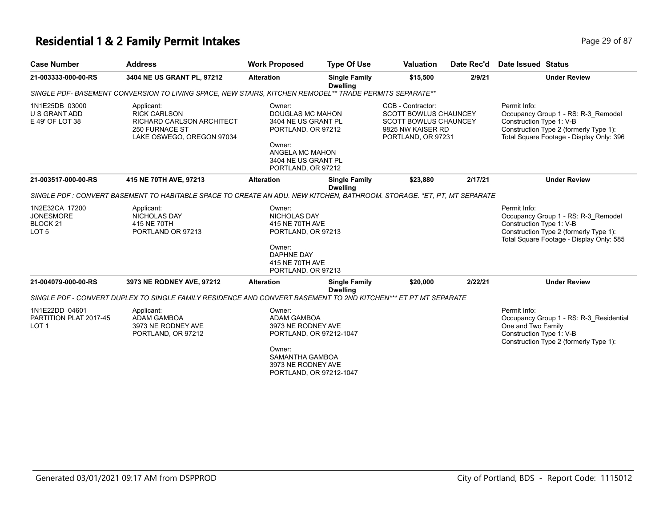## **Residential 1 & 2 Family Permit Intakes Page 19 of 87** Page 29 of 87

| <b>Case Number</b>                                                            | <b>Address</b>                                                                                                          | <b>Work Proposed</b>                                                                                                                                     | <b>Type Of Use</b>                      | <b>Valuation</b>                                                                                                             | Date Rec'd | Date Issued Status                                                                                                                                                    |
|-------------------------------------------------------------------------------|-------------------------------------------------------------------------------------------------------------------------|----------------------------------------------------------------------------------------------------------------------------------------------------------|-----------------------------------------|------------------------------------------------------------------------------------------------------------------------------|------------|-----------------------------------------------------------------------------------------------------------------------------------------------------------------------|
| 21-003333-000-00-RS                                                           | 3404 NE US GRANT PL, 97212                                                                                              | <b>Alteration</b>                                                                                                                                        | <b>Single Family</b><br><b>Dwelling</b> | \$15,500                                                                                                                     | 2/9/21     | <b>Under Review</b>                                                                                                                                                   |
|                                                                               | SINGLE PDF- BASEMENT CONVERSION TO LIVING SPACE, NEW STAIRS, KITCHEN REMODEL** TRADE PERMITS SEPARATE**                 |                                                                                                                                                          |                                         |                                                                                                                              |            |                                                                                                                                                                       |
| 1N1E25DB 03000<br>U S GRANT ADD<br>E 49' OF LOT 38                            | Applicant:<br><b>RICK CARLSON</b><br>RICHARD CARLSON ARCHITECT<br><b>250 FURNACE ST</b><br>LAKE OSWEGO, OREGON 97034    | Owner:<br><b>DOUGLAS MC MAHON</b><br>3404 NE US GRANT PL<br>PORTLAND, OR 97212<br>Owner:<br>ANGELA MC MAHON<br>3404 NE US GRANT PL<br>PORTLAND, OR 97212 |                                         | CCB - Contractor:<br><b>SCOTT BOWLUS CHAUNCEY</b><br><b>SCOTT BOWLUS CHAUNCEY</b><br>9825 NW KAISER RD<br>PORTLAND, OR 97231 |            | Permit Info:<br>Occupancy Group 1 - RS: R-3 Remodel<br>Construction Type 1: V-B<br>Construction Type 2 (formerly Type 1):<br>Total Square Footage - Display Only: 396 |
| 21-003517-000-00-RS                                                           | 415 NE 70TH AVE, 97213                                                                                                  | <b>Alteration</b>                                                                                                                                        | <b>Single Family</b><br><b>Dwelling</b> | \$23,880                                                                                                                     | 2/17/21    | <b>Under Review</b>                                                                                                                                                   |
|                                                                               | SINGLE PDF : CONVERT BASEMENT TO HABITABLE SPACE TO CREATE AN ADU. NEW KITCHEN, BATHROOM. STORAGE. *ET, PT, MT SEPARATE |                                                                                                                                                          |                                         |                                                                                                                              |            |                                                                                                                                                                       |
| 1N2E32CA 17200<br><b>JONESMORE</b><br>BLOCK <sub>21</sub><br>LOT <sub>5</sub> | Applicant:<br>NICHOLAS DAY<br>415 NE 70TH<br>PORTLAND OR 97213                                                          | Owner:<br><b>NICHOLAS DAY</b><br>415 NE 70TH AVE<br>PORTLAND, OR 97213<br>Owner:<br><b>DAPHNE DAY</b><br>415 NE 70TH AVE                                 |                                         |                                                                                                                              |            | Permit Info:<br>Occupancy Group 1 - RS: R-3_Remodel<br>Construction Type 1: V-B<br>Construction Type 2 (formerly Type 1):<br>Total Square Footage - Display Only: 585 |
|                                                                               |                                                                                                                         | PORTLAND, OR 97213                                                                                                                                       |                                         |                                                                                                                              |            |                                                                                                                                                                       |
| 21-004079-000-00-RS                                                           | 3973 NE RODNEY AVE, 97212                                                                                               | <b>Alteration</b>                                                                                                                                        | <b>Single Family</b><br><b>Dwelling</b> | \$20,000                                                                                                                     | 2/22/21    | <b>Under Review</b>                                                                                                                                                   |
|                                                                               | SINGLE PDF - CONVERT DUPLEX TO SINGLE FAMILY RESIDENCE AND CONVERT BASEMENT TO 2ND KITCHEN*** ET PT MT SEPARATE         |                                                                                                                                                          |                                         |                                                                                                                              |            |                                                                                                                                                                       |
| 1N1E22DD 04601<br>PARTITION PLAT 2017-45<br>LOT <sub>1</sub>                  | Applicant:<br><b>ADAM GAMBOA</b><br>3973 NE RODNEY AVE<br>PORTLAND, OR 97212                                            | Owner:<br><b>ADAM GAMBOA</b><br>3973 NE RODNEY AVE<br>PORTLAND, OR 97212-1047                                                                            |                                         |                                                                                                                              |            | Permit Info:<br>Occupancy Group 1 - RS: R-3 Residential<br>One and Two Family<br>Construction Type 1: V-B<br>Construction Type 2 (formerly Type 1):                   |
|                                                                               |                                                                                                                         | Owner:<br>SAMANTHA GAMBOA<br>3973 NE RODNEY AVE<br>PORTLAND, OR 97212-1047                                                                               |                                         |                                                                                                                              |            |                                                                                                                                                                       |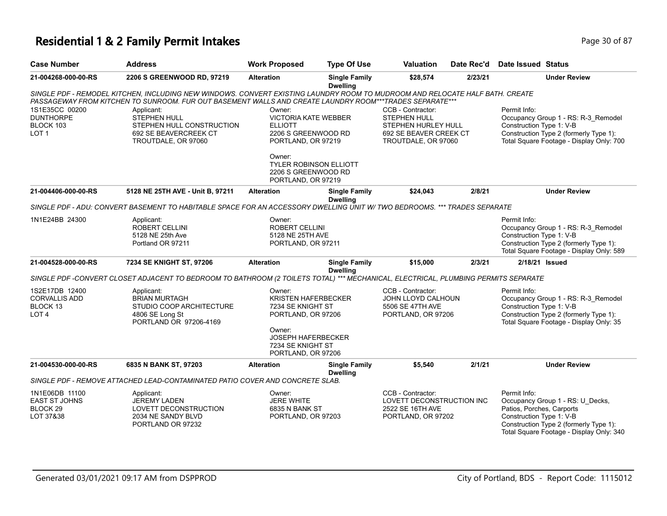# **Residential 1 & 2 Family Permit Intakes Page 10 of 87** Page 30 of 87

| <b>Case Number</b>                                                         | <b>Address</b>                                                                                                                                                                                                                          | <b>Work Proposed</b>                                                                                                                                              | <b>Type Of Use</b>                      | <b>Valuation</b>                                                                                          | Date Rec'd | <b>Date Issued Status</b>                                                                                                                                                                       |
|----------------------------------------------------------------------------|-----------------------------------------------------------------------------------------------------------------------------------------------------------------------------------------------------------------------------------------|-------------------------------------------------------------------------------------------------------------------------------------------------------------------|-----------------------------------------|-----------------------------------------------------------------------------------------------------------|------------|-------------------------------------------------------------------------------------------------------------------------------------------------------------------------------------------------|
| 21-004268-000-00-RS                                                        | 2206 S GREENWOOD RD, 97219                                                                                                                                                                                                              | <b>Alteration</b>                                                                                                                                                 | <b>Single Family</b><br><b>Dwelling</b> | \$28,574                                                                                                  | 2/23/21    | <b>Under Review</b>                                                                                                                                                                             |
|                                                                            | SINGLE PDF - REMODEL KITCHEN, INCLUDING NEW WINDOWS. CONVERT EXISTING LAUNDRY ROOM TO MUDROOM AND RELOCATE HALF BATH. CREATE<br>PASSAGEWAY FROM KITCHEN TO SUNROOM. FUR OUT BASEMENT WALLS AND CREATE LAUNDRY ROOM***TRADES SEPARATE*** |                                                                                                                                                                   |                                         |                                                                                                           |            |                                                                                                                                                                                                 |
| 1S1E35CC 00200<br><b>DUNTHORPE</b><br>BLOCK 103<br>LOT <sub>1</sub>        | Applicant:<br><b>STEPHEN HULL</b><br>STEPHEN HULL CONSTRUCTION<br>692 SE BEAVERCREEK CT<br>TROUTDALE, OR 97060                                                                                                                          | Owner:<br><b>VICTORIA KATE WEBBER</b><br><b>ELLIOTT</b><br>2206 S GREENWOOD RD<br>PORTLAND, OR 97219                                                              |                                         | CCB - Contractor:<br>STEPHEN HULL<br>STEPHEN HURLEY HULL<br>692 SE BEAVER CREEK CT<br>TROUTDALE, OR 97060 |            | Permit Info:<br>Occupancy Group 1 - RS: R-3_Remodel<br>Construction Type 1: V-B<br>Construction Type 2 (formerly Type 1):<br>Total Square Footage - Display Only: 700                           |
|                                                                            |                                                                                                                                                                                                                                         | Owner:<br><b>TYLER ROBINSON ELLIOTT</b><br>2206 S GREENWOOD RD<br>PORTLAND, OR 97219                                                                              |                                         |                                                                                                           |            |                                                                                                                                                                                                 |
| 21-004406-000-00-RS                                                        | 5128 NE 25TH AVE - Unit B, 97211                                                                                                                                                                                                        | <b>Alteration</b>                                                                                                                                                 | <b>Single Family</b><br><b>Dwelling</b> | \$24,043                                                                                                  | 2/8/21     | <b>Under Review</b>                                                                                                                                                                             |
|                                                                            | SINGLE PDF - ADU: CONVERT BASEMENT TO HABITABLE SPACE FOR AN ACCESSORY DWELLING UNIT W/ TWO BEDROOMS. *** TRADES SEPARATE                                                                                                               |                                                                                                                                                                   |                                         |                                                                                                           |            |                                                                                                                                                                                                 |
| 1N1E24BB 24300                                                             | Applicant:<br><b>ROBERT CELLINI</b><br>5128 NE 25th Ave<br>Portland OR 97211                                                                                                                                                            | Owner:<br><b>ROBERT CELLINI</b><br>5128 NE 25TH AVE<br>PORTLAND, OR 97211                                                                                         |                                         |                                                                                                           |            | Permit Info:<br>Occupancy Group 1 - RS: R-3_Remodel<br>Construction Type 1: V-B<br>Construction Type 2 (formerly Type 1):<br>Total Square Footage - Display Only: 589                           |
| 21-004528-000-00-RS                                                        | 7234 SE KNIGHT ST, 97206                                                                                                                                                                                                                | <b>Alteration</b>                                                                                                                                                 | <b>Single Family</b><br><b>Dwelling</b> | \$15,000                                                                                                  | 2/3/21     | 2/18/21 Issued                                                                                                                                                                                  |
|                                                                            | SINGLE PDF -CONVERT CLOSET ADJACENT TO BEDROOM TO BATHROOM (2 TOILETS TOTAL) *** MECHANICAL, ELECTRICAL, PLUMBING PERMITS SEPARATE                                                                                                      |                                                                                                                                                                   |                                         |                                                                                                           |            |                                                                                                                                                                                                 |
| 1S2E17DB 12400<br><b>CORVALLIS ADD</b><br>BLOCK 13<br>LOT <sub>4</sub>     | Applicant:<br><b>BRIAN MURTAGH</b><br>STUDIO COOP ARCHITECTURE<br>4806 SE Long St<br>PORTLAND OR 97206-4169                                                                                                                             | Owner:<br><b>KRISTEN HAFERBECKER</b><br>7234 SE KNIGHT ST<br>PORTLAND, OR 97206<br>Owner:<br><b>JOSEPH HAFERBECKER</b><br>7234 SE KNIGHT ST<br>PORTLAND, OR 97206 |                                         | CCB - Contractor:<br>JOHN LLOYD CALHOUN<br>5506 SE 47TH AVE<br>PORTLAND, OR 97206                         |            | Permit Info:<br>Occupancy Group 1 - RS: R-3_Remodel<br>Construction Type 1: V-B<br>Construction Type 2 (formerly Type 1):<br>Total Square Footage - Display Only: 35                            |
| 21-004530-000-00-RS                                                        | 6835 N BANK ST, 97203                                                                                                                                                                                                                   | <b>Alteration</b>                                                                                                                                                 | <b>Single Family</b><br><b>Dwelling</b> | \$5,540                                                                                                   | 2/1/21     | <b>Under Review</b>                                                                                                                                                                             |
|                                                                            | SINGLE PDF - REMOVE ATTACHED LEAD-CONTAMINATED PATIO COVER AND CONCRETE SLAB.                                                                                                                                                           |                                                                                                                                                                   |                                         |                                                                                                           |            |                                                                                                                                                                                                 |
| 1N1E06DB 11100<br><b>EAST ST JOHNS</b><br>BLOCK <sub>29</sub><br>LOT 37&38 | Applicant:<br><b>JEREMY LADEN</b><br>LOVETT DECONSTRUCTION<br>2034 NE SANDY BLVD<br>PORTLAND OR 97232                                                                                                                                   | Owner:<br><b>JERE WHITE</b><br>6835 N BANK ST<br>PORTLAND, OR 97203                                                                                               |                                         | CCB - Contractor:<br>LOVETT DECONSTRUCTION INC<br>2522 SE 16TH AVE<br>PORTLAND, OR 97202                  |            | Permit Info:<br>Occupancy Group 1 - RS: U_Decks,<br>Patios, Porches, Carports<br>Construction Type 1: V-B<br>Construction Type 2 (formerly Type 1):<br>Total Square Footage - Display Only: 340 |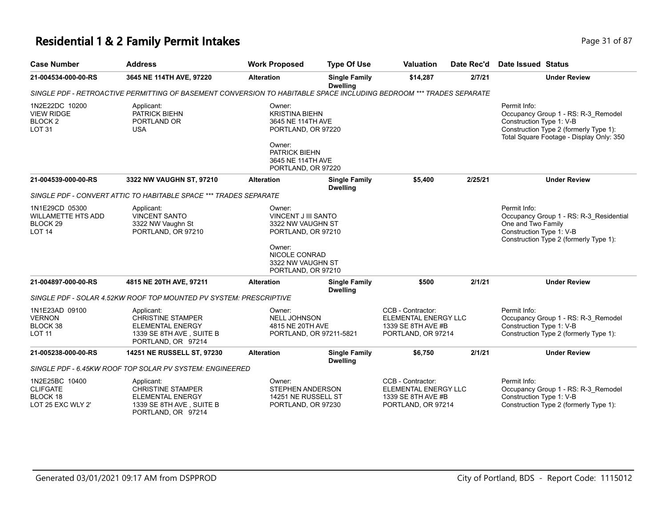## **Residential 1 & 2 Family Permit Intakes Page 11 of 87** Page 31 of 87

| <b>Case Number</b>                                                                      | <b>Address</b>                                                                                                      | <b>Work Proposed</b>                                                                                                                             | <b>Type Of Use</b>                      | <b>Valuation</b>                                                                      | Date Rec'd | <b>Date Issued Status</b>                                                                                                                                             |
|-----------------------------------------------------------------------------------------|---------------------------------------------------------------------------------------------------------------------|--------------------------------------------------------------------------------------------------------------------------------------------------|-----------------------------------------|---------------------------------------------------------------------------------------|------------|-----------------------------------------------------------------------------------------------------------------------------------------------------------------------|
| 21-004534-000-00-RS                                                                     | 3645 NE 114TH AVE, 97220                                                                                            | <b>Alteration</b>                                                                                                                                | <b>Single Family</b><br><b>Dwelling</b> | \$14,287                                                                              | 2/7/21     | <b>Under Review</b>                                                                                                                                                   |
|                                                                                         | SINGLE PDF - RETROACTIVE PERMITTING OF BASEMENT CONVERSION TO HABITABLE SPACE INCLUDING BEDROOM *** TRADES SEPARATE |                                                                                                                                                  |                                         |                                                                                       |            |                                                                                                                                                                       |
| 1N2E22DC 10200<br><b>VIEW RIDGE</b><br>BLOCK <sub>2</sub><br><b>LOT 31</b>              | Applicant:<br>PATRICK BIEHN<br>PORTLAND OR<br><b>USA</b>                                                            | Owner:<br><b>KRISTINA BIEHN</b><br>3645 NE 114TH AVE<br>PORTLAND, OR 97220<br>Owner:<br>PATRICK BIEHN<br>3645 NE 114TH AVE<br>PORTLAND, OR 97220 |                                         |                                                                                       |            | Permit Info:<br>Occupancy Group 1 - RS: R-3_Remodel<br>Construction Type 1: V-B<br>Construction Type 2 (formerly Type 1):<br>Total Square Footage - Display Only: 350 |
| 21-004539-000-00-RS                                                                     | 3322 NW VAUGHN ST, 97210                                                                                            | <b>Alteration</b>                                                                                                                                | <b>Single Family</b><br><b>Dwelling</b> | \$5,400                                                                               | 2/25/21    | <b>Under Review</b>                                                                                                                                                   |
|                                                                                         | SINGLE PDF - CONVERT ATTIC TO HABITABLE SPACE *** TRADES SEPARATE                                                   |                                                                                                                                                  |                                         |                                                                                       |            |                                                                                                                                                                       |
| 1N1E29CD 05300<br><b>WILLAMETTE HTS ADD</b><br>BLOCK <sub>29</sub><br>LOT <sub>14</sub> | Applicant:<br><b>VINCENT SANTO</b><br>3322 NW Vaughn St<br>PORTLAND, OR 97210                                       | Owner:<br><b>VINCENT J III SANTO</b><br>3322 NW VAUGHN ST<br>PORTLAND, OR 97210<br>Owner:<br>NICOLE CONRAD                                       |                                         |                                                                                       |            | Permit Info:<br>Occupancy Group 1 - RS: R-3_Residential<br>One and Two Family<br>Construction Type 1: V-B<br>Construction Type 2 (formerly Type 1):                   |
|                                                                                         |                                                                                                                     | 3322 NW VAUGHN ST<br>PORTLAND, OR 97210                                                                                                          |                                         |                                                                                       |            |                                                                                                                                                                       |
| 21-004897-000-00-RS                                                                     | 4815 NE 20TH AVE, 97211                                                                                             | <b>Alteration</b>                                                                                                                                | <b>Single Family</b><br><b>Dwelling</b> | \$500                                                                                 | 2/1/21     | <b>Under Review</b>                                                                                                                                                   |
|                                                                                         | SINGLE PDF - SOLAR 4.52KW ROOF TOP MOUNTED PV SYSTEM: PRESCRIPTIVE                                                  |                                                                                                                                                  |                                         |                                                                                       |            |                                                                                                                                                                       |
| 1N1E23AD 09100<br><b>VERNON</b><br>BLOCK 38<br><b>LOT 11</b>                            | Applicant:<br><b>CHRISTINE STAMPER</b><br><b>ELEMENTAL ENERGY</b><br>1339 SE 8TH AVE, SUITE B<br>PORTLAND, OR 97214 | Owner:<br><b>NELL JOHNSON</b><br>4815 NE 20TH AVE                                                                                                | PORTLAND, OR 97211-5821                 | CCB - Contractor:<br>ELEMENTAL ENERGY LLC<br>1339 SE 8TH AVE #B<br>PORTLAND, OR 97214 |            | Permit Info:<br>Occupancy Group 1 - RS: R-3_Remodel<br>Construction Type 1: V-B<br>Construction Type 2 (formerly Type 1):                                             |
| 21-005238-000-00-RS                                                                     | 14251 NE RUSSELL ST, 97230                                                                                          | <b>Alteration</b>                                                                                                                                | <b>Single Family</b><br><b>Dwelling</b> | \$6,750                                                                               | 2/1/21     | <b>Under Review</b>                                                                                                                                                   |
|                                                                                         | SINGLE PDF - 6.45KW ROOF TOP SOLAR PV SYSTEM: ENGINEERED                                                            |                                                                                                                                                  |                                         |                                                                                       |            |                                                                                                                                                                       |
| 1N2E25BC 10400<br><b>CLIFGATE</b><br><b>BLOCK 18</b><br>LOT 25 EXC WLY 2'               | Applicant:<br>CHRISTINE STAMPER<br><b>ELEMENTAL ENERGY</b><br>1339 SE 8TH AVE, SUITE B<br>PORTLAND, OR 97214        | Owner:<br>STEPHEN ANDERSON<br>14251 NE RUSSELL ST<br>PORTLAND, OR 97230                                                                          |                                         | CCB - Contractor:<br>ELEMENTAL ENERGY LLC<br>1339 SE 8TH AVE #B<br>PORTLAND, OR 97214 |            | Permit Info:<br>Occupancy Group 1 - RS: R-3_Remodel<br>Construction Type 1: V-B<br>Construction Type 2 (formerly Type 1):                                             |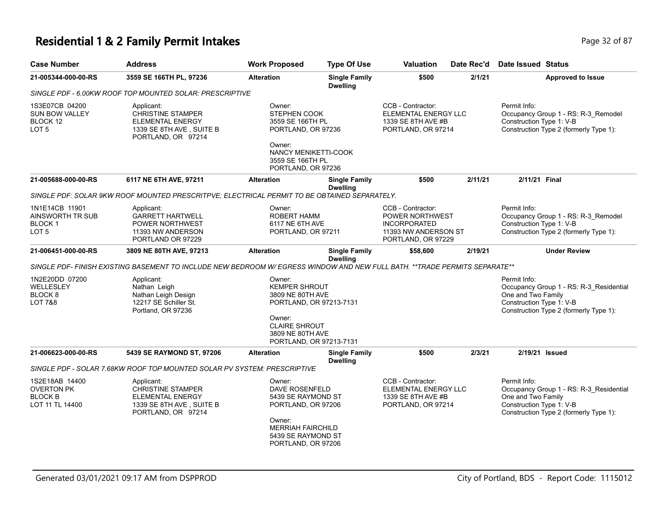## **Residential 1 & 2 Family Permit Intakes Page 12 of 87 Page 32 of 87**

| <b>Case Number</b>                                                       | <b>Address</b>                                                                                                             | <b>Work Proposed</b>                                                                                       | <b>Type Of Use</b>                      | <b>Valuation</b>                                                                                          | Date Rec'd | Date Issued Status                                                                                                                                  |
|--------------------------------------------------------------------------|----------------------------------------------------------------------------------------------------------------------------|------------------------------------------------------------------------------------------------------------|-----------------------------------------|-----------------------------------------------------------------------------------------------------------|------------|-----------------------------------------------------------------------------------------------------------------------------------------------------|
| 21-005344-000-00-RS                                                      | 3559 SE 166TH PL, 97236                                                                                                    | <b>Alteration</b>                                                                                          | <b>Single Family</b><br><b>Dwelling</b> | \$500                                                                                                     | 2/1/21     | <b>Approved to Issue</b>                                                                                                                            |
|                                                                          | SINGLE PDF - 6.00KW ROOF TOP MOUNTED SOLAR: PRESCRIPTIVE                                                                   |                                                                                                            |                                         |                                                                                                           |            |                                                                                                                                                     |
| 1S3E07CB 04200<br><b>SUN BOW VALLEY</b><br>BLOCK 12<br>LOT <sub>5</sub>  | Applicant:<br><b>CHRISTINE STAMPER</b><br><b>ELEMENTAL ENERGY</b><br>1339 SE 8TH AVE, SUITE B<br>PORTLAND, OR 97214        | Owner:<br><b>STEPHEN COOK</b><br>3559 SE 166TH PL<br>PORTLAND, OR 97236<br>Owner:                          |                                         | CCB - Contractor:<br>ELEMENTAL ENERGY LLC<br>1339 SE 8TH AVE #B<br>PORTLAND, OR 97214                     |            | Permit Info:<br>Occupancy Group 1 - RS: R-3_Remodel<br>Construction Type 1: V-B<br>Construction Type 2 (formerly Type 1):                           |
|                                                                          |                                                                                                                            | NANCY MENIKETTI-COOK<br>3559 SE 166TH PL<br>PORTLAND, OR 97236                                             |                                         |                                                                                                           |            |                                                                                                                                                     |
| 21-005688-000-00-RS                                                      | 6117 NE 6TH AVE, 97211                                                                                                     | <b>Alteration</b>                                                                                          | <b>Single Family</b><br><b>Dwelling</b> | \$500                                                                                                     | 2/11/21    | 2/11/21 Final                                                                                                                                       |
|                                                                          | SINGLE PDF: SOLAR 9KW ROOF MOUNTED PRESCRITPVE; ELECTRICAL PERMIT TO BE OBTAINED SEPARATELY.                               |                                                                                                            |                                         |                                                                                                           |            |                                                                                                                                                     |
| 1N1E14CB 11901<br>AINSWORTH TR SUB<br><b>BLOCK1</b><br>LOT 5             | Applicant:<br><b>GARRETT HARTWELL</b><br>POWER NORTHWEST<br>11393 NW ANDERSON<br>PORTLAND OR 97229                         | Owner:<br>ROBERT HAMM<br>6117 NE 6TH AVE<br>PORTLAND, OR 97211                                             |                                         | CCB - Contractor:<br>POWER NORTHWEST<br><b>INCORPORATED</b><br>11393 NW ANDERSON ST<br>PORTLAND, OR 97229 |            | Permit Info:<br>Occupancy Group 1 - RS: R-3_Remodel<br>Construction Type 1: V-B<br>Construction Type 2 (formerly Type 1):                           |
| 21-006451-000-00-RS                                                      | 3809 NE 80TH AVE, 97213                                                                                                    | <b>Alteration</b>                                                                                          | <b>Single Family</b><br><b>Dwelling</b> | \$58,600                                                                                                  | 2/19/21    | <b>Under Review</b>                                                                                                                                 |
|                                                                          | SINGLE PDF- FINISH EXISTING BASEMENT TO INCLUDE NEW BEDROOM W/ EGRESS WINDOW AND NEW FULL BATH. **TRADE PERMITS SEPARATE** |                                                                                                            |                                         |                                                                                                           |            |                                                                                                                                                     |
| 1N2E20DD 07200<br>WELLESLEY<br>BLOCK <sub>8</sub><br>LOT 7&8             | Applicant:<br>Nathan Leigh<br>Nathan Leigh Design<br>12217 SE Schiller St.<br>Portland, OR 97236                           | Owner:<br>KEMPER SHROUT<br>3809 NE 80TH AVE<br>PORTLAND, OR 97213-7131<br>Owner:                           |                                         |                                                                                                           |            | Permit Info:<br>Occupancy Group 1 - RS: R-3 Residential<br>One and Two Family<br>Construction Type 1: V-B<br>Construction Type 2 (formerly Type 1): |
|                                                                          |                                                                                                                            | <b>CLAIRE SHROUT</b><br>3809 NE 80TH AVE<br>PORTLAND, OR 97213-7131                                        |                                         |                                                                                                           |            |                                                                                                                                                     |
| 21-006623-000-00-RS                                                      | 5439 SE RAYMOND ST, 97206                                                                                                  | <b>Alteration</b>                                                                                          | <b>Single Family</b><br><b>Dwelling</b> | \$500                                                                                                     | 2/3/21     | 2/19/21 Issued                                                                                                                                      |
|                                                                          | SINGLE PDF - SOLAR 7.68KW ROOF TOP MOUNTED SOLAR PV SYSTEM: PRESCRIPTIVE                                                   |                                                                                                            |                                         |                                                                                                           |            |                                                                                                                                                     |
| 1S2E18AB 14400<br><b>OVERTON PK</b><br><b>BLOCK B</b><br>LOT 11 TL 14400 | Applicant:<br><b>CHRISTINE STAMPER</b><br><b>ELEMENTAL ENERGY</b><br>1339 SE 8TH AVE, SUITE B<br>PORTLAND, OR 97214        | Owner:<br>DAVE ROSENFELD<br>5439 SE RAYMOND ST<br>PORTLAND, OR 97206<br>Owner:<br><b>MERRIAH FAIRCHILD</b> |                                         | CCB - Contractor:<br>ELEMENTAL ENERGY LLC<br>1339 SE 8TH AVE #B<br>PORTLAND, OR 97214                     |            | Permit Info:<br>Occupancy Group 1 - RS: R-3_Residential<br>One and Two Family<br>Construction Type 1: V-B<br>Construction Type 2 (formerly Type 1): |
|                                                                          |                                                                                                                            | 5439 SE RAYMOND ST<br>PORTLAND, OR 97206                                                                   |                                         |                                                                                                           |            |                                                                                                                                                     |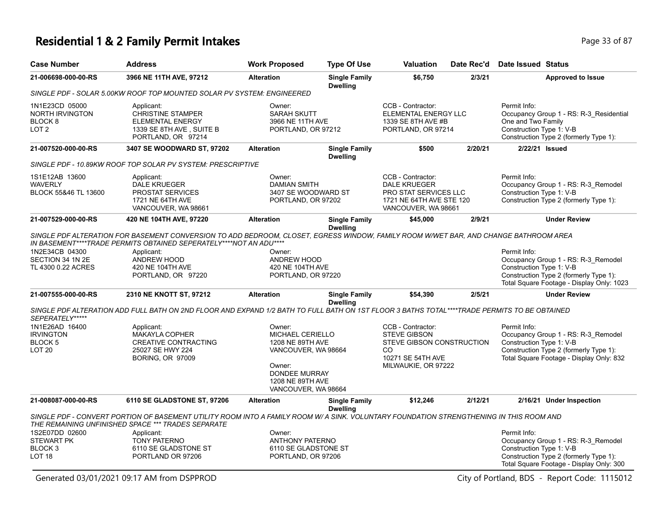# **Residential 1 & 2 Family Permit Intakes Page 13 of 87** Page 33 of 87

| <b>Case Number</b>                                                                 | <b>Address</b>                                                                                                                                                                                             | <b>Work Proposed</b>                                                                                                                        | <b>Type Of Use</b>                      | <b>Valuation</b>                                                                                                         | Date Rec'd | Date Issued Status                                                                                                                                                     |
|------------------------------------------------------------------------------------|------------------------------------------------------------------------------------------------------------------------------------------------------------------------------------------------------------|---------------------------------------------------------------------------------------------------------------------------------------------|-----------------------------------------|--------------------------------------------------------------------------------------------------------------------------|------------|------------------------------------------------------------------------------------------------------------------------------------------------------------------------|
| 21-006698-000-00-RS                                                                | 3966 NE 11TH AVE, 97212                                                                                                                                                                                    | <b>Alteration</b>                                                                                                                           | <b>Single Family</b><br><b>Dwelling</b> | \$6.750                                                                                                                  | 2/3/21     | <b>Approved to Issue</b>                                                                                                                                               |
|                                                                                    | SINGLE PDF - SOLAR 5.00KW ROOF TOP MOUNTED SOLAR PV SYSTEM: ENGINEERED                                                                                                                                     |                                                                                                                                             |                                         |                                                                                                                          |            |                                                                                                                                                                        |
| 1N1E23CD 05000<br><b>NORTH IRVINGTON</b><br>BLOCK <sub>8</sub><br>LOT <sub>2</sub> | Applicant:<br><b>CHRISTINE STAMPER</b><br><b>ELEMENTAL ENERGY</b><br>1339 SE 8TH AVE, SUITE B<br>PORTLAND, OR 97214                                                                                        | Owner:<br><b>SARAH SKUTT</b><br>3966 NE 11TH AVE<br>PORTLAND, OR 97212                                                                      |                                         | CCB - Contractor:<br>ELEMENTAL ENERGY LLC<br>1339 SE 8TH AVE #B<br>PORTLAND, OR 97214                                    |            | Permit Info:<br>Occupancy Group 1 - RS: R-3_Residential<br>One and Two Family<br>Construction Type 1: V-B<br>Construction Type 2 (formerly Type 1):                    |
| 21-007520-000-00-RS                                                                | 3407 SE WOODWARD ST, 97202                                                                                                                                                                                 | <b>Alteration</b>                                                                                                                           | <b>Single Family</b><br><b>Dwelling</b> | \$500                                                                                                                    | 2/20/21    | 2/22/21 Issued                                                                                                                                                         |
|                                                                                    | SINGLE PDF - 10.89KW ROOF TOP SOLAR PV SYSTEM: PRESCRIPTIVE                                                                                                                                                |                                                                                                                                             |                                         |                                                                                                                          |            |                                                                                                                                                                        |
| 1S1E12AB 13600<br><b>WAVERLY</b><br>BLOCK 55&46 TL 13600                           | Applicant:<br><b>DALE KRUEGER</b><br><b>PROSTAT SERVICES</b><br>1721 NE 64TH AVE<br>VANCOUVER, WA 98661                                                                                                    | Owner:<br><b>DAMIAN SMITH</b><br>3407 SE WOODWARD ST<br>PORTLAND, OR 97202                                                                  |                                         | CCB - Contractor:<br><b>DALE KRUEGER</b><br>PRO STAT SERVICES LLC<br>1721 NE 64TH AVE STE 120<br>VANCOUVER, WA 98661     |            | Permit Info:<br>Occupancy Group 1 - RS: R-3_Remodel<br>Construction Type 1: V-B<br>Construction Type 2 (formerly Type 1):                                              |
| 21-007529-000-00-RS                                                                | 420 NE 104TH AVE, 97220                                                                                                                                                                                    | <b>Alteration</b>                                                                                                                           | <b>Single Family</b>                    | \$45,000                                                                                                                 | 2/9/21     | <b>Under Review</b>                                                                                                                                                    |
|                                                                                    | SINGLE PDF ALTERATION FOR BASEMENT CONVERSION TO ADD BEDROOM, CLOSET, EGRESS WINDOW, FAMILY ROOM W/WET BAR, AND CHANGE BATHROOM AREA<br>IN BASEMENT****TRADE PERMITS OBTAINED SEPERATELY****NOT AN ADU**** |                                                                                                                                             | <b>Dwelling</b>                         |                                                                                                                          |            |                                                                                                                                                                        |
| 1N2E34CB 04300<br>SECTION 34 1N 2E<br>TL 4300 0.22 ACRES                           | Applicant:<br>ANDREW HOOD<br>420 NE 104TH AVE<br>PORTLAND, OR 97220                                                                                                                                        | Owner:<br>ANDREW HOOD<br>420 NE 104TH AVE<br>PORTLAND, OR 97220                                                                             |                                         |                                                                                                                          |            | Permit Info:<br>Occupancy Group 1 - RS: R-3_Remodel<br>Construction Type 1: V-B<br>Construction Type 2 (formerly Type 1):<br>Total Square Footage - Display Only: 1023 |
| 21-007555-000-00-RS                                                                | 2310 NE KNOTT ST, 97212                                                                                                                                                                                    | <b>Alteration</b>                                                                                                                           | <b>Single Family</b><br><b>Dwelling</b> | \$54,390                                                                                                                 | 2/5/21     | <b>Under Review</b>                                                                                                                                                    |
| SEPERATELY*****                                                                    | SINGLE PDF ALTERATION ADD FULL BATH ON 2ND FLOOR AND EXPAND 1/2 BATH TO FULL BATH ON 1ST FLOOR 3 BATHS TOTAL****TRADE PERMITS TO BE OBTAINED                                                               |                                                                                                                                             |                                         |                                                                                                                          |            |                                                                                                                                                                        |
| 1N1E26AD 16400<br><b>IRVINGTON</b><br><b>BLOCK 5</b><br><b>LOT 20</b>              | Applicant:<br><b>MAKAYLA COPHER</b><br><b>CREATIVE CONTRACTING</b><br>25027 SE HWY 224<br><b>BORING, OR 97009</b>                                                                                          | Owner:<br>MICHAEL CERIELLO<br>1208 NE 89TH AVE<br>VANCOUVER, WA 98664<br>Owner:<br>DONDEE MURRAY<br>1208 NE 89TH AVE<br>VANCOUVER, WA 98664 |                                         | CCB - Contractor:<br><b>STEVE GIBSON</b><br>STEVE GIBSON CONSTRUCTION<br>CO.<br>10271 SE 54TH AVE<br>MILWAUKIE, OR 97222 |            | Permit Info:<br>Occupancy Group 1 - RS: R-3 Remodel<br>Construction Type 1: V-B<br>Construction Type 2 (formerly Type 1):<br>Total Square Footage - Display Only: 832  |
| 21-008087-000-00-RS                                                                | 6110 SE GLADSTONE ST, 97206                                                                                                                                                                                | <b>Alteration</b>                                                                                                                           | <b>Single Family</b><br><b>Dwelling</b> | \$12,246                                                                                                                 | 2/12/21    | 2/16/21 Under Inspection                                                                                                                                               |
|                                                                                    | SINGLE PDF - CONVERT PORTION OF BASEMENT UTILITY ROOM INTO A FAMILY ROOM W/ A SINK. VOLUNTARY FOUNDATION STRENGTHENING IN THIS ROOM AND<br>THE REMAINING UNFINISHED SPACE *** TRADES SEPARATE              |                                                                                                                                             |                                         |                                                                                                                          |            |                                                                                                                                                                        |
| 1S2E07DD 02600<br><b>STEWART PK</b><br>BLOCK <sub>3</sub><br><b>LOT 18</b>         | Applicant:<br><b>TONY PATERNO</b><br>6110 SE GLADSTONE ST<br>PORTLAND OR 97206                                                                                                                             | Owner:<br><b>ANTHONY PATERNO</b><br>6110 SE GLADSTONE ST<br>PORTLAND, OR 97206                                                              |                                         |                                                                                                                          |            | Permit Info:<br>Occupancy Group 1 - RS: R-3_Remodel<br>Construction Type 1: V-B<br>Construction Type 2 (formerly Type 1):<br>Total Square Footage - Display Only: 300  |
|                                                                                    | Generated 03/01/2021 09:17 AM from DSPPROD                                                                                                                                                                 |                                                                                                                                             |                                         |                                                                                                                          |            | City of Portland, BDS - Report Code: 1115012                                                                                                                           |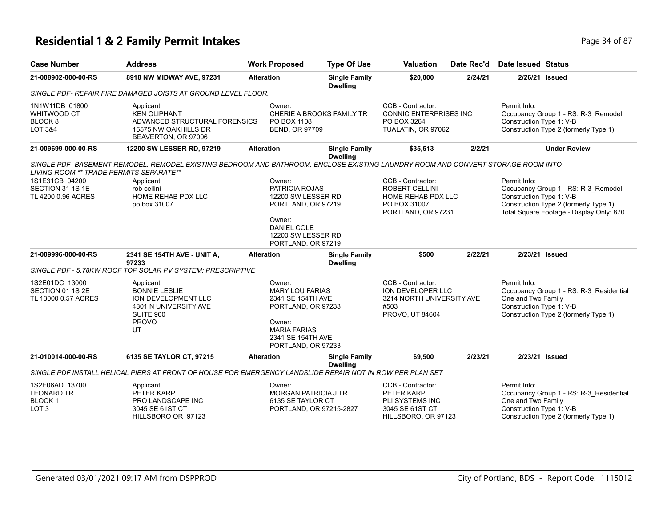# **Residential 1 & 2 Family Permit Intakes Page 14 of 87** Page 34 of 87

| <b>Case Number</b>                                                       | <b>Address</b>                                                                                                                   | <b>Work Proposed</b> |                                                                                                                                     | <b>Type Of Use</b>                      | Valuation                                                                                       | Date Rec'd | Date Issued Status                                                                                                                                                    |
|--------------------------------------------------------------------------|----------------------------------------------------------------------------------------------------------------------------------|----------------------|-------------------------------------------------------------------------------------------------------------------------------------|-----------------------------------------|-------------------------------------------------------------------------------------------------|------------|-----------------------------------------------------------------------------------------------------------------------------------------------------------------------|
| 21-008902-000-00-RS                                                      | 8918 NW MIDWAY AVE, 97231                                                                                                        | <b>Alteration</b>    |                                                                                                                                     | <b>Single Family</b><br><b>Dwelling</b> | \$20,000                                                                                        | 2/24/21    | 2/26/21 Issued                                                                                                                                                        |
|                                                                          | SINGLE PDF- REPAIR FIRE DAMAGED JOISTS AT GROUND LEVEL FLOOR.                                                                    |                      |                                                                                                                                     |                                         |                                                                                                 |            |                                                                                                                                                                       |
| 1N1W11DB 01800<br>WHITWOOD CT<br>BLOCK <sub>8</sub><br>LOT 3&4           | Applicant:<br><b>KEN OLIPHANT</b><br>ADVANCED STRUCTURAL FORENSICS<br>15575 NW OAKHILLS DR<br>BEAVERTON, OR 97006                | Owner:               | PO BOX 1108<br><b>BEND, OR 97709</b>                                                                                                | CHERIE A BROOKS FAMILY TR               | CCB - Contractor:<br><b>CONNIC ENTERPRISES INC</b><br>PO BOX 3264<br>TUALATIN, OR 97062         |            | Permit Info:<br>Occupancy Group 1 - RS: R-3_Remodel<br>Construction Type 1: V-B<br>Construction Type 2 (formerly Type 1):                                             |
| 21-009699-000-00-RS                                                      | 12200 SW LESSER RD, 97219                                                                                                        | <b>Alteration</b>    |                                                                                                                                     | <b>Single Family</b><br><b>Dwelling</b> | \$35,513                                                                                        | 2/2/21     | <b>Under Review</b>                                                                                                                                                   |
| LIVING ROOM ** TRADE PERMITS SEPARATE**                                  | SINGLE PDF- BASEMENT REMODEL. REMODEL EXISTING BEDROOM AND BATHROOM. ENCLOSE EXISTING LAUNDRY ROOM AND CONVERT STORAGE ROOM INTO |                      |                                                                                                                                     |                                         |                                                                                                 |            |                                                                                                                                                                       |
| 1S1E31CB 04200<br>SECTION 31 1S 1E<br>TL 4200 0.96 ACRES                 | Applicant:<br>rob cellini<br>HOME REHAB PDX LLC<br>po box 31007                                                                  | Owner:               | PATRICIA ROJAS<br>12200 SW LESSER RD<br>PORTLAND, OR 97219                                                                          |                                         | CCB - Contractor:<br>ROBERT CELLINI<br>HOME REHAB PDX LLC<br>PO BOX 31007<br>PORTLAND, OR 97231 |            | Permit Info:<br>Occupancy Group 1 - RS: R-3_Remodel<br>Construction Type 1: V-B<br>Construction Type 2 (formerly Type 1):<br>Total Square Footage - Display Only: 870 |
|                                                                          |                                                                                                                                  | Owner:               | <b>DANIEL COLE</b><br>12200 SW LESSER RD<br>PORTLAND, OR 97219                                                                      |                                         |                                                                                                 |            |                                                                                                                                                                       |
| 21-009996-000-00-RS                                                      | 2341 SE 154TH AVE - UNIT A,<br>97233                                                                                             | <b>Alteration</b>    |                                                                                                                                     | <b>Single Family</b><br><b>Dwelling</b> | \$500                                                                                           | 2/22/21    | 2/23/21 Issued                                                                                                                                                        |
|                                                                          | SINGLE PDF - 5.78KW ROOF TOP SOLAR PV SYSTEM: PRESCRIPTIVE                                                                       |                      |                                                                                                                                     |                                         |                                                                                                 |            |                                                                                                                                                                       |
| 1S2E01DC 13000<br>SECTION 01 1S 2E<br>TL 13000 0.57 ACRES                | Applicant:<br><b>BONNIE LESLIE</b><br>ION DEVELOPMENT LLC<br>4801 N UNIVERSITY AVE<br>SUITE 900<br><b>PROVO</b><br>UT            | Owner:<br>Owner:     | <b>MARY LOU FARIAS</b><br>2341 SE 154TH AVE<br>PORTLAND, OR 97233<br><b>MARIA FARIAS</b><br>2341 SE 154TH AVE<br>PORTLAND, OR 97233 |                                         | CCB - Contractor:<br>ION DEVELOPER LLC<br>3214 NORTH UNIVERSITY AVE<br>#503<br>PROVO, UT 84604  |            | Permit Info:<br>Occupancy Group 1 - RS: R-3 Residential<br>One and Two Family<br>Construction Type 1: V-B<br>Construction Type 2 (formerly Type 1):                   |
| 21-010014-000-00-RS                                                      | 6135 SE TAYLOR CT, 97215                                                                                                         | <b>Alteration</b>    |                                                                                                                                     | <b>Single Family</b><br><b>Dwelling</b> | \$9,500                                                                                         | 2/23/21    | 2/23/21 Issued                                                                                                                                                        |
|                                                                          | SINGLE PDF INSTALL HELICAL PIERS AT FRONT OF HOUSE FOR EMERGENCY LANDSLIDE REPAIR NOT IN ROW PER PLAN SET                        |                      |                                                                                                                                     |                                         |                                                                                                 |            |                                                                                                                                                                       |
| 1S2E06AD 13700<br><b>LEONARD TR</b><br><b>BLOCK1</b><br>LOT <sub>3</sub> | Applicant:<br>PETER KARP<br>PRO LANDSCAPE INC<br>3045 SE 61ST CT<br>HILLSBORO OR 97123                                           | Owner:               | MORGAN, PATRICIA J TR<br>6135 SE TAYLOR CT<br>PORTLAND, OR 97215-2827                                                               |                                         | CCB - Contractor:<br>PETER KARP<br>PLI SYSTEMS INC<br>3045 SE 61ST CT<br>HILLSBORO, OR 97123    |            | Permit Info:<br>Occupancy Group 1 - RS: R-3_Residential<br>One and Two Family<br>Construction Type 1: V-B<br>Construction Type 2 (formerly Type 1):                   |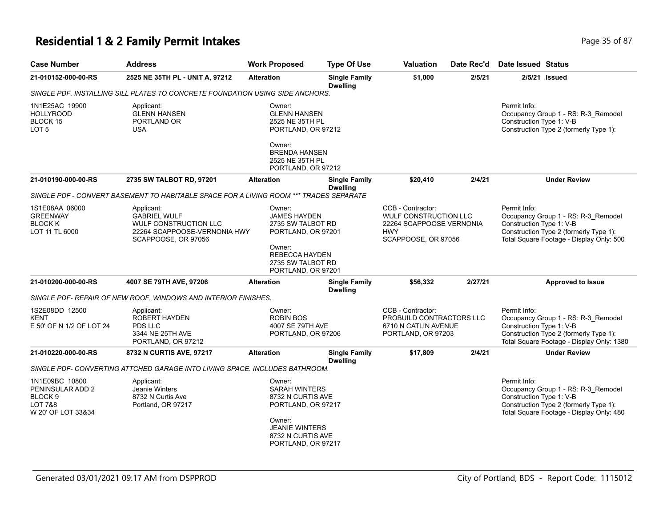# **Residential 1 & 2 Family Permit Intakes Page 15 of 87** Page 35 of 87

| <b>Case Number</b>                                                                                   | <b>Address</b>                                                                                                    | <b>Work Proposed</b>                                                                                                                                    | <b>Type Of Use</b>                      | Valuation                                                                                                          | Date Rec'd | <b>Date Issued Status</b>                                                                                                                                              |
|------------------------------------------------------------------------------------------------------|-------------------------------------------------------------------------------------------------------------------|---------------------------------------------------------------------------------------------------------------------------------------------------------|-----------------------------------------|--------------------------------------------------------------------------------------------------------------------|------------|------------------------------------------------------------------------------------------------------------------------------------------------------------------------|
| 21-010152-000-00-RS                                                                                  | 2525 NE 35TH PL - UNIT A, 97212                                                                                   | <b>Alteration</b>                                                                                                                                       | <b>Single Family</b><br><b>Dwelling</b> | \$1,000                                                                                                            | 2/5/21     | $2/5/21$ Issued                                                                                                                                                        |
|                                                                                                      | SINGLE PDF. INSTALLING SILL PLATES TO CONCRETE FOUNDATION USING SIDE ANCHORS.                                     |                                                                                                                                                         |                                         |                                                                                                                    |            |                                                                                                                                                                        |
| 1N1E25AC 19900<br><b>HOLLYROOD</b><br>BLOCK 15<br>LOT <sub>5</sub>                                   | Applicant:<br><b>GLENN HANSEN</b><br>PORTLAND OR<br><b>USA</b>                                                    | Owner:<br><b>GLENN HANSEN</b><br>2525 NE 35TH PL<br>PORTLAND, OR 97212<br>Owner:                                                                        |                                         |                                                                                                                    |            | Permit Info:<br>Occupancy Group 1 - RS: R-3_Remodel<br>Construction Type 1: V-B<br>Construction Type 2 (formerly Type 1):                                              |
|                                                                                                      |                                                                                                                   | <b>BRENDA HANSEN</b><br>2525 NE 35TH PL<br>PORTLAND, OR 97212                                                                                           |                                         |                                                                                                                    |            |                                                                                                                                                                        |
| 21-010190-000-00-RS                                                                                  | 2735 SW TALBOT RD, 97201                                                                                          | <b>Alteration</b>                                                                                                                                       | <b>Single Family</b><br><b>Dwelling</b> | \$20,410                                                                                                           | 2/4/21     | <b>Under Review</b>                                                                                                                                                    |
|                                                                                                      | SINGLE PDF - CONVERT BASEMENT TO HABITABLE SPACE FOR A LIVING ROOM *** TRADES SEPARATE                            |                                                                                                                                                         |                                         |                                                                                                                    |            |                                                                                                                                                                        |
| 1S1E08AA 06000<br><b>GREENWAY</b><br><b>BLOCK K</b><br>LOT 11 TL 6000                                | Applicant:<br><b>GABRIEL WULF</b><br>WULF CONSTRUCTION LLC<br>22264 SCAPPOOSE-VERNONIA HWY<br>SCAPPOOSE, OR 97056 | Owner:<br><b>JAMES HAYDEN</b><br>2735 SW TALBOT RD<br>PORTLAND, OR 97201<br>Owner:                                                                      |                                         | CCB - Contractor:<br><b>WULF CONSTRUCTION LLC</b><br>22264 SCAPPOOSE VERNONIA<br><b>HWY</b><br>SCAPPOOSE, OR 97056 |            | Permit Info:<br>Occupancy Group 1 - RS: R-3_Remodel<br>Construction Type 1: V-B<br>Construction Type 2 (formerly Type 1):<br>Total Square Footage - Display Only: 500  |
|                                                                                                      |                                                                                                                   | <b>REBECCA HAYDEN</b><br>2735 SW TALBOT RD<br>PORTLAND, OR 97201                                                                                        |                                         |                                                                                                                    |            |                                                                                                                                                                        |
| 21-010200-000-00-RS                                                                                  | 4007 SE 79TH AVE, 97206                                                                                           | <b>Alteration</b>                                                                                                                                       | <b>Single Family</b><br><b>Dwelling</b> | \$56,332                                                                                                           | 2/27/21    | <b>Approved to Issue</b>                                                                                                                                               |
|                                                                                                      | SINGLE PDF- REPAIR OF NEW ROOF, WINDOWS AND INTERIOR FINISHES.                                                    |                                                                                                                                                         |                                         |                                                                                                                    |            |                                                                                                                                                                        |
| 1S2E08DD 12500<br><b>KENT</b><br>E 50' OF N 1/2 OF LOT 24                                            | Applicant:<br>ROBERT HAYDEN<br><b>PDS LLC</b><br>3344 NE 25TH AVE<br>PORTLAND, OR 97212                           | Owner:<br><b>ROBIN BOS</b><br>4007 SE 79TH AVE<br>PORTLAND, OR 97206                                                                                    |                                         | CCB - Contractor:<br>PROBUILD CONTRACTORS LLC<br>6710 N CATLIN AVENUE<br>PORTLAND, OR 97203                        |            | Permit Info:<br>Occupancy Group 1 - RS: R-3_Remodel<br>Construction Type 1: V-B<br>Construction Type 2 (formerly Type 1):<br>Total Square Footage - Display Only: 1380 |
| 21-010220-000-00-RS                                                                                  | 8732 N CURTIS AVE, 97217                                                                                          | <b>Alteration</b>                                                                                                                                       | <b>Single Family</b><br><b>Dwelling</b> | \$17,809                                                                                                           | 2/4/21     | <b>Under Review</b>                                                                                                                                                    |
|                                                                                                      | SINGLE PDF- CONVERTING ATTCHED GARAGE INTO LIVING SPACE. INCLUDES BATHROOM.                                       |                                                                                                                                                         |                                         |                                                                                                                    |            |                                                                                                                                                                        |
| 1N1E09BC 10800<br>PENINSULAR ADD 2<br>BLOCK <sub>9</sub><br><b>LOT 7&amp;8</b><br>W 20' OF LOT 33&34 | Applicant:<br>Jeanie Winters<br>8732 N Curtis Ave<br>Portland, OR 97217                                           | Owner:<br><b>SARAH WINTERS</b><br>8732 N CURTIS AVE<br>PORTLAND, OR 97217<br>Owner:<br><b>JEANIE WINTERS</b><br>8732 N CURTIS AVE<br>PORTLAND, OR 97217 |                                         |                                                                                                                    |            | Permit Info:<br>Occupancy Group 1 - RS: R-3_Remodel<br>Construction Type 1: V-B<br>Construction Type 2 (formerly Type 1):<br>Total Square Footage - Display Only: 480  |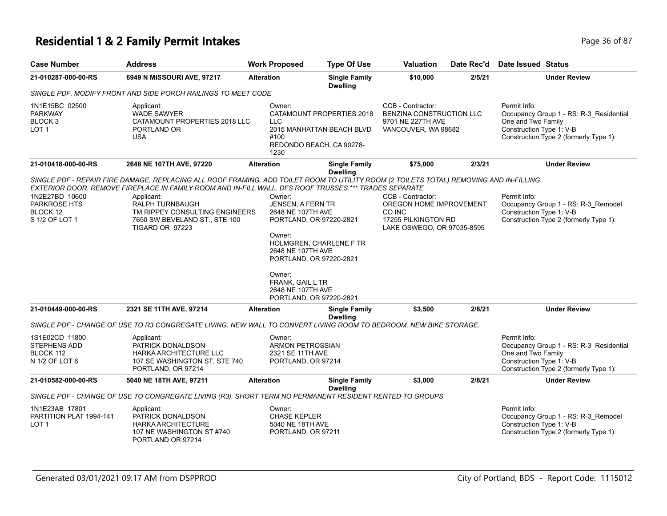# **Residential 1 & 2 Family Permit Intakes Page 16 Of 87** Page 36 of 87

| <b>Case Number</b>                                              | <b>Address</b>                                                                                                                                                                                                                                  | <b>Work Proposed</b>                                                                                   | <b>Type Of Use</b>                                                                 | <b>Valuation</b>                                                                          | Date Rec'd | <b>Date Issued Status</b>                                                                                                                           |
|-----------------------------------------------------------------|-------------------------------------------------------------------------------------------------------------------------------------------------------------------------------------------------------------------------------------------------|--------------------------------------------------------------------------------------------------------|------------------------------------------------------------------------------------|-------------------------------------------------------------------------------------------|------------|-----------------------------------------------------------------------------------------------------------------------------------------------------|
| 21-010287-000-00-RS                                             | 6949 N MISSOURI AVE, 97217                                                                                                                                                                                                                      | <b>Alteration</b>                                                                                      | <b>Single Family</b><br><b>Dwelling</b>                                            | \$10,000                                                                                  | 2/5/21     | <b>Under Review</b>                                                                                                                                 |
|                                                                 | SINGLE PDF. MODIFY FRONT AND SIDE PORCH RAILINGS TO MEET CODE                                                                                                                                                                                   |                                                                                                        |                                                                                    |                                                                                           |            |                                                                                                                                                     |
| 1N1E15BC 02500<br><b>PARKWAY</b><br>BLOCK <sub>3</sub><br>LOT 1 | Applicant:<br><b>WADE SAWYER</b><br>CATAMOUNT PROPERTIES 2018 LLC<br>PORTLAND OR<br>USA                                                                                                                                                         | Owner:<br><b>LLC</b><br>#100<br>1230                                                                   | CATAMOUNT PROPERTIES 2018<br>2015 MANHATTAN BEACH BLVD<br>REDONDO BEACH, CA 90278- | CCB - Contractor:<br>BENZINA CONSTRUCTION LLC<br>9701 NE 227TH AVE<br>VANCOUVER, WA 98682 |            | Permit Info:<br>Occupancy Group 1 - RS: R-3_Residential<br>One and Two Family<br>Construction Type 1: V-B<br>Construction Type 2 (formerly Type 1): |
| 21-010418-000-00-RS                                             | 2648 NE 107TH AVE, 97220                                                                                                                                                                                                                        | <b>Alteration</b>                                                                                      | <b>Single Family</b><br><b>Dwelling</b>                                            | \$75,000                                                                                  | 2/3/21     | <b>Under Review</b>                                                                                                                                 |
|                                                                 | SINGLE PDF - REPAIR FIRE DAMAGE, REPLACING ALL ROOF FRAMING. ADD TOILET ROOM TO UTILITY ROOM (2 TOILETS TOTAL) REMOVING AND IN-FILLING<br>EXTERIOR DOOR. REMOVE FIREPLACE IN FAMILY ROOM AND IN-FILL WALL. DFS ROOF TRUSSES *** TRADES SEPARATE |                                                                                                        |                                                                                    |                                                                                           |            |                                                                                                                                                     |
| 1N2E27BD 10600                                                  | Applicant:                                                                                                                                                                                                                                      | Owner:                                                                                                 |                                                                                    | CCB - Contractor:                                                                         |            | Permit Info:                                                                                                                                        |
| PARKROSE HTS<br>BLOCK 12<br>S 1/2 OF LOT 1                      | RALPH TURNBAUGH<br>TM RIPPEY CONSULTING ENGINEERS<br>7650 SW BEVELAND ST., STE 100<br>TIGARD OR 97223                                                                                                                                           | JENSEN, A FERN TR<br>2648 NE 107TH AVE<br>PORTLAND, OR 97220-2821<br>Owner:<br>HOLMGREN, CHARLENE F TR |                                                                                    | OREGON HOME IMPROVEMENT<br>CO INC<br>17255 PILKINGTON RD<br>LAKE OSWEGO, OR 97035-8595    |            | Occupancy Group 1 - RS: R-3 Remodel<br>Construction Type 1: V-B<br>Construction Type 2 (formerly Type 1):                                           |
|                                                                 |                                                                                                                                                                                                                                                 | 2648 NE 107TH AVE<br>PORTLAND, OR 97220-2821                                                           |                                                                                    |                                                                                           |            |                                                                                                                                                     |
|                                                                 |                                                                                                                                                                                                                                                 | Owner:<br>FRANK, GAIL L TR<br>2648 NE 107TH AVE<br>PORTLAND, OR 97220-2821                             |                                                                                    |                                                                                           |            |                                                                                                                                                     |
| 21-010449-000-00-RS                                             | 2321 SE 11TH AVE, 97214                                                                                                                                                                                                                         | <b>Alteration</b>                                                                                      | <b>Single Family</b><br><b>Dwelling</b>                                            | \$3,500                                                                                   | 2/8/21     | <b>Under Review</b>                                                                                                                                 |
|                                                                 | SINGLE PDF - CHANGE OF USE TO R3 CONGREGATE LIVING. NEW WALL TO CONVERT LIVING ROOM TO BEDROOM. NEW BIKE STORAGE.                                                                                                                               |                                                                                                        |                                                                                    |                                                                                           |            |                                                                                                                                                     |
| 1S1E02CD 11800<br>STEPHENS ADD<br>BLOCK 112<br>N 1/2 OF LOT 6   | Applicant:<br>PATRICK DONALDSON<br>HARKA ARCHITECTURE LLC<br>107 SE WASHINGTON ST, STE 740<br>PORTLAND, OR 97214                                                                                                                                | Owner:<br><b>ARMON PETROSSIAN</b><br>2321 SE 11TH AVE<br>PORTLAND, OR 97214                            |                                                                                    |                                                                                           |            | Permit Info:<br>Occupancy Group 1 - RS: R-3_Residential<br>One and Two Family<br>Construction Type 1: V-B<br>Construction Type 2 (formerly Type 1): |
| 21-010582-000-00-RS                                             | 5040 NE 18TH AVE, 97211                                                                                                                                                                                                                         | <b>Alteration</b>                                                                                      | <b>Single Family</b><br><b>Dwelling</b>                                            | \$3,000                                                                                   | 2/8/21     | <b>Under Review</b>                                                                                                                                 |
|                                                                 | SINGLE PDF - CHANGE OF USE TO CONGREGATE LIVING (R3). SHORT TERM NO PERMANENT RESIDENT RENTED TO GROUPS                                                                                                                                         |                                                                                                        |                                                                                    |                                                                                           |            |                                                                                                                                                     |
| 1N1E23AB 17801                                                  | Applicant:                                                                                                                                                                                                                                      | Owner:                                                                                                 |                                                                                    |                                                                                           |            | Permit Info:                                                                                                                                        |
| PARTITION PLAT 1994-141                                         | PATRICK DONALDSON                                                                                                                                                                                                                               | <b>CHASE KEPLER</b>                                                                                    |                                                                                    |                                                                                           |            | Occupancy Group 1 - RS: R-3_Remodel                                                                                                                 |
| LOT <sub>1</sub>                                                | <b>HARKA ARCHITECTURE</b><br>107 NE WASHINGTON ST #740<br>PORTLAND OR 97214                                                                                                                                                                     | 5040 NE 18TH AVE<br>PORTLAND, OR 97211                                                                 |                                                                                    |                                                                                           |            | Construction Type 1: V-B<br>Construction Type 2 (formerly Type 1):                                                                                  |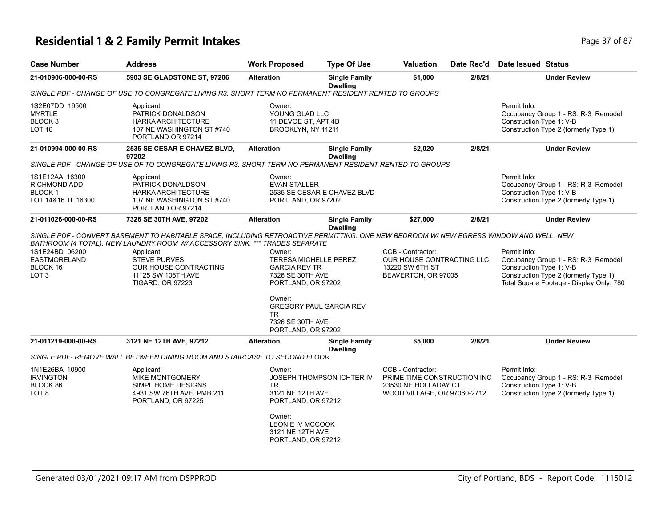# **Residential 1 & 2 Family Permit Intakes Page 17 of 87** Page 37 of 87

| <b>Case Number</b>                                                    | <b>Address</b>                                                                                                                         | <b>Work Proposed</b>                                                                                     | <b>Type Of Use</b>                      | Valuation                                                                                               | Date Rec'd | <b>Date Issued Status</b>                                                                                                                                             |
|-----------------------------------------------------------------------|----------------------------------------------------------------------------------------------------------------------------------------|----------------------------------------------------------------------------------------------------------|-----------------------------------------|---------------------------------------------------------------------------------------------------------|------------|-----------------------------------------------------------------------------------------------------------------------------------------------------------------------|
| 21-010906-000-00-RS                                                   | 5903 SE GLADSTONE ST, 97206                                                                                                            | <b>Alteration</b>                                                                                        | <b>Single Family</b><br><b>Dwelling</b> | \$1,000                                                                                                 | 2/8/21     | <b>Under Review</b>                                                                                                                                                   |
|                                                                       | SINGLE PDF - CHANGE OF USE TO CONGREGATE LIVING R3. SHORT TERM NO PERMANENT RESIDENT RENTED TO GROUPS                                  |                                                                                                          |                                         |                                                                                                         |            |                                                                                                                                                                       |
| 1S2E07DD 19500<br><b>MYRTLE</b><br>BLOCK 3<br><b>LOT 16</b>           | Applicant:<br>PATRICK DONALDSON<br><b>HARKA ARCHITECTURE</b><br>107 NE WASHINGTON ST #740<br>PORTLAND OR 97214                         | Owner:<br>YOUNG GLAD LLC<br>11 DEVOE ST, APT 4B<br>BROOKLYN, NY 11211                                    |                                         |                                                                                                         |            | Permit Info:<br>Occupancy Group 1 - RS: R-3_Remodel<br>Construction Type 1: V-B<br>Construction Type 2 (formerly Type 1):                                             |
| 21-010994-000-00-RS                                                   | <b>2535 SE CESAR E CHAVEZ BLVD.</b><br>97202                                                                                           | <b>Alteration</b>                                                                                        | <b>Single Family</b><br><b>Dwelling</b> | \$2,020                                                                                                 | 2/8/21     | <b>Under Review</b>                                                                                                                                                   |
|                                                                       | SINGLE PDF - CHANGE OF USE OF TO CONGREGATE LIVING R3. SHORT TERM NO PERMANENT RESIDENT RENTED TO GROUPS                               |                                                                                                          |                                         |                                                                                                         |            |                                                                                                                                                                       |
| 1S1E12AA 16300<br>RICHMOND ADD<br><b>BLOCK1</b><br>LOT 14&16 TL 16300 | Applicant:<br>PATRICK DONALDSON<br><b>HARKA ARCHITECTURE</b><br>107 NE WASHINGTON ST #740<br>PORTLAND OR 97214                         | Owner:<br><b>EVAN STALLER</b><br>PORTLAND, OR 97202                                                      | 2535 SE CESAR E CHAVEZ BLVD             |                                                                                                         |            | Permit Info:<br>Occupancy Group 1 - RS: R-3_Remodel<br>Construction Type 1: V-B<br>Construction Type 2 (formerly Type 1):                                             |
| 21-011026-000-00-RS                                                   | 7326 SE 30TH AVE, 97202                                                                                                                | <b>Alteration</b>                                                                                        | <b>Single Family</b><br><b>Dwelling</b> | \$27,000                                                                                                | 2/8/21     | <b>Under Review</b>                                                                                                                                                   |
|                                                                       | SINGLE PDF - CONVERT BASEMENT TO HABITABLE SPACE, INCLUDING RETROACTIVE PERMITTING. ONE NEW BEDROOM W/ NEW EGRESS WINDOW AND WELL. NEW |                                                                                                          |                                         |                                                                                                         |            |                                                                                                                                                                       |
|                                                                       | BATHROOM (4 TOTAL). NEW LAUNDRY ROOM W/ ACCESSORY SINK. *** TRADES SEPARATE                                                            |                                                                                                          |                                         |                                                                                                         |            |                                                                                                                                                                       |
| 1S1E24BD 06200<br><b>EASTMORELAND</b><br>BLOCK 16<br>LOT <sub>3</sub> | Applicant:<br><b>STEVE PURVES</b><br>OUR HOUSE CONTRACTING<br>11125 SW 106TH AVE<br><b>TIGARD, OR 97223</b>                            | Owner:<br><b>TERESA MICHELLE PEREZ</b><br><b>GARCIA REV TR</b><br>7326 SE 30TH AVE<br>PORTLAND, OR 97202 |                                         | CCB - Contractor:<br>OUR HOUSE CONTRACTING LLC<br>13220 SW 6TH ST<br>BEAVERTON, OR 97005                |            | Permit Info:<br>Occupancy Group 1 - RS: R-3_Remodel<br>Construction Type 1: V-B<br>Construction Type 2 (formerly Type 1):<br>Total Square Footage - Display Only: 780 |
|                                                                       |                                                                                                                                        | Owner:<br><b>GREGORY PAUL GARCIA REV</b><br>TR<br>7326 SE 30TH AVE<br>PORTLAND, OR 97202                 |                                         |                                                                                                         |            |                                                                                                                                                                       |
| 21-011219-000-00-RS                                                   | 3121 NE 12TH AVE, 97212                                                                                                                | <b>Alteration</b>                                                                                        | <b>Single Family</b><br><b>Dwelling</b> | \$5,000                                                                                                 | 2/8/21     | <b>Under Review</b>                                                                                                                                                   |
|                                                                       | SINGLE PDF- REMOVE WALL BETWEEN DINING ROOM AND STAIRCASE TO SECOND FLOOR                                                              |                                                                                                          |                                         |                                                                                                         |            |                                                                                                                                                                       |
| 1N1E26BA 10900<br><b>IRVINGTON</b><br>BLOCK 86<br>LOT 8               | Applicant:<br><b>MIKE MONTGOMERY</b><br>SIMPL HOME DESIGNS<br>4931 SW 76TH AVE, PMB 211<br>PORTLAND, OR 97225                          | Owner:<br>TR<br>3121 NE 12TH AVE<br>PORTLAND, OR 97212                                                   | <b>JOSEPH THOMPSON ICHTER IV</b>        | CCB - Contractor:<br>PRIME TIME CONSTRUCTION INC<br>23530 NE HOLLADAY CT<br>WOOD VILLAGE, OR 97060-2712 |            | Permit Info:<br>Occupancy Group 1 - RS: R-3_Remodel<br>Construction Type 1: V-B<br>Construction Type 2 (formerly Type 1):                                             |
|                                                                       |                                                                                                                                        | Owner:<br>LEON E IV MCCOOK<br>3121 NE 12TH AVE<br>PORTLAND, OR 97212                                     |                                         |                                                                                                         |            |                                                                                                                                                                       |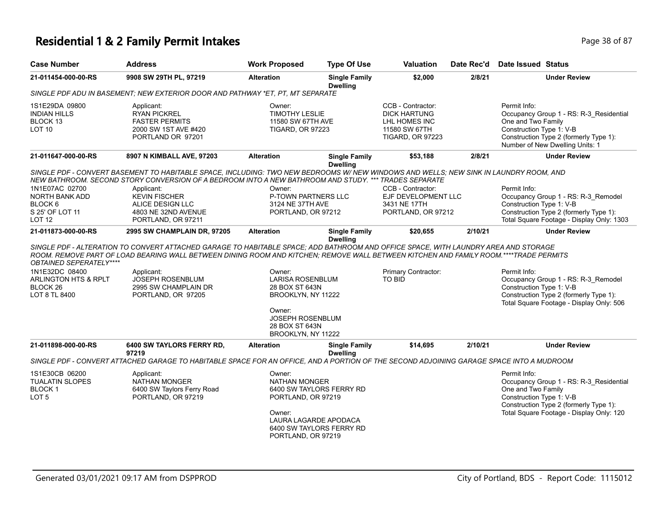# **Residential 1 & 2 Family Permit Intakes Page 18 of 87** Page 38 of 87

| <b>Case Number</b>                                                                                        | <b>Address</b>                                                                                                                                                                                                                                                                                                                                                      | <b>Work Proposed</b>                                                                                                                                                  | <b>Type Of Use</b>                      | <b>Valuation</b>                                                                                      | Date Rec'd | <b>Date Issued Status</b>                                                                                                                                                                       |
|-----------------------------------------------------------------------------------------------------------|---------------------------------------------------------------------------------------------------------------------------------------------------------------------------------------------------------------------------------------------------------------------------------------------------------------------------------------------------------------------|-----------------------------------------------------------------------------------------------------------------------------------------------------------------------|-----------------------------------------|-------------------------------------------------------------------------------------------------------|------------|-------------------------------------------------------------------------------------------------------------------------------------------------------------------------------------------------|
| 21-011454-000-00-RS                                                                                       | 9908 SW 29TH PL, 97219                                                                                                                                                                                                                                                                                                                                              | <b>Alteration</b>                                                                                                                                                     | <b>Single Family</b><br><b>Dwelling</b> | \$2,000                                                                                               | 2/8/21     | <b>Under Review</b>                                                                                                                                                                             |
|                                                                                                           | SINGLE PDF ADU IN BASEMENT: NEW EXTERIOR DOOR AND PATHWAY *ET, PT, MT SEPARATE                                                                                                                                                                                                                                                                                      |                                                                                                                                                                       |                                         |                                                                                                       |            |                                                                                                                                                                                                 |
| 1S1E29DA 09800<br><b>INDIAN HILLS</b><br>BLOCK 13<br>LOT <sub>10</sub>                                    | Applicant:<br><b>RYAN PICKREL</b><br><b>FASTER PERMITS</b><br>2000 SW 1ST AVE #420<br>PORTLAND OR 97201                                                                                                                                                                                                                                                             | Owner:<br><b>TIMOTHY LESLIE</b><br>11580 SW 67TH AVE<br><b>TIGARD, OR 97223</b>                                                                                       |                                         | CCB - Contractor:<br><b>DICK HARTUNG</b><br>LHL HOMES INC<br>11580 SW 67TH<br><b>TIGARD, OR 97223</b> |            | Permit Info:<br>Occupancy Group 1 - RS: R-3_Residential<br>One and Two Family<br>Construction Type 1: V-B<br>Construction Type 2 (formerly Type 1):<br>Number of New Dwelling Units: 1          |
| 21-011647-000-00-RS                                                                                       | 8907 N KIMBALL AVE, 97203                                                                                                                                                                                                                                                                                                                                           | <b>Alteration</b>                                                                                                                                                     | <b>Single Family</b>                    | \$53,188                                                                                              | 2/8/21     | <b>Under Review</b>                                                                                                                                                                             |
| 1N1E07AC 02700<br><b>NORTH BANK ADD</b><br>BLOCK 6<br>S 25' OF LOT 11<br>LOT <sub>12</sub>                | SINGLE PDF - CONVERT BASEMENT TO HABITABLE SPACE, INCLUDING: TWO NEW BEDROOMS W/ NEW WINDOWS AND WELLS; NEW SINK IN LAUNDRY ROOM, AND<br>NEW BATHROOM. SECOND STORY CONVERSION OF A BEDROOM INTO A NEW BATHROOM AND STUDY. *** TRADES SEPARATE<br>Applicant:<br><b>KEVIN FISCHER</b><br>ALICE DESIGN LLC<br>4803 NE 32ND AVENUE<br>PORTLAND, OR 97211               | Owner:<br><b>P-TOWN PARTNERS LLC</b><br>3124 NE 37TH AVE<br>PORTLAND, OR 97212                                                                                        | <b>Dwelling</b>                         | CCB - Contractor:<br>EJF DEVELOPMENT LLC<br>3431 NE 17TH<br>PORTLAND, OR 97212                        |            | Permit Info:<br>Occupancy Group 1 - RS: R-3 Remodel<br>Construction Type 1: V-B<br>Construction Type 2 (formerly Type 1):<br>Total Square Footage - Display Only: 1303                          |
| 21-011873-000-00-RS                                                                                       | 2995 SW CHAMPLAIN DR, 97205                                                                                                                                                                                                                                                                                                                                         | <b>Alteration</b>                                                                                                                                                     | <b>Single Family</b>                    | \$20,655                                                                                              | 2/10/21    | <b>Under Review</b>                                                                                                                                                                             |
| OBTAINED SEPERATELY****<br>1N1E32DC 08400<br><b>ARLINGTON HTS &amp; RPLT</b><br>BLOCK 26<br>LOT 8 TL 8400 | SINGLE PDF - ALTERATION TO CONVERT ATTACHED GARAGE TO HABITABLE SPACE; ADD BATHROOM AND OFFICE SPACE, WITH LAUNDRY AREA AND STORAGE<br>ROOM. REMOVE PART OF LOAD BEARING WALL BETWEEN DINING ROOM AND KITCHEN; REMOVE WALL BETWEEN KITCHEN AND FAMILY ROOM.****TRADE PERMITS<br>Applicant:<br><b>JOSEPH ROSENBLUM</b><br>2995 SW CHAMPLAIN DR<br>PORTLAND, OR 97205 | Owner:<br><b>LARISA ROSENBLUM</b><br>28 BOX ST 643N<br>BROOKLYN, NY 11222<br>Owner:<br>JOSEPH ROSENBLUM<br>28 BOX ST 643N<br>BROOKLYN, NY 11222                       | <b>Dwelling</b>                         | Primary Contractor:<br>TO BID                                                                         |            | Permit Info:<br>Occupancy Group 1 - RS: R-3_Remodel<br>Construction Type 1: V-B<br>Construction Type 2 (formerly Type 1):<br>Total Square Footage - Display Only: 506                           |
| 21-011898-000-00-RS                                                                                       | 6400 SW TAYLORS FERRY RD,<br>97219                                                                                                                                                                                                                                                                                                                                  | <b>Alteration</b>                                                                                                                                                     | <b>Single Family</b><br><b>Dwelling</b> | \$14,695                                                                                              | 2/10/21    | <b>Under Review</b>                                                                                                                                                                             |
|                                                                                                           | SINGLE PDF - CONVERT ATTACHED GARAGE TO HABITABLE SPACE FOR AN OFFICE, AND A PORTION OF THE SECOND ADJOINING GARAGE SPACE INTO A MUDROOM                                                                                                                                                                                                                            |                                                                                                                                                                       |                                         |                                                                                                       |            |                                                                                                                                                                                                 |
| 1S1E30CB 06200<br><b>TUALATIN SLOPES</b><br><b>BLOCK1</b><br>LOT <sub>5</sub>                             | Applicant:<br><b>NATHAN MONGER</b><br>6400 SW Taylors Ferry Road<br>PORTLAND, OR 97219                                                                                                                                                                                                                                                                              | Owner:<br><b>NATHAN MONGER</b><br>6400 SW TAYLORS FERRY RD<br>PORTLAND, OR 97219<br>Owner:<br>LAURA LAGARDE APODACA<br>6400 SW TAYLORS FERRY RD<br>PORTLAND, OR 97219 |                                         |                                                                                                       |            | Permit Info:<br>Occupancy Group 1 - RS: R-3 Residential<br>One and Two Family<br>Construction Type 1: V-B<br>Construction Type 2 (formerly Type 1):<br>Total Square Footage - Display Only: 120 |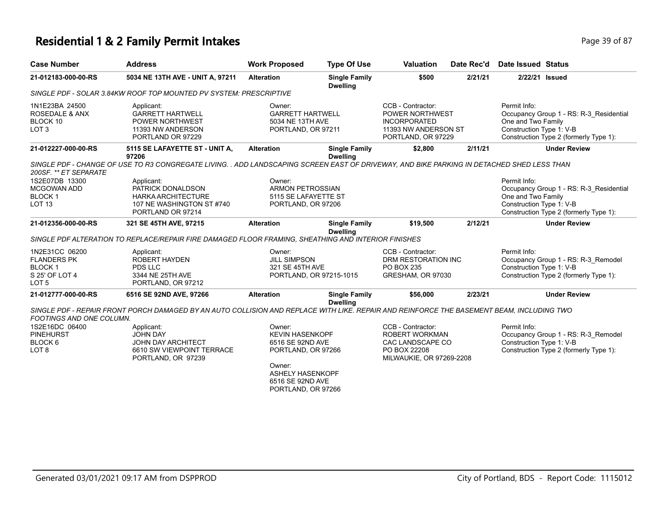# **Residential 1 & 2 Family Permit Intakes Page 19 of 87** Page 39 of 87

| <b>Case Number</b>                                                                          | <b>Address</b>                                                                                                                                      | <b>Work Proposed</b>                                                                                                                                      | <b>Type Of Use</b>                      | <b>Valuation</b>                                                                                           | Date Rec'd | <b>Date Issued Status</b>                                                                                                                           |
|---------------------------------------------------------------------------------------------|-----------------------------------------------------------------------------------------------------------------------------------------------------|-----------------------------------------------------------------------------------------------------------------------------------------------------------|-----------------------------------------|------------------------------------------------------------------------------------------------------------|------------|-----------------------------------------------------------------------------------------------------------------------------------------------------|
| 21-012183-000-00-RS                                                                         | 5034 NE 13TH AVE - UNIT A, 97211                                                                                                                    | <b>Alteration</b>                                                                                                                                         | <b>Single Family</b><br><b>Dwelling</b> | \$500                                                                                                      | 2/21/21    | 2/22/21 Issued                                                                                                                                      |
|                                                                                             | SINGLE PDF - SOLAR 3.84KW ROOF TOP MOUNTED PV SYSTEM: PRESCRIPTIVE                                                                                  |                                                                                                                                                           |                                         |                                                                                                            |            |                                                                                                                                                     |
| 1N1E23BA 24500<br><b>ROSEDALE &amp; ANX</b><br>BLOCK 10<br>LOT <sub>3</sub>                 | Applicant:<br><b>GARRETT HARTWELL</b><br>POWER NORTHWEST<br>11393 NW ANDERSON<br>PORTLAND OR 97229                                                  | Owner:<br><b>GARRETT HARTWELL</b><br>5034 NE 13TH AVE<br>PORTLAND, OR 97211                                                                               |                                         | CCB - Contractor:<br>POWER NORTHWEST<br><b>INCORPORATED</b><br>11393 NW ANDERSON ST<br>PORTLAND, OR 97229  |            | Permit Info:<br>Occupancy Group 1 - RS: R-3_Residential<br>One and Two Family<br>Construction Type 1: V-B<br>Construction Type 2 (formerly Type 1): |
| 21-012227-000-00-RS                                                                         | 5115 SE LAFAYETTE ST - UNIT A,                                                                                                                      | <b>Alteration</b>                                                                                                                                         | <b>Single Family</b>                    | \$2,800                                                                                                    | 2/11/21    | <b>Under Review</b>                                                                                                                                 |
| 200SF. ** ET SEPARATE                                                                       | 97206<br>SINGLE PDF - CHANGE OF USE TO R3 CONGREGATE LIVING. . ADD LANDSCAPING SCREEN EAST OF DRIVEWAY, AND BIKE PARKING IN DETACHED SHED LESS THAN |                                                                                                                                                           | <b>Dwelling</b>                         |                                                                                                            |            |                                                                                                                                                     |
| 1S2E07DB 13300<br>MCGOWAN ADD<br><b>BLOCK1</b><br>LOT <sub>13</sub>                         | Applicant:<br>PATRICK DONALDSON<br><b>HARKA ARCHITECTURE</b><br>107 NE WASHINGTON ST #740<br>PORTLAND OR 97214                                      | Owner:<br><b>ARMON PETROSSIAN</b><br>5115 SE LAFAYETTE ST<br>PORTLAND, OR 97206                                                                           |                                         |                                                                                                            |            | Permit Info:<br>Occupancy Group 1 - RS: R-3 Residential<br>One and Two Family<br>Construction Type 1: V-B<br>Construction Type 2 (formerly Type 1): |
| 21-012356-000-00-RS                                                                         | 321 SE 45TH AVE, 97215                                                                                                                              | <b>Alteration</b>                                                                                                                                         | <b>Single Family</b><br><b>Dwelling</b> | \$19,500                                                                                                   | 2/12/21    | <b>Under Review</b>                                                                                                                                 |
|                                                                                             | SINGLE PDF ALTERATION TO REPLACE/REPAIR FIRE DAMAGED FLOOR FRAMING, SHEATHING AND INTERIOR FINISHES                                                 |                                                                                                                                                           |                                         |                                                                                                            |            |                                                                                                                                                     |
| 1N2E31CC 06200<br><b>FLANDERS PK</b><br><b>BLOCK1</b><br>S 25' OF LOT 4<br>LOT <sub>5</sub> | Applicant:<br><b>ROBERT HAYDEN</b><br>PDS LLC<br>3344 NE 25TH AVE<br>PORTLAND, OR 97212                                                             | Owner:<br><b>JILL SIMPSON</b><br>321 SE 45TH AVE<br>PORTLAND, OR 97215-1015                                                                               |                                         | CCB - Contractor:<br>DRM RESTORATION INC<br>PO BOX 235<br>GRESHAM, OR 97030                                |            | Permit Info:<br>Occupancy Group 1 - RS: R-3_Remodel<br>Construction Type 1: V-B<br>Construction Type 2 (formerly Type 1):                           |
| 21-012777-000-00-RS                                                                         | 6516 SE 92ND AVE, 97266                                                                                                                             | <b>Alteration</b>                                                                                                                                         | <b>Single Family</b><br><b>Dwelling</b> | \$56,000                                                                                                   | 2/23/21    | <b>Under Review</b>                                                                                                                                 |
| FOOTINGS AND ONE COLUMN.                                                                    | SINGLE PDF - REPAIR FRONT PORCH DAMAGED BY AN AUTO COLLISION AND REPLACE WITH LIKE. REPAIR AND REINFORCE THE BASEMENT BEAM, INCLUDING TWO           |                                                                                                                                                           |                                         |                                                                                                            |            |                                                                                                                                                     |
| 1S2E16DC 06400<br><b>PINEHURST</b><br>BLOCK <sub>6</sub><br>LOT <sub>8</sub>                | Applicant:<br>JOHN DAY<br><b>JOHN DAY ARCHITECT</b><br>6610 SW VIEWPOINT TERRACE<br>PORTLAND, OR 97239                                              | Owner:<br><b>KEVIN HASENKOPF</b><br>6516 SE 92ND AVE<br>PORTLAND, OR 97266<br>Owner:<br><b>ASHELY HASENKOPF</b><br>6516 SE 92ND AVE<br>PORTLAND, OR 97266 |                                         | CCB - Contractor:<br><b>ROBERT WORKMAN</b><br>CAC LANDSCAPE CO<br>PO BOX 22208<br>MILWAUKIE, OR 97269-2208 |            | Permit Info:<br>Occupancy Group 1 - RS: R-3_Remodel<br>Construction Type 1: V-B<br>Construction Type 2 (formerly Type 1):                           |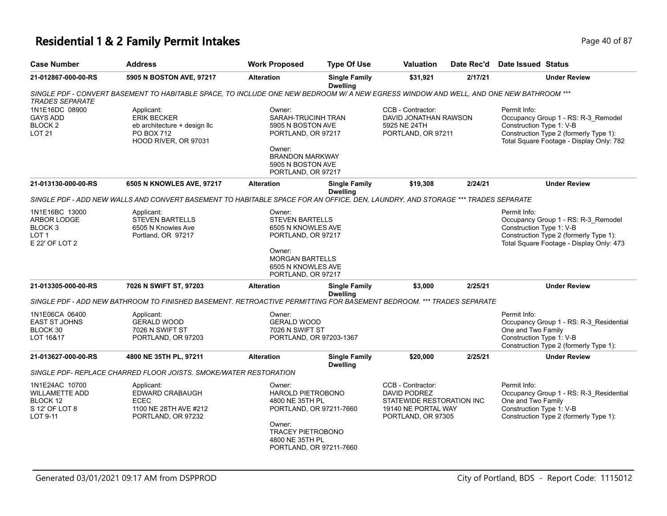# **Residential 1 & 2 Family Permit Intakes Page 40 of 87** Page 40 of 87

| <b>Case Number</b>                                                                        | <b>Address</b>                                                                                                                         | <b>Work Proposed</b>                                                                                                                                   | <b>Type Of Use</b>                      | Valuation                                                                                                   | Date Rec'd | Date Issued Status                                                                                                                                                    |
|-------------------------------------------------------------------------------------------|----------------------------------------------------------------------------------------------------------------------------------------|--------------------------------------------------------------------------------------------------------------------------------------------------------|-----------------------------------------|-------------------------------------------------------------------------------------------------------------|------------|-----------------------------------------------------------------------------------------------------------------------------------------------------------------------|
| 21-012867-000-00-RS                                                                       | 5905 N BOSTON AVE, 97217                                                                                                               | <b>Alteration</b>                                                                                                                                      | <b>Single Family</b><br><b>Dwelling</b> | \$31,921                                                                                                    | 2/17/21    | <b>Under Review</b>                                                                                                                                                   |
| <b>TRADES SEPARATE</b>                                                                    | SINGLE PDF - CONVERT BASEMENT TO HABITABLE SPACE, TO INCLUDE ONE NEW BEDROOM W/ A NEW EGRESS WINDOW AND WELL, AND ONE NEW BATHROOM *** |                                                                                                                                                        |                                         |                                                                                                             |            |                                                                                                                                                                       |
| 1N1E16DC 08900<br><b>GAYS ADD</b><br>BLOCK <sub>2</sub><br><b>LOT 21</b>                  | Applicant:<br><b>ERIK BECKER</b><br>eb architecture + design llc<br>PO BOX 712<br>HOOD RIVER, OR 97031                                 | Owner:<br>SARAH-TRUCINH TRAN<br>5905 N BOSTON AVE<br>PORTLAND, OR 97217<br>Owner:<br><b>BRANDON MARKWAY</b><br>5905 N BOSTON AVE<br>PORTLAND, OR 97217 |                                         | CCB - Contractor:<br>DAVID JONATHAN RAWSON<br>5925 NE 24TH<br>PORTLAND, OR 97211                            |            | Permit Info:<br>Occupancy Group 1 - RS: R-3_Remodel<br>Construction Type 1: V-B<br>Construction Type 2 (formerly Type 1):<br>Total Square Footage - Display Only: 782 |
| 21-013130-000-00-RS                                                                       | 6505 N KNOWLES AVE, 97217                                                                                                              | <b>Alteration</b>                                                                                                                                      | <b>Single Family</b><br><b>Dwelling</b> | \$19,308                                                                                                    | 2/24/21    | <b>Under Review</b>                                                                                                                                                   |
|                                                                                           | SINGLE PDF - ADD NEW WALLS AND CONVERT BASEMENT TO HABITABLE SPACE FOR AN OFFICE, DEN, LAUNDRY, AND STORAGE *** TRADES SEPARATE        |                                                                                                                                                        |                                         |                                                                                                             |            |                                                                                                                                                                       |
| 1N1E16BC 13000<br>ARBOR LODGE<br>BLOCK <sub>3</sub><br>LOT <sub>1</sub><br>E 22' OF LOT 2 | Applicant:<br><b>STEVEN BARTELLS</b><br>6505 N Knowles Ave<br>Portland, OR 97217                                                       | Owner:<br><b>STEVEN BARTELLS</b><br>6505 N KNOWLES AVE<br>PORTLAND, OR 97217<br>Owner:                                                                 |                                         |                                                                                                             |            | Permit Info:<br>Occupancy Group 1 - RS: R-3_Remodel<br>Construction Type 1: V-B<br>Construction Type 2 (formerly Type 1):<br>Total Square Footage - Display Only: 473 |
|                                                                                           |                                                                                                                                        | <b>MORGAN BARTELLS</b><br>6505 N KNOWLES AVE<br>PORTLAND, OR 97217                                                                                     |                                         |                                                                                                             |            |                                                                                                                                                                       |
| 21-013305-000-00-RS                                                                       | 7026 N SWIFT ST, 97203                                                                                                                 | <b>Alteration</b>                                                                                                                                      | <b>Single Family</b><br><b>Dwelling</b> | \$3,000                                                                                                     | 2/25/21    | <b>Under Review</b>                                                                                                                                                   |
|                                                                                           | SINGLE PDF - ADD NEW BATHROOM TO FINISHED BASEMENT. RETROACTIVE PERMITTING FOR BASEMENT BEDROOM. *** TRADES SEPARATE                   |                                                                                                                                                        |                                         |                                                                                                             |            |                                                                                                                                                                       |
| 1N1E06CA 06400<br><b>EAST ST JOHNS</b><br>BLOCK 30<br>LOT 16&17                           | Applicant:<br><b>GERALD WOOD</b><br>7026 N SWIFT ST<br>PORTLAND, OR 97203                                                              | Owner:<br><b>GERALD WOOD</b><br>7026 N SWIFT ST<br>PORTLAND, OR 97203-1367                                                                             |                                         |                                                                                                             |            | Permit Info:<br>Occupancy Group 1 - RS: R-3_Residential<br>One and Two Family<br>Construction Type 1: V-B<br>Construction Type 2 (formerly Type 1):                   |
| 21-013627-000-00-RS                                                                       | 4800 NE 35TH PL, 97211                                                                                                                 | <b>Alteration</b>                                                                                                                                      | <b>Single Family</b><br><b>Dwelling</b> | \$20,000                                                                                                    | 2/25/21    | <b>Under Review</b>                                                                                                                                                   |
|                                                                                           | SINGLE PDF- REPLACE CHARRED FLOOR JOISTS. SMOKE/WATER RESTORATION                                                                      |                                                                                                                                                        |                                         |                                                                                                             |            |                                                                                                                                                                       |
| 1N1E24AC 10700<br><b>WILLAMETTE ADD</b><br>BLOCK 12<br>S 12' OF LOT 8<br>LOT 9-11         | Applicant:<br>EDWARD CRABAUGH<br><b>ECEC</b><br>1100 NE 28TH AVE #212<br>PORTLAND, OR 97232                                            | Owner:<br><b>HAROLD PIETROBONO</b><br>4800 NE 35TH PL<br>PORTLAND, OR 97211-7660<br>Owner:<br><b>TRACEY PIETROBONO</b><br>4800 NE 35TH PL              |                                         | CCB - Contractor:<br>DAVID PODREZ<br>STATEWIDE RESTORATION INC<br>19140 NE PORTAL WAY<br>PORTLAND, OR 97305 |            | Permit Info:<br>Occupancy Group 1 - RS: R-3 Residential<br>One and Two Family<br>Construction Type 1: V-B<br>Construction Type 2 (formerly Type 1):                   |
|                                                                                           |                                                                                                                                        | PORTLAND, OR 97211-7660                                                                                                                                |                                         |                                                                                                             |            |                                                                                                                                                                       |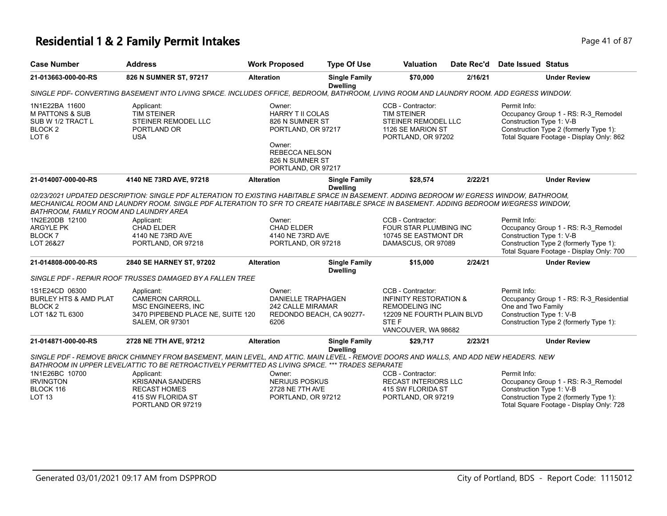# **Residential 1 & 2 Family Permit Intakes Page 41 of 87** Page 41 of 87

| <b>Case Number</b>                                                                                          | <b>Address</b>                                                                                                                                                                                                                                                                     | <b>Work Proposed</b>                                                                                                                                   | <b>Type Of Use</b>                      | <b>Valuation</b>                                                                                                                              | Date Rec'd | Date Issued Status                                             |                                                                                                                           |
|-------------------------------------------------------------------------------------------------------------|------------------------------------------------------------------------------------------------------------------------------------------------------------------------------------------------------------------------------------------------------------------------------------|--------------------------------------------------------------------------------------------------------------------------------------------------------|-----------------------------------------|-----------------------------------------------------------------------------------------------------------------------------------------------|------------|----------------------------------------------------------------|---------------------------------------------------------------------------------------------------------------------------|
| 21-013663-000-00-RS                                                                                         | 826 N SUMNER ST, 97217                                                                                                                                                                                                                                                             | <b>Alteration</b>                                                                                                                                      | <b>Single Family</b><br><b>Dwelling</b> | \$70,000                                                                                                                                      | 2/16/21    |                                                                | <b>Under Review</b>                                                                                                       |
|                                                                                                             | SINGLE PDF- CONVERTING BASEMENT INTO LIVING SPACE. INCLUDES OFFICE, BEDROOM, BATHROOM, LIVING ROOM AND LAUNDRY ROOM. ADD EGRESS WINDOW.                                                                                                                                            |                                                                                                                                                        |                                         |                                                                                                                                               |            |                                                                |                                                                                                                           |
| 1N1E22BA 11600<br><b>M PATTONS &amp; SUB</b><br>SUB W 1/2 TRACT L<br>BLOCK <sub>2</sub><br>LOT <sub>6</sub> | Applicant:<br><b>TIM STEINER</b><br>STEINER REMODEL LLC<br>PORTLAND OR<br><b>USA</b>                                                                                                                                                                                               | Owner:<br><b>HARRY T II COLAS</b><br>826 N SUMNER ST<br>PORTLAND, OR 97217<br>Owner:<br><b>REBECCA NELSON</b><br>826 N SUMNER ST<br>PORTLAND, OR 97217 |                                         | CCB - Contractor:<br><b>TIM STEINER</b><br>STEINER REMODEL LLC<br>1126 SE MARION ST<br>PORTLAND, OR 97202                                     |            | Permit Info:<br>Construction Type 1: V-B                       | Occupancy Group 1 - RS: R-3_Remodel<br>Construction Type 2 (formerly Type 1):<br>Total Square Footage - Display Only: 862 |
| 21-014007-000-00-RS                                                                                         | 4140 NE 73RD AVE, 97218                                                                                                                                                                                                                                                            | <b>Alteration</b>                                                                                                                                      | <b>Single Family</b><br><b>Dwelling</b> | \$28,574                                                                                                                                      | 2/22/21    |                                                                | <b>Under Review</b>                                                                                                       |
| BATHROOM, FAMILY ROOM AND LAUNDRY AREA                                                                      | 02/23/2021 UPDATED DESCRIPTION: SINGLE PDF ALTERATION TO EXISTING HABITABLE SPACE IN BASEMENT. ADDING BEDROOM W/ EGRESS WINDOW, BATHROOM,<br>MECHANICAL ROOM AND LAUNDRY ROOM. SINGLE PDF ALTERATION TO SFR TO CREATE HABITABLE SPACE IN BASEMENT. ADDING BEDROOM W/EGRESS WINDOW. |                                                                                                                                                        |                                         |                                                                                                                                               |            |                                                                |                                                                                                                           |
| 1N2E20DB 12100<br><b>ARGYLE PK</b><br><b>BLOCK7</b><br>LOT 26&27                                            | Applicant:<br><b>CHAD ELDER</b><br>4140 NE 73RD AVE<br>PORTLAND, OR 97218                                                                                                                                                                                                          | Owner:<br><b>CHAD ELDER</b><br>4140 NE 73RD AVE<br>PORTLAND, OR 97218                                                                                  |                                         | CCB - Contractor:<br>FOUR STAR PLUMBING INC<br>10745 SE EASTMONT DR<br>DAMASCUS, OR 97089                                                     |            | Permit Info:<br>Construction Type 1: V-B                       | Occupancy Group 1 - RS: R-3_Remodel<br>Construction Type 2 (formerly Type 1):<br>Total Square Footage - Display Only: 700 |
| 21-014808-000-00-RS                                                                                         | 2840 SE HARNEY ST, 97202                                                                                                                                                                                                                                                           | <b>Alteration</b>                                                                                                                                      | <b>Single Family</b><br><b>Dwelling</b> | \$15,000                                                                                                                                      | 2/24/21    |                                                                | <b>Under Review</b>                                                                                                       |
|                                                                                                             | SINGLE PDF - REPAIR ROOF TRUSSES DAMAGED BY A FALLEN TREE                                                                                                                                                                                                                          |                                                                                                                                                        |                                         |                                                                                                                                               |            |                                                                |                                                                                                                           |
| 1S1E24CD 06300<br><b>BURLEY HTS &amp; AMD PLAT</b><br>BLOCK <sub>2</sub><br>LOT 1&2 TL 6300                 | Applicant:<br><b>CAMERON CARROLL</b><br>MSC ENGINEERS, INC<br>3470 PIPEBEND PLACE NE, SUITE 120<br><b>SALEM, OR 97301</b>                                                                                                                                                          | Owner:<br><b>DANIELLE TRAPHAGEN</b><br>242 CALLE MIRAMAR<br>REDONDO BEACH, CA 90277-<br>6206                                                           |                                         | CCB - Contractor:<br><b>INFINITY RESTORATION &amp;</b><br><b>REMODELING INC</b><br>12209 NE FOURTH PLAIN BLVD<br>STE F<br>VANCOUVER, WA 98682 |            | Permit Info:<br>One and Two Family<br>Construction Type 1: V-B | Occupancy Group 1 - RS: R-3 Residential<br>Construction Type 2 (formerly Type 1):                                         |
| 21-014871-000-00-RS                                                                                         | 2728 NE 7TH AVE, 97212                                                                                                                                                                                                                                                             | <b>Alteration</b>                                                                                                                                      | <b>Single Family</b>                    | \$29,717                                                                                                                                      | 2/23/21    |                                                                | <b>Under Review</b>                                                                                                       |
|                                                                                                             | SINGLE PDF - REMOVE BRICK CHIMNEY FROM BASEMENT, MAIN LEVEL, AND ATTIC. MAIN LEVEL - REMOVE DOORS AND WALLS, AND ADD NEW HEADERS. NEW<br>BATHROOM IN UPPER LEVEL/ATTIC TO BE RETROACTIVELY PERMITTED AS LIVING SPACE. *** TRADES SEPARATE                                          |                                                                                                                                                        | <b>Dwelling</b>                         |                                                                                                                                               |            |                                                                |                                                                                                                           |
| 1N1E26BC 10700<br><b>IRVINGTON</b><br>BLOCK 116<br>LOT <sub>13</sub>                                        | Applicant:<br><b>KRISANNA SANDERS</b><br><b>RECAST HOMES</b><br>415 SW FLORIDA ST<br>PORTLAND OR 97219                                                                                                                                                                             | Owner:<br><b>NERIJUS POSKUS</b><br>2728 NE 7TH AVE<br>PORTLAND, OR 97212                                                                               |                                         | CCB - Contractor:<br><b>RECAST INTERIORS LLC</b><br>415 SW FLORIDA ST<br>PORTLAND, OR 97219                                                   |            | Permit Info:<br>Construction Type 1: V-B                       | Occupancy Group 1 - RS: R-3_Remodel<br>Construction Type 2 (formerly Type 1):<br>Total Square Footage - Display Only: 728 |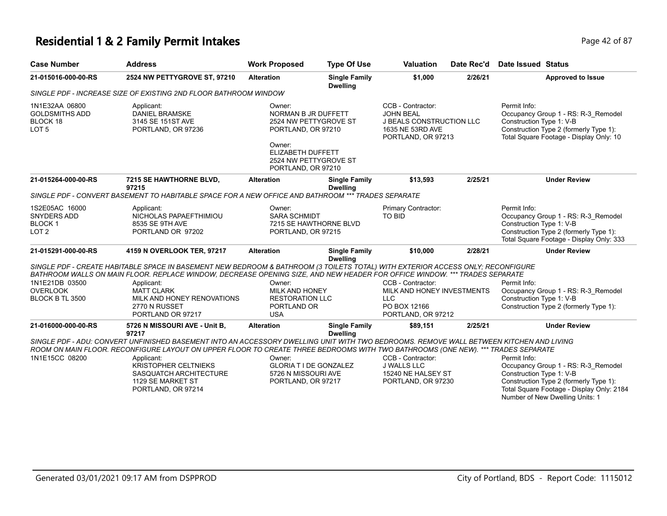### **Residential 1 & 2 Family Permit Intakes Page 12 of 87 Page 42 of 87**

| Page 42 c |
|-----------|
|           |

| <b>Case Number</b>                                                        | <b>Address</b>                                                                                                                                                                                                                                                              | <b>Work Proposed</b>                                                                               | <b>Type Of Use</b>                      | <b>Valuation</b>                                                                                                   | Date Rec'd | <b>Date Issued Status</b>                                                                                                                                                                                 |
|---------------------------------------------------------------------------|-----------------------------------------------------------------------------------------------------------------------------------------------------------------------------------------------------------------------------------------------------------------------------|----------------------------------------------------------------------------------------------------|-----------------------------------------|--------------------------------------------------------------------------------------------------------------------|------------|-----------------------------------------------------------------------------------------------------------------------------------------------------------------------------------------------------------|
| 21-015016-000-00-RS                                                       | 2524 NW PETTYGROVE ST, 97210                                                                                                                                                                                                                                                | <b>Alteration</b>                                                                                  | <b>Single Family</b><br><b>Dwelling</b> | \$1,000                                                                                                            | 2/26/21    | <b>Approved to Issue</b>                                                                                                                                                                                  |
|                                                                           | SINGLE PDF - INCREASE SIZE OF EXISTING 2ND FLOOR BATHROOM WINDOW                                                                                                                                                                                                            |                                                                                                    |                                         |                                                                                                                    |            |                                                                                                                                                                                                           |
| 1N1E32AA 06800<br><b>GOLDSMITHS ADD</b><br>BLOCK 18<br>LOT <sub>5</sub>   | Applicant:<br><b>DANIEL BRAMSKE</b><br>3145 SE 151ST AVE<br>PORTLAND, OR 97236                                                                                                                                                                                              | Owner <sup>-</sup><br>NORMAN B JR DUFFETT<br>2524 NW PETTYGROVE ST<br>PORTLAND, OR 97210<br>Owner: |                                         | CCB - Contractor:<br><b>JOHN BEAL</b><br><b>J BEALS CONSTRUCTION LLC</b><br>1635 NE 53RD AVE<br>PORTLAND, OR 97213 |            | Permit Info:<br>Occupancy Group 1 - RS: R-3_Remodel<br>Construction Type 1: V-B<br>Construction Type 2 (formerly Type 1):<br>Total Square Footage - Display Only: 10                                      |
|                                                                           |                                                                                                                                                                                                                                                                             | <b>ELIZABETH DUFFETT</b><br>2524 NW PETTYGROVE ST<br>PORTLAND, OR 97210                            |                                         |                                                                                                                    |            |                                                                                                                                                                                                           |
| 21-015264-000-00-RS                                                       | 7215 SE HAWTHORNE BLVD,<br>97215                                                                                                                                                                                                                                            | <b>Alteration</b>                                                                                  | <b>Single Family</b><br><b>Dwelling</b> | \$13,593                                                                                                           | 2/25/21    | <b>Under Review</b>                                                                                                                                                                                       |
|                                                                           | SINGLE PDF - CONVERT BASEMENT TO HABITABLE SPACE FOR A NEW OFFICE AND BATHROOM *** TRADES SEPARATE                                                                                                                                                                          |                                                                                                    |                                         |                                                                                                                    |            |                                                                                                                                                                                                           |
| 1S2E05AC 16000<br><b>SNYDERS ADD</b><br><b>BLOCK1</b><br>LOT <sub>2</sub> | Applicant:<br>NICHOLAS PAPAEFTHIMIOU<br>8535 SE 9TH AVE<br>PORTLAND OR 97202                                                                                                                                                                                                | Owner:<br><b>SARA SCHMIDT</b><br>7215 SE HAWTHORNE BLVD<br>PORTLAND, OR 97215                      |                                         | Primary Contractor:<br><b>TO BID</b>                                                                               |            | Permit Info:<br>Occupancy Group 1 - RS: R-3_Remodel<br>Construction Type 1: V-B<br>Construction Type 2 (formerly Type 1):<br>Total Square Footage - Display Only: 333                                     |
| 21-015291-000-00-RS                                                       | 4159 N OVERLOOK TER, 97217                                                                                                                                                                                                                                                  | <b>Alteration</b>                                                                                  | <b>Single Family</b>                    | \$10,000                                                                                                           | 2/28/21    | <b>Under Review</b>                                                                                                                                                                                       |
|                                                                           | SINGLE PDF - CREATE HABITABLE SPACE IN BASEMENT NEW BEDROOM & BATHROOM (3 TOILETS TOTAL) WITH EXTERIOR ACCESS ONLY; RECONFIGURE<br>BATHROOM WALLS ON MAIN FLOOR. REPLACE WINDOW, DECREASE OPENING SIZE, AND NEW HEADER FOR OFFICE WINDOW. *** TRADES SEPARATE               |                                                                                                    | <b>Dwelling</b>                         |                                                                                                                    |            |                                                                                                                                                                                                           |
| 1N1E21DB 03500                                                            | Applicant:                                                                                                                                                                                                                                                                  | Owner:                                                                                             |                                         | CCB - Contractor:                                                                                                  |            | Permit Info:                                                                                                                                                                                              |
| <b>OVERLOOK</b><br>BLOCK B TL 3500                                        | <b>MATT CLARK</b><br>MILK AND HONEY RENOVATIONS<br>2770 N RUSSET<br>PORTLAND OR 97217                                                                                                                                                                                       | <b>MILK AND HONEY</b><br><b>RESTORATION LLC</b><br>PORTLAND OR<br><b>USA</b>                       |                                         | MILK AND HONEY INVESTMENTS<br><b>LLC</b><br>PO BOX 12166<br>PORTLAND, OR 97212                                     |            | Occupancy Group 1 - RS: R-3_Remodel<br>Construction Type 1: V-B<br>Construction Type 2 (formerly Type 1):                                                                                                 |
| 21-016000-000-00-RS                                                       | 5726 N MISSOURI AVE - Unit B,<br>97217                                                                                                                                                                                                                                      | <b>Alteration</b>                                                                                  | <b>Single Family</b><br><b>Dwelling</b> | \$89,151                                                                                                           | 2/25/21    | <b>Under Review</b>                                                                                                                                                                                       |
|                                                                           | SINGLE PDF - ADU: CONVERT UNFINISHED BASEMENT INTO AN ACCESSORY DWELLING UNIT WITH TWO BEDROOMS. REMOVE WALL BETWEEN KITCHEN AND LIVING<br>ROOM ON MAIN FLOOR. RECONFIGURE LAYOUT ON UPPER FLOOR TO CREATE THREE BEDROOMS WITH TWO BATHROOMS (ONE NEW). *** TRADES SEPARATE |                                                                                                    |                                         |                                                                                                                    |            |                                                                                                                                                                                                           |
| 1N1E15CC 08200                                                            | Applicant:<br><b>KRISTOPHER CELTNIEKS</b><br>SASQUATCH ARCHITECTURE<br>1129 SE MARKET ST<br>PORTLAND, OR 97214                                                                                                                                                              | Owner:<br><b>GLORIA T I DE GONZALEZ</b><br>5726 N MISSOURI AVE<br>PORTLAND, OR 97217               |                                         | CCB - Contractor:<br><b>J WALLS LLC</b><br>15240 NE HALSEY ST<br>PORTLAND, OR 97230                                |            | Permit Info:<br>Occupancy Group 1 - RS: R-3_Remodel<br>Construction Type 1: V-B<br>Construction Type 2 (formerly Type 1):<br>Total Square Footage - Display Only: 2184<br>Number of New Dwelling Units: 1 |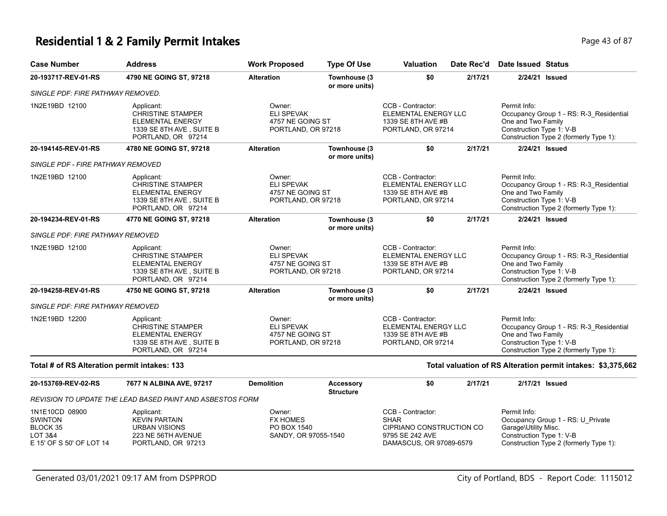# **Residential 1 & 2 Family Permit Intakes Page 43 of 87** Page 43 of 87

| <b>Case Number</b>                           | <b>Address</b>                                                                                                      | <b>Work Proposed</b>                                                  | <b>Type Of Use</b>             | Valuation                                                                                    | Date Rec'd | Date Issued Status                                                                                                                                  |  |
|----------------------------------------------|---------------------------------------------------------------------------------------------------------------------|-----------------------------------------------------------------------|--------------------------------|----------------------------------------------------------------------------------------------|------------|-----------------------------------------------------------------------------------------------------------------------------------------------------|--|
| 20-193717-REV-01-RS                          | 4790 NE GOING ST, 97218                                                                                             | <b>Alteration</b>                                                     | Townhouse (3<br>or more units) | \$0                                                                                          | 2/17/21    | 2/24/21 Issued                                                                                                                                      |  |
| SINGLE PDF: FIRE PATHWAY REMOVED.            |                                                                                                                     |                                                                       |                                |                                                                                              |            |                                                                                                                                                     |  |
| 1N2E19BD 12100                               | Applicant:<br><b>CHRISTINE STAMPER</b><br><b>ELEMENTAL ENERGY</b><br>1339 SE 8TH AVE, SUITE B<br>PORTLAND, OR 97214 | Owner:<br><b>ELI SPEVAK</b><br>4757 NE GOING ST<br>PORTLAND, OR 97218 |                                | CCB - Contractor:<br>ELEMENTAL ENERGY LLC<br>1339 SE 8TH AVE #B<br>PORTLAND, OR 97214        |            | Permit Info:<br>Occupancy Group 1 - RS: R-3 Residential<br>One and Two Family<br>Construction Type 1: V-B<br>Construction Type 2 (formerly Type 1): |  |
| 20-194145-REV-01-RS                          | 4780 NE GOING ST, 97218                                                                                             | <b>Alteration</b>                                                     | Townhouse (3<br>or more units) | \$0                                                                                          | 2/17/21    | 2/24/21 Issued                                                                                                                                      |  |
| SINGLE PDF - FIRE PATHWAY REMOVED            |                                                                                                                     |                                                                       |                                |                                                                                              |            |                                                                                                                                                     |  |
| 1N2E19BD 12100                               | Applicant:<br><b>CHRISTINE STAMPER</b><br><b>ELEMENTAL ENERGY</b><br>1339 SE 8TH AVE, SUITE B<br>PORTLAND, OR 97214 | Owner:<br><b>ELI SPEVAK</b><br>4757 NE GOING ST<br>PORTLAND, OR 97218 |                                | CCB - Contractor:<br>ELEMENTAL ENERGY LLC<br>1339 SE 8TH AVE #B<br>PORTLAND, OR 97214        |            | Permit Info:<br>Occupancy Group 1 - RS: R-3_Residential<br>One and Two Family<br>Construction Type 1: V-B<br>Construction Type 2 (formerly Type 1): |  |
| 20-194234-REV-01-RS                          | 4770 NE GOING ST, 97218                                                                                             | <b>Alteration</b>                                                     | Townhouse (3<br>or more units) | \$0                                                                                          | 2/17/21    | 2/24/21 Issued                                                                                                                                      |  |
| SINGLE PDF: FIRE PATHWAY REMOVED             |                                                                                                                     |                                                                       |                                |                                                                                              |            |                                                                                                                                                     |  |
| 1N2E19BD 12100                               | Applicant:<br><b>CHRISTINE STAMPER</b><br><b>ELEMENTAL ENERGY</b><br>1339 SE 8TH AVE, SUITE B<br>PORTLAND, OR 97214 | Owner:<br><b>ELI SPEVAK</b><br>4757 NE GOING ST<br>PORTLAND, OR 97218 |                                | CCB - Contractor:<br><b>ELEMENTAL ENERGY LLC</b><br>1339 SE 8TH AVE #B<br>PORTLAND, OR 97214 |            | Permit Info:<br>Occupancy Group 1 - RS: R-3_Residential<br>One and Two Family<br>Construction Type 1: V-B<br>Construction Type 2 (formerly Type 1): |  |
| 20-194258-REV-01-RS                          | 4750 NE GOING ST, 97218                                                                                             | <b>Alteration</b>                                                     | Townhouse (3<br>or more units) | \$0                                                                                          | 2/17/21    | 2/24/21 Issued                                                                                                                                      |  |
| <b>SINGLE PDF: FIRE PATHWAY REMOVED</b>      |                                                                                                                     |                                                                       |                                |                                                                                              |            |                                                                                                                                                     |  |
| 1N2E19BD 12200                               | Applicant:<br><b>CHRISTINE STAMPER</b><br><b>ELEMENTAL ENERGY</b><br>1339 SE 8TH AVE, SUITE B<br>PORTLAND, OR 97214 | Owner:<br><b>ELI SPEVAK</b><br>4757 NE GOING ST<br>PORTLAND, OR 97218 |                                | CCB - Contractor:<br><b>ELEMENTAL ENERGY LLC</b><br>1339 SE 8TH AVE #B<br>PORTLAND, OR 97214 |            | Permit Info:<br>Occupancy Group 1 - RS: R-3 Residential<br>One and Two Family<br>Construction Type 1: V-B<br>Construction Type 2 (formerly Type 1): |  |
| Total # of RS Alteration permit intakes: 133 |                                                                                                                     |                                                                       |                                |                                                                                              |            | Total valuation of RS Alteration permit intakes: \$3,375,662                                                                                        |  |
| 20-153769-REV-02-RS                          | 7677 N ALBINA AVE, 97217                                                                                            | <b>Demolition</b>                                                     | <b>Accessory</b>               | \$0                                                                                          | 2/17/21    | 2/17/21 Issued                                                                                                                                      |  |
|                                              | REVISION TO UPDATE THE LEAD BASED PAINT AND ASBESTOS FORM                                                           |                                                                       | <b>Structure</b>               |                                                                                              |            |                                                                                                                                                     |  |

| 1N1E10CD 08900           | Applicant:           | <b>Dwner</b>         | CCB - Contractor:        | Permit Info:                           |
|--------------------------|----------------------|----------------------|--------------------------|----------------------------------------|
| <b>SWINTON</b>           | <b>KEVIN PARTAIN</b> | FX HOMES             | SHAR                     | Occupancy Group 1 - RS: U Private      |
| BLOCK 35                 | URBAN VISIONS        | PO BOX 1540          | CIPRIANO CONSTRUCTION CO | Garage\Utility Misc.                   |
| LOT 3&4                  | 223 NE 56TH AVENUE   | SANDY, OR 97055-1540 | 9795 SE 242 AVE          | Construction Type 1: V-B               |
| E 15' OF S 50' OF LOT 14 | PORTLAND, OR 97213   |                      | DAMASCUS, OR 97089-6579  | Construction Type 2 (formerly Type 1): |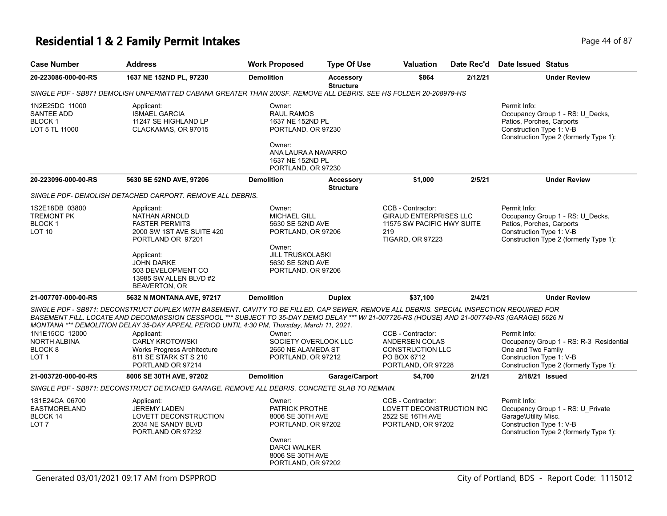### **Residential 1 & 2 Family Permit Intakes Page 14 of 87** Page 44 of 87

| <b>Case Number</b>                                                             | <b>Address</b>                                                                                                                                                                                                                                                                                                                                                                                                                                                        | <b>Work Proposed</b>                                                                                | <b>Type Of Use</b>                   | <b>Valuation</b>                                                                                                   | Date Rec'd | <b>Date Issued Status</b>                                                                                                                           |
|--------------------------------------------------------------------------------|-----------------------------------------------------------------------------------------------------------------------------------------------------------------------------------------------------------------------------------------------------------------------------------------------------------------------------------------------------------------------------------------------------------------------------------------------------------------------|-----------------------------------------------------------------------------------------------------|--------------------------------------|--------------------------------------------------------------------------------------------------------------------|------------|-----------------------------------------------------------------------------------------------------------------------------------------------------|
| 20-223086-000-00-RS                                                            | 1637 NE 152ND PL, 97230                                                                                                                                                                                                                                                                                                                                                                                                                                               | <b>Demolition</b>                                                                                   | <b>Accessory</b><br><b>Structure</b> | \$864                                                                                                              | 2/12/21    | <b>Under Review</b>                                                                                                                                 |
|                                                                                | SINGLE PDF - SB871 DEMOLISH UNPERMITTED CABANA GREATER THAN 200SF. REMOVE ALL DEBRIS. SEE HS FOLDER 20-208979-HS                                                                                                                                                                                                                                                                                                                                                      |                                                                                                     |                                      |                                                                                                                    |            |                                                                                                                                                     |
| 1N2E25DC 11000<br><b>SANTEE ADD</b><br>BLOCK 1<br>LOT 5 TL 11000               | Applicant:<br><b>ISMAEL GARCIA</b><br>11247 SE HIGHLAND LP<br>CLACKAMAS, OR 97015                                                                                                                                                                                                                                                                                                                                                                                     | Owner:<br><b>RAUL RAMOS</b><br>1637 NE 152ND PL<br>PORTLAND, OR 97230<br>Owner:                     |                                      |                                                                                                                    |            | Permit Info:<br>Occupancy Group 1 - RS: U_Decks,<br>Patios, Porches, Carports<br>Construction Type 1: V-B<br>Construction Type 2 (formerly Type 1): |
|                                                                                |                                                                                                                                                                                                                                                                                                                                                                                                                                                                       | ANA LAURA A NAVARRO<br>1637 NE 152ND PL<br>PORTLAND, OR 97230                                       |                                      |                                                                                                                    |            |                                                                                                                                                     |
| 20-223096-000-00-RS                                                            | 5630 SE 52ND AVE, 97206                                                                                                                                                                                                                                                                                                                                                                                                                                               | <b>Demolition</b>                                                                                   | <b>Accessory</b><br><b>Structure</b> | \$1,000                                                                                                            | 2/5/21     | <b>Under Review</b>                                                                                                                                 |
|                                                                                | SINGLE PDF- DEMOLISH DETACHED CARPORT. REMOVE ALL DEBRIS.                                                                                                                                                                                                                                                                                                                                                                                                             |                                                                                                     |                                      |                                                                                                                    |            |                                                                                                                                                     |
| 1S2E18DB 03800<br><b>TREMONT PK</b><br>BLOCK <sub>1</sub><br>LOT <sub>10</sub> | Applicant:<br>NATHAN ARNOLD<br><b>FASTER PERMITS</b><br>2000 SW 1ST AVE SUITE 420<br>PORTLAND OR 97201                                                                                                                                                                                                                                                                                                                                                                | Owner:<br><b>MICHAEL GILL</b><br>5630 SE 52ND AVE<br>PORTLAND, OR 97206<br>Owner:                   |                                      | CCB - Contractor:<br><b>GIRAUD ENTERPRISES LLC</b><br>11575 SW PACIFIC HWY SUITE<br>219<br><b>TIGARD, OR 97223</b> |            | Permit Info:<br>Occupancy Group 1 - RS: U_Decks,<br>Patios, Porches, Carports<br>Construction Type 1: V-B<br>Construction Type 2 (formerly Type 1): |
|                                                                                | Applicant:<br><b>JOHN DARKE</b><br>503 DEVELOPMENT CO<br>13985 SW ALLEN BLVD #2<br><b>BEAVERTON, OR</b>                                                                                                                                                                                                                                                                                                                                                               | <b>JILL TRUSKOLASKI</b><br>5630 SE 52ND AVE<br>PORTLAND, OR 97206                                   |                                      |                                                                                                                    |            |                                                                                                                                                     |
| 21-007707-000-00-RS                                                            | 5632 N MONTANA AVE, 97217                                                                                                                                                                                                                                                                                                                                                                                                                                             | <b>Demolition</b>                                                                                   | <b>Duplex</b>                        | \$37,100                                                                                                           | 2/4/21     | <b>Under Review</b>                                                                                                                                 |
| 1N1E15CC 12000<br><b>NORTH ALBINA</b><br>BLOCK <sub>8</sub>                    | SINGLE PDF - SB871: DECONSTRUCT DUPLEX WITH BASEMENT. CAVITY TO BE FILLED. CAP SEWER. REMOVE ALL DEBRIS. SPECIAL INSPECTION REQUIRED FOR<br>BASEMENT FILL. LOCATE AND DECOMMISSION CESSPOOL *** SUBJECT TO 35-DAY DEMO DELAY *** W/ 21-007726-RS (HOUSE) AND 21-007749-RS (GARAGE) 5626 N<br>MONTANA *** DEMOLITION DELAY 35-DAY APPEAL PERIOD UNTIL 4:30 PM, Thursday, March 11, 2021.<br>Applicant:<br><b>CARLY KROTOWSKI</b><br><b>Works Progress Architecture</b> | Owner:<br>SOCIETY OVERLOOK LLC<br>2650 NE ALAMEDA ST                                                |                                      | CCB - Contractor:<br>ANDERSEN COLAS<br><b>CONSTRUCTION LLC</b>                                                     |            | Permit Info:<br>Occupancy Group 1 - RS: R-3 Residential<br>One and Two Family                                                                       |
| LOT <sub>1</sub>                                                               | 811 SE STARK ST S 210<br>PORTLAND OR 97214                                                                                                                                                                                                                                                                                                                                                                                                                            | PORTLAND, OR 97212                                                                                  |                                      | PO BOX 6712<br>PORTLAND, OR 97228                                                                                  |            | Construction Type 1: V-B<br>Construction Type 2 (formerly Type 1):                                                                                  |
| 21-003720-000-00-RS                                                            | 8006 SE 30TH AVE, 97202                                                                                                                                                                                                                                                                                                                                                                                                                                               | <b>Demolition</b>                                                                                   | Garage/Carport                       | \$4,700                                                                                                            | 2/1/21     | 2/18/21 Issued                                                                                                                                      |
|                                                                                | SINGLE PDF - SB871: DECONSTRUCT DETACHED GARAGE. REMOVE ALL DEBRIS. CONCRETE SLAB TO REMAIN.                                                                                                                                                                                                                                                                                                                                                                          |                                                                                                     |                                      |                                                                                                                    |            |                                                                                                                                                     |
| 1S1E24CA 06700<br><b>EASTMORELAND</b><br>BLOCK 14<br>LOT <sub>7</sub>          | Applicant:<br><b>JEREMY LADEN</b><br>LOVETT DECONSTRUCTION<br>2034 NE SANDY BLVD<br>PORTLAND OR 97232                                                                                                                                                                                                                                                                                                                                                                 | Owner:<br>PATRICK PROTHE<br>8006 SE 30TH AVE<br>PORTLAND, OR 97202<br>Owner:<br><b>DARCI WALKER</b> |                                      | CCB - Contractor:<br>LOVETT DECONSTRUCTION INC<br>2522 SE 16TH AVE<br>PORTLAND, OR 97202                           |            | Permit Info:<br>Occupancy Group 1 - RS: U_Private<br>Garage\Utility Misc.<br>Construction Type 1: V-B<br>Construction Type 2 (formerly Type 1):     |
|                                                                                |                                                                                                                                                                                                                                                                                                                                                                                                                                                                       | 8006 SE 30TH AVE<br>PORTLAND, OR 97202                                                              |                                      |                                                                                                                    |            |                                                                                                                                                     |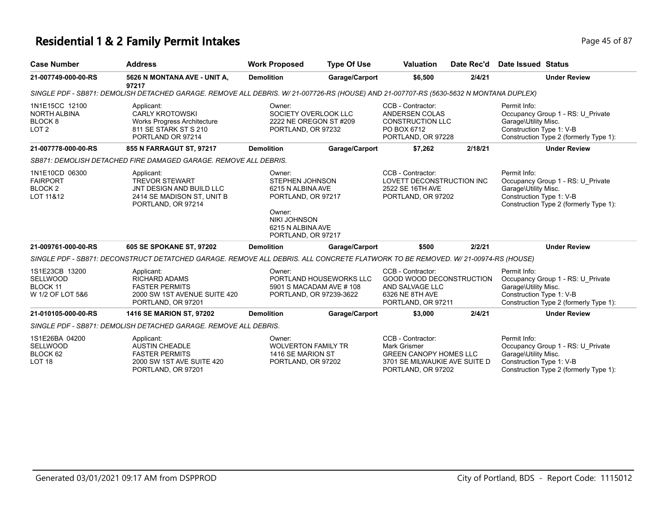# **Residential 1 & 2 Family Permit Intakes Page 45 of 87** Page 45 of 87

| <b>Case Number</b>                                                       | <b>Address</b>                                                                                                                         | <b>Work Proposed</b>                                                                                                                                    | <b>Type Of Use</b>      | Valuation                                                                                                                        | Date Rec'd | Date Issued Status                                               |                                                                             |
|--------------------------------------------------------------------------|----------------------------------------------------------------------------------------------------------------------------------------|---------------------------------------------------------------------------------------------------------------------------------------------------------|-------------------------|----------------------------------------------------------------------------------------------------------------------------------|------------|------------------------------------------------------------------|-----------------------------------------------------------------------------|
| 21-007749-000-00-RS                                                      | 5626 N MONTANA AVE - UNIT A,<br>97217                                                                                                  | <b>Demolition</b>                                                                                                                                       | Garage/Carport          | \$6,500                                                                                                                          | 2/4/21     |                                                                  | <b>Under Review</b>                                                         |
|                                                                          | SINGLE PDF - SB871: DEMOLISH DETACHED GARAGE. REMOVE ALL DEBRIS. W/ 21-007726-RS (HOUSE) AND 21-007707-RS (5630-5632 N MONTANA DUPLEX) |                                                                                                                                                         |                         |                                                                                                                                  |            |                                                                  |                                                                             |
| 1N1E15CC 12100<br>NORTH ALBINA<br>BLOCK 8<br>LOT <sub>2</sub>            | Applicant:<br><b>CARLY KROTOWSKI</b><br>Works Progress Architecture<br>811 SE STARK ST S 210<br>PORTLAND OR 97214                      | Owner:<br>SOCIETY OVERLOOK LLC<br>2222 NE OREGON ST #209<br>PORTLAND, OR 97232                                                                          |                         | CCB - Contractor:<br>ANDERSEN COLAS<br><b>CONSTRUCTION LLC</b><br>PO BOX 6712<br>PORTLAND, OR 97228                              |            | Permit Info:<br>Garage\Utility Misc.<br>Construction Type 1: V-B | Occupancy Group 1 - RS: U Private<br>Construction Type 2 (formerly Type 1): |
| 21-007778-000-00-RS                                                      | 855 N FARRAGUT ST, 97217                                                                                                               | <b>Demolition</b>                                                                                                                                       | Garage/Carport          | \$7,262                                                                                                                          | 2/18/21    |                                                                  | <b>Under Review</b>                                                         |
|                                                                          | SB871: DEMOLISH DETACHED FIRE DAMAGED GARAGE. REMOVE ALL DEBRIS.                                                                       |                                                                                                                                                         |                         |                                                                                                                                  |            |                                                                  |                                                                             |
| 1N1E10CD 06300<br><b>FAIRPORT</b><br>BLOCK <sub>2</sub><br>LOT 11&12     | Applicant:<br><b>TREVOR STEWART</b><br>JNT DESIGN AND BUILD LLC<br>2414 SE MADISON ST, UNIT B<br>PORTLAND, OR 97214                    | Owner:<br><b>STEPHEN JOHNSON</b><br>6215 N ALBINA AVE<br>PORTLAND, OR 97217<br>Owner:<br><b>NIKI JOHNSON</b><br>6215 N ALBINA AVE<br>PORTLAND, OR 97217 |                         | CCB - Contractor:<br>LOVETT DECONSTRUCTION INC<br>2522 SE 16TH AVE<br>PORTLAND, OR 97202                                         |            | Permit Info:<br>Garage\Utility Misc.<br>Construction Type 1: V-B | Occupancy Group 1 - RS: U Private<br>Construction Type 2 (formerly Type 1): |
| 21-009761-000-00-RS                                                      | 605 SE SPOKANE ST, 97202                                                                                                               | <b>Demolition</b>                                                                                                                                       | Garage/Carport          | \$500                                                                                                                            | 2/2/21     |                                                                  | <b>Under Review</b>                                                         |
|                                                                          | SINGLE PDF - SB871: DECONSTRUCT DETATCHED GARAGE. REMOVE ALL DEBRIS. ALL CONCRETE FLATWORK TO BE REMOVED. W/21-00974-RS (HOUSE)        |                                                                                                                                                         |                         |                                                                                                                                  |            |                                                                  |                                                                             |
| 1S1E23CB 13200<br><b>SELLWOOD</b><br><b>BLOCK 11</b><br>W 1/2 OF LOT 5&6 | Applicant:<br><b>RICHARD ADAMS</b><br><b>FASTER PERMITS</b><br>2000 SW 1ST AVENUE SUITE 420<br>PORTLAND, OR 97201                      | Owner:<br>5901 S MACADAM AVE # 108<br>PORTLAND, OR 97239-3622                                                                                           | PORTLAND HOUSEWORKS LLC | CCB - Contractor:<br><b>GOOD WOOD DECONSTRUCTION</b><br>AND SALVAGE LLC<br>6326 NE 8TH AVE<br>PORTLAND, OR 97211                 |            | Permit Info:<br>Garage\Utility Misc.<br>Construction Type 1: V-B | Occupancy Group 1 - RS: U Private<br>Construction Type 2 (formerly Type 1): |
| 21-010105-000-00-RS                                                      | <b>1416 SE MARION ST, 97202</b>                                                                                                        | <b>Demolition</b>                                                                                                                                       | Garage/Carport          | \$3,000                                                                                                                          | 2/4/21     |                                                                  | <b>Under Review</b>                                                         |
|                                                                          | SINGLE PDF - SB871: DEMOLISH DETACHED GARAGE. REMOVE ALL DEBRIS.                                                                       |                                                                                                                                                         |                         |                                                                                                                                  |            |                                                                  |                                                                             |
| 1S1E26BA 04200<br><b>SELLWOOD</b><br>BLOCK 62<br><b>LOT 18</b>           | Applicant:<br>AUSTIN CHEADLE<br><b>FASTER PERMITS</b><br>2000 SW 1ST AVE SUITE 420<br>PORTLAND, OR 97201                               | Owner:<br><b>WOLVERTON FAMILY TR</b><br>1416 SE MARION ST<br>PORTLAND, OR 97202                                                                         |                         | CCB - Contractor:<br><b>Mark Grismer</b><br><b>GREEN CANOPY HOMES LLC</b><br>3701 SE MILWAUKIE AVE SUITE D<br>PORTLAND, OR 97202 |            | Permit Info:<br>Garage\Utility Misc.<br>Construction Type 1: V-B | Occupancy Group 1 - RS: U_Private<br>Construction Type 2 (formerly Type 1): |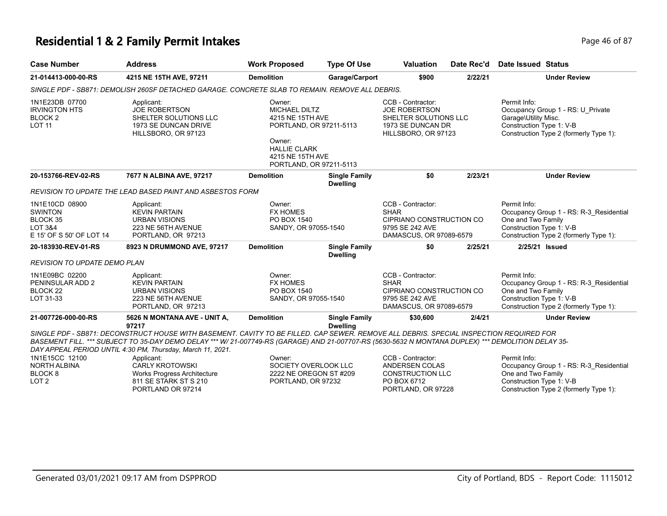#### **Residential 1 & 2 Family Permit Intakes Page 16 of 87** Page 46 of 87

| <b>Case Number</b>                                                                             | <b>Address</b>                                                                                                                                                                                                                                                                                                                                               | <b>Work Proposed</b>                                                                                                                                          | <b>Type Of Use</b>                      | <b>Valuation</b>                                                                                               | Date Rec'd | Date Issued Status                                                                                                                                  |
|------------------------------------------------------------------------------------------------|--------------------------------------------------------------------------------------------------------------------------------------------------------------------------------------------------------------------------------------------------------------------------------------------------------------------------------------------------------------|---------------------------------------------------------------------------------------------------------------------------------------------------------------|-----------------------------------------|----------------------------------------------------------------------------------------------------------------|------------|-----------------------------------------------------------------------------------------------------------------------------------------------------|
| 21-014413-000-00-RS                                                                            | 4215 NE 15TH AVE, 97211                                                                                                                                                                                                                                                                                                                                      | <b>Demolition</b>                                                                                                                                             | Garage/Carport                          | \$900                                                                                                          | 2/22/21    | <b>Under Review</b>                                                                                                                                 |
|                                                                                                | SINGLE PDF - SB871: DEMOLISH 260SF DETACHED GARAGE. CONCRETE SLAB TO REMAIN. REMOVE ALL DEBRIS.                                                                                                                                                                                                                                                              |                                                                                                                                                               |                                         |                                                                                                                |            |                                                                                                                                                     |
| 1N1E23DB 07700<br><b>IRVINGTON HTS</b><br>BLOCK <sub>2</sub><br><b>LOT 11</b>                  | Applicant:<br><b>JOE ROBERTSON</b><br>SHELTER SOLUTIONS LLC<br>1973 SE DUNCAN DRIVE<br>HILLSBORO, OR 97123                                                                                                                                                                                                                                                   | Owner:<br><b>MICHAEL DILTZ</b><br>4215 NE 15TH AVE<br>PORTLAND, OR 97211-5113<br>Owner:<br><b>HALLIE CLARK</b><br>4215 NE 15TH AVE<br>PORTLAND, OR 97211-5113 |                                         | CCB - Contractor:<br><b>JOE ROBERTSON</b><br>SHELTER SOLUTIONS LLC<br>1973 SE DUNCAN DR<br>HILLSBORO, OR 97123 |            | Permit Info:<br>Occupancy Group 1 - RS: U_Private<br>Garage\Utility Misc.<br>Construction Type 1: V-B<br>Construction Type 2 (formerly Type 1):     |
| 20-153766-REV-02-RS                                                                            | 7677 N ALBINA AVE, 97217                                                                                                                                                                                                                                                                                                                                     | <b>Demolition</b>                                                                                                                                             | <b>Single Family</b><br><b>Dwelling</b> | \$0                                                                                                            | 2/23/21    | <b>Under Review</b>                                                                                                                                 |
|                                                                                                | REVISION TO UPDATE THE LEAD BASED PAINT AND ASBESTOS FORM                                                                                                                                                                                                                                                                                                    |                                                                                                                                                               |                                         |                                                                                                                |            |                                                                                                                                                     |
| 1N1E10CD 08900<br><b>SWINTON</b><br>BLOCK 35<br><b>LOT 3&amp;4</b><br>E 15' OF S 50' OF LOT 14 | Applicant:<br><b>KEVIN PARTAIN</b><br><b>URBAN VISIONS</b><br>223 NE 56TH AVENUE<br>PORTLAND, OR 97213                                                                                                                                                                                                                                                       | Owner:<br><b>FX HOMES</b><br>PO BOX 1540<br>SANDY, OR 97055-1540                                                                                              |                                         | CCB - Contractor:<br><b>SHAR</b><br>CIPRIANO CONSTRUCTION CO<br>9795 SE 242 AVE<br>DAMASCUS, OR 97089-6579     |            | Permit Info:<br>Occupancy Group 1 - RS: R-3_Residential<br>One and Two Family<br>Construction Type 1: V-B<br>Construction Type 2 (formerly Type 1): |
| 20-183930-REV-01-RS                                                                            | 8923 N DRUMMOND AVE, 97217                                                                                                                                                                                                                                                                                                                                   | <b>Demolition</b>                                                                                                                                             | <b>Single Family</b><br><b>Dwelling</b> | \$0                                                                                                            | 2/25/21    | 2/25/21 Issued                                                                                                                                      |
| <b>REVISION TO UPDATE DEMO PLAN</b>                                                            |                                                                                                                                                                                                                                                                                                                                                              |                                                                                                                                                               |                                         |                                                                                                                |            |                                                                                                                                                     |
| 1N1E09BC 02200<br>PENINSULAR ADD 2<br>BLOCK <sub>22</sub><br>LOT 31-33                         | Applicant:<br><b>KEVIN PARTAIN</b><br><b>URBAN VISIONS</b><br>223 NE 56TH AVENUE<br>PORTLAND, OR 97213                                                                                                                                                                                                                                                       | Owner:<br><b>FX HOMES</b><br>PO BOX 1540<br>SANDY, OR 97055-1540                                                                                              |                                         | CCB - Contractor:<br><b>SHAR</b><br>CIPRIANO CONSTRUCTION CO<br>9795 SE 242 AVE<br>DAMASCUS, OR 97089-6579     |            | Permit Info:<br>Occupancy Group 1 - RS: R-3 Residential<br>One and Two Family<br>Construction Type 1: V-B<br>Construction Type 2 (formerly Type 1): |
| 21-007726-000-00-RS                                                                            | 5626 N MONTANA AVE - UNIT A,<br>97217                                                                                                                                                                                                                                                                                                                        | <b>Demolition</b>                                                                                                                                             | <b>Single Family</b><br><b>Dwelling</b> | \$30,600                                                                                                       | 2/4/21     | <b>Under Review</b>                                                                                                                                 |
|                                                                                                | SINGLE PDF - SB871: DECONSTRUCT HOUSE WITH BASEMENT. CAVITY TO BE FILLED. CAP SEWER. REMOVE ALL DEBRIS. SPECIAL INSPECTION REQUIRED FOR<br>BASEMENT FILL. *** SUBJECT TO 35-DAY DEMO DELAY *** W/ 21-007749-RS (GARAGE) AND 21-007707-RS (5630-5632 N MONTANA DUPLEX) *** DEMOLITION DELAY 35-<br>DAY APPEAL PERIOD UNTIL 4:30 PM, Thursday, March 11, 2021. |                                                                                                                                                               |                                         |                                                                                                                |            |                                                                                                                                                     |
| 1N1E15CC 12100<br><b>NORTH ALBINA</b><br>BLOCK <sub>8</sub><br>LOT <sub>2</sub>                | Applicant:<br><b>CARLY KROTOWSKI</b><br><b>Works Progress Architecture</b><br>811 SE STARK ST S 210                                                                                                                                                                                                                                                          | Owner:<br>SOCIETY OVERLOOK LLC<br>2222 NE OREGON ST #209<br>PORTLAND, OR 97232                                                                                |                                         | CCB - Contractor:<br>ANDERSEN COLAS<br><b>CONSTRUCTION LLC</b><br>PO BOX 6712                                  |            | Permit Info:<br>Occupancy Group 1 - RS: R-3_Residential<br>One and Two Family<br>Construction Type 1: V-B                                           |

PORTLAND, OR 97228

PORTLAND OR 97214

Construction Type 1: V-B

Construction Type 2 (formerly Type 1):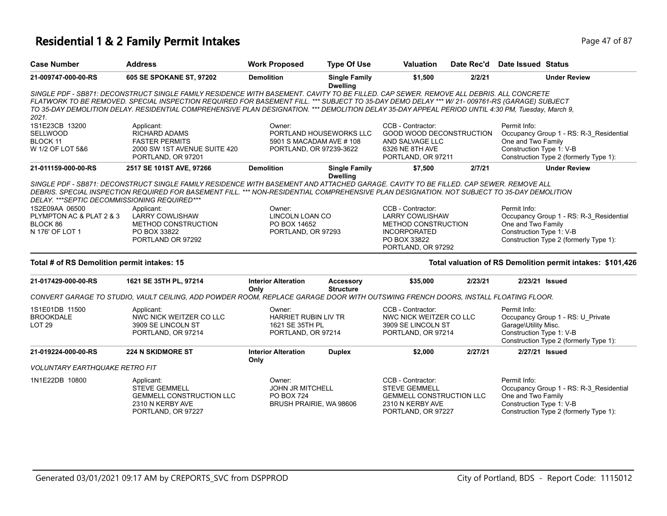### **Residential 1 & 2 Family Permit Intakes Page 17 of 87 Page 47 of 87**

| <b>Case Number</b>                                                | <b>Address</b>                                                                                                                                                                                                                                                                                                                                                                                                                                | <b>Work Proposed</b>                                                              | <b>Type Of Use</b>                      | Valuation                                                                                                              | Date Rec'd | <b>Date Issued Status</b>                                        |                                                                                   |
|-------------------------------------------------------------------|-----------------------------------------------------------------------------------------------------------------------------------------------------------------------------------------------------------------------------------------------------------------------------------------------------------------------------------------------------------------------------------------------------------------------------------------------|-----------------------------------------------------------------------------------|-----------------------------------------|------------------------------------------------------------------------------------------------------------------------|------------|------------------------------------------------------------------|-----------------------------------------------------------------------------------|
| 21-009747-000-00-RS                                               | 605 SE SPOKANE ST, 97202                                                                                                                                                                                                                                                                                                                                                                                                                      | <b>Demolition</b>                                                                 | <b>Single Family</b><br><b>Dwelling</b> | \$1,500                                                                                                                | 2/2/21     |                                                                  | <b>Under Review</b>                                                               |
| 2021.                                                             | SINGLE PDF - SB871: DECONSTRUCT SINGLE FAMILY RESIDENCE WITH BASEMENT. CAVITY TO BE FILLED. CAP SEWER. REMOVE ALL DEBRIS. ALL CONCRETE<br>FLATWORK TO BE REMOVED. SPECIAL INSPECTION REQUIRED FOR BASEMENT FILL. *** SUBJECT TO 35-DAY DEMO DELAY *** W/ 21- 009761-RS (GARAGE) SUBJECT<br>TO 35-DAY DEMOLITION DELAY. RESIDENTIAL COMPREHENSIVE PLAN DESIGNATION. *** DEMOLITION DELAY 35-DAY APPEAL PERIOD UNTIL 4:30 PM, Tuesday, March 9, |                                                                                   |                                         |                                                                                                                        |            |                                                                  |                                                                                   |
| 1S1E23CB 13200<br><b>SELLWOOD</b><br>BLOCK 11<br>W 1/2 OF LOT 5&6 | Applicant:<br><b>RICHARD ADAMS</b><br><b>FASTER PERMITS</b><br>2000 SW 1ST AVENUE SUITE 420<br>PORTLAND, OR 97201                                                                                                                                                                                                                                                                                                                             | Owner:<br>5901 S MACADAM AVE # 108<br>PORTLAND, OR 97239-3622                     | PORTLAND HOUSEWORKS LLC                 | CCB - Contractor:<br><b>GOOD WOOD DECONSTRUCTION</b><br>AND SALVAGE LLC<br>6326 NE 8TH AVE<br>PORTLAND, OR 97211       |            | Permit Info:<br>One and Two Family<br>Construction Type 1: V-B   | Occupancy Group 1 - RS: R-3 Residential<br>Construction Type 2 (formerly Type 1): |
| 21-011159-000-00-RS                                               | 2517 SE 101ST AVE, 97266                                                                                                                                                                                                                                                                                                                                                                                                                      | <b>Demolition</b>                                                                 | <b>Single Family</b><br><b>Dwelling</b> | \$7,500                                                                                                                | 2/7/21     |                                                                  | <b>Under Review</b>                                                               |
| DELAY. *** SEPTIC DECOMMISSIONING REQUIRED***<br>1S2E09AA 06500   | SINGLE PDF - SB871: DECONSTRUCT SINGLE FAMILY RESIDENCE WITH BASEMENT AND ATTACHED GARAGE. CAVITY TO BE FILLED, CAP SEWER, REMOVE ALL<br>DEBRIS. SPECIAL INSPECTION REQUIRED FOR BASEMENT FILL. *** NON-RESIDENTIAL COMPREHENSIVE PLAN DESIGNATION. NOT SUBJECT TO 35-DAY DEMOLITION<br>Applicant:                                                                                                                                            | Owner:<br><b>LINCOLN LOAN CO</b>                                                  |                                         | CCB - Contractor:                                                                                                      |            | Permit Info:                                                     |                                                                                   |
| PLYMPTON AC & PLAT 2 & 3<br>BLOCK 86<br>N 176' OF LOT 1           | <b>LARRY COWLISHAW</b><br>METHOD CONSTRUCTION<br>PO BOX 33822<br>PORTLAND OR 97292                                                                                                                                                                                                                                                                                                                                                            | PO BOX 14652<br>PORTLAND, OR 97293                                                |                                         | <b>LARRY COWLISHAW</b><br>METHOD CONSTRUCTION<br><b>INCORPORATED</b><br>PO BOX 33822<br>PORTLAND, OR 97292             |            | One and Two Family<br>Construction Type 1: V-B                   | Occupancy Group 1 - RS: R-3_Residential<br>Construction Type 2 (formerly Type 1): |
| Total # of RS Demolition permit intakes: 15                       |                                                                                                                                                                                                                                                                                                                                                                                                                                               |                                                                                   |                                         |                                                                                                                        |            |                                                                  | Total valuation of RS Demolition permit intakes: \$101,426                        |
| 21-017429-000-00-RS                                               | 1621 SE 35TH PL, 97214                                                                                                                                                                                                                                                                                                                                                                                                                        | <b>Interior Alteration</b><br>Only                                                | <b>Accessory</b><br><b>Structure</b>    | \$35,000                                                                                                               | 2/23/21    | 2/23/21 Issued                                                   |                                                                                   |
|                                                                   | CONVERT GARAGE TO STUDIO, VAULT CEILING, ADD POWDER ROOM, REPLACE GARAGE DOOR WITH OUTSWING FRENCH DOORS, INSTALL FLOATING FLOOR.                                                                                                                                                                                                                                                                                                             |                                                                                   |                                         |                                                                                                                        |            |                                                                  |                                                                                   |
| 1S1E01DB 11500<br><b>BROOKDALE</b><br>LOT <sub>29</sub>           | Applicant:<br>NWC NICK WEITZER CO LLC<br>3909 SE LINCOLN ST<br>PORTLAND, OR 97214                                                                                                                                                                                                                                                                                                                                                             | Owner:<br>HARRIET RUBIN LIV TR<br>1621 SE 35TH PL<br>PORTLAND, OR 97214           |                                         | CCB - Contractor:<br>NWC NICK WEITZER CO LLC<br>3909 SE LINCOLN ST<br>PORTLAND, OR 97214                               |            | Permit Info:<br>Garage\Utility Misc.<br>Construction Type 1: V-B | Occupancy Group 1 - RS: U_Private<br>Construction Type 2 (formerly Type 1):       |
| 21-019224-000-00-RS                                               | <b>224 N SKIDMORE ST</b>                                                                                                                                                                                                                                                                                                                                                                                                                      | <b>Interior Alteration</b><br>Only                                                | <b>Duplex</b>                           | \$2,000                                                                                                                | 2/27/21    | 2/27/21 Issued                                                   |                                                                                   |
| <b>VOLUNTARY EARTHQUAKE RETRO FIT</b>                             |                                                                                                                                                                                                                                                                                                                                                                                                                                               |                                                                                   |                                         |                                                                                                                        |            |                                                                  |                                                                                   |
| 1N1E22DB 10800                                                    | Applicant:<br><b>STEVE GEMMELL</b><br><b>GEMMELL CONSTRUCTION LLC</b><br>2310 N KERBY AVE<br>PORTLAND, OR 97227                                                                                                                                                                                                                                                                                                                               | Owner:<br><b>JOHN JR MITCHELL</b><br><b>PO BOX 724</b><br>BRUSH PRAIRIE, WA 98606 |                                         | CCB - Contractor:<br><b>STEVE GEMMELL</b><br><b>GEMMELL CONSTRUCTION LLC</b><br>2310 N KERBY AVE<br>PORTLAND, OR 97227 |            | Permit Info:<br>One and Two Family<br>Construction Type 1: V-B   | Occupancy Group 1 - RS: R-3 Residential<br>Construction Type 2 (formerly Type 1): |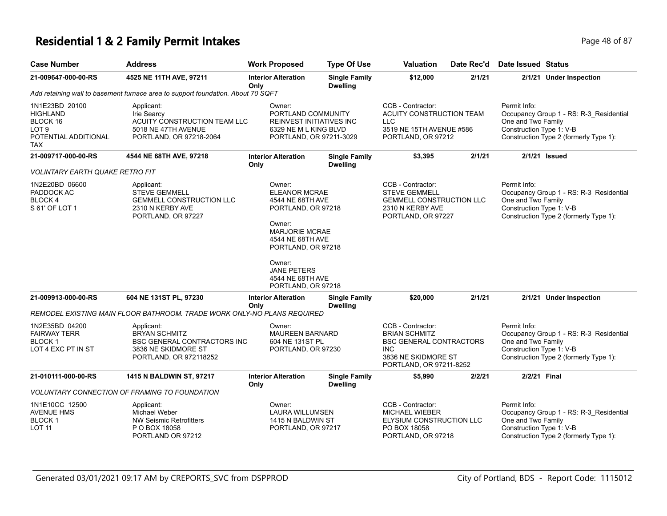### **Residential 1 & 2 Family Permit Intakes Page 18 of 87** Page 48 of 87

| <b>Case Number</b>                                                                                      | <b>Address</b>                                                                                                            | <b>Work Proposed</b>                                                                                                                                                                                                            | <b>Type Of Use</b>                      | <b>Valuation</b>                                                                                                                            | Date Rec'd | <b>Date Issued Status</b>                                                                                                                           |
|---------------------------------------------------------------------------------------------------------|---------------------------------------------------------------------------------------------------------------------------|---------------------------------------------------------------------------------------------------------------------------------------------------------------------------------------------------------------------------------|-----------------------------------------|---------------------------------------------------------------------------------------------------------------------------------------------|------------|-----------------------------------------------------------------------------------------------------------------------------------------------------|
| 21-009647-000-00-RS                                                                                     | 4525 NE 11TH AVE, 97211                                                                                                   | <b>Interior Alteration</b><br>Only                                                                                                                                                                                              | <b>Single Family</b><br><b>Dwelling</b> | \$12,000                                                                                                                                    | 2/1/21     | 2/1/21 Under Inspection                                                                                                                             |
|                                                                                                         | Add retaining wall to basement furnace area to support foundation. About 70 SQFT                                          |                                                                                                                                                                                                                                 |                                         |                                                                                                                                             |            |                                                                                                                                                     |
| 1N1E23BD 20100<br><b>HIGHLAND</b><br>BLOCK 16<br>LOT <sub>9</sub><br>POTENTIAL ADDITIONAL<br><b>TAX</b> | Applicant:<br>Irie Searcy<br>ACUITY CONSTRUCTION TEAM LLC<br>5018 NE 47TH AVENUE<br>PORTLAND, OR 97218-2064               | Owner:<br>PORTLAND COMMUNITY<br>REINVEST INITIATIVES INC<br>6329 NE M L KING BLVD<br>PORTLAND, OR 97211-3029                                                                                                                    |                                         | CCB - Contractor:<br>ACUITY CONSTRUCTION TEAM<br><b>LLC</b><br>3519 NE 15TH AVENUE #586<br>PORTLAND, OR 97212                               |            | Permit Info:<br>Occupancy Group 1 - RS: R-3_Residential<br>One and Two Family<br>Construction Type 1: V-B<br>Construction Type 2 (formerly Type 1): |
| 21-009717-000-00-RS                                                                                     | 4544 NE 68TH AVE, 97218                                                                                                   | <b>Interior Alteration</b><br>Only                                                                                                                                                                                              | <b>Single Family</b><br><b>Dwelling</b> | \$3,395                                                                                                                                     | 2/1/21     | 2/1/21 Issued                                                                                                                                       |
| <b>VOLINTARY EARTH QUAKE RETRO FIT</b>                                                                  |                                                                                                                           |                                                                                                                                                                                                                                 |                                         |                                                                                                                                             |            |                                                                                                                                                     |
| 1N2E20BD 06600<br>PADDOCK AC<br><b>BLOCK4</b><br>S 61' OF LOT 1                                         | Applicant:<br><b>STEVE GEMMELL</b><br><b>GEMMELL CONSTRUCTION LLC</b><br>2310 N KERBY AVE<br>PORTLAND, OR 97227           | Owner:<br><b>ELEANOR MCRAE</b><br>4544 NE 68TH AVE<br>PORTLAND, OR 97218<br>Owner:<br><b>MARJORIE MCRAE</b><br>4544 NE 68TH AVE<br>PORTLAND, OR 97218<br>Owner:<br><b>JANE PETERS</b><br>4544 NE 68TH AVE<br>PORTLAND, OR 97218 |                                         | CCB - Contractor:<br><b>STEVE GEMMELL</b><br>GEMMELL CONSTRUCTION LLC<br>2310 N KERBY AVE<br>PORTLAND, OR 97227                             |            | Permit Info:<br>Occupancy Group 1 - RS: R-3 Residential<br>One and Two Family<br>Construction Type 1: V-B<br>Construction Type 2 (formerly Type 1): |
| 21-009913-000-00-RS                                                                                     | 604 NE 131ST PL, 97230                                                                                                    | <b>Interior Alteration</b><br>Only                                                                                                                                                                                              | <b>Single Family</b><br><b>Dwelling</b> | \$20,000                                                                                                                                    | 2/1/21     | 2/1/21 Under Inspection                                                                                                                             |
|                                                                                                         | REMODEL EXISTING MAIN FLOOR BATHROOM. TRADE WORK ONLY-NO PLANS REQUIRED                                                   |                                                                                                                                                                                                                                 |                                         |                                                                                                                                             |            |                                                                                                                                                     |
| 1N2E35BD 04200<br><b>FAIRWAY TERR</b><br><b>BLOCK1</b><br>LOT 4 EXC PT IN ST                            | Applicant:<br><b>BRYAN SCHMITZ</b><br><b>BSC GENERAL CONTRACTORS INC</b><br>3836 NE SKIDMORE ST<br>PORTLAND, OR 972118252 | Owner:<br><b>MAUREEN BARNARD</b><br>604 NE 131ST PL<br>PORTLAND, OR 97230                                                                                                                                                       |                                         | CCB - Contractor:<br><b>BRIAN SCHMITZ</b><br><b>BSC GENERAL CONTRACTORS</b><br><b>INC</b><br>3836 NE SKIDMORE ST<br>PORTLAND, OR 97211-8252 |            | Permit Info:<br>Occupancy Group 1 - RS: R-3_Residential<br>One and Two Family<br>Construction Type 1: V-B<br>Construction Type 2 (formerly Type 1): |
| 21-010111-000-00-RS                                                                                     | 1415 N BALDWIN ST, 97217                                                                                                  | <b>Interior Alteration</b><br>Only                                                                                                                                                                                              | <b>Single Family</b><br><b>Dwelling</b> | \$5,990                                                                                                                                     | 2/2/21     | 2/2/21 Final                                                                                                                                        |
|                                                                                                         | <b>VOLUNTARY CONNECTION OF FRAMING TO FOUNDATION</b>                                                                      |                                                                                                                                                                                                                                 |                                         |                                                                                                                                             |            |                                                                                                                                                     |
| 1N1E10CC 12500<br><b>AVENUE HMS</b><br><b>BLOCK1</b><br><b>LOT 11</b>                                   | Applicant:<br>Michael Weber<br><b>NW Seismic Retrofitters</b><br>P O BOX 18058<br>PORTLAND OR 97212                       | Owner:<br>LAURA WILLUMSEN<br>1415 N BALDWIN ST<br>PORTLAND, OR 97217                                                                                                                                                            |                                         | CCB - Contractor:<br><b>MICHAEL WIEBER</b><br>ELYSIUM CONSTRUCTION LLC<br>PO BOX 18058<br>PORTLAND, OR 97218                                |            | Permit Info:<br>Occupancy Group 1 - RS: R-3 Residential<br>One and Two Family<br>Construction Type 1: V-B<br>Construction Type 2 (formerly Type 1): |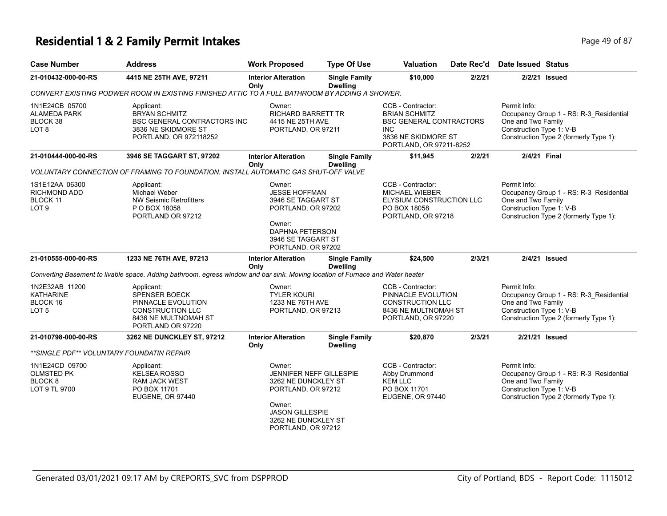### **Residential 1 & 2 Family Permit Intakes Page 19 of 87 Page 49 of 87**

| <b>Case Number</b>                                                         | <b>Address</b>                                                                                                                   | <b>Work Proposed</b>                                                                                                                                                   | <b>Type Of Use</b>                      | <b>Valuation</b>                                                                                                                      | Date Rec'd | <b>Date Issued Status</b>                                                                                                                           |
|----------------------------------------------------------------------------|----------------------------------------------------------------------------------------------------------------------------------|------------------------------------------------------------------------------------------------------------------------------------------------------------------------|-----------------------------------------|---------------------------------------------------------------------------------------------------------------------------------------|------------|-----------------------------------------------------------------------------------------------------------------------------------------------------|
| 21-010432-000-00-RS                                                        | 4415 NE 25TH AVE, 97211                                                                                                          | <b>Interior Alteration</b><br>Only                                                                                                                                     | <b>Single Family</b><br><b>Dwelling</b> | \$10,000                                                                                                                              | 2/2/21     | 2/2/21 Issued                                                                                                                                       |
|                                                                            | CONVERT EXISTING PODWER ROOM IN EXISTING FINISHED ATTIC TO A FULL BATHROOM BY ADDING A SHOWER.                                   |                                                                                                                                                                        |                                         |                                                                                                                                       |            |                                                                                                                                                     |
| 1N1E24CB 05700<br><b>ALAMEDA PARK</b><br>BLOCK 38<br>LOT <sub>8</sub>      | Applicant:<br><b>BRYAN SCHMITZ</b><br><b>BSC GENERAL CONTRACTORS INC</b><br>3836 NE SKIDMORE ST<br>PORTLAND, OR 972118252        | Owner:<br><b>RICHARD BARRETT TR</b><br>4415 NE 25TH AVE<br>PORTLAND, OR 97211                                                                                          |                                         | CCB - Contractor:<br><b>BRIAN SCHMITZ</b><br><b>BSC GENERAL CONTRACTORS</b><br>INC.<br>3836 NE SKIDMORE ST<br>PORTLAND, OR 97211-8252 |            | Permit Info:<br>Occupancy Group 1 - RS: R-3_Residential<br>One and Two Family<br>Construction Type 1: V-B<br>Construction Type 2 (formerly Type 1): |
| 21-010444-000-00-RS                                                        | 3946 SE TAGGART ST, 97202                                                                                                        | <b>Interior Alteration</b><br>Only                                                                                                                                     | <b>Single Family</b><br><b>Dwelling</b> | \$11,945                                                                                                                              | 2/2/21     | 2/4/21 Final                                                                                                                                        |
|                                                                            | VOLUNTARY CONNECTION OF FRAMING TO FOUNDATION. INSTALL AUTOMATIC GAS SHUT-OFF VALVE                                              |                                                                                                                                                                        |                                         |                                                                                                                                       |            |                                                                                                                                                     |
| 1S1E12AA 06300<br><b>RICHMOND ADD</b><br>BLOCK 11<br>LOT <sub>9</sub>      | Applicant:<br>Michael Weber<br><b>NW Seismic Retrofitters</b><br>P O BOX 18058<br>PORTLAND OR 97212                              | Owner:<br><b>JESSE HOFFMAN</b><br>3946 SE TAGGART ST<br>PORTLAND, OR 97202<br>Owner:<br><b>DAPHNA PETERSON</b><br>3946 SE TAGGART ST<br>PORTLAND, OR 97202             |                                         | CCB - Contractor:<br><b>MICHAEL WIEBER</b><br>ELYSIUM CONSTRUCTION LLC<br>PO BOX 18058<br>PORTLAND, OR 97218                          |            | Permit Info:<br>Occupancy Group 1 - RS: R-3_Residential<br>One and Two Family<br>Construction Type 1: V-B<br>Construction Type 2 (formerly Type 1): |
| 21-010555-000-00-RS                                                        | 1233 NE 76TH AVE, 97213                                                                                                          | <b>Interior Alteration</b><br>Only                                                                                                                                     | <b>Single Family</b><br><b>Dwelling</b> | \$24,500                                                                                                                              | 2/3/21     | 2/4/21 Issued                                                                                                                                       |
|                                                                            | Converting Basement to livable space. Adding bathroom, egress window and bar sink. Moving location of Furnace and Water heater   |                                                                                                                                                                        |                                         |                                                                                                                                       |            |                                                                                                                                                     |
| 1N2E32AB 11200<br><b>KATHARINE</b><br>BLOCK 16<br>LOT <sub>5</sub>         | Applicant:<br><b>SPENSER BOECK</b><br>PINNACLE EVOLUTION<br><b>CONSTRUCTION LLC</b><br>8436 NE MULTNOMAH ST<br>PORTLAND OR 97220 | Owner:<br><b>TYLER KOURI</b><br>1233 NE 76TH AVE<br>PORTLAND, OR 97213                                                                                                 |                                         | CCB - Contractor:<br>PINNACLE EVOLUTION<br><b>CONSTRUCTION LLC</b><br>8436 NE MULTNOMAH ST<br>PORTLAND, OR 97220                      |            | Permit Info:<br>Occupancy Group 1 - RS: R-3_Residential<br>One and Two Family<br>Construction Type 1: V-B<br>Construction Type 2 (formerly Type 1): |
| 21-010798-000-00-RS                                                        | 3262 NE DUNCKLEY ST, 97212                                                                                                       | <b>Interior Alteration</b><br>Only                                                                                                                                     | <b>Single Family</b><br><b>Dwelling</b> | \$20,870                                                                                                                              | 2/3/21     | 2/21/21 Issued                                                                                                                                      |
| **SINGLE PDF** VOLUNTARY FOUNDATIN REPAIR                                  |                                                                                                                                  |                                                                                                                                                                        |                                         |                                                                                                                                       |            |                                                                                                                                                     |
| 1N1E24CD 09700<br><b>OLMSTED PK</b><br>BLOCK <sub>8</sub><br>LOT 9 TL 9700 | Applicant:<br><b>KELSEA ROSSO</b><br><b>RAM JACK WEST</b><br>PO BOX 11701<br><b>EUGENE, OR 97440</b>                             | Owner:<br><b>JENNIFER NEFF GILLESPIE</b><br>3262 NE DUNCKLEY ST<br>PORTLAND, OR 97212<br>Owner:<br><b>JASON GILLESPIE</b><br>3262 NE DUNCKLEY ST<br>PORTLAND, OR 97212 |                                         | CCB - Contractor:<br>Abby Drummond<br><b>KEM LLC</b><br>PO BOX 11701<br>EUGENE, OR 97440                                              |            | Permit Info:<br>Occupancy Group 1 - RS: R-3_Residential<br>One and Two Family<br>Construction Type 1: V-B<br>Construction Type 2 (formerly Type 1): |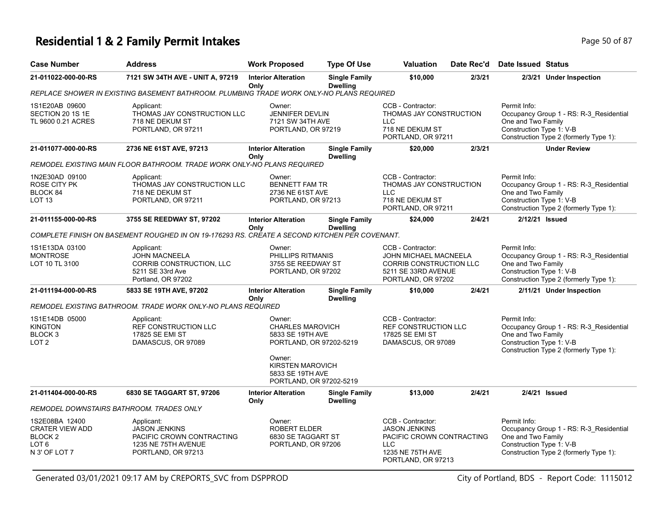### **Residential 1 & 2 Family Permit Intakes Page 10 Of 87** Page 50 of 87

| <b>Case Number</b>                                                                                  | <b>Address</b>                                                                                               | <b>Work Proposed</b>                                                                                                                      | <b>Type Of Use</b>                      | <b>Valuation</b>                                                                                                               | Date Rec'd | <b>Date Issued Status</b>                                                                                                                           |
|-----------------------------------------------------------------------------------------------------|--------------------------------------------------------------------------------------------------------------|-------------------------------------------------------------------------------------------------------------------------------------------|-----------------------------------------|--------------------------------------------------------------------------------------------------------------------------------|------------|-----------------------------------------------------------------------------------------------------------------------------------------------------|
| 21-011022-000-00-RS                                                                                 | 7121 SW 34TH AVE - UNIT A, 97219                                                                             | <b>Interior Alteration</b><br>Only                                                                                                        | <b>Single Family</b><br><b>Dwelling</b> | \$10,000                                                                                                                       | 2/3/21     | 2/3/21 Under Inspection                                                                                                                             |
|                                                                                                     | REPLACE SHOWER IN EXISTING BASEMENT BATHROOM. PLUMBING TRADE WORK ONLY-NO PLANS REQUIRED                     |                                                                                                                                           |                                         |                                                                                                                                |            |                                                                                                                                                     |
| 1S1E20AB 09600<br>SECTION 20 1S 1E<br>TL 9600 0.21 ACRES                                            | Applicant:<br>THOMAS JAY CONSTRUCTION LLC<br>718 NE DEKUM ST<br>PORTLAND, OR 97211                           | Owner:<br><b>JENNIFER DEVLIN</b><br>7121 SW 34TH AVE<br>PORTLAND, OR 97219                                                                |                                         | CCB - Contractor:<br>THOMAS JAY CONSTRUCTION<br><b>LLC</b><br>718 NE DEKUM ST<br>PORTLAND, OR 97211                            |            | Permit Info:<br>Occupancy Group 1 - RS: R-3_Residential<br>One and Two Family<br>Construction Type 1: V-B<br>Construction Type 2 (formerly Type 1): |
| 21-011077-000-00-RS                                                                                 | 2736 NE 61ST AVE, 97213                                                                                      | <b>Interior Alteration</b><br>Only                                                                                                        | <b>Single Family</b><br><b>Dwelling</b> | \$20,000                                                                                                                       | 2/3/21     | <b>Under Review</b>                                                                                                                                 |
|                                                                                                     | REMODEL EXISTING MAIN FLOOR BATHROOM. TRADE WORK ONLY-NO PLANS REQUIRED                                      |                                                                                                                                           |                                         |                                                                                                                                |            |                                                                                                                                                     |
| 1N2E30AD 09100<br>ROSE CITY PK<br>BLOCK 84<br>LOT <sub>13</sub>                                     | Applicant:<br>THOMAS JAY CONSTRUCTION LLC<br>718 NE DEKUM ST<br>PORTLAND, OR 97211                           | Owner:<br><b>BENNETT FAM TR</b><br>2736 NE 61ST AVE<br>PORTLAND, OR 97213                                                                 |                                         | CCB - Contractor:<br>THOMAS JAY CONSTRUCTION<br><b>LLC</b><br>718 NE DEKUM ST<br>PORTLAND, OR 97211                            |            | Permit Info:<br>Occupancy Group 1 - RS: R-3_Residential<br>One and Two Family<br>Construction Type 1: V-B<br>Construction Type 2 (formerly Type 1): |
| 21-011155-000-00-RS                                                                                 | 3755 SE REEDWAY ST, 97202                                                                                    | <b>Interior Alteration</b><br>Only                                                                                                        | <b>Single Family</b><br><b>Dwelling</b> | \$24,000                                                                                                                       | 2/4/21     | 2/12/21 Issued                                                                                                                                      |
|                                                                                                     | COMPLETE FINISH ON BASEMENT ROUGHED IN ON 19-176293 RS. CREATE A SECOND KITCHEN PER COVENANT.                |                                                                                                                                           |                                         |                                                                                                                                |            |                                                                                                                                                     |
| 1S1E13DA 03100<br><b>MONTROSE</b><br>LOT 10 TL 3100                                                 | Applicant:<br><b>JOHN MACNEELA</b><br>CORRIB CONSTRUCTION, LLC<br>5211 SE 33rd Ave<br>Portland, OR 97202     | Owner:<br>PHILLIPS RITMANIS<br>3755 SE REEDWAY ST<br>PORTLAND, OR 97202                                                                   |                                         | CCB - Contractor:<br>JOHN MICHAEL MACNEELA<br><b>CORRIB CONSTRUCTION LLC</b><br>5211 SE 33RD AVENUE<br>PORTLAND, OR 97202      |            | Permit Info:<br>Occupancy Group 1 - RS: R-3_Residential<br>One and Two Family<br>Construction Type 1: V-B<br>Construction Type 2 (formerly Type 1): |
| 21-011194-000-00-RS                                                                                 | 5833 SE 19TH AVE, 97202                                                                                      | <b>Interior Alteration</b><br>Only                                                                                                        | <b>Single Family</b><br><b>Dwelling</b> | \$10,000                                                                                                                       | 2/4/21     | 2/11/21 Under Inspection                                                                                                                            |
|                                                                                                     | REMODEL EXISTING BATHROOM. TRADE WORK ONLY-NO PLANS REQUIRED                                                 |                                                                                                                                           |                                         |                                                                                                                                |            |                                                                                                                                                     |
| 1S1E14DB 05000<br><b>KINGTON</b><br>BLOCK <sub>3</sub><br>LOT <sub>2</sub>                          | Applicant:<br>REF CONSTRUCTION LLC<br>17825 SE EMI ST<br>DAMASCUS, OR 97089                                  | Owner:<br><b>CHARLES MAROVICH</b><br>5833 SE 19TH AVE<br>PORTLAND, OR 97202-5219<br>Owner:<br><b>KIRSTEN MAROVICH</b><br>5833 SE 19TH AVE |                                         | CCB - Contractor:<br>REF CONSTRUCTION LLC<br>17825 SE EMI ST<br>DAMASCUS, OR 97089                                             |            | Permit Info:<br>Occupancy Group 1 - RS: R-3_Residential<br>One and Two Family<br>Construction Type 1: V-B<br>Construction Type 2 (formerly Type 1): |
|                                                                                                     |                                                                                                              | PORTLAND, OR 97202-5219                                                                                                                   |                                         |                                                                                                                                |            |                                                                                                                                                     |
| 21-011404-000-00-RS                                                                                 | 6830 SE TAGGART ST, 97206                                                                                    | <b>Interior Alteration</b><br>Only                                                                                                        | <b>Single Family</b><br><b>Dwelling</b> | \$13,000                                                                                                                       | 2/4/21     | 2/4/21 Issued                                                                                                                                       |
|                                                                                                     | REMODEL DOWNSTAIRS BATHROOM. TRADES ONLY                                                                     |                                                                                                                                           |                                         |                                                                                                                                |            |                                                                                                                                                     |
| 1S2E08BA 12400<br><b>CRATER VIEW ADD</b><br>BLOCK <sub>2</sub><br>LOT <sub>6</sub><br>N 3' OF LOT 7 | Applicant:<br><b>JASON JENKINS</b><br>PACIFIC CROWN CONTRACTING<br>1235 NE 75TH AVENUE<br>PORTLAND, OR 97213 | Owner:<br><b>ROBERT ELDER</b><br>6830 SE TAGGART ST<br>PORTLAND, OR 97206                                                                 |                                         | CCB - Contractor:<br><b>JASON JENKINS</b><br>PACIFIC CROWN CONTRACTING<br><b>LLC</b><br>1235 NE 75TH AVE<br>PORTLAND, OR 97213 |            | Permit Info:<br>Occupancy Group 1 - RS: R-3 Residential<br>One and Two Family<br>Construction Type 1: V-B<br>Construction Type 2 (formerly Type 1): |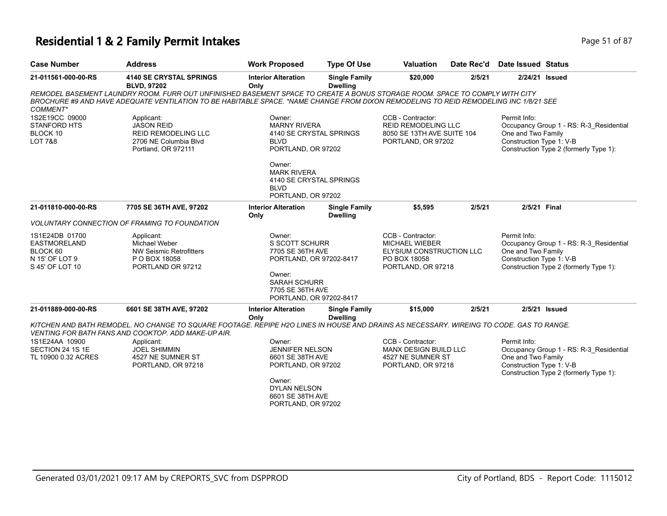# **Residential 1 & 2 Family Permit Intakes Page 11 of 87** Page 51 of 87

| <b>Case Number</b>                                                                     | <b>Address</b>                                                                                                                                                                                                                                                       | <b>Work Proposed</b>                                                                                    | <b>Type Of Use</b>                      | <b>Valuation</b>                                                                                             | Date Rec'd | <b>Date Issued Status</b>                                      |                                                                                   |
|----------------------------------------------------------------------------------------|----------------------------------------------------------------------------------------------------------------------------------------------------------------------------------------------------------------------------------------------------------------------|---------------------------------------------------------------------------------------------------------|-----------------------------------------|--------------------------------------------------------------------------------------------------------------|------------|----------------------------------------------------------------|-----------------------------------------------------------------------------------|
| 21-011561-000-00-RS                                                                    | <b>4140 SE CRYSTAL SPRINGS</b><br><b>BLVD, 97202</b>                                                                                                                                                                                                                 | <b>Interior Alteration</b><br>Only                                                                      | <b>Single Family</b><br><b>Dwelling</b> | \$20,000                                                                                                     | 2/5/21     |                                                                | 2/24/21 Issued                                                                    |
| COMMENT*                                                                               | REMODEL BASEMENT LAUNDRY ROOM. FURR OUT UNFINISHED BASEMENT SPACE TO CREATE A BONUS STORAGE ROOM. SPACE TO COMPLY WITH CITY<br>BROCHURE #9 AND HAVE ADEQUATE VENTILATION TO BE HABITABLE SPACE. *NAME CHANGE FROM DIXON REMODELING TO REID REMODELING INC 1/8/21 SEE |                                                                                                         |                                         |                                                                                                              |            |                                                                |                                                                                   |
| 1S2E19CC 09000<br><b>STANFORD HTS</b><br>BLOCK 10<br><b>LOT 7&amp;8</b>                | Applicant:<br><b>JASON REID</b><br>REID REMODELING LLC<br>2706 NE Columbia Blvd<br>Portland, OR 972111                                                                                                                                                               | Owner:<br><b>MARNY RIVERA</b><br>4140 SE CRYSTAL SPRINGS<br><b>BLVD</b><br>PORTLAND, OR 97202<br>Owner: |                                         | CCB - Contractor:<br><b>REID REMODELING LLC</b><br>8050 SE 13TH AVE SUITE 104<br>PORTLAND, OR 97202          |            | Permit Info:<br>One and Two Family<br>Construction Type 1: V-B | Occupancy Group 1 - RS: R-3_Residential<br>Construction Type 2 (formerly Type 1): |
|                                                                                        |                                                                                                                                                                                                                                                                      | <b>MARK RIVERA</b><br>4140 SE CRYSTAL SPRINGS<br><b>BLVD</b><br>PORTLAND, OR 97202                      |                                         |                                                                                                              |            |                                                                |                                                                                   |
| 21-011810-000-00-RS                                                                    | 7705 SE 36TH AVE, 97202                                                                                                                                                                                                                                              | <b>Interior Alteration</b><br>Only                                                                      | <b>Single Family</b><br><b>Dwelling</b> | \$5,595                                                                                                      | 2/5/21     | 2/5/21 Final                                                   |                                                                                   |
|                                                                                        | VOLUNTARY CONNECTION OF FRAMING TO FOUNDATION                                                                                                                                                                                                                        |                                                                                                         |                                         |                                                                                                              |            |                                                                |                                                                                   |
| 1S1E24DB 01700<br><b>EASTMORELAND</b><br>BLOCK 60<br>N 15' OF LOT 9<br>S 45' OF LOT 10 | Applicant:<br><b>Michael Weber</b><br><b>NW Seismic Retrofitters</b><br>P O BOX 18058<br>PORTLAND OR 97212                                                                                                                                                           | Owner:<br><b>S SCOTT SCHURR</b><br>7705 SE 36TH AVE<br>PORTLAND, OR 97202-8417<br>Owner:                |                                         | CCB - Contractor:<br><b>MICHAEL WIEBER</b><br>ELYSIUM CONSTRUCTION LLC<br>PO BOX 18058<br>PORTLAND, OR 97218 |            | Permit Info:<br>One and Two Family<br>Construction Type 1: V-B | Occupancy Group 1 - RS: R-3_Residential<br>Construction Type 2 (formerly Type 1): |
|                                                                                        |                                                                                                                                                                                                                                                                      | <b>SARAH SCHURR</b><br>7705 SE 36TH AVE<br>PORTLAND, OR 97202-8417                                      |                                         |                                                                                                              |            |                                                                |                                                                                   |
| 21-011889-000-00-RS                                                                    | 6601 SE 38TH AVE, 97202                                                                                                                                                                                                                                              | <b>Interior Alteration</b><br>Only                                                                      | <b>Single Family</b><br><b>Dwelling</b> | \$15,000                                                                                                     | 2/5/21     |                                                                | $2/5/21$ Issued                                                                   |
|                                                                                        | KITCHEN AND BATH REMODEL. NO CHANGE TO SQUARE FOOTAGE. REPIPE H2O LINES IN HOUSE AND DRAINS AS NECESSARY. WIREING TO CODE. GAS TO RANGE.<br>VENTING FOR BATH FANS AND COOKTOP. ADD MAKE-UP AIR.                                                                      |                                                                                                         |                                         |                                                                                                              |            |                                                                |                                                                                   |
| 1S1E24AA 10900<br>SECTION 24 1S 1E<br>TL 10900 0.32 ACRES                              | Applicant:<br><b>JOEL SHIMMIN</b><br>4527 NE SUMNER ST<br>PORTLAND, OR 97218                                                                                                                                                                                         | Owner:<br><b>JENNIFER NELSON</b><br>6601 SE 38TH AVE<br>PORTLAND, OR 97202<br>Owner:                    |                                         | CCB - Contractor:<br>MANX DESIGN BUILD LLC<br>4527 NE SUMNER ST<br>PORTLAND, OR 97218                        |            | Permit Info:<br>One and Two Family<br>Construction Type 1: V-B | Occupancy Group 1 - RS: R-3_Residential<br>Construction Type 2 (formerly Type 1): |
|                                                                                        |                                                                                                                                                                                                                                                                      | <b>DYLAN NELSON</b><br>6601 SE 38TH AVE<br>PORTLAND, OR 97202                                           |                                         |                                                                                                              |            |                                                                |                                                                                   |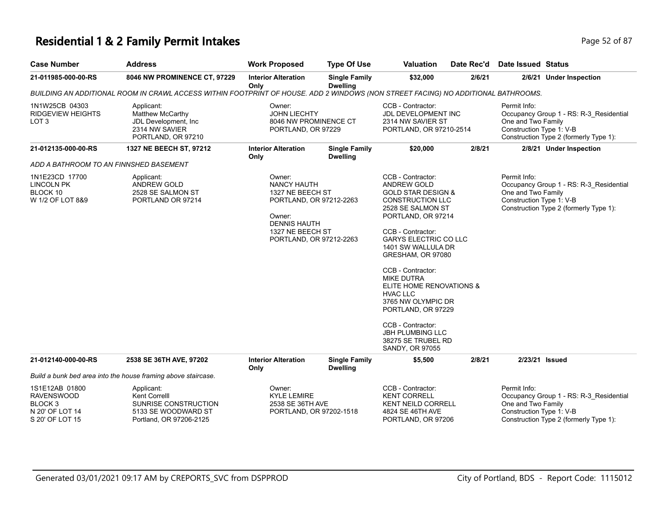# **Residential 1 & 2 Family Permit Intakes Page 12 of 87** Page 52 of 87

| <b>Case Number</b>                                                                              | <b>Address</b>                                                                                                                    | <b>Work Proposed</b>                                                                                                                                        | <b>Type Of Use</b>                      | Valuation                                                                                                                                                                                                                                                                                                                                                                                                                                               | Date Rec'd | Date Issued Status                                             |                                                                                   |
|-------------------------------------------------------------------------------------------------|-----------------------------------------------------------------------------------------------------------------------------------|-------------------------------------------------------------------------------------------------------------------------------------------------------------|-----------------------------------------|---------------------------------------------------------------------------------------------------------------------------------------------------------------------------------------------------------------------------------------------------------------------------------------------------------------------------------------------------------------------------------------------------------------------------------------------------------|------------|----------------------------------------------------------------|-----------------------------------------------------------------------------------|
| 21-011985-000-00-RS                                                                             | 8046 NW PROMINENCE CT, 97229                                                                                                      | <b>Interior Alteration</b><br>Only                                                                                                                          | <b>Single Family</b><br><b>Dwelling</b> | \$32,000                                                                                                                                                                                                                                                                                                                                                                                                                                                | 2/6/21     |                                                                | 2/6/21 Under Inspection                                                           |
|                                                                                                 | BUILDING AN ADDITIONAL ROOM IN CRAWL ACCESS WITHIN FOOTPRINT OF HOUSE. ADD 2 WINDOWS (NON STREET FACING) NO ADDITIONAL BATHROOMS. |                                                                                                                                                             |                                         |                                                                                                                                                                                                                                                                                                                                                                                                                                                         |            |                                                                |                                                                                   |
| 1N1W25CB 04303<br><b>RIDGEVIEW HEIGHTS</b><br>LOT <sub>3</sub>                                  | Applicant:<br>Matthew McCarthy<br>JDL Development, Inc.<br>2314 NW SAVIER<br>PORTLAND, OR 97210                                   | Owner:<br><b>JOHN LIECHTY</b><br>8046 NW PROMINENCE CT<br>PORTLAND, OR 97229                                                                                |                                         | CCB - Contractor:<br>JDL DEVELOPMENT INC<br>2314 NW SAVIER ST<br>PORTLAND, OR 97210-2514                                                                                                                                                                                                                                                                                                                                                                |            | Permit Info:<br>One and Two Family<br>Construction Type 1: V-B | Occupancy Group 1 - RS: R-3_Residential<br>Construction Type 2 (formerly Type 1): |
| 21-012135-000-00-RS                                                                             | 1327 NE BEECH ST, 97212                                                                                                           | <b>Interior Alteration</b><br>Only                                                                                                                          | <b>Single Family</b><br><b>Dwelling</b> | \$20,000                                                                                                                                                                                                                                                                                                                                                                                                                                                | 2/8/21     |                                                                | 2/8/21 Under Inspection                                                           |
| ADD A BATHROOM TO AN FINNSHED BASEMENT                                                          |                                                                                                                                   |                                                                                                                                                             |                                         |                                                                                                                                                                                                                                                                                                                                                                                                                                                         |            |                                                                |                                                                                   |
| 1N1E23CD 17700<br><b>LINCOLN PK</b><br>BLOCK 10<br>W 1/2 OF LOT 8&9                             | Applicant:<br><b>ANDREW GOLD</b><br>2528 SE SALMON ST<br>PORTLAND OR 97214                                                        | Owner:<br><b>NANCY HAUTH</b><br>1327 NE BEECH ST<br>PORTLAND, OR 97212-2263<br>Owner:<br><b>DENNIS HAUTH</b><br>1327 NE BEECH ST<br>PORTLAND, OR 97212-2263 |                                         | CCB - Contractor:<br>ANDREW GOLD<br><b>GOLD STAR DESIGN &amp;</b><br>CONSTRUCTION LLC<br>2528 SE SALMON ST<br>PORTLAND, OR 97214<br>CCB - Contractor:<br><b>GARYS ELECTRIC CO LLC</b><br>1401 SW WALLULA DR<br>GRESHAM, OR 97080<br>CCB - Contractor:<br><b>MIKE DUTRA</b><br>ELITE HOME RENOVATIONS &<br><b>HVAC LLC</b><br>3765 NW OLYMPIC DR<br>PORTLAND, OR 97229<br>CCB - Contractor:<br>JBH PLUMBING LLC<br>38275 SE TRUBEL RD<br>SANDY, OR 97055 |            | Permit Info:<br>One and Two Family<br>Construction Type 1: V-B | Occupancy Group 1 - RS: R-3_Residential<br>Construction Type 2 (formerly Type 1): |
| 21-012140-000-00-RS                                                                             | 2538 SE 36TH AVE, 97202                                                                                                           | <b>Interior Alteration</b><br>Only                                                                                                                          | <b>Single Family</b><br><b>Dwelling</b> | \$5,500                                                                                                                                                                                                                                                                                                                                                                                                                                                 | 2/8/21     |                                                                | 2/23/21 Issued                                                                    |
|                                                                                                 | Build a bunk bed area into the house framing above staircase.                                                                     |                                                                                                                                                             |                                         |                                                                                                                                                                                                                                                                                                                                                                                                                                                         |            |                                                                |                                                                                   |
| 1S1E12AB 01800<br><b>RAVENSWOOD</b><br>BLOCK <sub>3</sub><br>N 20' OF LOT 14<br>S 20' OF LOT 15 | Applicant:<br>Kent Correlll<br>SUNRISE CONSTRUCTION<br>5133 SE WOODWARD ST<br>Portland, OR 97206-2125                             | Owner:<br><b>KYLE LEMIRE</b><br>2538 SE 36TH AVE<br>PORTLAND, OR 97202-1518                                                                                 |                                         | CCB - Contractor:<br><b>KENT CORRELL</b><br><b>KENT NEILD CORRELL</b><br>4824 SE 46TH AVE<br>PORTLAND, OR 97206                                                                                                                                                                                                                                                                                                                                         |            | Permit Info:<br>One and Two Family<br>Construction Type 1: V-B | Occupancy Group 1 - RS: R-3 Residential<br>Construction Type 2 (formerly Type 1): |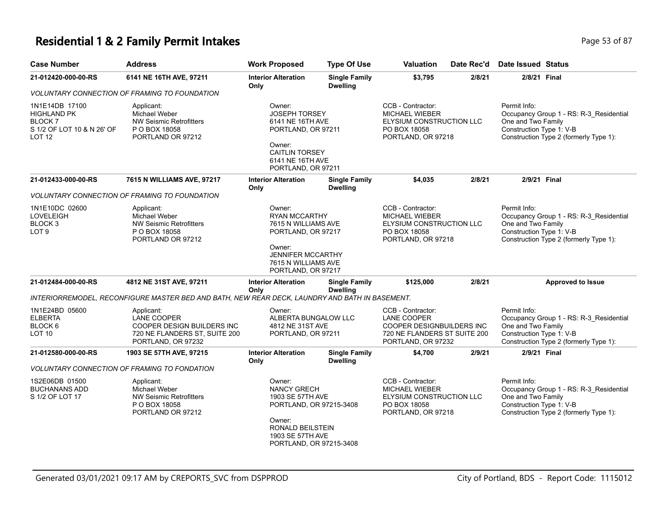# **Residential 1 & 2 Family Permit Intakes Page 13 of 87** Page 53 of 87

| <b>Case Number</b>                                                               | <b>Address</b>                                                                                                        | <b>Work Proposed</b>                                                                                                                                           | <b>Type Of Use</b>                      | <b>Valuation</b>                                                                                                           | Date Rec'd | <b>Date Issued Status</b>                                                                                                                           |  |
|----------------------------------------------------------------------------------|-----------------------------------------------------------------------------------------------------------------------|----------------------------------------------------------------------------------------------------------------------------------------------------------------|-----------------------------------------|----------------------------------------------------------------------------------------------------------------------------|------------|-----------------------------------------------------------------------------------------------------------------------------------------------------|--|
| 21-012420-000-00-RS                                                              | 6141 NE 16TH AVE, 97211                                                                                               | <b>Interior Alteration</b><br>Only                                                                                                                             | <b>Single Family</b><br><b>Dwelling</b> | \$3,795                                                                                                                    | 2/8/21     | 2/8/21 Final                                                                                                                                        |  |
|                                                                                  | <b>VOLUNTARY CONNECTION OF FRAMING TO FOUNDATION</b>                                                                  |                                                                                                                                                                |                                         |                                                                                                                            |            |                                                                                                                                                     |  |
| 1N1E14DB 17100<br>HIGHLAND PK<br>BLOCK 7<br>S 1/2 OF LOT 10 & N 26' OF<br>LOT 12 | Applicant:<br>Michael Weber<br><b>NW Seismic Retrofitters</b><br>P O BOX 18058<br>PORTLAND OR 97212                   | Owner:<br><b>JOSEPH TORSEY</b><br>6141 NE 16TH AVE<br>PORTLAND, OR 97211<br>Owner:<br><b>CAITLIN TORSEY</b><br>6141 NE 16TH AVE<br>PORTLAND, OR 97211          |                                         | CCB - Contractor:<br><b>MICHAEL WIEBER</b><br>ELYSIUM CONSTRUCTION LLC<br>PO BOX 18058<br>PORTLAND, OR 97218               |            | Permit Info:<br>Occupancy Group 1 - RS: R-3_Residential<br>One and Two Family<br>Construction Type 1: V-B<br>Construction Type 2 (formerly Type 1): |  |
| 21-012433-000-00-RS                                                              | 7615 N WILLIAMS AVE, 97217                                                                                            | <b>Interior Alteration</b><br>Only                                                                                                                             | <b>Single Family</b><br><b>Dwelling</b> | \$4,035                                                                                                                    | 2/8/21     | 2/9/21 Final                                                                                                                                        |  |
|                                                                                  | VOLUNTARY CONNECTION OF FRAMING TO FOUNDATION                                                                         |                                                                                                                                                                |                                         |                                                                                                                            |            |                                                                                                                                                     |  |
| 1N1E10DC 02600<br><b>LOVELEIGH</b><br>BLOCK 3<br>LOT <sub>9</sub>                | Applicant:<br>Michael Weber<br><b>NW Seismic Retrofitters</b><br>P O BOX 18058<br>PORTLAND OR 97212                   | Owner:<br><b>RYAN MCCARTHY</b><br>7615 N WILLIAMS AVE<br>PORTLAND, OR 97217<br>Owner:<br><b>JENNIFER MCCARTHY</b><br>7615 N WILLIAMS AVE<br>PORTLAND, OR 97217 |                                         | CCB - Contractor:<br><b>MICHAEL WIEBER</b><br>ELYSIUM CONSTRUCTION LLC<br>PO BOX 18058<br>PORTLAND, OR 97218               |            | Permit Info:<br>Occupancy Group 1 - RS: R-3 Residential<br>One and Two Family<br>Construction Type 1: V-B<br>Construction Type 2 (formerly Type 1): |  |
| 21-012484-000-00-RS                                                              | 4812 NE 31ST AVE, 97211                                                                                               | <b>Interior Alteration</b><br>Only                                                                                                                             | <b>Single Family</b><br><b>Dwelling</b> | \$125,000                                                                                                                  | 2/8/21     | <b>Approved to Issue</b>                                                                                                                            |  |
|                                                                                  | INTERIORREMODEL, RECONFIGURE MASTER BED AND BATH, NEW REAR DECK, LAUNDRY AND BATH IN BASEMENT.                        |                                                                                                                                                                |                                         |                                                                                                                            |            |                                                                                                                                                     |  |
| 1N1E24BD 05600<br><b>ELBERTA</b><br>BLOCK 6<br>LOT 10                            | Applicant:<br><b>LANE COOPER</b><br>COOPER DESIGN BUILDERS INC<br>720 NE FLANDERS ST, SUITE 200<br>PORTLAND, OR 97232 | Owner:<br>ALBERTA BUNGALOW LLC<br>4812 NE 31ST AVE<br>PORTLAND, OR 97211                                                                                       |                                         | CCB - Contractor:<br>LANE COOPER<br><b>COOPER DESIGNBUILDERS INC</b><br>720 NE FLANDERS ST SUITE 200<br>PORTLAND, OR 97232 |            | Permit Info:<br>Occupancy Group 1 - RS: R-3_Residential<br>One and Two Family<br>Construction Type 1: V-B<br>Construction Type 2 (formerly Type 1): |  |
| 21-012580-000-00-RS                                                              | 1903 SE 57TH AVE, 97215                                                                                               | <b>Interior Alteration</b><br>Only                                                                                                                             | <b>Single Family</b><br><b>Dwelling</b> | \$4,700                                                                                                                    | 2/9/21     | 2/9/21 Final                                                                                                                                        |  |
|                                                                                  | <b>VOLUNTARY CONNECTION OF FRAMING TO FONDATION</b>                                                                   |                                                                                                                                                                |                                         |                                                                                                                            |            |                                                                                                                                                     |  |
| 1S2E06DB 01500<br><b>BUCHANANS ADD</b><br>S 1/2 OF LOT 17                        | Applicant:<br>Michael Weber<br><b>NW Seismic Retrofitters</b><br>P O BOX 18058<br>PORTLAND OR 97212                   | Owner:<br>NANCY GRECH<br>1903 SE 57TH AVE<br>PORTLAND, OR 97215-3408<br>Owner:<br>RONALD BEILSTEIN<br>1903 SE 57TH AVE<br>PORTLAND, OR 97215-3408              |                                         | CCB - Contractor:<br><b>MICHAEL WIEBER</b><br>ELYSIUM CONSTRUCTION LLC<br>PO BOX 18058<br>PORTLAND, OR 97218               |            | Permit Info:<br>Occupancy Group 1 - RS: R-3_Residential<br>One and Two Family<br>Construction Type 1: V-B<br>Construction Type 2 (formerly Type 1): |  |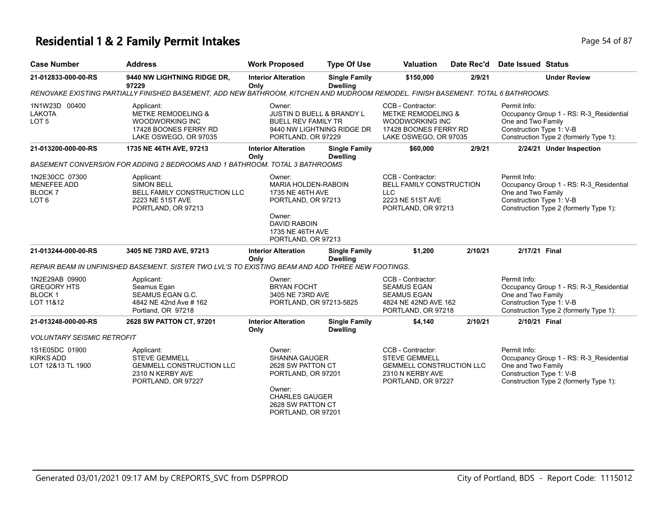### **Residential 1 & 2 Family Permit Intakes Page 14 of 87** Page 54 of 87

| <b>Case Number</b>                                                         | <b>Address</b>                                                                                                                    | <b>Work Proposed</b>                                                                                                                                    | <b>Type Of Use</b>                      | <b>Valuation</b>                                                                                                               | Date Rec'd | <b>Date Issued Status</b>                                                                                                                           |
|----------------------------------------------------------------------------|-----------------------------------------------------------------------------------------------------------------------------------|---------------------------------------------------------------------------------------------------------------------------------------------------------|-----------------------------------------|--------------------------------------------------------------------------------------------------------------------------------|------------|-----------------------------------------------------------------------------------------------------------------------------------------------------|
| 21-012833-000-00-RS                                                        | 9440 NW LIGHTNING RIDGE DR,<br>97229                                                                                              | <b>Interior Alteration</b><br>Only                                                                                                                      | <b>Single Family</b><br><b>Dwelling</b> | \$150,000                                                                                                                      | 2/9/21     | <b>Under Review</b>                                                                                                                                 |
|                                                                            | RENOVAKE EXISTING PARTIALLY FINISHED BASEMENT, ADD NEW BATHROOM, KITCHEN AND MUDROOM REMODEL. FINISH BASEMENT. TOTAL 6 BATHROOMS. |                                                                                                                                                         |                                         |                                                                                                                                |            |                                                                                                                                                     |
| 1N1W23D 00400<br><b>LAKOTA</b><br>LOT <sub>5</sub>                         | Applicant:<br><b>METKE REMODELING &amp;</b><br><b>WOODWORKING INC</b><br>17428 BOONES FERRY RD<br>LAKE OSWEGO, OR 97035           | Owner:<br>JUSTIN D BUELL & BRANDY L<br><b>BUELL REV FAMILY TR</b><br>9440 NW LIGHTNING RIDGE DR<br>PORTLAND, OR 97229                                   |                                         | CCB - Contractor:<br><b>METKE REMODELING &amp;</b><br><b>WOODWORKING INC</b><br>17428 BOONES FERRY RD<br>LAKE OSWEGO, OR 97035 |            | Permit Info:<br>Occupancy Group 1 - RS: R-3_Residential<br>One and Two Family<br>Construction Type 1: V-B<br>Construction Type 2 (formerly Type 1): |
| 21-013200-000-00-RS                                                        | 1735 NE 46TH AVE, 97213                                                                                                           | <b>Interior Alteration</b><br>Only                                                                                                                      | <b>Single Family</b><br><b>Dwelling</b> | \$60,000                                                                                                                       | 2/9/21     | 2/24/21 Under Inspection                                                                                                                            |
|                                                                            | BASEMENT CONVERSION FOR ADDING 2 BEDROOMS AND 1 BATHROOM. TOTAL 3 BATHROOMS                                                       |                                                                                                                                                         |                                         |                                                                                                                                |            |                                                                                                                                                     |
| 1N2E30CC 07300<br><b>MENEFEE ADD</b><br><b>BLOCK 7</b><br>LOT <sub>6</sub> | Applicant:<br><b>SIMON BELL</b><br>BELL FAMILY CONSTRUCTION LLC<br>2223 NE 51ST AVE<br>PORTLAND, OR 97213                         | Owner:<br><b>MARIA HOLDEN-RABOIN</b><br>1735 NE 46TH AVE<br>PORTLAND, OR 97213<br>Owner:<br>DAVID RABOIN<br>1735 NE 46TH AVE<br>PORTLAND, OR 97213      |                                         | CCB - Contractor:<br><b>BELL FAMILY CONSTRUCTION</b><br><b>LLC</b><br>2223 NE 51ST AVE<br>PORTLAND, OR 97213                   |            | Permit Info:<br>Occupancy Group 1 - RS: R-3_Residential<br>One and Two Family<br>Construction Type 1: V-B<br>Construction Type 2 (formerly Type 1): |
| 21-013244-000-00-RS                                                        | 3405 NE 73RD AVE, 97213                                                                                                           | <b>Interior Alteration</b><br>Only                                                                                                                      | <b>Single Family</b><br><b>Dwelling</b> | \$1,200                                                                                                                        | 2/10/21    | 2/17/21 Final                                                                                                                                       |
|                                                                            | REPAIR BEAM IN UNFINISHED BASEMENT. SISTER TWO LVL'S TO EXISTING BEAM AND ADD THREE NEW FOOTINGS.                                 |                                                                                                                                                         |                                         |                                                                                                                                |            |                                                                                                                                                     |
| 1N2E29AB 09900<br><b>GREGORY HTS</b><br>BLOCK 1<br>LOT 11&12               | Applicant:<br>Seamus Egan<br>SEAMUS EGAN G.C.<br>4842 NE 42nd Ave # 162<br>Portland, OR 97218                                     | Owner:<br><b>BRYAN FOCHT</b><br>3405 NE 73RD AVE<br>PORTLAND, OR 97213-5825                                                                             |                                         | CCB - Contractor:<br><b>SEAMUS EGAN</b><br><b>SEAMUS EGAN</b><br>4824 NE 42ND AVE 162<br>PORTLAND, OR 97218                    |            | Permit Info:<br>Occupancy Group 1 - RS: R-3_Residential<br>One and Two Family<br>Construction Type 1: V-B<br>Construction Type 2 (formerly Type 1): |
| 21-013248-000-00-RS                                                        | 2628 SW PATTON CT, 97201                                                                                                          | <b>Interior Alteration</b>                                                                                                                              | <b>Single Family</b>                    | \$4,140                                                                                                                        | 2/10/21    | 2/10/21 Final                                                                                                                                       |
| <b>VOLUNTARY SEISMIC RETROFIT</b>                                          |                                                                                                                                   | Only                                                                                                                                                    | <b>Dwelling</b>                         |                                                                                                                                |            |                                                                                                                                                     |
| 1S1E05DC 01900<br><b>KIRKS ADD</b><br>LOT 12&13 TL 1900                    | Applicant:<br><b>STEVE GEMMELL</b><br><b>GEMMELL CONSTRUCTION LLC</b><br>2310 N KERBY AVE<br>PORTLAND, OR 97227                   | Owner:<br><b>SHANNA GAUGER</b><br>2628 SW PATTON CT<br>PORTLAND, OR 97201<br>Owner:<br><b>CHARLES GAUGER</b><br>2628 SW PATTON CT<br>PORTLAND, OR 97201 |                                         | CCB - Contractor:<br><b>STEVE GEMMELL</b><br><b>GEMMELL CONSTRUCTION LLC</b><br>2310 N KERBY AVE<br>PORTLAND, OR 97227         |            | Permit Info:<br>Occupancy Group 1 - RS: R-3_Residential<br>One and Two Family<br>Construction Type 1: V-B<br>Construction Type 2 (formerly Type 1): |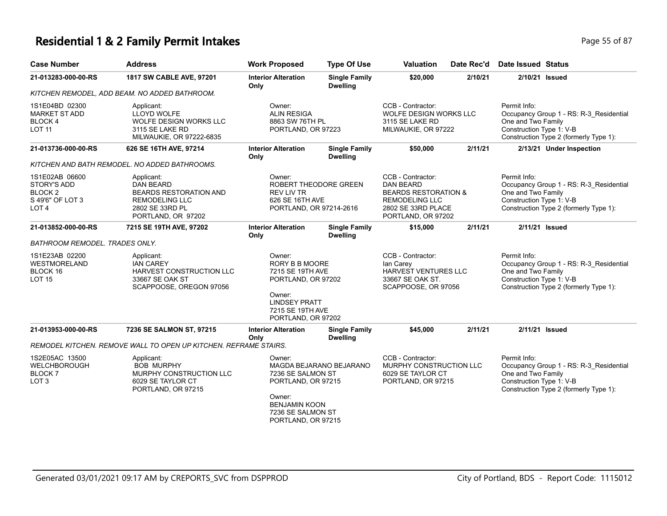### **Residential 1 & 2 Family Permit Intakes Page 15 of 87 Page 55 of 87**

| <b>Case Number</b>                                                                            | <b>Address</b>                                                                                                                    | <b>Work Proposed</b>                                                                                                                                  | <b>Type Of Use</b>                      | <b>Valuation</b>                                                                                                                              | Date Rec'd | <b>Date Issued Status</b>                                                                                                                           |
|-----------------------------------------------------------------------------------------------|-----------------------------------------------------------------------------------------------------------------------------------|-------------------------------------------------------------------------------------------------------------------------------------------------------|-----------------------------------------|-----------------------------------------------------------------------------------------------------------------------------------------------|------------|-----------------------------------------------------------------------------------------------------------------------------------------------------|
| 21-013283-000-00-RS                                                                           | 1817 SW CABLE AVE, 97201                                                                                                          | <b>Interior Alteration</b><br>Only                                                                                                                    | <b>Single Family</b><br><b>Dwelling</b> | \$20,000                                                                                                                                      | 2/10/21    | 2/10/21 Issued                                                                                                                                      |
|                                                                                               | KITCHEN REMODEL, ADD BEAM. NO ADDED BATHROOM.                                                                                     |                                                                                                                                                       |                                         |                                                                                                                                               |            |                                                                                                                                                     |
| 1S1E04BD 02300<br><b>MARKET ST ADD</b><br>BLOCK 4<br><b>LOT 11</b>                            | Applicant:<br><b>LLOYD WOLFE</b><br>WOLFE DESIGN WORKS LLC<br>3115 SE LAKE RD<br>MILWAUKIE, OR 97222-6835                         | Owner:<br><b>ALIN RESIGA</b><br>8863 SW 76TH PL<br>PORTLAND, OR 97223                                                                                 |                                         | CCB - Contractor:<br><b>WOLFE DESIGN WORKS LLC</b><br>3115 SE LAKE RD<br>MILWAUKIE, OR 97222                                                  |            | Permit Info:<br>Occupancy Group 1 - RS: R-3_Residential<br>One and Two Family<br>Construction Type 1: V-B<br>Construction Type 2 (formerly Type 1): |
| 21-013736-000-00-RS                                                                           | 626 SE 16TH AVE, 97214                                                                                                            | <b>Interior Alteration</b><br>Only                                                                                                                    | <b>Single Family</b><br><b>Dwelling</b> | \$50,000                                                                                                                                      | 2/11/21    | 2/13/21 Under Inspection                                                                                                                            |
|                                                                                               | KITCHEN AND BATH REMODEL. NO ADDED BATHROOMS.                                                                                     |                                                                                                                                                       |                                         |                                                                                                                                               |            |                                                                                                                                                     |
| 1S1E02AB 06600<br><b>STORY'S ADD</b><br><b>BLOCK2</b><br>S 49'6" OF LOT 3<br>LOT <sub>4</sub> | Applicant:<br><b>DAN BEARD</b><br><b>BEARDS RESTORATION AND</b><br><b>REMODELING LLC</b><br>2802 SE 33RD PL<br>PORTLAND, OR 97202 | Owner:<br><b>REV LIV TR</b><br>626 SE 16TH AVE<br>PORTLAND, OR 97214-2616                                                                             | ROBERT THEODORE GREEN                   | CCB - Contractor:<br><b>DAN BEARD</b><br><b>BEARDS RESTORATION &amp;</b><br><b>REMODELING LLC</b><br>2802 SE 33RD PLACE<br>PORTLAND, OR 97202 |            | Permit Info:<br>Occupancy Group 1 - RS: R-3_Residential<br>One and Two Family<br>Construction Type 1: V-B<br>Construction Type 2 (formerly Type 1): |
| 21-013852-000-00-RS                                                                           | 7215 SE 19TH AVE, 97202                                                                                                           | <b>Interior Alteration</b><br>Only                                                                                                                    | <b>Single Family</b><br><b>Dwelling</b> | \$15,000                                                                                                                                      | 2/11/21    | 2/11/21 Issued                                                                                                                                      |
| BATHROOM REMODEL. TRADES ONLY.                                                                |                                                                                                                                   |                                                                                                                                                       |                                         |                                                                                                                                               |            |                                                                                                                                                     |
| 1S1E23AB 02200<br><b>WESTMORELAND</b><br>BLOCK 16<br><b>LOT 15</b>                            | Applicant:<br><b>IAN CAREY</b><br><b>HARVEST CONSTRUCTION LLC</b><br>33667 SE OAK ST<br>SCAPPOOSE, OREGON 97056                   | Owner:<br><b>RORY B B MOORE</b><br>7215 SE 19TH AVE<br>PORTLAND, OR 97202<br>Owner:<br><b>LINDSEY PRATT</b><br>7215 SE 19TH AVE<br>PORTLAND, OR 97202 |                                         | CCB - Contractor:<br>lan Carey<br>HARVEST VENTURES LLC<br>33667 SE OAK ST.<br>SCAPPOOSE, OR 97056                                             |            | Permit Info:<br>Occupancy Group 1 - RS: R-3_Residential<br>One and Two Family<br>Construction Type 1: V-B<br>Construction Type 2 (formerly Type 1): |
| 21-013953-000-00-RS                                                                           | 7236 SE SALMON ST, 97215                                                                                                          | <b>Interior Alteration</b><br>Only                                                                                                                    | <b>Single Family</b><br><b>Dwelling</b> | \$45,000                                                                                                                                      | 2/11/21    | 2/11/21 Issued                                                                                                                                      |
|                                                                                               | REMODEL KITCHEN. REMOVE WALL TO OPEN UP KITCHEN. REFRAME STAIRS.                                                                  |                                                                                                                                                       |                                         |                                                                                                                                               |            |                                                                                                                                                     |
| 1S2E05AC 13500<br>WELCHBOROUGH<br><b>BLOCK7</b><br>LOT <sub>3</sub>                           | Applicant:<br><b>BOB MURPHY</b><br>MURPHY CONSTRUCTION LLC<br>6029 SE TAYLOR CT<br>PORTLAND, OR 97215                             | Owner:<br>7236 SE SALMON ST<br>PORTLAND, OR 97215<br>Owner:<br><b>BENJAMIN KOON</b><br>7236 SE SALMON ST<br>PORTLAND, OR 97215                        | MAGDA BEJARANO BEJARANO                 | CCB - Contractor:<br>MURPHY CONSTRUCTION LLC<br>6029 SE TAYLOR CT<br>PORTLAND, OR 97215                                                       |            | Permit Info:<br>Occupancy Group 1 - RS: R-3_Residential<br>One and Two Family<br>Construction Type 1: V-B<br>Construction Type 2 (formerly Type 1): |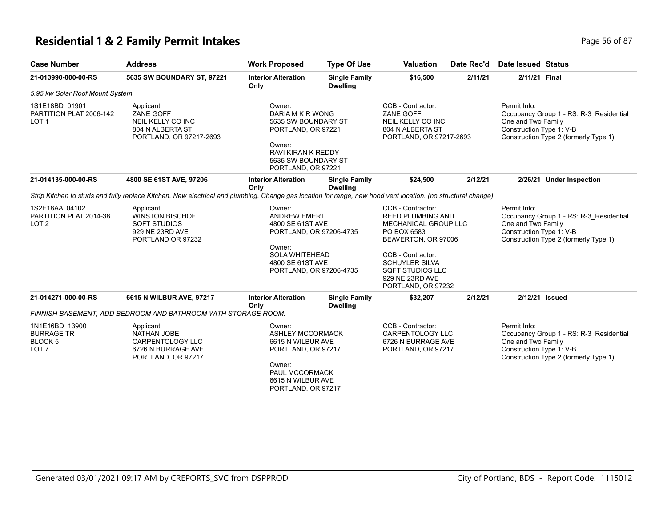#### **Residential 1 & 2 Family Permit Intakes Page 16 of 87** Page 56 of 87

| <b>Case Number</b>                                                        | <b>Address</b>                                                                                                                                               | <b>Work Proposed</b>                                                                                                                                           | <b>Type Of Use</b>                      | <b>Valuation</b>                                                                                                                                                                                                              | Date Rec'd | <b>Date Issued Status</b>                                      |                                                                                   |
|---------------------------------------------------------------------------|--------------------------------------------------------------------------------------------------------------------------------------------------------------|----------------------------------------------------------------------------------------------------------------------------------------------------------------|-----------------------------------------|-------------------------------------------------------------------------------------------------------------------------------------------------------------------------------------------------------------------------------|------------|----------------------------------------------------------------|-----------------------------------------------------------------------------------|
| 21-013990-000-00-RS                                                       | 5635 SW BOUNDARY ST, 97221                                                                                                                                   | <b>Interior Alteration</b><br>Only                                                                                                                             | <b>Single Family</b><br><b>Dwelling</b> | \$16,500                                                                                                                                                                                                                      | 2/11/21    | 2/11/21 Final                                                  |                                                                                   |
| 5.95 kw Solar Roof Mount System                                           |                                                                                                                                                              |                                                                                                                                                                |                                         |                                                                                                                                                                                                                               |            |                                                                |                                                                                   |
| 1S1E18BD 01901<br>PARTITION PLAT 2006-142<br>LOT <sub>1</sub>             | Applicant:<br>ZANE GOFF<br>NEIL KELLY CO INC<br>804 N ALBERTA ST<br>PORTLAND, OR 97217-2693                                                                  | Owner:<br>DARIA M K R WONG<br>5635 SW BOUNDARY ST<br>PORTLAND, OR 97221<br>Owner:<br>RAVI KIRAN K REDDY<br>5635 SW BOUNDARY ST<br>PORTLAND, OR 97221           |                                         | CCB - Contractor:<br>ZANE GOFF<br>NEIL KELLY CO INC<br>804 N ALBERTA ST<br>PORTLAND, OR 97217-2693                                                                                                                            |            | Permit Info:<br>One and Two Family<br>Construction Type 1: V-B | Occupancy Group 1 - RS: R-3_Residential<br>Construction Type 2 (formerly Type 1): |
| 21-014135-000-00-RS                                                       | 4800 SE 61ST AVE, 97206                                                                                                                                      | <b>Interior Alteration</b><br>Only                                                                                                                             | <b>Single Family</b><br><b>Dwelling</b> | \$24,500                                                                                                                                                                                                                      | 2/12/21    |                                                                | 2/26/21 Under Inspection                                                          |
|                                                                           | Strip Kitchen to studs and fully replace Kitchen. New electrical and plumbing. Change gas location for range, new hood vent location. (no structural change) |                                                                                                                                                                |                                         |                                                                                                                                                                                                                               |            |                                                                |                                                                                   |
| 1S2E18AA 04102<br>PARTITION PLAT 2014-38<br>LOT <sub>2</sub>              | Applicant:<br><b>WINSTON BISCHOF</b><br><b>SQFT STUDIOS</b><br>929 NE 23RD AVE<br>PORTLAND OR 97232                                                          | Owner:<br><b>ANDREW EMERT</b><br>4800 SE 61ST AVE<br>PORTLAND, OR 97206-4735<br>Owner:<br><b>SOLA WHITEHEAD</b><br>4800 SE 61ST AVE<br>PORTLAND, OR 97206-4735 |                                         | CCB - Contractor:<br><b>REED PLUMBING AND</b><br>MECHANICAL GROUP LLC<br>PO BOX 6583<br>BEAVERTON, OR 97006<br>CCB - Contractor:<br><b>SCHUYLER SILVA</b><br><b>SQFT STUDIOS LLC</b><br>929 NE 23RD AVE<br>PORTLAND, OR 97232 |            | Permit Info:<br>One and Two Family<br>Construction Type 1: V-B | Occupancy Group 1 - RS: R-3_Residential<br>Construction Type 2 (formerly Type 1): |
| 21-014271-000-00-RS                                                       | 6615 N WILBUR AVE, 97217                                                                                                                                     | <b>Interior Alteration</b><br>Only                                                                                                                             | <b>Single Family</b><br><b>Dwelling</b> | \$32,207                                                                                                                                                                                                                      | 2/12/21    | 2/12/21 Issued                                                 |                                                                                   |
|                                                                           | FINNISH BASEMENT, ADD BEDROOM AND BATHROOM WITH STORAGE ROOM.                                                                                                |                                                                                                                                                                |                                         |                                                                                                                                                                                                                               |            |                                                                |                                                                                   |
| 1N1E16BD 13900<br><b>BURRAGE TR</b><br><b>BLOCK 5</b><br>LOT <sub>7</sub> | Applicant:<br><b>NATHAN JOBE</b><br><b>CARPENTOLOGY LLC</b><br>6726 N BURRAGE AVE<br>PORTLAND, OR 97217                                                      | Owner:<br><b>ASHLEY MCCORMACK</b><br>6615 N WILBUR AVE<br>PORTLAND, OR 97217<br>Owner:<br>PAUL MCCORMACK<br>6615 N WILBUR AVE                                  |                                         | CCB - Contractor:<br><b>CARPENTOLOGY LLC</b><br>6726 N BURRAGE AVE<br>PORTLAND, OR 97217                                                                                                                                      |            | Permit Info:<br>One and Two Family<br>Construction Type 1: V-B | Occupancy Group 1 - RS: R-3 Residential<br>Construction Type 2 (formerly Type 1): |

PORTLAND, OR 97217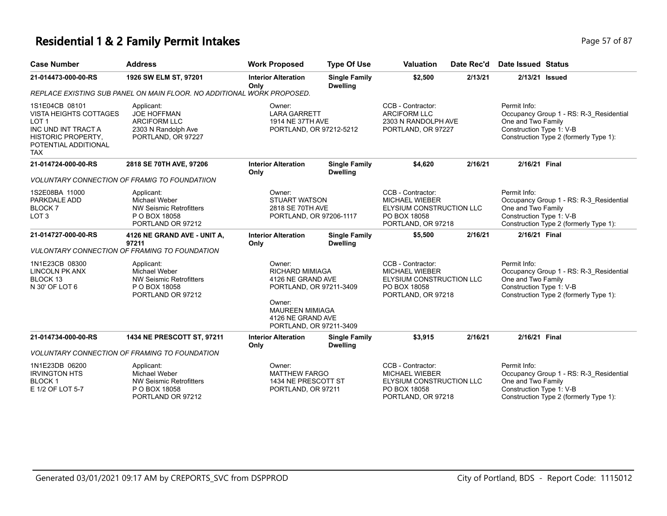#### **Residential 1 & 2 Family Permit Intakes Page 17 of 87** and **Page 17 of 87**

| <b>Case Number</b>                                                                                                                                     | <b>Address</b>                                                                                             | <b>Work Proposed</b>                                                                                                                                                 | <b>Type Of Use</b>                      | <b>Valuation</b>                                                                                             | Date Rec'd | Date Issued Status                                                                                                                                  |
|--------------------------------------------------------------------------------------------------------------------------------------------------------|------------------------------------------------------------------------------------------------------------|----------------------------------------------------------------------------------------------------------------------------------------------------------------------|-----------------------------------------|--------------------------------------------------------------------------------------------------------------|------------|-----------------------------------------------------------------------------------------------------------------------------------------------------|
| 21-014473-000-00-RS                                                                                                                                    | 1926 SW ELM ST, 97201                                                                                      | <b>Interior Alteration</b><br>Only                                                                                                                                   | <b>Single Family</b><br><b>Dwelling</b> | \$2,500                                                                                                      | 2/13/21    | 2/13/21 Issued                                                                                                                                      |
|                                                                                                                                                        | REPLACE EXISTING SUB PANEL ON MAIN FLOOR. NO ADDITIONAL WORK PROPOSED.                                     |                                                                                                                                                                      |                                         |                                                                                                              |            |                                                                                                                                                     |
| 1S1E04CB 08101<br>VISTA HEIGHTS COTTAGES<br>LOT <sub>1</sub><br>INC UND INT TRACT A<br><b>HISTORIC PROPERTY,</b><br>POTENTIAL ADDITIONAL<br><b>TAX</b> | Applicant:<br><b>JOE HOFFMAN</b><br><b>ARCIFORM LLC</b><br>2303 N Randolph Ave<br>PORTLAND, OR 97227       | Owner:<br><b>LARA GARRETT</b><br>1914 NE 37TH AVE<br>PORTLAND, OR 97212-5212                                                                                         |                                         | CCB - Contractor:<br><b>ARCIFORM LLC</b><br>2303 N RANDOLPH AVE<br>PORTLAND, OR 97227                        |            | Permit Info:<br>Occupancy Group 1 - RS: R-3 Residential<br>One and Two Family<br>Construction Type 1: V-B<br>Construction Type 2 (formerly Type 1): |
| 21-014724-000-00-RS                                                                                                                                    | 2818 SE 70TH AVE, 97206                                                                                    | <b>Interior Alteration</b><br>Only                                                                                                                                   | <b>Single Family</b><br><b>Dwelling</b> | \$4,620                                                                                                      | 2/16/21    | 2/16/21 Final                                                                                                                                       |
|                                                                                                                                                        | <b>VOLUNTARY CONNECTION OF FRAMIG TO FOUNDATIION</b>                                                       |                                                                                                                                                                      |                                         |                                                                                                              |            |                                                                                                                                                     |
| 1S2E08BA 11000<br>PARKDALE ADD<br><b>BLOCK7</b><br>LOT <sub>3</sub>                                                                                    | Applicant:<br><b>Michael Weber</b><br><b>NW Seismic Retrofitters</b><br>P O BOX 18058<br>PORTLAND OR 97212 | Owner:<br><b>STUART WATSON</b><br>2818 SE 70TH AVE<br>PORTLAND, OR 97206-1117                                                                                        |                                         | CCB - Contractor:<br><b>MICHAEL WIEBER</b><br>ELYSIUM CONSTRUCTION LLC<br>PO BOX 18058<br>PORTLAND, OR 97218 |            | Permit Info:<br>Occupancy Group 1 - RS: R-3 Residential<br>One and Two Family<br>Construction Type 1: V-B<br>Construction Type 2 (formerly Type 1): |
| 21-014727-000-00-RS                                                                                                                                    | 4126 NE GRAND AVE - UNIT A,<br>97211<br><b>VULONTARY CONNECTION OF FRAMING TO FOUNDATION</b>               | <b>Interior Alteration</b><br>Only                                                                                                                                   | <b>Single Family</b><br><b>Dwelling</b> | \$5,500                                                                                                      | 2/16/21    | 2/16/21 Final                                                                                                                                       |
| 1N1E23CB 08300<br><b>LINCOLN PK ANX</b><br>BLOCK 13<br>N 30' OF LOT 6                                                                                  | Applicant:<br>Michael Weber<br><b>NW Seismic Retrofitters</b><br>P O BOX 18058<br>PORTLAND OR 97212        | Owner:<br><b>RICHARD MIMIAGA</b><br>4126 NE GRAND AVE<br>PORTLAND, OR 97211-3409<br>Owner:<br><b>MAUREEN MIMIAGA</b><br>4126 NE GRAND AVE<br>PORTLAND, OR 97211-3409 |                                         | CCB - Contractor:<br>MICHAEL WIEBER<br>ELYSIUM CONSTRUCTION LLC<br>PO BOX 18058<br>PORTLAND, OR 97218        |            | Permit Info:<br>Occupancy Group 1 - RS: R-3 Residential<br>One and Two Family<br>Construction Type 1: V-B<br>Construction Type 2 (formerly Type 1): |
| 21-014734-000-00-RS                                                                                                                                    | 1434 NE PRESCOTT ST. 97211                                                                                 | <b>Interior Alteration</b>                                                                                                                                           | <b>Single Family</b>                    | \$3.915                                                                                                      | 2/16/21    | 2/16/21 Final                                                                                                                                       |

| 21-014734-000-00-RS                                                   | <b>1434 NE PRESCOTT ST, 97211</b>                                                            | <b>Interior Alteration</b><br>Only                                   | <b>Single Family</b><br><b>Dwelling</b> | \$3.915<br>2/16/21                                                                                    | 2/16/21 Final                                                                                                                                       |
|-----------------------------------------------------------------------|----------------------------------------------------------------------------------------------|----------------------------------------------------------------------|-----------------------------------------|-------------------------------------------------------------------------------------------------------|-----------------------------------------------------------------------------------------------------------------------------------------------------|
|                                                                       | <b>VOLUNTARY CONNECTION OF FRAMING TO FOUNDATION</b>                                         |                                                                      |                                         |                                                                                                       |                                                                                                                                                     |
| 1N1E23DB 06200<br><b>IRVINGTON HTS</b><br>BLOCK 1<br>E 1/2 OF LOT 5-7 | Applicant:<br>Michael Weber<br>NW Seismic Retrofitters<br>P O BOX 18058<br>PORTLAND OR 97212 | Owner:<br>MATTHEW FARGO<br>1434 NE PRESCOTT ST<br>PORTLAND, OR 97211 |                                         | CCB - Contractor:<br>MICHAEL WIEBER<br>ELYSIUM CONSTRUCTION LLC<br>PO BOX 18058<br>PORTLAND, OR 97218 | Permit Info:<br>Occupancy Group 1 - RS: R-3 Residential<br>One and Two Family<br>Construction Type 1: V-B<br>Construction Type 2 (formerly Type 1): |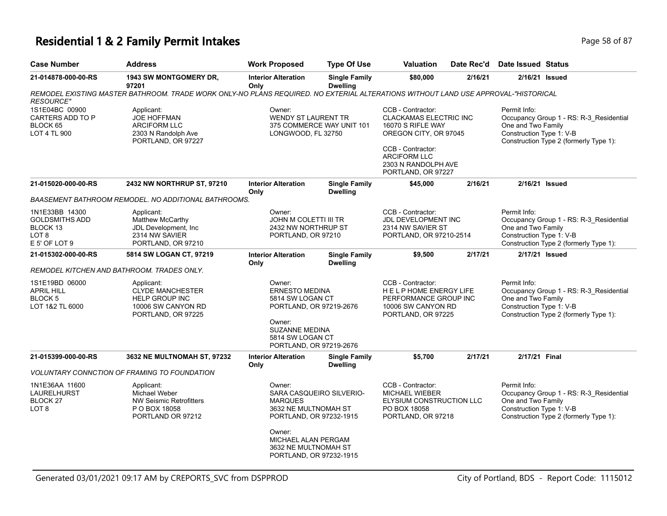#### **Residential 1 & 2 Family Permit Intakes Page 18 of 87** Page 58 of 87

| ec'd Date Issued  Status |            |
|--------------------------|------------|
|                          | Page 58 of |

| <b>Case Number</b>                                                                                  | <b>Address</b>                                                                                                                     | <b>Work Proposed</b>                                                                                    | <b>Type Of Use</b>                                                                                                | <b>Valuation</b>                                                                                                                      | Date Rec'd                                                                                                      | <b>Date Issued Status</b>                                                                                                                           |                                                                                                                                                     |  |
|-----------------------------------------------------------------------------------------------------|------------------------------------------------------------------------------------------------------------------------------------|---------------------------------------------------------------------------------------------------------|-------------------------------------------------------------------------------------------------------------------|---------------------------------------------------------------------------------------------------------------------------------------|-----------------------------------------------------------------------------------------------------------------|-----------------------------------------------------------------------------------------------------------------------------------------------------|-----------------------------------------------------------------------------------------------------------------------------------------------------|--|
| 21-014878-000-00-RS                                                                                 | <b>1943 SW MONTGOMERY DR.</b><br>97201                                                                                             | <b>Interior Alteration</b><br>Only                                                                      | <b>Single Family</b><br><b>Dwelling</b>                                                                           | \$80,000                                                                                                                              | 2/16/21                                                                                                         |                                                                                                                                                     | 2/16/21 Issued                                                                                                                                      |  |
| <b>RESOURCE"</b>                                                                                    | REMODEL EXISTING MASTER BATHROOM. TRADE WORK ONLY-NO PLANS REQUIRED. NO EXTERIAL ALTERATIONS WITHOUT LAND USE APPROVAL-"HISTORICAL |                                                                                                         |                                                                                                                   |                                                                                                                                       |                                                                                                                 |                                                                                                                                                     |                                                                                                                                                     |  |
| 1S1E04BC 00900<br>CARTERS ADD TO P<br>BLOCK 65<br>LOT 4 TL 900                                      | Applicant:<br><b>JOE HOFFMAN</b><br><b>ARCIFORM LLC</b><br>2303 N Randolph Ave<br>PORTLAND, OR 97227                               | Owner:<br><b>WENDY ST LAURENT TR</b><br>375 COMMERCE WAY UNIT 101<br>LONGWOOD, FL 32750                 |                                                                                                                   | CCB - Contractor:<br>CLACKAMAS ELECTRIC INC<br>16070 S RIFLE WAY<br>OREGON CITY, OR 97045<br>CCB - Contractor:<br><b>ARCIFORM LLC</b> |                                                                                                                 | Permit Info:<br>Occupancy Group 1 - RS: R-3_Residential<br>One and Two Family<br>Construction Type 1: V-B<br>Construction Type 2 (formerly Type 1): |                                                                                                                                                     |  |
|                                                                                                     |                                                                                                                                    |                                                                                                         |                                                                                                                   | 2303 N RANDOLPH AVE<br>PORTLAND, OR 97227                                                                                             |                                                                                                                 |                                                                                                                                                     |                                                                                                                                                     |  |
| 21-015020-000-00-RS                                                                                 | 2432 NW NORTHRUP ST, 97210                                                                                                         | <b>Interior Alteration</b><br>Only                                                                      | <b>Single Family</b><br><b>Dwelling</b>                                                                           | \$45,000                                                                                                                              | 2/16/21                                                                                                         |                                                                                                                                                     | 2/16/21 Issued                                                                                                                                      |  |
|                                                                                                     | BAASEMENT BATHROOM REMODEL. NO ADDITIONAL BATHROOMS.                                                                               |                                                                                                         |                                                                                                                   |                                                                                                                                       |                                                                                                                 |                                                                                                                                                     |                                                                                                                                                     |  |
| 1N1E33BB 14300<br><b>GOLDSMITHS ADD</b><br>BLOCK <sub>13</sub><br>LOT <sub>8</sub><br>E 5' OF LOT 9 | Applicant:<br>Matthew McCarthy<br>JDL Development, Inc<br>2314 NW SAVIER<br>PORTLAND, OR 97210                                     | Owner:                                                                                                  | JOHN M COLETTI III TR<br>2432 NW NORTHRUP ST<br>PORTLAND, OR 97210                                                |                                                                                                                                       | CCB - Contractor:<br>JDL DEVELOPMENT INC<br>2314 NW SAVIER ST<br>PORTLAND, OR 97210-2514                        |                                                                                                                                                     | Permit Info:<br>Occupancy Group 1 - RS: R-3_Residential<br>One and Two Family<br>Construction Type 1: V-B<br>Construction Type 2 (formerly Type 1): |  |
| 21-015302-000-00-RS                                                                                 | 5814 SW LOGAN CT, 97219                                                                                                            | <b>Interior Alteration</b>                                                                              | <b>Single Family</b><br><b>Dwelling</b>                                                                           | \$9,500                                                                                                                               | 2/17/21                                                                                                         |                                                                                                                                                     | 2/17/21 Issued                                                                                                                                      |  |
|                                                                                                     | REMODEL KITCHEN AND BATHROOM. TRADES ONLY.                                                                                         | Only                                                                                                    |                                                                                                                   |                                                                                                                                       |                                                                                                                 |                                                                                                                                                     |                                                                                                                                                     |  |
| 1S1E19BD 06000<br><b>APRIL HILL</b><br>BLOCK 5<br>LOT 1&2 TL 6000                                   | Applicant:<br><b>CLYDE MANCHESTER</b><br>HELP GROUP INC<br>10006 SW CANYON RD<br>PORTLAND, OR 97225                                | Owner:<br>Owner:<br>PORTLAND, OR 97219-2676                                                             | <b>ERNESTO MEDINA</b><br>5814 SW LOGAN CT<br>PORTLAND, OR 97219-2676<br><b>SUZANNE MEDINA</b><br>5814 SW LOGAN CT |                                                                                                                                       | CCB - Contractor:<br>HELP HOME ENERGY LIFE<br>PERFORMANCE GROUP INC<br>10006 SW CANYON RD<br>PORTLAND, OR 97225 |                                                                                                                                                     | Occupancy Group 1 - RS: R-3_Residential<br>One and Two Family<br>Construction Type 1: V-B<br>Construction Type 2 (formerly Type 1):                 |  |
| 21-015399-000-00-RS                                                                                 | 3632 NE MULTNOMAH ST, 97232                                                                                                        | <b>Interior Alteration</b><br>Only                                                                      | <b>Single Family</b><br><b>Dwelling</b>                                                                           | \$5,700                                                                                                                               | 2/17/21                                                                                                         | 2/17/21 Final                                                                                                                                       |                                                                                                                                                     |  |
|                                                                                                     | <b>VOLUNTARY CONNCTION OF FRAMING TO FOUNDATION</b>                                                                                |                                                                                                         |                                                                                                                   |                                                                                                                                       |                                                                                                                 |                                                                                                                                                     |                                                                                                                                                     |  |
| 1N1E36AA 11600<br><b>LAURELHURST</b><br>BLOCK <sub>27</sub><br>LOT <sub>8</sub>                     | Applicant:<br>Michael Weber<br><b>NW Seismic Retrofitters</b><br>P O BOX 18058<br>PORTLAND OR 97212                                | Owner:<br>SARA CASQUEIRO SILVERIO-<br><b>MARQUES</b><br>3632 NE MULTNOMAH ST<br>PORTLAND, OR 97232-1915 |                                                                                                                   | CCB - Contractor:<br><b>MICHAEL WIEBER</b><br>ELYSIUM CONSTRUCTION LLC<br>PO BOX 18058<br>PORTLAND, OR 97218                          |                                                                                                                 | Permit Info:<br>One and Two Family<br>Construction Type 1: V-B                                                                                      | Occupancy Group 1 - RS: R-3_Residential<br>Construction Type 2 (formerly Type 1):                                                                   |  |
|                                                                                                     |                                                                                                                                    | Owner:<br>MICHAEL ALAN PERGAM<br>3632 NE MULTNOMAH ST<br>PORTLAND, OR 97232-1915                        |                                                                                                                   |                                                                                                                                       |                                                                                                                 |                                                                                                                                                     |                                                                                                                                                     |  |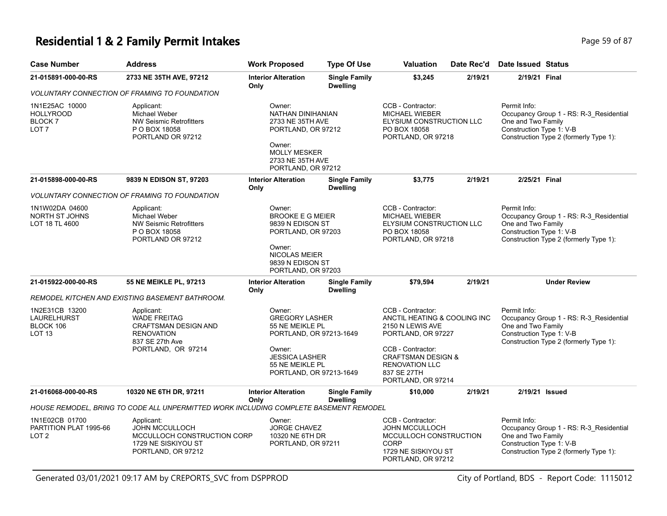# **Residential 1 & 2 Family Permit Intakes Page 19 of 87** Page 59 of 87

| <b>Case Number</b>                                                     | <b>Address</b>                                                                                                                 | <b>Work Proposed</b>                                                                                                                                           | <b>Type Of Use</b>                                                                                                                  | Valuation                                                                                                                                                                                                       | Date Rec'd                                     | Date Issued Status                                                                                                                                  |
|------------------------------------------------------------------------|--------------------------------------------------------------------------------------------------------------------------------|----------------------------------------------------------------------------------------------------------------------------------------------------------------|-------------------------------------------------------------------------------------------------------------------------------------|-----------------------------------------------------------------------------------------------------------------------------------------------------------------------------------------------------------------|------------------------------------------------|-----------------------------------------------------------------------------------------------------------------------------------------------------|
| 21-015891-000-00-RS                                                    | 2733 NE 35TH AVE, 97212                                                                                                        | <b>Interior Alteration</b><br>Only                                                                                                                             | <b>Single Family</b><br><b>Dwelling</b>                                                                                             | \$3,245                                                                                                                                                                                                         | 2/19/21                                        | 2/19/21 Final                                                                                                                                       |
|                                                                        | <b>VOLUNTARY CONNECTION OF FRAMING TO FOUNDATION</b>                                                                           |                                                                                                                                                                |                                                                                                                                     |                                                                                                                                                                                                                 |                                                |                                                                                                                                                     |
| 1N1E25AC 10000<br><b>HOLLYROOD</b><br>BLOCK <sub>7</sub><br>LOT 7      | Applicant:<br>Michael Weber<br><b>NW Seismic Retrofitters</b><br>P O BOX 18058<br>PORTLAND OR 97212                            | Owner:<br>NATHAN DINIHANIAN<br>2733 NE 35TH AVE<br>PORTLAND, OR 97212<br>Owner:<br><b>MOLLY MESKER</b><br>2733 NE 35TH AVE<br>PORTLAND, OR 97212               |                                                                                                                                     | CCB - Contractor:<br><b>MICHAEL WIEBER</b><br>ELYSIUM CONSTRUCTION LLC<br>PO BOX 18058<br>PORTLAND, OR 97218                                                                                                    |                                                | Permit Info:<br>Occupancy Group 1 - RS: R-3_Residential<br>One and Two Family<br>Construction Type 1: V-B<br>Construction Type 2 (formerly Type 1): |
| 21-015898-000-00-RS                                                    | 9839 N EDISON ST, 97203                                                                                                        | <b>Interior Alteration</b><br>Only                                                                                                                             | <b>Single Family</b><br><b>Dwelling</b>                                                                                             | \$3,775                                                                                                                                                                                                         | 2/19/21                                        | 2/25/21 Final                                                                                                                                       |
|                                                                        | <b>VOLUNTARY CONNECTION OF FRAMING TO FOUNDATION</b>                                                                           |                                                                                                                                                                |                                                                                                                                     |                                                                                                                                                                                                                 |                                                |                                                                                                                                                     |
| 1N1W02DA 04600<br><b>NORTH ST JOHNS</b><br>LOT 18 TL 4600              | Applicant:<br>Michael Weber<br><b>NW Seismic Retrofitters</b><br>P O BOX 18058<br>PORTLAND OR 97212                            | Owner:<br>Owner:                                                                                                                                               | <b>BROOKE E G MEIER</b><br>9839 N EDISON ST<br>PORTLAND, OR 97203<br><b>NICOLAS MEIER</b><br>9839 N EDISON ST<br>PORTLAND, OR 97203 |                                                                                                                                                                                                                 | ELYSIUM CONSTRUCTION LLC<br>PORTLAND, OR 97218 | Permit Info:<br>Occupancy Group 1 - RS: R-3_Residential<br>One and Two Family<br>Construction Type 1: V-B<br>Construction Type 2 (formerly Type 1): |
| 21-015922-000-00-RS                                                    | <b>55 NE MEIKLE PL, 97213</b>                                                                                                  | <b>Interior Alteration</b><br>Only                                                                                                                             | <b>Single Family</b><br><b>Dwelling</b>                                                                                             | \$79,594                                                                                                                                                                                                        | 2/19/21                                        | <b>Under Review</b>                                                                                                                                 |
|                                                                        | REMODEL KITCHEN AND EXISTING BASEMENT BATHROOM.                                                                                |                                                                                                                                                                |                                                                                                                                     |                                                                                                                                                                                                                 |                                                |                                                                                                                                                     |
| 1N2E31CB 13200<br><b>LAURELHURST</b><br>BLOCK 106<br>LOT <sub>13</sub> | Applicant:<br><b>WADE FREITAG</b><br><b>CRAFTSMAN DESIGN AND</b><br><b>RENOVATION</b><br>837 SE 27th Ave<br>PORTLAND, OR 97214 | Owner:<br><b>GREGORY LASHER</b><br>55 NE MEIKLE PL<br>PORTLAND, OR 97213-1649<br>Owner:<br><b>JESSICA LASHER</b><br>55 NE MEIKLE PL<br>PORTLAND, OR 97213-1649 |                                                                                                                                     | CCB - Contractor:<br>ANCTIL HEATING & COOLING INC<br>2150 N LEWIS AVE<br>PORTLAND, OR 97227<br>CCB - Contractor:<br><b>CRAFTSMAN DESIGN &amp;</b><br><b>RENOVATION LLC</b><br>837 SE 27TH<br>PORTLAND, OR 97214 |                                                | Permit Info:<br>Occupancy Group 1 - RS: R-3_Residential<br>One and Two Family<br>Construction Type 1: V-B<br>Construction Type 2 (formerly Type 1): |
| 21-016068-000-00-RS                                                    | 10320 NE 6TH DR, 97211                                                                                                         | <b>Interior Alteration</b>                                                                                                                                     | <b>Single Family</b>                                                                                                                | \$10,000                                                                                                                                                                                                        | 2/19/21                                        | 2/19/21 Issued                                                                                                                                      |
|                                                                        | HOUSE REMODEL, BRING TO CODE ALL UNPERMITTED WORK INCLUDING COMPLETE BASEMENT REMODEL                                          | Only                                                                                                                                                           | <b>Dwelling</b>                                                                                                                     |                                                                                                                                                                                                                 |                                                |                                                                                                                                                     |
| 1N1E02CB 01700<br>PARTITION PLAT 1995-66<br>LOT 2                      | Applicant:<br><b>JOHN MCCULLOCH</b><br>MCCULLOCH CONSTRUCTION CORP<br>1729 NE SISKIYOU ST<br>PORTLAND, OR 97212                | Owner:<br><b>JORGE CHAVEZ</b><br>10320 NE 6TH DR<br>PORTLAND, OR 97211                                                                                         |                                                                                                                                     | CCB - Contractor:<br><b>JOHN MCCULLOCH</b><br>MCCULLOCH CONSTRUCTION<br><b>CORP</b><br>1729 NE SISKIYOU ST<br>PORTLAND, OR 97212                                                                                |                                                | Permit Info:<br>Occupancy Group 1 - RS: R-3_Residential<br>One and Two Family<br>Construction Type 1: V-B<br>Construction Type 2 (formerly Type 1): |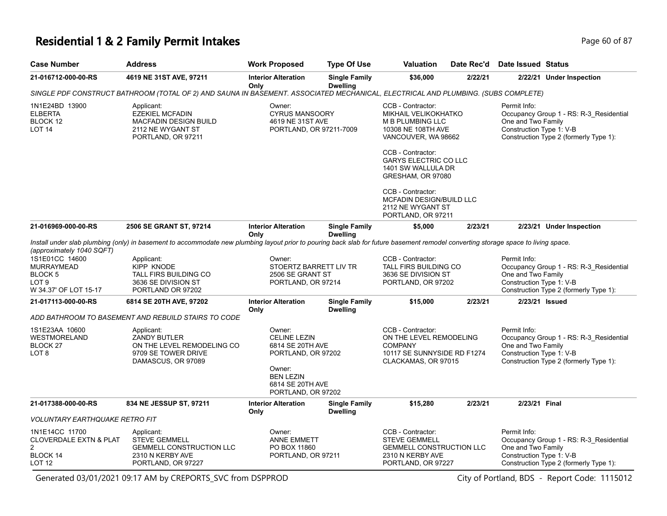### **Residential 1 & 2 Family Permit Intakes** Page 60 of 87

| <b>Case Number</b>                                                                                     | <b>Address</b>                                                                                                                                                                     | <b>Work Proposed</b>                                                                                                      | <b>Type Of Use</b>                      | Valuation                                                                                                                         | Date Rec'd | Date Issued Status                                             |                                                                                   |  |
|--------------------------------------------------------------------------------------------------------|------------------------------------------------------------------------------------------------------------------------------------------------------------------------------------|---------------------------------------------------------------------------------------------------------------------------|-----------------------------------------|-----------------------------------------------------------------------------------------------------------------------------------|------------|----------------------------------------------------------------|-----------------------------------------------------------------------------------|--|
| 21-016712-000-00-RS                                                                                    | 4619 NE 31ST AVE, 97211                                                                                                                                                            | <b>Interior Alteration</b><br>Only                                                                                        | <b>Single Family</b><br><b>Dwelling</b> | \$36,000                                                                                                                          | 2/22/21    |                                                                | 2/22/21 Under Inspection                                                          |  |
|                                                                                                        |                                                                                                                                                                                    |                                                                                                                           |                                         | SINGLE PDF CONSTRUCT BATHROOM (TOTAL OF 2) AND SAUNA IN BASEMENT. ASSOCIATED MECHANICAL, ELECTRICAL AND PLUMBING. (SUBS COMPLETE) |            |                                                                |                                                                                   |  |
| 1N1E24BD 13900<br><b>ELBERTA</b><br>BLOCK 12<br><b>LOT 14</b>                                          | Applicant:<br><b>EZEKIEL MCFADIN</b><br><b>MACFADIN DESIGN BUILD</b><br>2112 NE WYGANT ST<br>PORTLAND, OR 97211                                                                    | Owner:<br><b>CYRUS MANSOORY</b><br>4619 NE 31ST AVE<br>PORTLAND, OR 97211-7009                                            |                                         | CCB - Contractor:<br><b>MIKHAIL VELIKOKHATKO</b><br>M B PLUMBING LLC<br>10308 NE 108TH AVE<br>VANCOUVER, WA 98662                 |            | Permit Info:<br>One and Two Family<br>Construction Type 1: V-B | Occupancy Group 1 - RS: R-3_Residential<br>Construction Type 2 (formerly Type 1): |  |
|                                                                                                        |                                                                                                                                                                                    |                                                                                                                           |                                         | CCB - Contractor:<br>GARYS ELECTRIC CO LLC<br>1401 SW WALLULA DR<br>GRESHAM, OR 97080                                             |            |                                                                |                                                                                   |  |
|                                                                                                        |                                                                                                                                                                                    |                                                                                                                           |                                         | CCB - Contractor:<br>MCFADIN DESIGN/BUILD LLC<br>2112 NE WYGANT ST<br>PORTLAND, OR 97211                                          |            |                                                                |                                                                                   |  |
| 21-016969-000-00-RS                                                                                    | 2506 SE GRANT ST, 97214                                                                                                                                                            | <b>Interior Alteration</b><br>Only                                                                                        | <b>Single Family</b><br><b>Dwelling</b> | \$5,000                                                                                                                           | 2/23/21    |                                                                | 2/23/21 Under Inspection                                                          |  |
| (approximately 1040 SQFT)                                                                              | Install under slab plumbing (only) in basement to accommodate new plumbing layout prior to pouring back slab for future basement remodel converting storage space to living space. |                                                                                                                           |                                         |                                                                                                                                   |            |                                                                |                                                                                   |  |
| 1S1E01CC 14600<br><b>MURRAYMEAD</b><br>BLOCK <sub>5</sub><br>LOT <sub>9</sub><br>W 34.37' OF LOT 15-17 | Applicant:<br><b>KIPP KNODE</b><br><b>TALL FIRS BUILDING CO</b><br>3636 SE DIVISION ST<br>PORTLAND OR 97202                                                                        | Owner:<br>STOERTZ BARRETT LIV TR<br>2506 SE GRANT ST<br>PORTLAND, OR 97214                                                |                                         | CCB - Contractor:<br>TALL FIRS BUILDING CO<br>3636 SE DIVISION ST<br>PORTLAND, OR 97202                                           |            | Permit Info:<br>One and Two Family<br>Construction Type 1: V-B | Occupancy Group 1 - RS: R-3_Residential<br>Construction Type 2 (formerly Type 1): |  |
| 21-017113-000-00-RS                                                                                    | 6814 SE 20TH AVE, 97202                                                                                                                                                            | <b>Interior Alteration</b><br>Only                                                                                        | <b>Single Family</b><br><b>Dwelling</b> | \$15,000                                                                                                                          | 2/23/21    | 2/23/21 Issued                                                 |                                                                                   |  |
|                                                                                                        | ADD BATHROOM TO BASEMENT AND REBUILD STAIRS TO CODE                                                                                                                                |                                                                                                                           |                                         |                                                                                                                                   |            |                                                                |                                                                                   |  |
| 1S1E23AA 10600<br><b>WESTMORELAND</b><br>BLOCK <sub>27</sub><br>LOT <sub>8</sub>                       | Applicant:<br><b>ZANDY BUTLER</b><br>ON THE LEVEL REMODELING CO<br>9709 SE TOWER DRIVE<br>DAMASCUS, OR 97089                                                                       | Owner:<br><b>CELINE LEZIN</b><br>6814 SE 20TH AVE<br>PORTLAND, OR 97202<br>Owner:<br><b>BEN LEZIN</b><br>6814 SE 20TH AVE |                                         | CCB - Contractor:<br>ON THE LEVEL REMODELING<br><b>COMPANY</b><br>10117 SE SUNNYSIDE RD F1274<br>CLACKAMAS, OR 97015              |            | Permit Info:<br>One and Two Family<br>Construction Type 1: V-B | Occupancy Group 1 - RS: R-3_Residential<br>Construction Type 2 (formerly Type 1): |  |
|                                                                                                        |                                                                                                                                                                                    | PORTLAND, OR 97202                                                                                                        |                                         |                                                                                                                                   |            |                                                                |                                                                                   |  |
| 21-017388-000-00-RS                                                                                    | 834 NE JESSUP ST, 97211                                                                                                                                                            | <b>Interior Alteration</b><br>Only                                                                                        | <b>Single Family</b><br><b>Dwelling</b> | \$15,280                                                                                                                          | 2/23/21    | 2/23/21 Final                                                  |                                                                                   |  |
| <b>VOLUNTARY EARTHQUAKE RETRO FIT</b>                                                                  |                                                                                                                                                                                    |                                                                                                                           |                                         |                                                                                                                                   |            |                                                                |                                                                                   |  |
| 1N1E14CC 11700<br><b>CLOVERDALE EXTN &amp; PLAT</b><br>$\overline{2}$<br>BLOCK 14<br>LOT <sub>12</sub> | Applicant:<br><b>STEVE GEMMELL</b><br><b>GEMMELL CONSTRUCTION LLC</b><br>2310 N KERBY AVE<br>PORTLAND, OR 97227                                                                    | Owner:<br><b>ANNE EMMETT</b><br>PO BOX 11860<br>PORTLAND, OR 97211                                                        |                                         | CCB - Contractor:<br><b>STEVE GEMMELL</b><br><b>GEMMELL CONSTRUCTION LLC</b><br>2310 N KERBY AVE<br>PORTLAND, OR 97227            |            | Permit Info:<br>One and Two Family<br>Construction Type 1: V-B | Occupancy Group 1 - RS: R-3_Residential<br>Construction Type 2 (formerly Type 1): |  |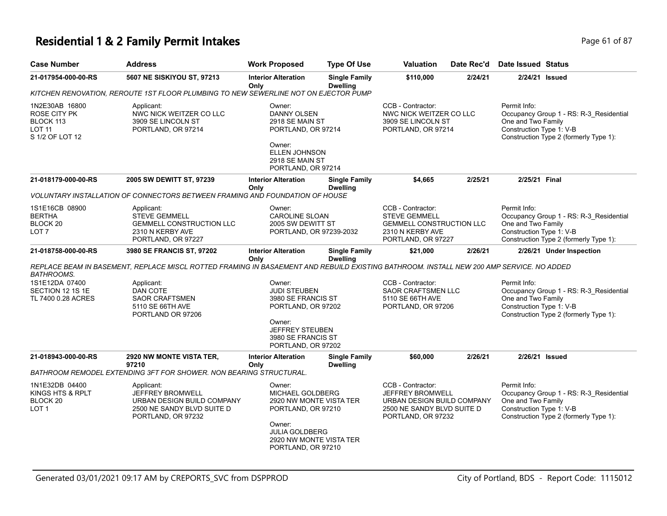### **Residential 1 & 2 Family Permit Intakes Page 1 of 87 Page 61 of 87**

| Case Number                                                              | <b>Address</b>                                                                                                                           | <b>Work Proposed</b>                                                                                                                                            | <b>Type Of Use</b>                      | <b>Valuation</b>                                                                                                               | Date Rec'd | Date Issued Status                                             |                                                                                   |  |  |
|--------------------------------------------------------------------------|------------------------------------------------------------------------------------------------------------------------------------------|-----------------------------------------------------------------------------------------------------------------------------------------------------------------|-----------------------------------------|--------------------------------------------------------------------------------------------------------------------------------|------------|----------------------------------------------------------------|-----------------------------------------------------------------------------------|--|--|
| 21-017954-000-00-RS                                                      | 5607 NE SISKIYOU ST, 97213                                                                                                               | <b>Interior Alteration</b><br>Only                                                                                                                              | <b>Single Family</b><br><b>Dwelling</b> | \$110,000                                                                                                                      | 2/24/21    | 2/24/21 Issued                                                 |                                                                                   |  |  |
|                                                                          | KITCHEN RENOVATION, REROUTE 1ST FLOOR PLUMBING TO NEW SEWERLINE NOT ON EJECTOR PUMP                                                      |                                                                                                                                                                 |                                         |                                                                                                                                |            |                                                                |                                                                                   |  |  |
| 1N2E30AB 16800<br>ROSE CITY PK<br>BLOCK 113<br>LOT 11<br>S 1/2 OF LOT 12 | Applicant:<br>NWC NICK WEITZER CO LLC<br>3909 SE LINCOLN ST<br>PORTLAND, OR 97214                                                        | Owner:<br>DANNY OLSEN<br>2918 SE MAIN ST<br>PORTLAND, OR 97214<br>Owner:<br><b>ELLEN JOHNSON</b><br>2918 SE MAIN ST<br>PORTLAND, OR 97214                       |                                         | CCB - Contractor:<br>NWC NICK WEITZER CO LLC<br>3909 SE LINCOLN ST<br>PORTLAND, OR 97214                                       |            | Permit Info:<br>One and Two Family<br>Construction Type 1: V-B | Occupancy Group 1 - RS: R-3_Residential<br>Construction Type 2 (formerly Type 1): |  |  |
| 21-018179-000-00-RS                                                      | 2005 SW DEWITT ST, 97239                                                                                                                 | <b>Interior Alteration</b><br>Only                                                                                                                              | <b>Single Family</b><br><b>Dwelling</b> | \$4,665                                                                                                                        | 2/25/21    | 2/25/21 Final                                                  |                                                                                   |  |  |
|                                                                          | VOLUNTARY INSTALLATION OF CONNECTORS BETWEEN FRAMING AND FOUNDATION OF HOUSE                                                             |                                                                                                                                                                 |                                         |                                                                                                                                |            |                                                                |                                                                                   |  |  |
| 1S1E16CB 08900<br>BERTHA<br>BLOCK 20<br>LOT 7                            | Applicant:<br><b>STEVE GEMMELL</b><br><b>GEMMELL CONSTRUCTION LLC</b><br>2310 N KERBY AVE<br>PORTLAND, OR 97227                          | Owner:<br><b>CAROLINE SLOAN</b><br>2005 SW DEWITT ST<br>PORTLAND, OR 97239-2032                                                                                 |                                         | CCB - Contractor:<br><b>STEVE GEMMELL</b><br><b>GEMMELL CONSTRUCTION LLC</b><br>2310 N KERBY AVE<br>PORTLAND, OR 97227         |            | Permit Info:<br>One and Two Family<br>Construction Type 1: V-B | Occupancy Group 1 - RS: R-3_Residential<br>Construction Type 2 (formerly Type 1): |  |  |
| 21-018758-000-00-RS                                                      | 3980 SE FRANCIS ST, 97202                                                                                                                | <b>Interior Alteration</b><br>Only                                                                                                                              | <b>Single Family</b><br><b>Dwelling</b> | \$21,000                                                                                                                       | 2/26/21    |                                                                | 2/26/21 Under Inspection                                                          |  |  |
| BATHROOMS.                                                               | REPLACE BEAM IN BASEMENT, REPLACE MISCL ROTTED FRAMING IN BASAEMENT AND REBUILD EXISTING BATHROOM. INSTALL NEW 200 AMP SERVICE. NO ADDED |                                                                                                                                                                 |                                         |                                                                                                                                |            |                                                                |                                                                                   |  |  |
| 1S1E12DA 07400<br>SECTION 12 1S 1E<br>TL 7400 0.28 ACRES                 | Applicant:<br><b>DAN COTE</b><br><b>SAOR CRAFTSMEN</b><br>5110 SE 66TH AVE<br>PORTLAND OR 97206                                          | Owner:<br><b>JUDI STEUBEN</b><br>3980 SE FRANCIS ST<br>PORTLAND, OR 97202<br>Owner:<br><b>JEFFREY STEUBEN</b><br>3980 SE FRANCIS ST<br>PORTLAND, OR 97202       |                                         | CCB - Contractor:<br>SAOR CRAFTSMEN LLC<br>5110 SE 66TH AVE<br>PORTLAND, OR 97206                                              |            | Permit Info:<br>One and Two Family<br>Construction Type 1: V-B | Occupancy Group 1 - RS: R-3_Residential<br>Construction Type 2 (formerly Type 1): |  |  |
| 21-018943-000-00-RS                                                      | 2920 NW MONTE VISTA TER,                                                                                                                 | <b>Interior Alteration</b>                                                                                                                                      | <b>Single Family</b>                    | \$60,000                                                                                                                       | 2/26/21    | 2/26/21 Issued                                                 |                                                                                   |  |  |
|                                                                          | 97210<br>BATHROOM REMODEL EXTENDING 3FT FOR SHOWER. NON BEARING STRUCTURAL.                                                              | Only                                                                                                                                                            | <b>Dwelling</b>                         |                                                                                                                                |            |                                                                |                                                                                   |  |  |
| 1N1E32DB 04400<br>KINGS HTS & RPLT<br>BLOCK 20<br>LOT 1                  | Applicant:<br>JEFFREY BROMWELL<br>URBAN DESIGN BUILD COMPANY<br>2500 NE SANDY BLVD SUITE D<br>PORTLAND, OR 97232                         | Owner:<br>MICHAEL GOLDBERG<br>2920 NW MONTE VISTA TER<br>PORTLAND, OR 97210<br>Owner:<br><b>JULIA GOLDBERG</b><br>2920 NW MONTE VISTA TER<br>PORTLAND, OR 97210 |                                         | CCB - Contractor:<br><b>JEFFREY BROMWELL</b><br>URBAN DESIGN BUILD COMPANY<br>2500 NE SANDY BLVD SUITE D<br>PORTLAND, OR 97232 |            | Permit Info:<br>One and Two Family<br>Construction Type 1: V-B | Occupancy Group 1 - RS: R-3_Residential<br>Construction Type 2 (formerly Type 1): |  |  |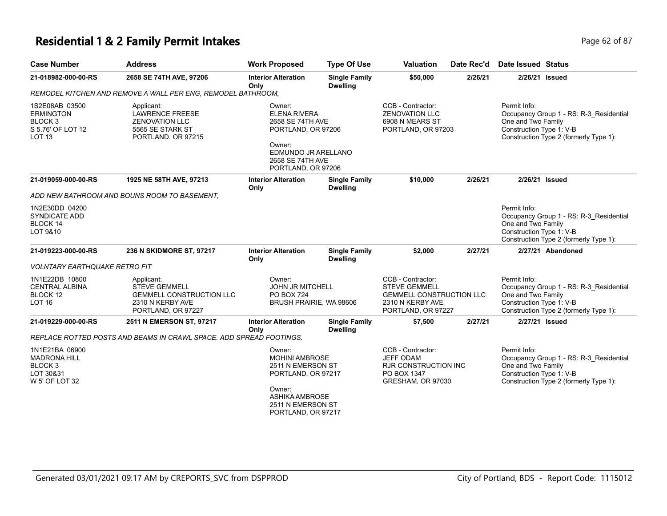# **Residential 1 & 2 Family Permit Intakes Page 62 of 87** Page 62 of 87

| <b>Case Number</b>                                                                                 | <b>Address</b>                                                                                                  | <b>Work Proposed</b>                                                                                                                                     | <b>Type Of Use</b>                      | <b>Valuation</b>                                                                                                       | Date Rec'd | Date Issued Status                                                                                                                                  |
|----------------------------------------------------------------------------------------------------|-----------------------------------------------------------------------------------------------------------------|----------------------------------------------------------------------------------------------------------------------------------------------------------|-----------------------------------------|------------------------------------------------------------------------------------------------------------------------|------------|-----------------------------------------------------------------------------------------------------------------------------------------------------|
| 21-018982-000-00-RS                                                                                | 2658 SE 74TH AVE, 97206                                                                                         | <b>Interior Alteration</b><br>Only                                                                                                                       | <b>Single Family</b><br><b>Dwelling</b> | \$50,000                                                                                                               | 2/26/21    | 2/26/21 Issued                                                                                                                                      |
|                                                                                                    | REMODEL KITCHEN AND REMOVE A WALL PER ENG, REMODEL BATHROOM,                                                    |                                                                                                                                                          |                                         |                                                                                                                        |            |                                                                                                                                                     |
| 1S2E08AB 03500<br><b>ERMINGTON</b><br>BLOCK <sub>3</sub><br>S 5.76' OF LOT 12<br>LOT <sub>13</sub> | Applicant:<br><b>LAWRENCE FREESE</b><br><b>ZENOVATION LLC</b><br>5565 SE STARK ST<br>PORTLAND, OR 97215         | Owner:<br>ELENA RIVERA<br>2658 SE 74TH AVE<br>PORTLAND, OR 97206<br>Owner:<br>EDMUNDO JR ARELLANO<br>2658 SE 74TH AVE<br>PORTLAND, OR 97206              |                                         | CCB - Contractor:<br><b>ZENOVATION LLC</b><br>6908 N MEARS ST<br>PORTLAND, OR 97203                                    |            | Permit Info:<br>Occupancy Group 1 - RS: R-3_Residential<br>One and Two Family<br>Construction Type 1: V-B<br>Construction Type 2 (formerly Type 1): |
| 21-019059-000-00-RS                                                                                | 1925 NE 58TH AVE, 97213                                                                                         | <b>Interior Alteration</b><br>Only                                                                                                                       | <b>Single Family</b><br><b>Dwelling</b> | \$10,000                                                                                                               | 2/26/21    | 2/26/21 Issued                                                                                                                                      |
|                                                                                                    | ADD NEW BATHROOM AND BOUNS ROOM TO BASEMENT.                                                                    |                                                                                                                                                          |                                         |                                                                                                                        |            |                                                                                                                                                     |
| 1N2E30DD 04200<br><b>SYNDICATE ADD</b><br><b>BLOCK 14</b><br>LOT 9&10                              |                                                                                                                 |                                                                                                                                                          |                                         |                                                                                                                        |            | Permit Info:<br>Occupancy Group 1 - RS: R-3 Residential<br>One and Two Family<br>Construction Type 1: V-B<br>Construction Type 2 (formerly Type 1): |
| 21-019223-000-00-RS                                                                                | 236 N SKIDMORE ST, 97217                                                                                        | <b>Interior Alteration</b><br>Only                                                                                                                       | <b>Single Family</b><br><b>Dwelling</b> | \$2,000                                                                                                                | 2/27/21    | 2/27/21 Abandoned                                                                                                                                   |
| VOLNTARY EARTHQUAKE RETRO FIT                                                                      |                                                                                                                 |                                                                                                                                                          |                                         |                                                                                                                        |            |                                                                                                                                                     |
| 1N1E22DB 10800<br><b>CENTRAL ALBINA</b><br>BLOCK 12<br><b>LOT 16</b>                               | Applicant:<br><b>STEVE GEMMELL</b><br><b>GEMMELL CONSTRUCTION LLC</b><br>2310 N KERBY AVE<br>PORTLAND, OR 97227 | Owner:<br><b>JOHN JR MITCHELL</b><br><b>PO BOX 724</b><br>BRUSH PRAIRIE, WA 98606                                                                        |                                         | CCB - Contractor:<br><b>STEVE GEMMELL</b><br><b>GEMMELL CONSTRUCTION LLC</b><br>2310 N KERBY AVE<br>PORTLAND, OR 97227 |            | Permit Info:<br>Occupancy Group 1 - RS: R-3 Residential<br>One and Two Family<br>Construction Type 1: V-B<br>Construction Type 2 (formerly Type 1): |
| 21-019229-000-00-RS                                                                                | 2511 N EMERSON ST, 97217                                                                                        | <b>Interior Alteration</b><br>Only                                                                                                                       | <b>Single Family</b><br><b>Dwelling</b> | \$7,500                                                                                                                | 2/27/21    | 2/27/21 Issued                                                                                                                                      |
|                                                                                                    | REPLACE ROTTED POSTS AND BEAMS IN CRAWL SPACE. ADD SPREAD FOOTINGS.                                             |                                                                                                                                                          |                                         |                                                                                                                        |            |                                                                                                                                                     |
| 1N1E21BA 06900<br><b>MADRONA HILL</b><br>BLOCK <sub>3</sub><br>LOT 30&31<br>W 5' OF LOT 32         |                                                                                                                 | Owner:<br><b>MOHINI AMBROSE</b><br>2511 N EMERSON ST<br>PORTLAND, OR 97217<br>Owner:<br><b>ASHIKA AMBROSE</b><br>2511 N EMERSON ST<br>PORTLAND, OR 97217 |                                         | CCB - Contractor:<br><b>JEFF ODAM</b><br><b>RJR CONSTRUCTION INC</b><br>PO BOX 1347<br>GRESHAM, OR 97030               |            | Permit Info:<br>Occupancy Group 1 - RS: R-3_Residential<br>One and Two Family<br>Construction Type 1: V-B<br>Construction Type 2 (formerly Type 1): |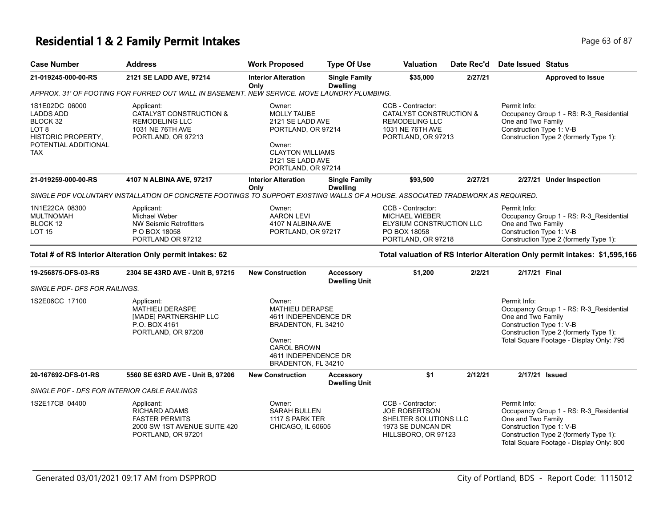# **Residential 1 & 2 Family Permit Intakes Page 11 and 2018 12 and 2018 12 and 2018 12 and 2018 12 and 2018 12 and 2018 12 and 2018 12 and 2018 12 and 2018 12 and 2019 12:00 Page 63 of 87**

| <b>Case Number</b>                                                                                                  | <b>Address</b>                                                                                                                 | <b>Work Proposed</b>                                                                                                                                           | <b>Type Of Use</b>                       | Valuation                                                                                                       | Date Rec'd | <b>Date Issued Status</b>                                                                                                                                                                       |
|---------------------------------------------------------------------------------------------------------------------|--------------------------------------------------------------------------------------------------------------------------------|----------------------------------------------------------------------------------------------------------------------------------------------------------------|------------------------------------------|-----------------------------------------------------------------------------------------------------------------|------------|-------------------------------------------------------------------------------------------------------------------------------------------------------------------------------------------------|
| 21-019245-000-00-RS                                                                                                 | 2121 SE LADD AVE, 97214                                                                                                        | <b>Interior Alteration</b><br>Only                                                                                                                             | <b>Single Family</b><br><b>Dwelling</b>  | \$35,000                                                                                                        | 2/27/21    | <b>Approved to Issue</b>                                                                                                                                                                        |
|                                                                                                                     | APPROX. 31' OF FOOTING FOR FURRED OUT WALL IN BASEMENT. NEW SERVICE. MOVE LAUNDRY PLUMBING.                                    |                                                                                                                                                                |                                          |                                                                                                                 |            |                                                                                                                                                                                                 |
| 1S1E02DC 06000<br>LADDS ADD<br>BLOCK 32<br>LOT 8<br><b>HISTORIC PROPERTY,</b><br>POTENTIAL ADDITIONAL<br><b>TAX</b> | Applicant:<br><b>CATALYST CONSTRUCTION &amp;</b><br><b>REMODELING LLC</b><br>1031 NE 76TH AVE<br>PORTLAND, OR 97213            | Owner:<br><b>MOLLY TAUBE</b><br>2121 SE LADD AVE<br>PORTLAND, OR 97214<br>Owner:<br><b>CLAYTON WILLIAMS</b><br>2121 SE LADD AVE<br>PORTLAND, OR 97214          |                                          | CCB - Contractor:<br>CATALYST CONSTRUCTION &<br><b>REMODELING LLC</b><br>1031 NE 76TH AVE<br>PORTLAND, OR 97213 |            | Permit Info:<br>Occupancy Group 1 - RS: R-3_Residential<br>One and Two Family<br>Construction Type 1: V-B<br>Construction Type 2 (formerly Type 1):                                             |
| 21-019259-000-00-RS                                                                                                 | 4107 N ALBINA AVE, 97217                                                                                                       | <b>Interior Alteration</b><br>Only                                                                                                                             | <b>Single Family</b><br><b>Dwelling</b>  | \$93,500                                                                                                        | 2/27/21    | 2/27/21 Under Inspection                                                                                                                                                                        |
|                                                                                                                     | SINGLE PDF VOLUNTARY INSTALLATION OF CONCRETE FOOTINGS TO SUPPORT EXISTING WALLS OF A HOUSE. ASSOCIATED TRADEWORK AS REQUIRED. |                                                                                                                                                                |                                          |                                                                                                                 |            |                                                                                                                                                                                                 |
| 1N1E22CA 08300<br><b>MULTNOMAH</b><br>BLOCK 12<br><b>LOT 15</b>                                                     | Applicant:<br>Michael Weber<br><b>NW Seismic Retrofitters</b><br>P O BOX 18058<br>PORTLAND OR 97212                            | Owner:<br><b>AARON LEVI</b><br>4107 N ALBINA AVE<br>PORTLAND, OR 97217                                                                                         |                                          | CCB - Contractor:<br><b>MICHAEL WIEBER</b><br>ELYSIUM CONSTRUCTION LLC<br>PO BOX 18058<br>PORTLAND, OR 97218    |            | Permit Info:<br>Occupancy Group 1 - RS: R-3_Residential<br>One and Two Family<br>Construction Type 1: V-B<br>Construction Type 2 (formerly Type 1):                                             |
|                                                                                                                     | Total # of RS Interior Alteration Only permit intakes: 62                                                                      |                                                                                                                                                                |                                          |                                                                                                                 |            | Total valuation of RS Interior Alteration Only permit intakes: \$1,595,166                                                                                                                      |
| 19-256875-DFS-03-RS<br>SINGLE PDF- DFS FOR RAILINGS.                                                                | 2304 SE 43RD AVE - Unit B, 97215                                                                                               | <b>New Construction</b>                                                                                                                                        | <b>Accessory</b><br><b>Dwelling Unit</b> | \$1,200                                                                                                         | 2/2/21     | 2/17/21 Final                                                                                                                                                                                   |
| 1S2E06CC 17100                                                                                                      | Applicant:<br><b>MATHIEU DERASPE</b><br>[MADE] PARTNERSHIP LLC<br>P.O. BOX 4161<br>PORTLAND, OR 97208                          | Owner:<br><b>MATHIEU DERAPSE</b><br>4611 INDEPENDENCE DR<br>BRADENTON, FL 34210<br>Owner:<br><b>CAROL BROWN</b><br>4611 INDEPENDENCE DR<br>BRADENTON, FL 34210 |                                          |                                                                                                                 |            | Permit Info:<br>Occupancy Group 1 - RS: R-3_Residential<br>One and Two Family<br>Construction Type 1: V-B<br>Construction Type 2 (formerly Type 1):<br>Total Square Footage - Display Only: 795 |
| 20-167692-DFS-01-RS                                                                                                 | 5560 SE 63RD AVE - Unit B, 97206                                                                                               | <b>New Construction</b>                                                                                                                                        | <b>Accessory</b><br><b>Dwelling Unit</b> | \$1                                                                                                             | 2/12/21    | 2/17/21 Issued                                                                                                                                                                                  |
| SINGLE PDF - DFS FOR INTERIOR CABLE RAILINGS                                                                        |                                                                                                                                |                                                                                                                                                                |                                          |                                                                                                                 |            |                                                                                                                                                                                                 |
| 1S2E17CB 04400                                                                                                      | Applicant:<br><b>RICHARD ADAMS</b><br><b>FASTER PERMITS</b><br>2000 SW 1ST AVENUE SUITE 420<br>PORTLAND, OR 97201              | Owner:<br><b>SARAH BULLEN</b><br>1117 S PARK TER<br>CHICAGO, IL 60605                                                                                          |                                          | CCB - Contractor:<br><b>JOE ROBERTSON</b><br>SHELTER SOLUTIONS LLC<br>1973 SE DUNCAN DR<br>HILLSBORO, OR 97123  |            | Permit Info:<br>Occupancy Group 1 - RS: R-3_Residential<br>One and Two Family<br>Construction Type 1: V-B<br>Construction Type 2 (formerly Type 1):<br>Total Square Footage - Display Only: 800 |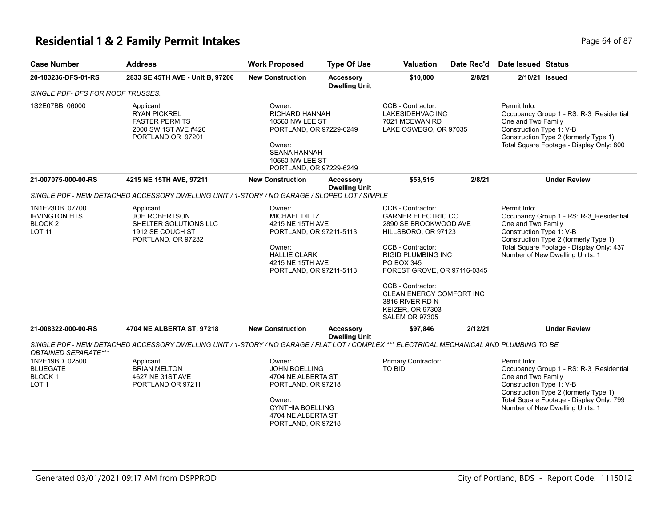# **Residential 1 & 2 Family Permit Intakes Page 64 of 87** Page 64 of 87

| <b>Case Number</b>                                                       | <b>Address</b>                                                                                                                            | <b>Work Proposed</b>                                                                                                                                          | <b>Type Of Use</b>                       | <b>Valuation</b>                                                                                                                                                                                                                                                                                        | Date Rec'd | <b>Date Issued Status</b>                                                                                                                                                                       |                                                                                                                                                                  |
|--------------------------------------------------------------------------|-------------------------------------------------------------------------------------------------------------------------------------------|---------------------------------------------------------------------------------------------------------------------------------------------------------------|------------------------------------------|---------------------------------------------------------------------------------------------------------------------------------------------------------------------------------------------------------------------------------------------------------------------------------------------------------|------------|-------------------------------------------------------------------------------------------------------------------------------------------------------------------------------------------------|------------------------------------------------------------------------------------------------------------------------------------------------------------------|
| 20-183236-DFS-01-RS                                                      | 2833 SE 45TH AVE - Unit B, 97206                                                                                                          | <b>New Construction</b>                                                                                                                                       | <b>Accessory</b><br><b>Dwelling Unit</b> | \$10,000                                                                                                                                                                                                                                                                                                | 2/8/21     | 2/10/21 Issued                                                                                                                                                                                  |                                                                                                                                                                  |
| SINGLE PDF- DFS FOR ROOF TRUSSES.                                        |                                                                                                                                           |                                                                                                                                                               |                                          |                                                                                                                                                                                                                                                                                                         |            |                                                                                                                                                                                                 |                                                                                                                                                                  |
| 1S2E07BB 06000                                                           | Applicant:<br><b>RYAN PICKREL</b><br><b>FASTER PERMITS</b><br>2000 SW 1ST AVE #420<br>PORTLAND OR 97201                                   | Owner:<br><b>RICHARD HANNAH</b><br>10560 NW LEE ST<br>PORTLAND, OR 97229-6249<br>Owner:<br><b>SEANA HANNAH</b><br>10560 NW LEE ST<br>PORTLAND, OR 97229-6249  |                                          | CCB - Contractor:<br>LAKESIDEHVAC INC<br>7021 MCEWAN RD<br>LAKE OSWEGO, OR 97035                                                                                                                                                                                                                        |            | Permit Info:<br>Occupancy Group 1 - RS: R-3_Residential<br>One and Two Family<br>Construction Type 1: V-B<br>Construction Type 2 (formerly Type 1):<br>Total Square Footage - Display Only: 800 |                                                                                                                                                                  |
| 21-007075-000-00-RS                                                      | 4215 NE 15TH AVE, 97211                                                                                                                   | <b>New Construction</b>                                                                                                                                       | Accessory<br><b>Dwelling Unit</b>        | \$53,515                                                                                                                                                                                                                                                                                                | 2/8/21     |                                                                                                                                                                                                 | <b>Under Review</b>                                                                                                                                              |
|                                                                          | SINGLE PDF - NEW DETACHED ACCESSORY DWELLING UNIT / 1-STORY / NO GARAGE / SLOPED LOT / SIMPLE                                             |                                                                                                                                                               |                                          |                                                                                                                                                                                                                                                                                                         |            |                                                                                                                                                                                                 |                                                                                                                                                                  |
| 1N1E23DB 07700<br><b>IRVINGTON HTS</b><br><b>BLOCK2</b><br><b>LOT 11</b> | Applicant:<br><b>JOE ROBERTSON</b><br>SHELTER SOLUTIONS LLC<br>1912 SE COUCH ST<br>PORTLAND, OR 97232                                     | Owner:<br><b>MICHAEL DILTZ</b><br>4215 NE 15TH AVE<br>PORTLAND, OR 97211-5113<br>Owner:<br><b>HALLIE CLARK</b><br>4215 NE 15TH AVE<br>PORTLAND, OR 97211-5113 |                                          | CCB - Contractor:<br><b>GARNER ELECTRIC CO</b><br>2890 SE BROOKWOOD AVE<br>HILLSBORO, OR 97123<br>CCB - Contractor:<br>RIGID PLUMBING INC<br>PO BOX 345<br>FOREST GROVE, OR 97116-0345<br>CCB - Contractor:<br>CLEAN ENERGY COMFORT INC<br>3816 RIVER RD N<br>KEIZER, OR 97303<br><b>SALEM OR 97305</b> |            | Permit Info:<br>One and Two Family<br>Construction Type 1: V-B                                                                                                                                  | Occupancy Group 1 - RS: R-3_Residential<br>Construction Type 2 (formerly Type 1):<br>Total Square Footage - Display Only: 437<br>Number of New Dwelling Units: 1 |
| 21-008322-000-00-RS                                                      | 4704 NE ALBERTA ST, 97218                                                                                                                 | <b>New Construction</b>                                                                                                                                       | Accessory<br><b>Dwelling Unit</b>        | \$97,846                                                                                                                                                                                                                                                                                                | 2/12/21    |                                                                                                                                                                                                 | <b>Under Review</b>                                                                                                                                              |
| OBTAINED SEPARATE***                                                     | SINGLE PDF - NEW DETACHED ACCESSORY DWELLING UNIT / 1-STORY / NO GARAGE / FLAT LOT / COMPLEX *** ELECTRICAL MECHANICAL AND PLUMBING TO BE |                                                                                                                                                               |                                          |                                                                                                                                                                                                                                                                                                         |            |                                                                                                                                                                                                 |                                                                                                                                                                  |
| 1N2E19BD 02500<br><b>BLUEGATE</b><br><b>BLOCK1</b><br>LOT <sub>1</sub>   | Applicant:<br><b>BRIAN MELTON</b><br>4627 NE 31ST AVE<br>PORTLAND OR 97211                                                                | Owner:<br><b>JOHN BOELLING</b><br>4704 NE ALBERTA ST<br>PORTLAND, OR 97218<br>Owner:<br><b>CYNTHIA BOELLING</b><br>4704 NE ALBERTA ST<br>PORTLAND, OR 97218   |                                          | Primary Contractor:<br>TO BID                                                                                                                                                                                                                                                                           |            | Permit Info:<br>One and Two Family<br>Construction Type 1: V-B                                                                                                                                  | Occupancy Group 1 - RS: R-3_Residential<br>Construction Type 2 (formerly Type 1):<br>Total Square Footage - Display Only: 799<br>Number of New Dwelling Units: 1 |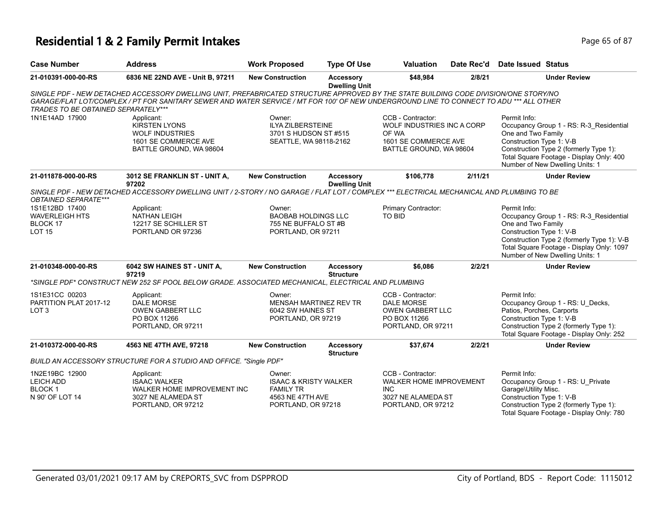#### **Residential 1 & 2 Family Permit Intakes Page 11 and 2018 12 and 2019 12 and 2019 12 and 2019 12 and 2019 12 and 2019 12:30 Page 65 of 87 and 2019 12:30 Page 65 of 87**

| <b>Case Number</b>                                                     | <b>Address</b>                                                                                                                                                                                                                                                                  | <b>Work Proposed</b>                                                                                     | <b>Type Of Use</b>                       | <b>Valuation</b>                                                                                            | Date Rec'd | Date Issued Status                                                                                                                                                                                                                      |  |
|------------------------------------------------------------------------|---------------------------------------------------------------------------------------------------------------------------------------------------------------------------------------------------------------------------------------------------------------------------------|----------------------------------------------------------------------------------------------------------|------------------------------------------|-------------------------------------------------------------------------------------------------------------|------------|-----------------------------------------------------------------------------------------------------------------------------------------------------------------------------------------------------------------------------------------|--|
| 21-010391-000-00-RS                                                    | 6836 NE 22ND AVE - Unit B, 97211                                                                                                                                                                                                                                                | <b>New Construction</b>                                                                                  | Accessory<br><b>Dwelling Unit</b>        | \$48,984                                                                                                    | 2/8/21     | <b>Under Review</b>                                                                                                                                                                                                                     |  |
| <b>TRADES TO BE OBTAINED SEPARATELY***</b>                             | SINGLE PDF - NEW DETACHED ACCESSORY DWELLING UNIT, PREFABRICATED STRUCTURE APPROVED BY THE STATE BUILDING CODE DIVISION/ONE STORY/NO<br>GARAGE/FLAT LOT/COMPLEX / PT FOR SANITARY SEWER AND WATER SERVICE / MT FOR 100' OF NEW UNDERGROUND LINE TO CONNECT TO ADU *** ALL OTHER |                                                                                                          |                                          |                                                                                                             |            |                                                                                                                                                                                                                                         |  |
| 1N1E14AD 17900                                                         | Applicant:<br><b>KIRSTEN LYONS</b><br><b>WOLF INDUSTRIES</b><br>1601 SE COMMERCE AVE<br>BATTLE GROUND, WA 98604                                                                                                                                                                 | Owner:<br><b>ILYA ZILBERSTEINE</b><br>3701 S HUDSON ST #515<br>SEATTLE, WA 98118-2162                    |                                          | CCB - Contractor:<br>WOLF INDUSTRIES INC A CORP<br>OF WA<br>1601 SE COMMERCE AVE<br>BATTLE GROUND, WA 98604 |            | Permit Info:<br>Occupancy Group 1 - RS: R-3_Residential<br>One and Two Family<br>Construction Type 1: V-B<br>Construction Type 2 (formerly Type 1):<br>Total Square Footage - Display Only: 400<br>Number of New Dwelling Units: 1      |  |
| 21-011878-000-00-RS                                                    | 3012 SE FRANKLIN ST - UNIT A,<br>97202                                                                                                                                                                                                                                          | <b>New Construction</b>                                                                                  | <b>Accessory</b><br><b>Dwelling Unit</b> | \$106,778                                                                                                   | 2/11/21    | <b>Under Review</b>                                                                                                                                                                                                                     |  |
| <b>OBTAINED SEPARATE***</b>                                            | SINGLE PDF - NEW DETACHED ACCESSORY DWELLING UNIT / 2-STORY / NO GARAGE / FLAT LOT / COMPLEX *** ELECTRICAL MECHANICAL AND PLUMBING TO BE                                                                                                                                       |                                                                                                          |                                          |                                                                                                             |            |                                                                                                                                                                                                                                         |  |
| 1S1E12BD 17400<br><b>WAVERLEIGH HTS</b><br>BLOCK 17<br><b>LOT 15</b>   | Applicant:<br><b>NATHAN LEIGH</b><br>12217 SE SCHILLER ST<br>PORTLAND OR 97236                                                                                                                                                                                                  | Owner:<br><b>BAOBAB HOLDINGS LLC</b><br>755 NE BUFFALO ST #B<br>PORTLAND, OR 97211                       |                                          | Primary Contractor:<br><b>TO BID</b>                                                                        |            | Permit Info:<br>Occupancy Group 1 - RS: R-3_Residential<br>One and Two Family<br>Construction Type 1: V-B<br>Construction Type 2 (formerly Type 1): V-B<br>Total Square Footage - Display Only: 1097<br>Number of New Dwelling Units: 1 |  |
| 21-010348-000-00-RS                                                    | 6042 SW HAINES ST - UNIT A,<br>97219                                                                                                                                                                                                                                            | <b>New Construction</b>                                                                                  | <b>Accessory</b><br><b>Structure</b>     | \$6,086                                                                                                     | 2/2/21     | <b>Under Review</b>                                                                                                                                                                                                                     |  |
|                                                                        | "SINGLE PDF" CONSTRUCT NEW 252 SF POOL BELOW GRADE. ASSOCIATED MECHANICAL. ELECTRICAL AND PLUMBING                                                                                                                                                                              |                                                                                                          |                                          |                                                                                                             |            |                                                                                                                                                                                                                                         |  |
| 1S1E31CC 00203<br>PARTITION PLAT 2017-12<br>LOT <sub>3</sub>           | Applicant:<br><b>DALE MORSE</b><br><b>OWEN GABBERT LLC</b><br>PO BOX 11266<br>PORTLAND, OR 97211                                                                                                                                                                                | Owner:<br><b>MENSAH MARTINEZ REV TR</b><br>6042 SW HAINES ST<br>PORTLAND, OR 97219                       |                                          | CCB - Contractor:<br><b>DALE MORSE</b><br><b>OWEN GABBERT LLC</b><br>PO BOX 11266<br>PORTLAND, OR 97211     |            | Permit Info:<br>Occupancy Group 1 - RS: U_Decks,<br>Patios, Porches, Carports<br>Construction Type 1: V-B<br>Construction Type 2 (formerly Type 1):<br>Total Square Footage - Display Only: 252                                         |  |
| 21-010372-000-00-RS                                                    | 4563 NE 47TH AVE, 97218                                                                                                                                                                                                                                                         | <b>New Construction</b>                                                                                  | <b>Accessory</b><br><b>Structure</b>     | \$37,674                                                                                                    | 2/2/21     | <b>Under Review</b>                                                                                                                                                                                                                     |  |
|                                                                        | BUILD AN ACCESSORY STRUCTURE FOR A STUDIO AND OFFICE. "Single PDF"                                                                                                                                                                                                              |                                                                                                          |                                          |                                                                                                             |            |                                                                                                                                                                                                                                         |  |
| 1N2E19BC 12900<br><b>LEICH ADD</b><br><b>BLOCK1</b><br>N 90' OF LOT 14 | Applicant:<br><b>ISAAC WALKER</b><br>WALKER HOME IMPROVEMENT INC<br>3027 NE ALAMEDA ST<br>PORTLAND, OR 97212                                                                                                                                                                    | Owner:<br><b>ISAAC &amp; KRISTY WALKER</b><br><b>FAMILY TR</b><br>4563 NE 47TH AVE<br>PORTLAND, OR 97218 |                                          | CCB - Contractor:<br>WALKER HOME IMPROVEMENT<br><b>INC</b><br>3027 NE ALAMEDA ST<br>PORTLAND, OR 97212      |            | Permit Info:<br>Occupancy Group 1 - RS: U_Private<br>Garage\Utility Misc.<br>Construction Type 1: V-B<br>Construction Type 2 (formerly Type 1):<br>Total Square Footage - Display Only: 780                                             |  |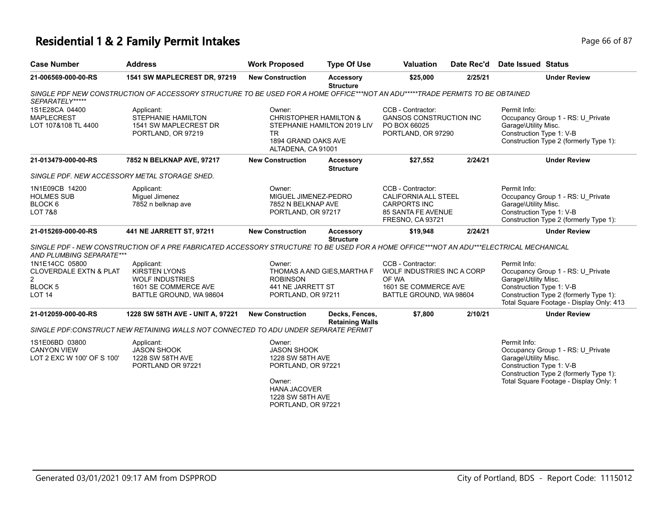# **Residential 1 & 2 Family Permit Intakes** Page 66 of 87

| <b>Case Number</b>                                                                                          | <b>Address</b>                                                                                                                          | <b>Work Proposed</b>                                                                                                                              | <b>Type Of Use</b>                       | <b>Valuation</b>                                                                                                         | Date Rec'd                                                                    | <b>Date Issued Status</b>                                        |                                                                                                                                                                             |
|-------------------------------------------------------------------------------------------------------------|-----------------------------------------------------------------------------------------------------------------------------------------|---------------------------------------------------------------------------------------------------------------------------------------------------|------------------------------------------|--------------------------------------------------------------------------------------------------------------------------|-------------------------------------------------------------------------------|------------------------------------------------------------------|-----------------------------------------------------------------------------------------------------------------------------------------------------------------------------|
| 21-006569-000-00-RS                                                                                         | 1541 SW MAPLECREST DR, 97219                                                                                                            | <b>New Construction</b>                                                                                                                           | <b>Accessory</b><br><b>Structure</b>     | \$25,000                                                                                                                 | 2/25/21                                                                       |                                                                  | <b>Under Review</b>                                                                                                                                                         |
| SEPARATELY*****                                                                                             | SINGLE PDF NEW CONSTRUCTION OF ACCESSORY STRUCTURE TO BE USED FOR A HOME OFFICE***NOT AN ADU*****TRADE PERMITS TO BE OBTAINED           |                                                                                                                                                   |                                          |                                                                                                                          |                                                                               |                                                                  |                                                                                                                                                                             |
| 1S1E28CA 04400<br><b>MAPLECREST</b><br>LOT 107&108 TL 4400                                                  | Applicant:<br><b>STEPHANIE HAMILTON</b><br>1541 SW MAPLECREST DR<br>PORTLAND, OR 97219                                                  | Owner:<br><b>CHRISTOPHER HAMILTON &amp;</b><br>TR.<br>1894 GRAND OAKS AVE<br>ALTADENA, CA 91001                                                   | STEPHANIE HAMILTON 2019 LIV              | CCB - Contractor:<br><b>GANSOS CONSTRUCTION INC</b><br>PO BOX 66025<br>PORTLAND, OR 97290                                |                                                                               | Permit Info:<br>Garage\Utility Misc.<br>Construction Type 1: V-B | Occupancy Group 1 - RS: U Private<br>Construction Type 2 (formerly Type 1):                                                                                                 |
| 21-013479-000-00-RS                                                                                         | 7852 N BELKNAP AVE, 97217                                                                                                               | <b>New Construction</b>                                                                                                                           | Accessory<br><b>Structure</b>            | \$27,552                                                                                                                 | 2/24/21                                                                       |                                                                  | <b>Under Review</b>                                                                                                                                                         |
| SINGLE PDF. NEW ACCESSORY METAL STORAGE SHED.                                                               |                                                                                                                                         |                                                                                                                                                   |                                          |                                                                                                                          |                                                                               |                                                                  |                                                                                                                                                                             |
| 1N1E09CB 14200<br><b>HOLMES SUB</b><br>BLOCK 6<br><b>LOT 7&amp;8</b>                                        | Applicant:<br>Miquel Jimenez<br>7852 n belknap ave                                                                                      | Owner:<br>MIGUEL JIMENEZ-PEDRO<br>7852 N BELKNAP AVE<br>PORTLAND, OR 97217                                                                        |                                          | CCB - Contractor:<br><b>CALIFORNIA ALL STEEL</b><br><b>CARPORTS INC</b><br>85 SANTA FE AVENUE<br><b>FRESNO, CA 93721</b> |                                                                               | Permit Info:<br>Garage\Utility Misc.<br>Construction Type 1: V-B | Occupancy Group 1 - RS: U Private<br>Construction Type 2 (formerly Type 1):                                                                                                 |
| 21-015269-000-00-RS                                                                                         | 441 NE JARRETT ST, 97211                                                                                                                | <b>New Construction</b>                                                                                                                           | <b>Accessory</b><br><b>Structure</b>     | \$19,948                                                                                                                 | 2/24/21                                                                       |                                                                  | <b>Under Review</b>                                                                                                                                                         |
| AND PLUMBING SEPARATE***                                                                                    | SINGLE PDF - NEW CONSTRUCTION OF A PRE FABRICATED ACCESSORY STRUCTURE TO BE USED FOR A HOME OFFICE***NOT AN ADU***ELECTRICAL MECHANICAL |                                                                                                                                                   |                                          |                                                                                                                          |                                                                               |                                                                  |                                                                                                                                                                             |
| 1N1E14CC 05800<br><b>CLOVERDALE EXTN &amp; PLAT</b><br>$\overline{2}$<br><b>BLOCK5</b><br>LOT <sub>14</sub> | Applicant:<br><b>KIRSTEN LYONS</b><br><b>WOLF INDUSTRIES</b><br>1601 SE COMMERCE AVE<br>BATTLE GROUND, WA 98604                         | Owner:<br><b>ROBINSON</b><br>441 NE JARRETT ST<br>PORTLAND, OR 97211                                                                              | THOMAS A AND GIES, MARTHA F              | CCB - Contractor:<br>OF WA                                                                                               | WOLF INDUSTRIES INC A CORP<br>1601 SE COMMERCE AVE<br>BATTLE GROUND, WA 98604 |                                                                  | Occupancy Group 1 - RS: U Private<br>Garage\Utility Misc.<br>Construction Type 1: V-B<br>Construction Type 2 (formerly Type 1):<br>Total Square Footage - Display Only: 413 |
| 21-012059-000-00-RS                                                                                         | 1228 SW 58TH AVE - UNIT A, 97221                                                                                                        | <b>New Construction</b>                                                                                                                           | Decks, Fences,<br><b>Retaining Walls</b> | \$7,800                                                                                                                  | 2/10/21                                                                       |                                                                  | <b>Under Review</b>                                                                                                                                                         |
|                                                                                                             | SINGLE PDF:CONSTRUCT NEW RETAINING WALLS NOT CONNECTED TO ADU UNDER SEPARATE PERMIT                                                     |                                                                                                                                                   |                                          |                                                                                                                          |                                                                               |                                                                  |                                                                                                                                                                             |
| 1S1E06BD 03800<br><b>CANYON VIEW</b><br>LOT 2 EXC W 100' OF S 100'                                          | Applicant:<br><b>JASON SHOOK</b><br>1228 SW 58TH AVE<br>PORTLAND OR 97221                                                               | Owner:<br><b>JASON SHOOK</b><br>1228 SW 58TH AVE<br>PORTLAND, OR 97221<br>Owner:<br><b>HANA JACOVER</b><br>1228 SW 58TH AVE<br>PORTLAND, OR 97221 |                                          |                                                                                                                          |                                                                               | Permit Info:<br>Garage\Utility Misc.<br>Construction Type 1: V-B | Occupancy Group 1 - RS: U_Private<br>Construction Type 2 (formerly Type 1):<br>Total Square Footage - Display Only: 1                                                       |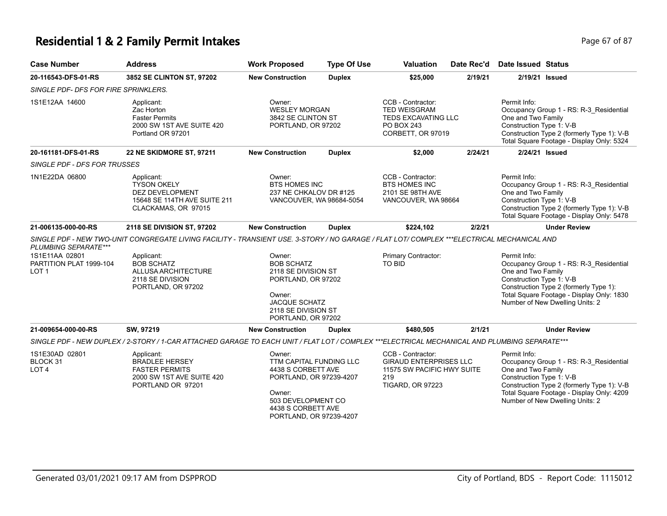# **Residential 1 & 2 Family Permit Intakes Page 67 of 87** Page 67 of 87

| <b>Case Number</b>                                            | <b>Address</b>                                                                                                                                | <b>Work Proposed</b>                                                                                                                                                | <b>Type Of Use</b> | <b>Valuation</b>                                                                                                   | Date Rec'd | <b>Date Issued Status</b>                                      |                                                                                                                                                                       |
|---------------------------------------------------------------|-----------------------------------------------------------------------------------------------------------------------------------------------|---------------------------------------------------------------------------------------------------------------------------------------------------------------------|--------------------|--------------------------------------------------------------------------------------------------------------------|------------|----------------------------------------------------------------|-----------------------------------------------------------------------------------------------------------------------------------------------------------------------|
| 20-116543-DFS-01-RS                                           | 3852 SE CLINTON ST, 97202                                                                                                                     | <b>New Construction</b>                                                                                                                                             | <b>Duplex</b>      | \$25,000                                                                                                           | 2/19/21    | 2/19/21 Issued                                                 |                                                                                                                                                                       |
| SINGLE PDF- DFS FOR FIRE SPRINKLERS.                          |                                                                                                                                               |                                                                                                                                                                     |                    |                                                                                                                    |            |                                                                |                                                                                                                                                                       |
| 1S1E12AA 14600                                                | Applicant:<br>Zac Horton<br><b>Faster Permits</b><br>2000 SW 1ST AVE SUITE 420<br>Portland OR 97201                                           | Owner:<br><b>WESLEY MORGAN</b><br>3842 SE CLINTON ST<br>PORTLAND, OR 97202                                                                                          |                    | CCB - Contractor:<br><b>TED WEISGRAM</b><br>TEDS EXCAVATING LLC<br>PO BOX 243<br>CORBETT, OR 97019                 |            | Permit Info:<br>One and Two Family<br>Construction Type 1: V-B | Occupancy Group 1 - RS: R-3 Residential<br>Construction Type 2 (formerly Type 1): V-B<br>Total Square Footage - Display Only: 5324                                    |
| 20-161181-DFS-01-RS                                           | <b>22 NE SKIDMORE ST, 97211</b>                                                                                                               | <b>New Construction</b>                                                                                                                                             | <b>Duplex</b>      | \$2,000                                                                                                            | 2/24/21    | 2/24/21 Issued                                                 |                                                                                                                                                                       |
| SINGLE PDF - DFS FOR TRUSSES                                  |                                                                                                                                               |                                                                                                                                                                     |                    |                                                                                                                    |            |                                                                |                                                                                                                                                                       |
| 1N1E22DA 06800                                                | Applicant:<br><b>TYSON OKELY</b><br><b>DEZ DEVELOPMENT</b><br>15648 SE 114TH AVE SUITE 211<br>CLACKAMAS, OR 97015                             | Owner:<br><b>BTS HOMES INC</b><br>237 NE CHKALOV DR #125<br>VANCOUVER, WA 98684-5054                                                                                |                    | CCB - Contractor:<br><b>BTS HOMES INC</b><br>2101 SE 98TH AVE<br>VANCOUVER, WA 98664                               |            | Permit Info:<br>One and Two Family<br>Construction Type 1: V-B | Occupancy Group 1 - RS: R-3_Residential<br>Construction Type 2 (formerly Type 1): V-B<br>Total Square Footage - Display Only: 5478                                    |
| 21-006135-000-00-RS                                           | 2118 SE DIVISION ST, 97202                                                                                                                    | <b>New Construction</b>                                                                                                                                             | <b>Duplex</b>      | \$224,102                                                                                                          | 2/2/21     |                                                                | <b>Under Review</b>                                                                                                                                                   |
| PLUMBING SEPARATE***                                          | SINGLE PDF - NEW TWO-UNIT CONGREGATE LIVING FACILITY - TRANSIENT USE. 3-STORY / NO GARAGE / FLAT LOT/ COMPLEX ***ELECTRICAL MECHANICAL AND    |                                                                                                                                                                     |                    |                                                                                                                    |            |                                                                |                                                                                                                                                                       |
| 1S1E11AA 02801<br>PARTITION PLAT 1999-104<br>LOT <sub>1</sub> | Applicant:<br><b>BOB SCHATZ</b><br>ALLUSA ARCHITECTURE<br>2118 SE DIVISION<br>PORTLAND, OR 97202                                              | Owner:<br><b>BOB SCHATZ</b><br>2118 SE DIVISION ST<br>PORTLAND, OR 97202<br>Owner:<br><b>JACQUE SCHATZ</b><br>2118 SE DIVISION ST<br>PORTLAND, OR 97202             |                    | Primary Contractor:<br>TO BID                                                                                      |            | Permit Info:<br>One and Two Family<br>Construction Type 1: V-B | Occupancy Group 1 - RS: R-3_Residential<br>Construction Type 2 (formerly Type 1):<br>Total Square Footage - Display Only: 1830<br>Number of New Dwelling Units: 2     |
| 21-009654-000-00-RS                                           | SW, 97219                                                                                                                                     | <b>New Construction</b>                                                                                                                                             | <b>Duplex</b>      | \$480,505                                                                                                          | 2/1/21     |                                                                | <b>Under Review</b>                                                                                                                                                   |
|                                                               | SINGLE PDF - NEW DUPLEX / 2-STORY / 1-CAR ATTACHED GARAGE TO EACH UNIT / FLAT LOT / COMPLEX ***ELECTRICAL MECHANICAL AND PLUMBING SEPARATE*** |                                                                                                                                                                     |                    |                                                                                                                    |            |                                                                |                                                                                                                                                                       |
| 1S1E30AD 02801<br>BLOCK 31<br>LOT <sub>4</sub>                | Applicant:<br><b>BRADLEE HERSEY</b><br><b>FASTER PERMITS</b><br>2000 SW 1ST AVE SUITE 420<br>PORTLAND OR 97201                                | Owner:<br>TTM CAPITAL FUNDING LLC<br>4438 S CORBETT AVE<br>PORTLAND, OR 97239-4207<br>Owner:<br>503 DEVELOPMENT CO<br>4438 S CORBETT AVE<br>PORTLAND, OR 97239-4207 |                    | CCB - Contractor:<br><b>GIRAUD ENTERPRISES LLC</b><br>11575 SW PACIFIC HWY SUITE<br>219<br><b>TIGARD, OR 97223</b> |            | Permit Info:<br>One and Two Family<br>Construction Type 1: V-B | Occupancy Group 1 - RS: R-3_Residential<br>Construction Type 2 (formerly Type 1): V-B<br>Total Square Footage - Display Only: 4209<br>Number of New Dwelling Units: 2 |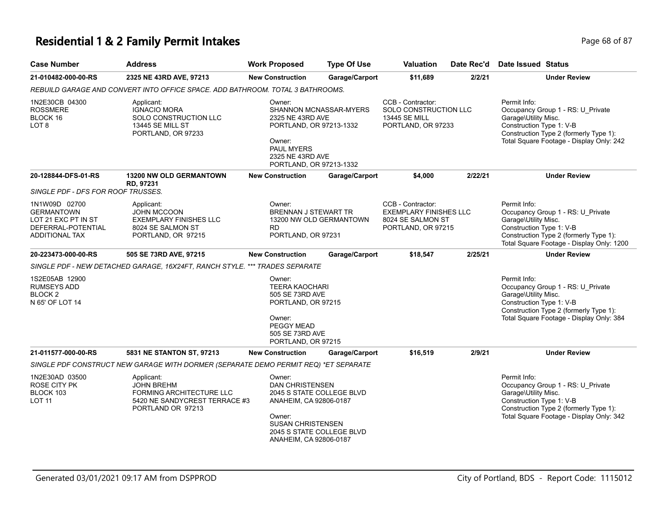#### **Residential 1 & 2 Family Permit Intakes Page 11 and 2 Family Permit Intakes Page 68 of 87**

| <b>Case Number</b>                                                | <b>Address</b>                                                                                              | <b>Work Proposed</b>                                                                                                                                          | <b>Type Of Use</b>    | <b>Valuation</b>                                                                         | Date Rec'd | Date Issued Status                                                                                                                                                                          |  |
|-------------------------------------------------------------------|-------------------------------------------------------------------------------------------------------------|---------------------------------------------------------------------------------------------------------------------------------------------------------------|-----------------------|------------------------------------------------------------------------------------------|------------|---------------------------------------------------------------------------------------------------------------------------------------------------------------------------------------------|--|
| 21-010482-000-00-RS                                               | 2325 NE 43RD AVE, 97213                                                                                     | <b>New Construction</b>                                                                                                                                       | Garage/Carport        | \$11,689                                                                                 | 2/2/21     | <b>Under Review</b>                                                                                                                                                                         |  |
|                                                                   | REBUILD GARAGE AND CONVERT INTO OFFICE SPACE. ADD BATHROOM. TOTAL 3 BATHROOMS.                              |                                                                                                                                                               |                       |                                                                                          |            |                                                                                                                                                                                             |  |
| 1N2E30CB 04300<br><b>ROSSMERE</b><br>BLOCK 16<br>LOT <sub>8</sub> | Applicant:<br><b>IGNACIO MORA</b><br>SOLO CONSTRUCTION LLC<br><b>13445 SE MILL ST</b><br>PORTLAND, OR 97233 | Owner:<br>SHANNON MCNASSAR-MYERS<br>2325 NE 43RD AVE<br>PORTLAND, OR 97213-1332<br>Owner:<br><b>PAUL MYERS</b><br>2325 NE 43RD AVE<br>PORTLAND, OR 97213-1332 |                       | CCB - Contractor:<br>SOLO CONSTRUCTION LLC<br><b>13445 SE MILL</b><br>PORTLAND, OR 97233 |            | Permit Info:<br>Occupancy Group 1 - RS: U Private<br>Garage\Utility Misc.<br>Construction Type 1: V-B<br>Construction Type 2 (formerly Type 1):<br>Total Square Footage - Display Only: 242 |  |
| 20-128844-DFS-01-RS<br>SINGLE PDF - DFS FOR ROOF TRUSSES.         | <b>13200 NW OLD GERMANTOWN</b><br>RD. 97231                                                                 | <b>New Construction</b>                                                                                                                                       | <b>Garage/Carport</b> | \$4,000                                                                                  | 2/22/21    | <b>Under Review</b>                                                                                                                                                                         |  |
| 1N1W09D 02700<br><b>GERMANTOWN</b>                                | Applicant:<br><b>JOHN MCCOON</b>                                                                            | Owner:<br>BRENNAN J STEWART TR                                                                                                                                |                       | CCB - Contractor:<br><b>EXEMPLARY FINISHES LLC</b>                                       |            | Permit Info:<br>Occupancy Group 1 - RS: U Private                                                                                                                                           |  |

| SINGLE PDF - DFS FOR ROOF TRUSSES.                                                                       |                                                                                                                          |                                                                                                                                           |                                                        |                                                                                               |         |                                                                                                                                                                                              |
|----------------------------------------------------------------------------------------------------------|--------------------------------------------------------------------------------------------------------------------------|-------------------------------------------------------------------------------------------------------------------------------------------|--------------------------------------------------------|-----------------------------------------------------------------------------------------------|---------|----------------------------------------------------------------------------------------------------------------------------------------------------------------------------------------------|
| 1N1W09D 02700<br><b>GERMANTOWN</b><br>LOT 21 EXC PT IN ST<br>DEFERRAL-POTENTIAL<br><b>ADDITIONAL TAX</b> | Applicant:<br><b>JOHN MCCOON</b><br><b>EXEMPLARY FINISHES LLC</b><br>8024 SE SALMON ST<br>PORTLAND, OR 97215             | Owner:<br><b>BRENNAN J STEWART TR</b><br><b>RD</b><br>PORTLAND, OR 97231                                                                  | 13200 NW OLD GERMANTOWN                                | CCB - Contractor:<br><b>EXEMPLARY FINISHES LLC</b><br>8024 SE SALMON ST<br>PORTLAND, OR 97215 |         | Permit Info:<br>Occupancy Group 1 - RS: U Private<br>Garage\Utility Misc.<br>Construction Type 1: V-B<br>Construction Type 2 (formerly Type 1):<br>Total Square Footage - Display Only: 1200 |
| 20-223473-000-00-RS                                                                                      | 505 SE 73RD AVE, 97215                                                                                                   | <b>New Construction</b>                                                                                                                   | Garage/Carport                                         | \$18,547                                                                                      | 2/25/21 | <b>Under Review</b>                                                                                                                                                                          |
|                                                                                                          | SINGLE PDF - NEW DETACHED GARAGE, 16X24FT, RANCH STYLE. *** TRADES SEPARATE                                              |                                                                                                                                           |                                                        |                                                                                               |         |                                                                                                                                                                                              |
| 1S2E05AB 12900<br><b>RUMSEYS ADD</b><br>BLOCK <sub>2</sub><br>N 65' OF LOT 14                            |                                                                                                                          | Owner:<br><b>TEERA KAOCHARI</b><br>505 SE 73RD AVE<br>PORTLAND, OR 97215<br>Owner:<br>PEGGY MEAD<br>505 SE 73RD AVE<br>PORTLAND, OR 97215 |                                                        |                                                                                               |         | Permit Info:<br>Occupancy Group 1 - RS: U Private<br>Garage\Utility Misc.<br>Construction Type 1: V-B<br>Construction Type 2 (formerly Type 1):<br>Total Square Footage - Display Only: 384  |
| 21-011577-000-00-RS                                                                                      | 5831 NE STANTON ST, 97213                                                                                                | <b>New Construction</b>                                                                                                                   | <b>Garage/Carport</b>                                  | \$16,519                                                                                      | 2/9/21  | <b>Under Review</b>                                                                                                                                                                          |
|                                                                                                          | SINGLE PDF CONSTRUCT NEW GARAGE WITH DORMER (SEPARATE DEMO PERMIT REQ) *ET SEPARATE                                      |                                                                                                                                           |                                                        |                                                                                               |         |                                                                                                                                                                                              |
| 1N2E30AD 03500<br><b>ROSE CITY PK</b><br>BLOCK 103<br><b>LOT 11</b>                                      | Applicant:<br><b>JOHN BREHM</b><br><b>FORMING ARCHITECTURE LLC</b><br>5420 NE SANDYCREST TERRACE #3<br>PORTLAND OR 97213 | Owner:<br><b>DAN CHRISTENSEN</b><br>ANAHEIM, CA 92806-0187<br>Owner:<br><b>SUSAN CHRISTENSEN</b><br>ANAHEIM, CA 92806-0187                | 2045 S STATE COLLEGE BLVD<br>2045 S STATE COLLEGE BLVD |                                                                                               |         | Permit Info:<br>Occupancy Group 1 - RS: U Private<br>Garage\Utility Misc.<br>Construction Type 1: V-B<br>Construction Type 2 (formerly Type 1):<br>Total Square Footage - Display Only: 342  |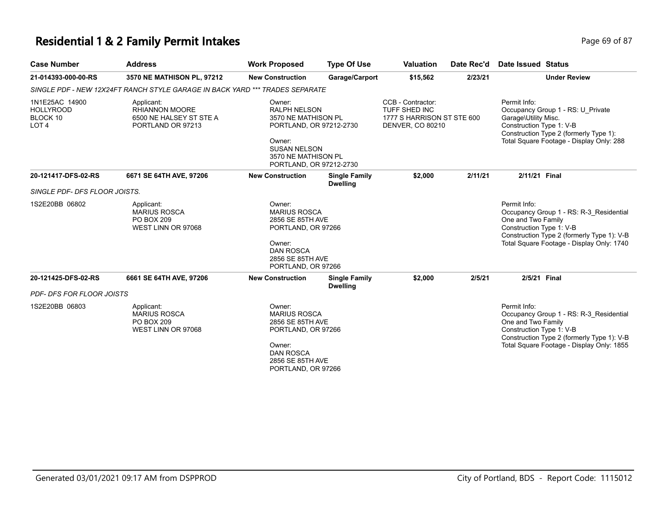### **Residential 1 & 2 Family Permit Intakes** Page 69 of 87

| <b>Case Number</b>                                                 | <b>Address</b>                                                                      | <b>Work Proposed</b>                                                                                                                                               | <b>Type Of Use</b>                      | <b>Valuation</b>                                                                            | Date Rec'd | Date Issued Status                                                                                                                                                                                   |
|--------------------------------------------------------------------|-------------------------------------------------------------------------------------|--------------------------------------------------------------------------------------------------------------------------------------------------------------------|-----------------------------------------|---------------------------------------------------------------------------------------------|------------|------------------------------------------------------------------------------------------------------------------------------------------------------------------------------------------------------|
| 21-014393-000-00-RS                                                | 3570 NE MATHISON PL, 97212                                                          | <b>New Construction</b>                                                                                                                                            | Garage/Carport                          | \$15,562                                                                                    | 2/23/21    | <b>Under Review</b>                                                                                                                                                                                  |
|                                                                    | SINGLE PDF - NEW 12X24FT RANCH STYLE GARAGE IN BACK YARD *** TRADES SEPARATE        |                                                                                                                                                                    |                                         |                                                                                             |            |                                                                                                                                                                                                      |
| 1N1E25AC 14900<br><b>HOLLYROOD</b><br>BLOCK 10<br>LOT <sub>4</sub> | Applicant:<br><b>RHIANNON MOORE</b><br>6500 NE HALSEY ST STE A<br>PORTLAND OR 97213 | Owner:<br><b>RALPH NELSON</b><br>3570 NE MATHISON PL<br>PORTLAND, OR 97212-2730<br>Owner:<br><b>SUSAN NELSON</b><br>3570 NE MATHISON PL<br>PORTLAND, OR 97212-2730 |                                         | CCB - Contractor:<br>TUFF SHED INC<br>1777 S HARRISON ST STE 600<br><b>DENVER, CO 80210</b> |            | Permit Info:<br>Occupancy Group 1 - RS: U_Private<br>Garage\Utility Misc.<br>Construction Type 1: V-B<br>Construction Type 2 (formerly Type 1):<br>Total Square Footage - Display Only: 288          |
| 20-121417-DFS-02-RS                                                | 6671 SE 64TH AVE, 97206                                                             | <b>New Construction</b>                                                                                                                                            | <b>Single Family</b><br><b>Dwelling</b> | \$2,000                                                                                     | 2/11/21    | 2/11/21 Final                                                                                                                                                                                        |
| SINGLE PDF- DFS FLOOR JOISTS.                                      |                                                                                     |                                                                                                                                                                    |                                         |                                                                                             |            |                                                                                                                                                                                                      |
| 1S2E20BB 06802                                                     | Applicant:<br><b>MARIUS ROSCA</b><br>PO BOX 209<br>WEST LINN OR 97068               | Owner:<br><b>MARIUS ROSCA</b><br>2856 SE 85TH AVE<br>PORTLAND, OR 97266<br>Owner:<br><b>DAN ROSCA</b><br>2856 SE 85TH AVE<br>PORTLAND, OR 97266                    |                                         |                                                                                             |            | Permit Info:<br>Occupancy Group 1 - RS: R-3 Residential<br>One and Two Family<br>Construction Type 1: V-B<br>Construction Type 2 (formerly Type 1): V-B<br>Total Square Footage - Display Only: 1740 |
| 20-121425-DFS-02-RS                                                | 6661 SE 64TH AVE, 97206                                                             | <b>New Construction</b>                                                                                                                                            | <b>Single Family</b><br><b>Dwelling</b> | \$2,000                                                                                     | 2/5/21     | 2/5/21 Final                                                                                                                                                                                         |
| <b>PDF- DFS FOR FLOOR JOISTS</b>                                   |                                                                                     |                                                                                                                                                                    |                                         |                                                                                             |            |                                                                                                                                                                                                      |
| 1S2E20BB 06803                                                     | Applicant:<br><b>MARIUS ROSCA</b><br><b>PO BOX 209</b><br>WEST LINN OR 97068        | Owner:<br><b>MARIUS ROSCA</b><br>2856 SE 85TH AVE<br>PORTLAND, OR 97266<br>Owner:<br><b>DAN ROSCA</b><br>2856 SE 85TH AVE<br>PORTLAND, OR 97266                    |                                         |                                                                                             |            | Permit Info:<br>Occupancy Group 1 - RS: R-3 Residential<br>One and Two Family<br>Construction Type 1: V-B<br>Construction Type 2 (formerly Type 1): V-B<br>Total Square Footage - Display Only: 1855 |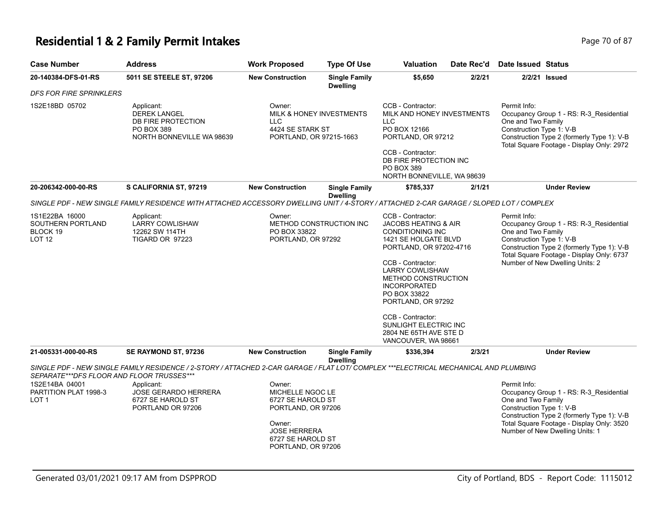### **Residential 1 & 2 Family Permit Intakes Page 70 of 87 Page 70 of 87**

| <b>Case Number</b>                                               | <b>Address</b>                                                                                                                          | <b>Work Proposed</b>                                                                                                                              | <b>Type Of Use</b>                      | <b>Valuation</b>                                                                                                                                                                                                                                                                                                                                                     | Date Rec'd | <b>Date Issued Status</b>                                                                                                                                                                                                               |
|------------------------------------------------------------------|-----------------------------------------------------------------------------------------------------------------------------------------|---------------------------------------------------------------------------------------------------------------------------------------------------|-----------------------------------------|----------------------------------------------------------------------------------------------------------------------------------------------------------------------------------------------------------------------------------------------------------------------------------------------------------------------------------------------------------------------|------------|-----------------------------------------------------------------------------------------------------------------------------------------------------------------------------------------------------------------------------------------|
| 20-140384-DFS-01-RS                                              | 5011 SE STEELE ST, 97206                                                                                                                | <b>New Construction</b>                                                                                                                           | <b>Single Family</b><br><b>Dwelling</b> | \$5,650                                                                                                                                                                                                                                                                                                                                                              | 2/2/21     | 2/2/21 Issued                                                                                                                                                                                                                           |
| <b>DFS FOR FIRE SPRINKLERS</b>                                   |                                                                                                                                         |                                                                                                                                                   |                                         |                                                                                                                                                                                                                                                                                                                                                                      |            |                                                                                                                                                                                                                                         |
| 1S2E18BD 05702                                                   | Applicant:<br><b>DEREK LANGEL</b><br>DB FIRE PROTECTION<br>PO BOX 389<br>NORTH BONNEVILLE WA 98639                                      | Owner:<br><b>MILK &amp; HONEY INVESTMENTS</b><br>LLC<br>4424 SE STARK ST<br>PORTLAND, OR 97215-1663                                               |                                         | CCB - Contractor:<br>MILK AND HONEY INVESTMENTS<br><b>LLC</b><br>PO BOX 12166<br>PORTLAND, OR 97212<br>CCB - Contractor:<br>DB FIRE PROTECTION INC<br><b>PO BOX 389</b><br>NORTH BONNEVILLE, WA 98639                                                                                                                                                                |            | Permit Info:<br>Occupancy Group 1 - RS: R-3_Residential<br>One and Two Family<br>Construction Type 1: V-B<br>Construction Type 2 (formerly Type 1): V-B<br>Total Square Footage - Display Only: 2972                                    |
| 20-206342-000-00-RS                                              | S CALIFORNIA ST, 97219                                                                                                                  | <b>New Construction</b>                                                                                                                           | <b>Single Family</b><br><b>Dwelling</b> | \$785,337                                                                                                                                                                                                                                                                                                                                                            | 2/1/21     | <b>Under Review</b>                                                                                                                                                                                                                     |
|                                                                  | SINGLE PDF - NEW SINGLE FAMILY RESIDENCE WITH ATTACHED ACCESSORY DWELLING UNIT / 4-STORY / ATTACHED 2-CAR GARAGE / SLOPED LOT / COMPLEX |                                                                                                                                                   |                                         |                                                                                                                                                                                                                                                                                                                                                                      |            |                                                                                                                                                                                                                                         |
| 1S1E22BA 16000<br>SOUTHERN PORTLAND<br>BLOCK 19<br><b>LOT 12</b> | Applicant:<br><b>LARRY COWLISHAW</b><br>12262 SW 114TH<br>TIGARD OR 97223                                                               | Owner:<br>METHOD CONSTRUCTION INC<br>PO BOX 33822<br>PORTLAND, OR 97292                                                                           |                                         | CCB - Contractor:<br><b>JACOBS HEATING &amp; AIR</b><br><b>CONDITIONING INC</b><br>1421 SE HOLGATE BLVD<br>PORTLAND, OR 97202-4716<br>CCB - Contractor:<br><b>LARRY COWLISHAW</b><br>METHOD CONSTRUCTION<br><b>INCORPORATED</b><br>PO BOX 33822<br>PORTLAND, OR 97292<br>CCB - Contractor:<br>SUNLIGHT ELECTRIC INC<br>2804 NE 65TH AVE STE D<br>VANCOUVER, WA 98661 |            | Permit Info:<br>Occupancy Group 1 - RS: R-3_Residential<br>One and Two Family<br>Construction Type 1: V-B<br>Construction Type 2 (formerly Type 1): V-B<br>Total Square Footage - Display Only: 6737<br>Number of New Dwelling Units: 2 |
| 21-005331-000-00-RS                                              | SE RAYMOND ST, 97236                                                                                                                    | <b>New Construction</b>                                                                                                                           | <b>Single Family</b><br><b>Dwelling</b> | \$336,394                                                                                                                                                                                                                                                                                                                                                            | 2/3/21     | <b>Under Review</b>                                                                                                                                                                                                                     |
| SEPARATE***DFS FLOOR AND FLOOR TRUSSES***                        | SINGLE PDF - NEW SINGLE FAMILY RESIDENCE / 2-STORY / ATTACHED 2-CAR GARAGE / FLAT LOT/ COMPLEX ***ELECTRICAL MECHANICAL AND PLUMBING    |                                                                                                                                                   |                                         |                                                                                                                                                                                                                                                                                                                                                                      |            |                                                                                                                                                                                                                                         |
| 1S2E14BA 04001<br>PARTITION PLAT 1998-3<br>LOT 1                 | Applicant:<br><b>JOSE GERARDO HERRERA</b><br>6727 SE HAROLD ST<br>PORTLAND OR 97206                                                     | Owner:<br>MICHELLE NGOC LE<br>6727 SE HAROLD ST<br>PORTLAND, OR 97206<br>Owner:<br><b>JOSE HERRERA</b><br>6727 SE HAROLD ST<br>PORTLAND, OR 97206 |                                         |                                                                                                                                                                                                                                                                                                                                                                      |            | Permit Info:<br>Occupancy Group 1 - RS: R-3_Residential<br>One and Two Family<br>Construction Type 1: V-B<br>Construction Type 2 (formerly Type 1): V-B<br>Total Square Footage - Display Only: 3520<br>Number of New Dwelling Units: 1 |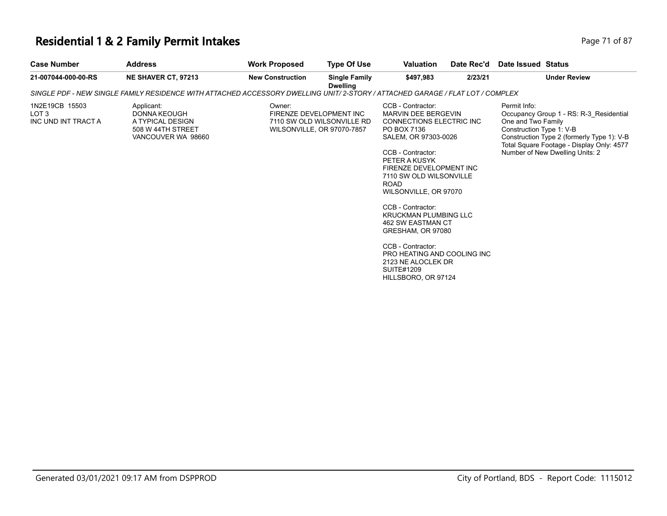### **Residential 1 & 2 Family Permit Intakes Page 71 of 87 Page 71 of 87**

| <b>Case Number</b>                                        | <b>Address</b>                                                                                                                | <b>Work Proposed</b>    | <b>Type Of Use</b>                                                                  | Valuation                                                                                                                                                                                                                                                                                                                                                                                                                                                            | Date Rec'd | Date Issued Status                                                                                                                                                                                                                      |
|-----------------------------------------------------------|-------------------------------------------------------------------------------------------------------------------------------|-------------------------|-------------------------------------------------------------------------------------|----------------------------------------------------------------------------------------------------------------------------------------------------------------------------------------------------------------------------------------------------------------------------------------------------------------------------------------------------------------------------------------------------------------------------------------------------------------------|------------|-----------------------------------------------------------------------------------------------------------------------------------------------------------------------------------------------------------------------------------------|
| 21-007044-000-00-RS                                       | <b>NE SHAVER CT, 97213</b>                                                                                                    | <b>New Construction</b> | <b>Single Family</b><br><b>Dwelling</b>                                             | \$497.983                                                                                                                                                                                                                                                                                                                                                                                                                                                            | 2/23/21    | <b>Under Review</b>                                                                                                                                                                                                                     |
|                                                           | SINGLE PDF - NEW SINGLE FAMILY RESIDENCE WITH ATTACHED ACCESSORY DWELLING UNIT/2-STORY / ATTACHED GARAGE / FLAT LOT / COMPLEX |                         |                                                                                     |                                                                                                                                                                                                                                                                                                                                                                                                                                                                      |            |                                                                                                                                                                                                                                         |
| 1N2E19CB 15503<br>LOT <sub>3</sub><br>INC UND INT TRACT A | Applicant:<br>DONNA KEOUGH<br>A TYPICAL DESIGN<br>508 W 44TH STREET<br>VANCOUVER WA 98660                                     | Owner:                  | FIRENZE DEVELOPMENT INC<br>7110 SW OLD WILSONVILLE RD<br>WILSONVILLE, OR 97070-7857 | CCB - Contractor:<br>MARVIN DEE BERGEVIN<br>CONNECTIONS ELECTRIC INC<br>PO BOX 7136<br>SALEM, OR 97303-0026<br>CCB - Contractor:<br>PETER A KUSYK<br>FIRENZE DEVELOPMENT INC<br>7110 SW OLD WILSONVILLE<br><b>ROAD</b><br>WILSONVILLE, OR 97070<br>CCB - Contractor:<br><b>KRUCKMAN PLUMBING LLC</b><br>462 SW EASTMAN CT<br>GRESHAM, OR 97080<br>CCB - Contractor:<br>PRO HEATING AND COOLING INC<br>2123 NE ALOCLEK DR<br><b>SUITE#1209</b><br>HILLSBORO, OR 97124 |            | Permit Info:<br>Occupancy Group 1 - RS: R-3_Residential<br>One and Two Family<br>Construction Type 1: V-B<br>Construction Type 2 (formerly Type 1): V-B<br>Total Square Footage - Display Only: 4577<br>Number of New Dwelling Units: 2 |
|                                                           |                                                                                                                               |                         |                                                                                     |                                                                                                                                                                                                                                                                                                                                                                                                                                                                      |            |                                                                                                                                                                                                                                         |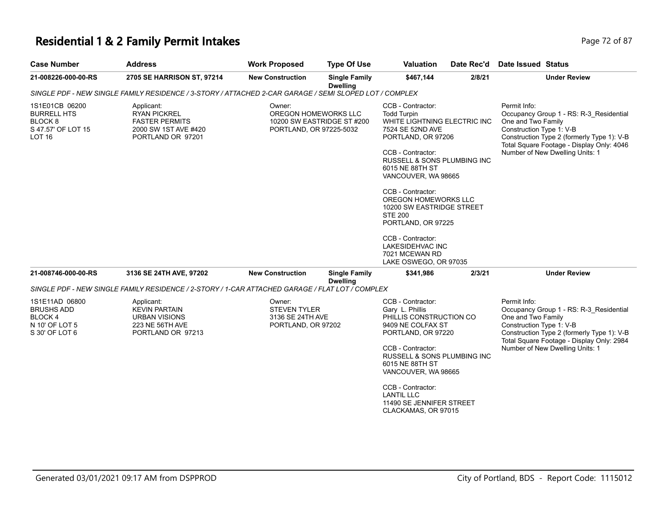### **Residential 1 & 2 Family Permit Intakes Page 72 of 87 Page 72 of 87**

| <b>Case Number</b>                                                                                | <b>Address</b>                                                                                          | <b>Work Proposed</b>                                                                    | <b>Type Of Use</b>                      | <b>Valuation</b>                                                                                                                                                                                                                                                                                                                                                                                                      | Date Rec'd | Date Issued Status                                                                                                                                                                                                                      |
|---------------------------------------------------------------------------------------------------|---------------------------------------------------------------------------------------------------------|-----------------------------------------------------------------------------------------|-----------------------------------------|-----------------------------------------------------------------------------------------------------------------------------------------------------------------------------------------------------------------------------------------------------------------------------------------------------------------------------------------------------------------------------------------------------------------------|------------|-----------------------------------------------------------------------------------------------------------------------------------------------------------------------------------------------------------------------------------------|
| 21-008226-000-00-RS                                                                               | 2705 SE HARRISON ST, 97214                                                                              | <b>New Construction</b>                                                                 | <b>Single Family</b><br><b>Dwelling</b> | \$467,144                                                                                                                                                                                                                                                                                                                                                                                                             | 2/8/21     | <b>Under Review</b>                                                                                                                                                                                                                     |
|                                                                                                   | SINGLE PDF - NEW SINGLE FAMILY RESIDENCE / 3-STORY / ATTACHED 2-CAR GARAGE / SEMI SLOPED LOT / COMPLEX  |                                                                                         |                                         |                                                                                                                                                                                                                                                                                                                                                                                                                       |            |                                                                                                                                                                                                                                         |
| 1S1E01CB 06200<br><b>BURRELL HTS</b><br>BLOCK <sub>8</sub><br>S 47.57' OF LOT 15<br><b>LOT 16</b> | Applicant:<br><b>RYAN PICKREL</b><br><b>FASTER PERMITS</b><br>2000 SW 1ST AVE #420<br>PORTLAND OR 97201 | Owner:<br>OREGON HOMEWORKS LLC<br>10200 SW EASTRIDGE ST #200<br>PORTLAND, OR 97225-5032 |                                         | CCB - Contractor:<br><b>Todd Turpin</b><br>WHITE LIGHTNING ELECTRIC INC<br>7524 SE 52ND AVE<br>PORTLAND, OR 97206<br>CCB - Contractor:<br>RUSSELL & SONS PLUMBING INC<br>6015 NE 88TH ST<br>VANCOUVER, WA 98665<br>CCB - Contractor:<br>OREGON HOMEWORKS LLC<br>10200 SW EASTRIDGE STREET<br><b>STE 200</b><br>PORTLAND, OR 97225<br>CCB - Contractor:<br>LAKESIDEHVAC INC<br>7021 MCEWAN RD<br>LAKE OSWEGO, OR 97035 |            | Permit Info:<br>Occupancy Group 1 - RS: R-3 Residential<br>One and Two Family<br>Construction Type 1: V-B<br>Construction Type 2 (formerly Type 1): V-B<br>Total Square Footage - Display Only: 4046<br>Number of New Dwelling Units: 1 |
| 21-008746-000-00-RS                                                                               | 3136 SE 24TH AVE, 97202                                                                                 | <b>New Construction</b>                                                                 | <b>Single Family</b><br><b>Dwelling</b> | \$341,986                                                                                                                                                                                                                                                                                                                                                                                                             | 2/3/21     | <b>Under Review</b>                                                                                                                                                                                                                     |
|                                                                                                   | SINGLE PDF - NEW SINGLE FAMILY RESIDENCE / 2-STORY / 1-CAR ATTACHED GARAGE / FLAT LOT / COMPLEX         |                                                                                         |                                         |                                                                                                                                                                                                                                                                                                                                                                                                                       |            |                                                                                                                                                                                                                                         |
| 1S1E11AD 06800<br><b>BRUSHS ADD</b><br>BLOCK 4<br>N 10' OF LOT 5<br>S 30' OF LOT 6                | Applicant:<br><b>KEVIN PARTAIN</b><br><b>URBAN VISIONS</b><br>223 NE 56TH AVE<br>PORTLAND OR 97213      | Owner:<br><b>STEVEN TYLER</b><br>3136 SE 24TH AVE<br>PORTLAND, OR 97202                 |                                         | CCB - Contractor:<br>Gary L. Phillis<br>PHILLIS CONSTRUCTION CO<br>9409 NE COLFAX ST<br>PORTLAND, OR 97220<br>CCB - Contractor:<br>RUSSELL & SONS PLUMBING INC<br>6015 NE 88TH ST<br>VANCOUVER, WA 98665<br>CCB - Contractor:<br><b>LANTIL LLC</b>                                                                                                                                                                    |            | Permit Info:<br>Occupancy Group 1 - RS: R-3_Residential<br>One and Two Family<br>Construction Type 1: V-B<br>Construction Type 2 (formerly Type 1): V-B<br>Total Square Footage - Display Only: 2984<br>Number of New Dwelling Units: 1 |
|                                                                                                   |                                                                                                         |                                                                                         |                                         | 11490 SE JENNIFER STREET<br>CLACKAMAS, OR 97015                                                                                                                                                                                                                                                                                                                                                                       |            |                                                                                                                                                                                                                                         |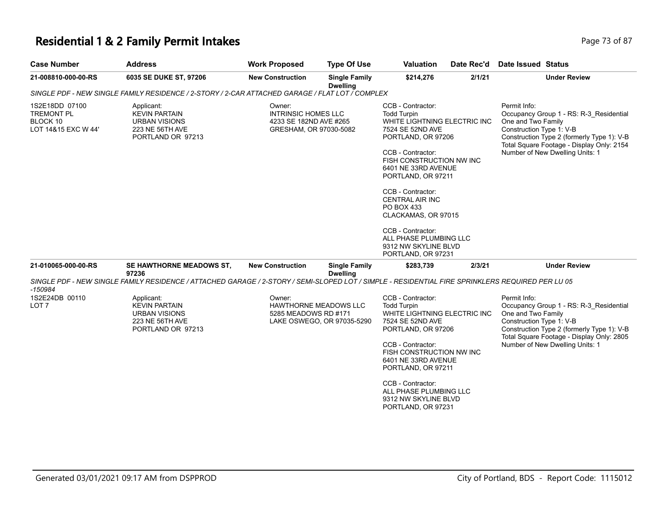#### **Residential 1 & 2 Family Permit Intakes Page 73 of 87 Page 73 of 87**

| <b>Case Number</b>                                                     | <b>Address</b>                                                                                                                                   | <b>Work Proposed</b>                                                                     | <b>Type Of Use</b>                      | <b>Valuation</b>                                                                                                                                                                                                                                                                                                                                                                                 | Date Rec'd | Date Issued Status                                                                                                                                                                                                                      |
|------------------------------------------------------------------------|--------------------------------------------------------------------------------------------------------------------------------------------------|------------------------------------------------------------------------------------------|-----------------------------------------|--------------------------------------------------------------------------------------------------------------------------------------------------------------------------------------------------------------------------------------------------------------------------------------------------------------------------------------------------------------------------------------------------|------------|-----------------------------------------------------------------------------------------------------------------------------------------------------------------------------------------------------------------------------------------|
| 21-008810-000-00-RS                                                    | 6035 SE DUKE ST, 97206                                                                                                                           | <b>New Construction</b>                                                                  | <b>Single Family</b><br><b>Dwelling</b> | \$214,276                                                                                                                                                                                                                                                                                                                                                                                        | 2/1/21     | <b>Under Review</b>                                                                                                                                                                                                                     |
|                                                                        | SINGLE PDF - NEW SINGLE FAMILY RESIDENCE / 2-STORY / 2-CAR ATTACHED GARAGE / FLAT LOT / COMPLEX                                                  |                                                                                          |                                         |                                                                                                                                                                                                                                                                                                                                                                                                  |            |                                                                                                                                                                                                                                         |
| 1S2E18DD 07100<br><b>TREMONT PL</b><br>BLOCK 10<br>LOT 14&15 EXC W 44' | Applicant:<br><b>KEVIN PARTAIN</b><br><b>URBAN VISIONS</b><br>223 NE 56TH AVE<br>PORTLAND OR 97213                                               | Owner:<br><b>INTRINSIC HOMES LLC</b><br>4233 SE 182ND AVE #265<br>GRESHAM, OR 97030-5082 |                                         | CCB - Contractor:<br><b>Todd Turpin</b><br>WHITE LIGHTNING ELECTRIC INC<br>7524 SE 52ND AVE<br>PORTLAND, OR 97206<br>CCB - Contractor:<br>FISH CONSTRUCTION NW INC<br>6401 NE 33RD AVENUE<br>PORTLAND, OR 97211<br>CCB - Contractor:<br><b>CENTRAL AIR INC</b><br>PO BOX 433<br>CLACKAMAS, OR 97015<br>CCB - Contractor:<br>ALL PHASE PLUMBING LLC<br>9312 NW SKYLINE BLVD<br>PORTLAND, OR 97231 |            | Permit Info:<br>Occupancy Group 1 - RS: R-3_Residential<br>One and Two Family<br>Construction Type 1: V-B<br>Construction Type 2 (formerly Type 1): V-B<br>Total Square Footage - Display Only: 2154<br>Number of New Dwelling Units: 1 |
| 21-010065-000-00-RS                                                    | SE HAWTHORNE MEADOWS ST.<br>97236                                                                                                                | <b>New Construction</b>                                                                  | <b>Single Family</b><br><b>Dwelling</b> | \$283,739                                                                                                                                                                                                                                                                                                                                                                                        | 2/3/21     | <b>Under Review</b>                                                                                                                                                                                                                     |
| -150984                                                                | SINGLE PDF - NEW SINGLE FAMILY RESIDENCE / ATTACHED GARAGE / 2-STORY / SEMI-SLOPED LOT / SIMPLE - RESIDENTIAL FIRE SPRINKLERS REQUIRED PER LU 05 |                                                                                          |                                         |                                                                                                                                                                                                                                                                                                                                                                                                  |            |                                                                                                                                                                                                                                         |
| 1S2E24DB 00110<br>LOT 7                                                | Applicant:<br><b>KEVIN PARTAIN</b><br><b>URBAN VISIONS</b><br>223 NE 56TH AVE<br>PORTLAND OR 97213                                               | Owner:<br>HAWTHORNE MEADOWS LLC<br>5285 MEADOWS RD #171                                  | LAKE OSWEGO, OR 97035-5290              | CCB - Contractor:<br><b>Todd Turpin</b><br>WHITE LIGHTNING ELECTRIC INC<br>7524 SE 52ND AVE<br>PORTLAND, OR 97206<br>CCB - Contractor:<br>FISH CONSTRUCTION NW INC<br>6401 NE 33RD AVENUE<br>PORTLAND, OR 97211<br>CCB - Contractor:<br>ALL PHASE PLUMBING LLC<br>9312 NW SKYLINE BLVD                                                                                                           |            | Permit Info:<br>Occupancy Group 1 - RS: R-3 Residential<br>One and Two Family<br>Construction Type 1: V-B<br>Construction Type 2 (formerly Type 1): V-B<br>Total Square Footage - Display Only: 2805<br>Number of New Dwelling Units: 1 |

PORTLAND, OR 97231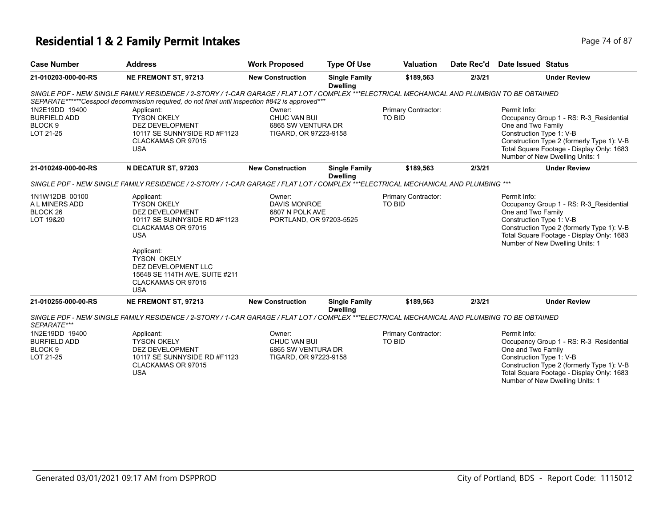# **Residential 1 & 2 Family Permit Intakes Page 74 of 87** Page 74 of 87

| <b>Case Number</b>                                                       | <b>Address</b>                                                                                                                                                                                                                                                  | <b>Work Proposed</b>                                                        | <b>Type Of Use</b>                      | <b>Valuation</b>              | Date Rec'd | Date Issued Status                                                                                                                                                                                                                      |
|--------------------------------------------------------------------------|-----------------------------------------------------------------------------------------------------------------------------------------------------------------------------------------------------------------------------------------------------------------|-----------------------------------------------------------------------------|-----------------------------------------|-------------------------------|------------|-----------------------------------------------------------------------------------------------------------------------------------------------------------------------------------------------------------------------------------------|
| 21-010203-000-00-RS                                                      | NE FREMONT ST, 97213                                                                                                                                                                                                                                            | <b>New Construction</b>                                                     | <b>Single Family</b><br><b>Dwelling</b> | \$189,563                     | 2/3/21     | <b>Under Review</b>                                                                                                                                                                                                                     |
|                                                                          | SINGLE PDF - NEW SINGLE FAMILY RESIDENCE / 2-STORY / 1-CAR GARAGE / FLAT LOT / COMPLEX ***ELECTRICAL MECHANICAL AND PLUMBIGN TO BE OBTAINED<br>SEPARATE******Cesspool decommission required, do not final until inspection #842 is approved***                  |                                                                             |                                         |                               |            |                                                                                                                                                                                                                                         |
| 1N2E19DD 19400<br><b>BURFIELD ADD</b><br>BLOCK <sub>9</sub><br>LOT 21-25 | Applicant:<br><b>TYSON OKELY</b><br><b>DEZ DEVELOPMENT</b><br>10117 SE SUNNYSIDE RD #F1123<br>CLACKAMAS OR 97015<br><b>USA</b>                                                                                                                                  | Owner:<br>CHUC VAN BUI<br>6865 SW VENTURA DR<br>TIGARD, OR 97223-9158       |                                         | Primary Contractor:<br>TO BID |            | Permit Info:<br>Occupancy Group 1 - RS: R-3 Residential<br>One and Two Family<br>Construction Type 1: V-B<br>Construction Type 2 (formerly Type 1): V-B<br>Total Square Footage - Display Only: 1683<br>Number of New Dwelling Units: 1 |
| 21-010249-000-00-RS                                                      | N DECATUR ST, 97203                                                                                                                                                                                                                                             | <b>New Construction</b>                                                     | <b>Single Family</b><br><b>Dwelling</b> | \$189,563                     | 2/3/21     | <b>Under Review</b>                                                                                                                                                                                                                     |
|                                                                          | SINGLE PDF - NEW SINGLE FAMILY RESIDENCE / 2-STORY / 1-CAR GARAGE / FLAT LOT / COMPLEX ***ELECTRICAL MECHANICAL AND PLUMBING ***                                                                                                                                |                                                                             |                                         |                               |            |                                                                                                                                                                                                                                         |
| 1N1W12DB 00100<br>A L MINERS ADD<br>BLOCK <sub>26</sub><br>LOT 19&20     | Applicant:<br><b>TYSON OKELY</b><br><b>DEZ DEVELOPMENT</b><br>10117 SE SUNNYSIDE RD #F1123<br>CLACKAMAS OR 97015<br><b>USA</b><br>Applicant:<br><b>TYSON OKELY</b><br>DEZ DEVELOPMENT LLC<br>15648 SE 114TH AVE, SUITE #211<br>CLACKAMAS OR 97015<br><b>USA</b> | Owner:<br><b>DAVIS MONROE</b><br>6807 N POLK AVE<br>PORTLAND, OR 97203-5525 |                                         | Primary Contractor:<br>TO BID |            | Permit Info:<br>Occupancy Group 1 - RS: R-3 Residential<br>One and Two Family<br>Construction Type 1: V-B<br>Construction Type 2 (formerly Type 1): V-B<br>Total Square Footage - Display Only: 1683<br>Number of New Dwelling Units: 1 |
| 21-010255-000-00-RS                                                      | NE FREMONT ST, 97213                                                                                                                                                                                                                                            | <b>New Construction</b>                                                     | <b>Single Family</b><br><b>Dwelling</b> | \$189,563                     | 2/3/21     | <b>Under Review</b>                                                                                                                                                                                                                     |
| SEPARATE***                                                              | SINGLE PDF - NEW SINGLE FAMILY RESIDENCE / 2-STORY / 1-CAR GARAGE / FLAT LOT / COMPLEX ***ELECTRICAL MECHANICAL AND PLUMBING TO BE OBTAINED                                                                                                                     |                                                                             |                                         |                               |            |                                                                                                                                                                                                                                         |
| 1N2E19DD 19400<br><b>BURFIELD ADD</b><br>BLOCK <sub>9</sub><br>LOT 21-25 | Applicant:<br><b>TYSON OKELY</b><br><b>DEZ DEVELOPMENT</b><br>10117 SE SUNNYSIDE RD #F1123<br>CLACKAMAS OR 97015<br><b>USA</b>                                                                                                                                  | Owner:<br>CHUC VAN BUI<br>6865 SW VENTURA DR<br>TIGARD, OR 97223-9158       |                                         | Primary Contractor:<br>TO BID |            | Permit Info:<br>Occupancy Group 1 - RS: R-3 Residential<br>One and Two Family<br>Construction Type 1: V-B<br>Construction Type 2 (formerly Type 1): V-B<br>Total Square Footage - Display Only: 1683<br>Number of New Dwelling Units: 1 |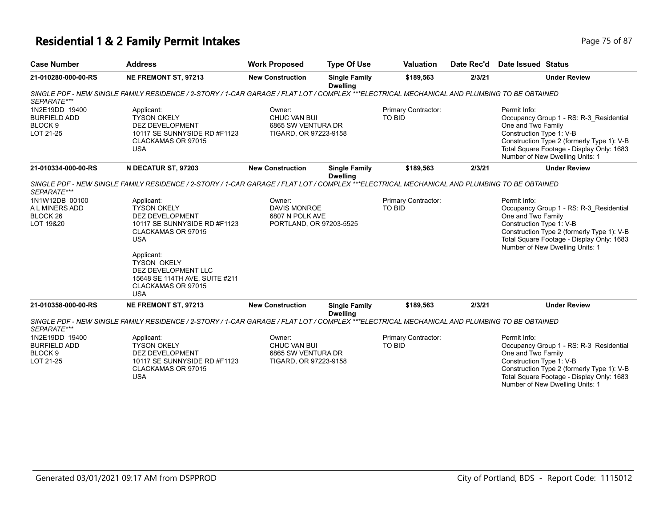# **Residential 1 & 2 Family Permit Intakes Page 75 of 87** Page 75 of 87

| <b>Case Number</b>                                                                  | <b>Address</b>                                                                                                                                                                                                                            | <b>Work Proposed</b>                                                        | <b>Type Of Use</b>                      | <b>Valuation</b>                     | Date Rec'd | Date Issued Status                                             |                                                                                                                                                                       |
|-------------------------------------------------------------------------------------|-------------------------------------------------------------------------------------------------------------------------------------------------------------------------------------------------------------------------------------------|-----------------------------------------------------------------------------|-----------------------------------------|--------------------------------------|------------|----------------------------------------------------------------|-----------------------------------------------------------------------------------------------------------------------------------------------------------------------|
| 21-010280-000-00-RS                                                                 | NE FREMONT ST, 97213                                                                                                                                                                                                                      | <b>New Construction</b>                                                     | <b>Single Family</b><br><b>Dwelling</b> | \$189,563                            | 2/3/21     |                                                                | <b>Under Review</b>                                                                                                                                                   |
| SEPARATE***                                                                         | SINGLE PDF - NEW SINGLE FAMILY RESIDENCE / 2-STORY / 1-CAR GARAGE / FLAT LOT / COMPLEX ***ELECTRICAL MECHANICAL AND PLUMBING TO BE OBTAINED                                                                                               |                                                                             |                                         |                                      |            |                                                                |                                                                                                                                                                       |
| 1N2E19DD 19400<br><b>BURFIELD ADD</b><br>BLOCK <sub>9</sub><br>LOT 21-25            | Applicant:<br><b>TYSON OKELY</b><br><b>DEZ DEVELOPMENT</b><br>10117 SE SUNNYSIDE RD #F1123<br>CLACKAMAS OR 97015<br><b>USA</b>                                                                                                            | Owner:<br>CHUC VAN BUI<br>6865 SW VENTURA DR<br>TIGARD, OR 97223-9158       |                                         | Primary Contractor:<br>TO BID        |            | Permit Info:<br>One and Two Family<br>Construction Type 1: V-B | Occupancy Group 1 - RS: R-3 Residential<br>Construction Type 2 (formerly Type 1): V-B<br>Total Square Footage - Display Only: 1683<br>Number of New Dwelling Units: 1 |
| 21-010334-000-00-RS                                                                 | N DECATUR ST, 97203                                                                                                                                                                                                                       | <b>New Construction</b>                                                     | <b>Single Family</b><br><b>Dwelling</b> | \$189,563                            | 2/3/21     |                                                                | <b>Under Review</b>                                                                                                                                                   |
| SEPARATE***<br>1N1W12DB 00100<br>A L MINERS ADD<br>BLOCK <sub>26</sub><br>LOT 19&20 | SINGLE PDF - NEW SINGLE FAMILY RESIDENCE / 2-STORY / 1-CAR GARAGE / FLAT LOT / COMPLEX ***ELECTRICAL MECHANICAL AND PLUMBING TO BE OBTAINED<br>Applicant:<br><b>TYSON OKELY</b><br><b>DEZ DEVELOPMENT</b><br>10117 SE SUNNYSIDE RD #F1123 | Owner:<br><b>DAVIS MONROE</b><br>6807 N POLK AVE<br>PORTLAND, OR 97203-5525 |                                         | Primary Contractor:<br>TO BID        |            | Permit Info:<br>One and Two Family<br>Construction Type 1: V-B | Occupancy Group 1 - RS: R-3 Residential                                                                                                                               |
|                                                                                     | CLACKAMAS OR 97015<br><b>USA</b>                                                                                                                                                                                                          |                                                                             |                                         |                                      |            |                                                                | Construction Type 2 (formerly Type 1): V-B<br>Total Square Footage - Display Only: 1683<br>Number of New Dwelling Units: 1                                            |
|                                                                                     | Applicant:<br><b>TYSON OKELY</b><br>DEZ DEVELOPMENT LLC<br>15648 SE 114TH AVE, SUITE #211<br>CLACKAMAS OR 97015<br><b>USA</b>                                                                                                             |                                                                             |                                         |                                      |            |                                                                |                                                                                                                                                                       |
| 21-010358-000-00-RS                                                                 | <b>NE FREMONT ST, 97213</b>                                                                                                                                                                                                               | <b>New Construction</b>                                                     | <b>Single Family</b><br><b>Dwelling</b> | \$189,563                            | 2/3/21     |                                                                | <b>Under Review</b>                                                                                                                                                   |
| SEPARATE***                                                                         | SINGLE PDF - NEW SINGLE FAMILY RESIDENCE / 2-STORY / 1-CAR GARAGE / FLAT LOT / COMPLEX ***ELECTRICAL MECHANICAL AND PLUMBING TO BE OBTAINED                                                                                               |                                                                             |                                         |                                      |            |                                                                |                                                                                                                                                                       |
| 1N2E19DD 19400<br><b>BURFIELD ADD</b><br>BLOCK <sub>9</sub><br>LOT 21-25            | Applicant:<br><b>TYSON OKELY</b><br><b>DEZ DEVELOPMENT</b><br>10117 SE SUNNYSIDE RD #F1123<br>CLACKAMAS OR 97015<br><b>USA</b>                                                                                                            | Owner:<br>CHUC VAN BUI<br>6865 SW VENTURA DR<br>TIGARD, OR 97223-9158       |                                         | Primary Contractor:<br><b>TO BID</b> |            | Permit Info:<br>One and Two Family<br>Construction Type 1: V-B | Occupancy Group 1 - RS: R-3 Residential<br>Construction Type 2 (formerly Type 1): V-B<br>Total Square Footage - Display Only: 1683<br>Number of New Dwelling Units: 1 |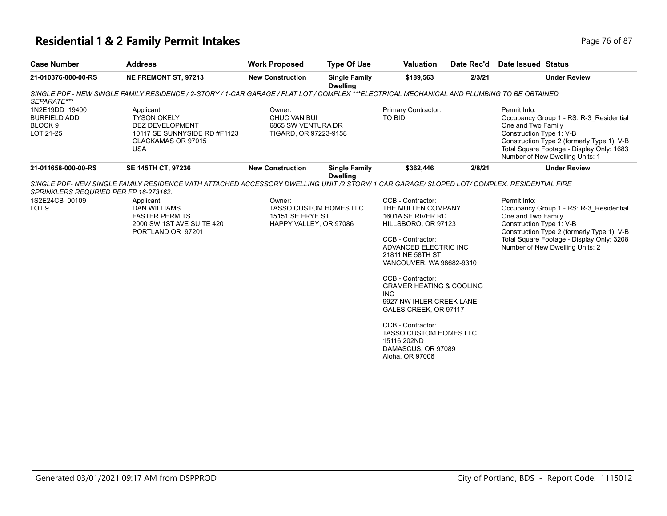## **Residential 1 & 2 Family Permit Intakes Page 76 of 87 Page 76 of 87**

| <b>Case Number</b>                                                       | <b>Address</b>                                                                                                                              | <b>Work Proposed</b>                                                                         | <b>Type Of Use</b>                      | <b>Valuation</b>                                                                                                                                                                                                                                                                                                                                                                                                               | Date Rec'd | Date Issued Status                                             |                                                                                                                                                                       |
|--------------------------------------------------------------------------|---------------------------------------------------------------------------------------------------------------------------------------------|----------------------------------------------------------------------------------------------|-----------------------------------------|--------------------------------------------------------------------------------------------------------------------------------------------------------------------------------------------------------------------------------------------------------------------------------------------------------------------------------------------------------------------------------------------------------------------------------|------------|----------------------------------------------------------------|-----------------------------------------------------------------------------------------------------------------------------------------------------------------------|
| 21-010376-000-00-RS                                                      | <b>NE FREMONT ST, 97213</b>                                                                                                                 | <b>New Construction</b>                                                                      | <b>Single Family</b><br><b>Dwelling</b> | \$189,563                                                                                                                                                                                                                                                                                                                                                                                                                      | 2/3/21     |                                                                | <b>Under Review</b>                                                                                                                                                   |
| SEPARATE***                                                              | SINGLE PDF - NEW SINGLE FAMILY RESIDENCE / 2-STORY / 1-CAR GARAGE / FLAT LOT / COMPLEX ***ELECTRICAL MECHANICAL AND PLUMBING TO BE OBTAINED |                                                                                              |                                         |                                                                                                                                                                                                                                                                                                                                                                                                                                |            |                                                                |                                                                                                                                                                       |
| 1N2E19DD 19400<br><b>BURFIELD ADD</b><br>BLOCK <sub>9</sub><br>LOT 21-25 | Applicant:<br><b>TYSON OKELY</b><br>DEZ DEVELOPMENT<br>10117 SE SUNNYSIDE RD #F1123<br>CLACKAMAS OR 97015<br><b>USA</b>                     | Owner:<br>CHUC VAN BUI<br>6865 SW VENTURA DR<br>TIGARD, OR 97223-9158                        |                                         | Primary Contractor:<br>TO BID                                                                                                                                                                                                                                                                                                                                                                                                  |            | Permit Info:<br>One and Two Family<br>Construction Type 1: V-B | Occupancy Group 1 - RS: R-3_Residential<br>Construction Type 2 (formerly Type 1): V-B<br>Total Square Footage - Display Only: 1683<br>Number of New Dwelling Units: 1 |
| 21-011658-000-00-RS                                                      | SE 145TH CT, 97236                                                                                                                          | <b>New Construction</b>                                                                      | <b>Single Family</b><br><b>Dwelling</b> | \$362,446                                                                                                                                                                                                                                                                                                                                                                                                                      | 2/8/21     |                                                                | <b>Under Review</b>                                                                                                                                                   |
| SPRINKLERS REQURIED PER FP 16-273162.                                    | SINGLE PDF- NEW SINGLE FAMILY RESIDENCE WITH ATTACHED ACCESSORY DWELLING UNIT /2 STORY/ 1 CAR GARAGE/ SLOPED LOT/ COMPLEX. RESIDENTIAL FIRE |                                                                                              |                                         |                                                                                                                                                                                                                                                                                                                                                                                                                                |            |                                                                |                                                                                                                                                                       |
| 1S2E24CB 00109<br>LOT <sub>9</sub>                                       | Applicant:<br><b>DAN WILLIAMS</b><br><b>FASTER PERMITS</b><br>2000 SW 1ST AVE SUITE 420<br>PORTLAND OR 97201                                | Owner:<br><b>TASSO CUSTOM HOMES LLC</b><br><b>15151 SE FRYE ST</b><br>HAPPY VALLEY, OR 97086 |                                         | CCB - Contractor:<br>THE MULLEN COMPANY<br>1601A SE RIVER RD<br>HILLSBORO, OR 97123<br>CCB - Contractor:<br>ADVANCED ELECTRIC INC<br>21811 NE 58TH ST<br>VANCOUVER, WA 98682-9310<br>CCB - Contractor:<br><b>GRAMER HEATING &amp; COOLING</b><br><b>INC</b><br>9927 NW IHLER CREEK LANE<br>GALES CREEK, OR 97117<br>CCB - Contractor:<br><b>TASSO CUSTOM HOMES LLC</b><br>15116 202ND<br>DAMASCUS, OR 97089<br>Aloha, OR 97006 |            | Permit Info:<br>One and Two Family<br>Construction Type 1: V-B | Occupancy Group 1 - RS: R-3 Residential<br>Construction Type 2 (formerly Type 1): V-B<br>Total Square Footage - Display Only: 3208<br>Number of New Dwelling Units: 2 |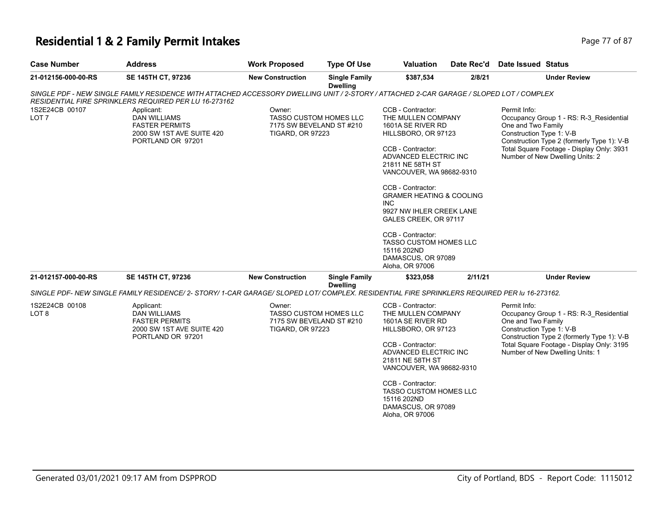# **Residential 1 & 2 Family Permit Intakes Page 77 of 87**

| <b>Case Number</b>                 | <b>Address</b>                                                                                                                                                                                   | <b>Work Proposed</b>                                          | <b>Type Of Use</b>                      | <b>Valuation</b>                                                                                                                                                                                                                                                                                                                                                                                                         | Date Rec'd | <b>Date Issued Status</b>                                                                                                                                                                                                               |
|------------------------------------|--------------------------------------------------------------------------------------------------------------------------------------------------------------------------------------------------|---------------------------------------------------------------|-----------------------------------------|--------------------------------------------------------------------------------------------------------------------------------------------------------------------------------------------------------------------------------------------------------------------------------------------------------------------------------------------------------------------------------------------------------------------------|------------|-----------------------------------------------------------------------------------------------------------------------------------------------------------------------------------------------------------------------------------------|
| 21-012156-000-00-RS                | SE 145TH CT, 97236                                                                                                                                                                               | <b>New Construction</b>                                       | <b>Single Family</b><br><b>Dwelling</b> | \$387,534                                                                                                                                                                                                                                                                                                                                                                                                                | 2/8/21     | <b>Under Review</b>                                                                                                                                                                                                                     |
|                                    | SINGLE PDF - NEW SINGLE FAMILY RESIDENCE WITH ATTACHED ACCESSORY DWELLING UNIT / 2-STORY / ATTACHED 2-CAR GARAGE / SLOPED LOT / COMPLEX<br>RESIDENTIAL FIRE SPRINKLERS REQUIRED PER LU 16-273162 |                                                               |                                         |                                                                                                                                                                                                                                                                                                                                                                                                                          |            |                                                                                                                                                                                                                                         |
| 1S2E24CB 00107<br>LOT <sub>7</sub> | Applicant:<br><b>DAN WILLIAMS</b><br><b>FASTER PERMITS</b><br>2000 SW 1ST AVE SUITE 420<br>PORTLAND OR 97201                                                                                     | Owner:<br>7175 SW BEVELAND ST #210<br><b>TIGARD, OR 97223</b> | <b>TASSO CUSTOM HOMES LLC</b>           | CCB - Contractor:<br>THE MULLEN COMPANY<br>1601A SE RIVER RD<br>HILLSBORO, OR 97123<br>CCB - Contractor:<br>ADVANCED ELECTRIC INC<br>21811 NE 58TH ST<br>VANCOUVER, WA 98682-9310<br>CCB - Contractor:<br><b>GRAMER HEATING &amp; COOLING</b><br>INC.<br>9927 NW IHLER CREEK LANE<br>GALES CREEK, OR 97117<br>CCB - Contractor:<br><b>TASSO CUSTOM HOMES LLC</b><br>15116 202ND<br>DAMASCUS, OR 97089<br>Aloha, OR 97006 |            | Permit Info:<br>Occupancy Group 1 - RS: R-3 Residential<br>One and Two Family<br>Construction Type 1: V-B<br>Construction Type 2 (formerly Type 1): V-B<br>Total Square Footage - Display Only: 3931<br>Number of New Dwelling Units: 2 |
| 21-012157-000-00-RS                | <b>SE 145TH CT, 97236</b>                                                                                                                                                                        | <b>New Construction</b>                                       | <b>Single Family</b><br><b>Dwelling</b> | \$323,058                                                                                                                                                                                                                                                                                                                                                                                                                | 2/11/21    | <b>Under Review</b>                                                                                                                                                                                                                     |
|                                    | SINGLE PDF- NEW SINGLE FAMILY RESIDENCE/ 2- STORY/ 1-CAR GARAGE/ SLOPED LOT/ COMPLEX. RESIDENTIAL FIRE SPRINKLERS REQUIRED PER Iu 16-273162.                                                     |                                                               |                                         |                                                                                                                                                                                                                                                                                                                                                                                                                          |            |                                                                                                                                                                                                                                         |
| 1S2E24CB 00108<br>LOT 8            | Applicant:<br><b>DAN WILLIAMS</b><br><b>FASTER PERMITS</b><br>2000 SW 1ST AVE SUITE 420<br>PORTLAND OR 97201                                                                                     | Owner:<br>7175 SW BEVELAND ST #210<br><b>TIGARD, OR 97223</b> | <b>TASSO CUSTOM HOMES LLC</b>           | CCB - Contractor:<br>THE MULLEN COMPANY<br>1601A SE RIVER RD<br>HILLSBORO, OR 97123<br>CCB - Contractor:<br>ADVANCED ELECTRIC INC<br>21811 NE 58TH ST<br>VANCOUVER, WA 98682-9310<br>CCB - Contractor:                                                                                                                                                                                                                   |            | Permit Info:<br>Occupancy Group 1 - RS: R-3_Residential<br>One and Two Family<br>Construction Type 1: V-B<br>Construction Type 2 (formerly Type 1): V-B<br>Total Square Footage - Display Only: 3195<br>Number of New Dwelling Units: 1 |
|                                    |                                                                                                                                                                                                  |                                                               |                                         | <b>TASSO CUSTOM HOMES LLC</b><br>15116 202ND<br>DAMASCUS, OR 97089<br>Aloha, OR 97006                                                                                                                                                                                                                                                                                                                                    |            |                                                                                                                                                                                                                                         |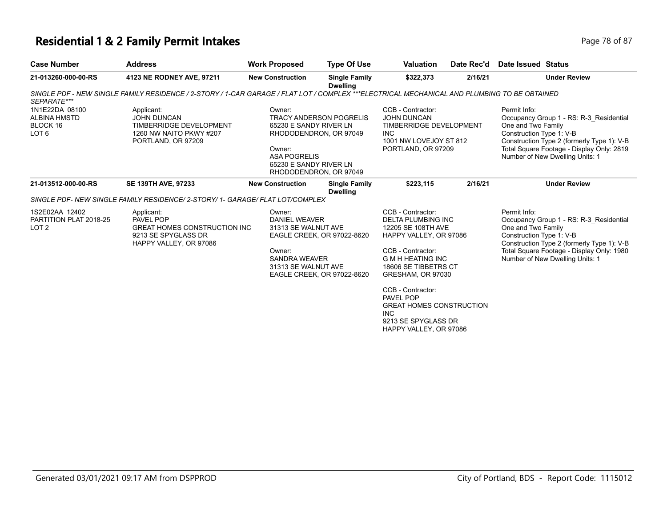## **Residential 1 & 2 Family Permit Intakes**

| Page 78 of 87 |  |  |
|---------------|--|--|

| <b>Case Number</b>                                                    | <b>Address</b>                                                                                                                              | <b>Work Proposed</b>                                                                                                                            | <b>Type Of Use</b>                                       | <b>Valuation</b>                                                                                                                                                                      | Date Rec'd | Date Issued Status                                             |                                                                                                                                                                       |
|-----------------------------------------------------------------------|---------------------------------------------------------------------------------------------------------------------------------------------|-------------------------------------------------------------------------------------------------------------------------------------------------|----------------------------------------------------------|---------------------------------------------------------------------------------------------------------------------------------------------------------------------------------------|------------|----------------------------------------------------------------|-----------------------------------------------------------------------------------------------------------------------------------------------------------------------|
| 21-013260-000-00-RS                                                   | 4123 NE RODNEY AVE, 97211                                                                                                                   | <b>New Construction</b>                                                                                                                         | <b>Single Family</b><br><b>Dwelling</b>                  | \$322,373                                                                                                                                                                             | 2/16/21    |                                                                | <b>Under Review</b>                                                                                                                                                   |
| SEPARATE***                                                           | SINGLE PDF - NEW SINGLE FAMILY RESIDENCE / 2-STORY / 1-CAR GARAGE / FLAT LOT / COMPLEX ***ELECTRICAL MECHANICAL AND PLUMBING TO BE OBTAINED |                                                                                                                                                 |                                                          |                                                                                                                                                                                       |            |                                                                |                                                                                                                                                                       |
| 1N1E22DA 08100<br><b>ALBINA HMSTD</b><br>BLOCK 16<br>LOT <sub>6</sub> | Applicant:<br><b>JOHN DUNCAN</b><br>TIMBERRIDGE DEVELOPMENT<br>1260 NW NAITO PKWY #207<br>PORTLAND, OR 97209                                | Owner:<br>65230 E SANDY RIVER LN<br>RHODODENDRON, OR 97049<br>Owner:<br><b>ASA POGRELIS</b><br>65230 E SANDY RIVER LN<br>RHODODENDRON, OR 97049 | <b>TRACY ANDERSON POGRELIS</b>                           | CCB - Contractor:<br><b>JOHN DUNCAN</b><br>TIMBERRIDGE DEVELOPMENT<br><b>INC</b><br>1001 NW LOVEJOY ST 812<br>PORTLAND, OR 97209                                                      |            | Permit Info:<br>One and Two Family<br>Construction Type 1: V-B | Occupancy Group 1 - RS: R-3 Residential<br>Construction Type 2 (formerly Type 1): V-B<br>Total Square Footage - Display Only: 2819<br>Number of New Dwelling Units: 1 |
| 21-013512-000-00-RS                                                   | <b>SE 139TH AVE, 97233</b>                                                                                                                  | <b>New Construction</b>                                                                                                                         | <b>Single Family</b><br><b>Dwelling</b>                  | \$223,115                                                                                                                                                                             | 2/16/21    |                                                                | <b>Under Review</b>                                                                                                                                                   |
|                                                                       | SINGLE PDF- NEW SINGLE FAMILY RESIDENCE/ 2-STORY/ 1- GARAGE/ FLAT LOT/COMPLEX                                                               |                                                                                                                                                 |                                                          |                                                                                                                                                                                       |            |                                                                |                                                                                                                                                                       |
| 1S2E02AA 12402<br>PARTITION PLAT 2018-25<br>LOT <sub>2</sub>          | Applicant:<br>PAVEL POP<br><b>GREAT HOMES CONSTRUCTION INC.</b><br>9213 SE SPYGLASS DR<br>HAPPY VALLEY, OR 97086                            | Owner:<br><b>DANIEL WEAVER</b><br>31313 SE WALNUT AVE<br>Owner:<br><b>SANDRA WEAVER</b><br>31313 SE WALNUT AVE                                  | EAGLE CREEK, OR 97022-8620<br>EAGLE CREEK, OR 97022-8620 | CCB - Contractor:<br>DELTA PLUMBING INC<br>12205 SE 108TH AVE<br>HAPPY VALLEY, OR 97086<br>CCB - Contractor:<br><b>G M H HEATING INC</b><br>18606 SE TIBBETRS CT<br>GRESHAM, OR 97030 |            | Permit Info:<br>One and Two Family<br>Construction Type 1: V-B | Occupancy Group 1 - RS: R-3 Residential<br>Construction Type 2 (formerly Type 1): V-B<br>Total Square Footage - Display Only: 1980<br>Number of New Dwelling Units: 1 |
|                                                                       |                                                                                                                                             |                                                                                                                                                 |                                                          | CCB - Contractor:<br>PAVEL POP<br><b>GREAT HOMES CONSTRUCTION</b><br><b>INC</b><br>9213 SE SPYGLASS DR<br>HAPPY VALLEY, OR 97086                                                      |            |                                                                |                                                                                                                                                                       |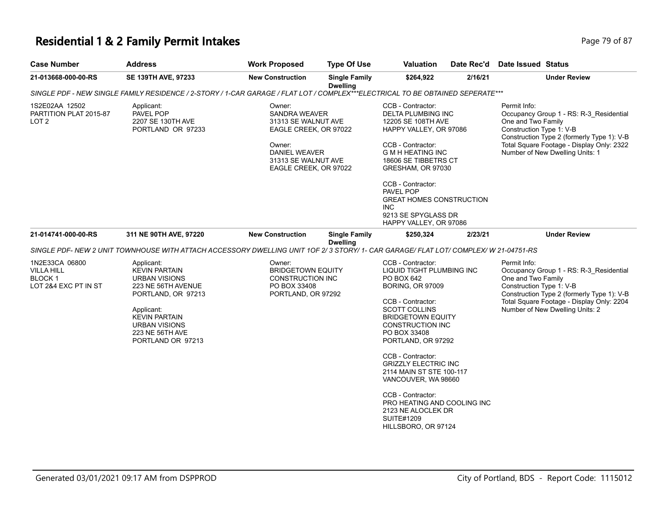## **Residential 1 & 2 Family Permit Intakes Page 79 of 87 Page 79 of 87**

| <b>Case Number</b>                                                                | <b>Address</b>                                                                                                                                                                                        | <b>Work Proposed</b>                                                                                                                               | <b>Type Of Use</b>                      | <b>Valuation</b>                                                                                                                                                                                                                                                                                                                         | Date Rec'd | Date Issued Status                                                                                                                                                                                                                      |  |
|-----------------------------------------------------------------------------------|-------------------------------------------------------------------------------------------------------------------------------------------------------------------------------------------------------|----------------------------------------------------------------------------------------------------------------------------------------------------|-----------------------------------------|------------------------------------------------------------------------------------------------------------------------------------------------------------------------------------------------------------------------------------------------------------------------------------------------------------------------------------------|------------|-----------------------------------------------------------------------------------------------------------------------------------------------------------------------------------------------------------------------------------------|--|
| 21-013668-000-00-RS                                                               | SE 139TH AVE, 97233                                                                                                                                                                                   | <b>New Construction</b>                                                                                                                            | <b>Single Family</b><br><b>Dwelling</b> | \$264,922                                                                                                                                                                                                                                                                                                                                | 2/16/21    | <b>Under Review</b>                                                                                                                                                                                                                     |  |
|                                                                                   | SINGLE PDF - NEW SINGLE FAMILY RESIDENCE / 2-STORY / 1-CAR GARAGE / FLAT LOT / COMPLEX***ELECTRICAL TO BE OBTAINED SEPERATE***                                                                        |                                                                                                                                                    |                                         |                                                                                                                                                                                                                                                                                                                                          |            |                                                                                                                                                                                                                                         |  |
| 1S2E02AA 12502<br>PARTITION PLAT 2015-87<br>LOT <sub>2</sub>                      | Applicant:<br>PAVEL POP<br>2207 SE 130TH AVE<br>PORTLAND OR 97233                                                                                                                                     | Owner:<br>SANDRA WEAVER<br>31313 SE WALNUT AVE<br>EAGLE CREEK, OR 97022<br>Owner:<br>DANIEL WEAVER<br>31313 SE WALNUT AVE<br>EAGLE CREEK, OR 97022 |                                         | CCB - Contractor:<br><b>DELTA PLUMBING INC</b><br>12205 SE 108TH AVE<br>HAPPY VALLEY, OR 97086<br>CCB - Contractor:<br><b>G M H HEATING INC</b><br>18606 SE TIBBETRS CT<br>GRESHAM, OR 97030<br>CCB - Contractor:<br>PAVEL POP<br><b>GREAT HOMES CONSTRUCTION</b><br><b>INC</b><br>9213 SE SPYGLASS DR                                   |            | Permit Info:<br>Occupancy Group 1 - RS: R-3_Residential<br>One and Two Family<br>Construction Type 1: V-B<br>Construction Type 2 (formerly Type 1): V-B<br>Total Square Footage - Display Only: 2322<br>Number of New Dwelling Units: 1 |  |
| 21-014741-000-00-RS                                                               | 311 NE 90TH AVE, 97220                                                                                                                                                                                | <b>New Construction</b>                                                                                                                            | <b>Single Family</b>                    | HAPPY VALLEY, OR 97086<br>\$250,324                                                                                                                                                                                                                                                                                                      | 2/23/21    | <b>Under Review</b>                                                                                                                                                                                                                     |  |
|                                                                                   | SINGLE PDF- NEW 2 UNIT TOWNHOUSE WITH ATTACH ACCESSORY DWELLING UNIT 1OF 2/3 STORY/1- CAR GARAGE/ FLAT LOT/ COMPLEX/ W 21-04751-RS                                                                    |                                                                                                                                                    | <b>Dwelling</b>                         |                                                                                                                                                                                                                                                                                                                                          |            |                                                                                                                                                                                                                                         |  |
| 1N2E33CA 06800<br><b>VILLA HILL</b><br>BLOCK <sub>1</sub><br>LOT 2&4 EXC PT IN ST | Applicant:<br><b>KEVIN PARTAIN</b><br><b>URBAN VISIONS</b><br>223 NE 56TH AVENUE<br>PORTLAND, OR 97213<br>Applicant:<br><b>KEVIN PARTAIN</b><br>URBAN VISIONS<br>223 NE 56TH AVE<br>PORTLAND OR 97213 | Owner:<br><b>BRIDGETOWN EQUITY</b><br>CONSTRUCTION INC<br>PO BOX 33408<br>PORTLAND, OR 97292                                                       |                                         | CCB - Contractor:<br>LIQUID TIGHT PLUMBING INC<br>PO BOX 642<br><b>BORING, OR 97009</b><br>CCB - Contractor:<br><b>SCOTT COLLINS</b><br><b>BRIDGETOWN EQUITY</b><br><b>CONSTRUCTION INC</b><br>PO BOX 33408<br>PORTLAND, OR 97292<br>CCB - Contractor:<br><b>GRIZZLY ELECTRIC INC</b><br>2114 MAIN ST STE 100-117<br>VANCOUVER, WA 98660 |            | Permit Info:<br>Occupancy Group 1 - RS: R-3_Residential<br>One and Two Family<br>Construction Type 1: V-B<br>Construction Type 2 (formerly Type 1): V-B<br>Total Square Footage - Display Only: 2204<br>Number of New Dwelling Units: 2 |  |
|                                                                                   |                                                                                                                                                                                                       |                                                                                                                                                    |                                         | CCB - Contractor:<br>PRO HEATING AND COOLING INC<br>2123 NE ALOCLEK DR<br><b>SUITE#1209</b><br>HILLSBORO, OR 97124                                                                                                                                                                                                                       |            |                                                                                                                                                                                                                                         |  |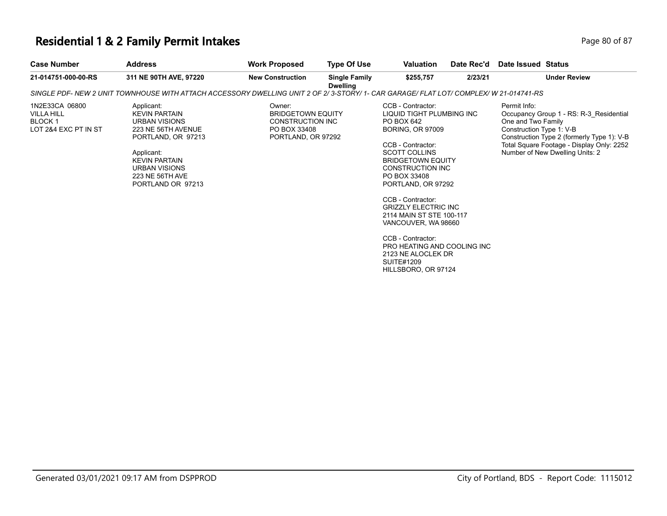#### **Residential 1 & 2 Family Permit Intakes Page 80 of 87 Page 80 of 87**

| <b>Case Number</b>                                                     | <b>Address</b>                                                                                                                        | <b>Work Proposed</b>                                                                         | <b>Type Of Use</b>                      | <b>Valuation</b>                                                                                             | Date Rec'd | Date Issued Status                                             |                                                                                                                                    |
|------------------------------------------------------------------------|---------------------------------------------------------------------------------------------------------------------------------------|----------------------------------------------------------------------------------------------|-----------------------------------------|--------------------------------------------------------------------------------------------------------------|------------|----------------------------------------------------------------|------------------------------------------------------------------------------------------------------------------------------------|
| 21-014751-000-00-RS                                                    | 311 NE 90TH AVE, 97220                                                                                                                | <b>New Construction</b>                                                                      | <b>Single Family</b><br><b>Dwelling</b> | \$255,757                                                                                                    | 2/23/21    |                                                                | <b>Under Review</b>                                                                                                                |
|                                                                        | SINGLE PDF- NEW 2 UNIT TOWNHOUSE WITH ATTACH ACCESSORY DWELLING UNIT 2 OF 2/3-STORY/ 1- CAR GARAGE/ FLAT LOT/ COMPLEX/ W 21-014741-RS |                                                                                              |                                         |                                                                                                              |            |                                                                |                                                                                                                                    |
| 1N2E33CA 06800<br>VILLA HILL<br><b>BLOCK 1</b><br>LOT 2&4 EXC PT IN ST | Applicant:<br><b>KEVIN PARTAIN</b><br>URBAN VISIONS<br>223 NE 56TH AVENUE<br>PORTLAND, OR 97213                                       | Owner:<br><b>BRIDGETOWN EQUITY</b><br>CONSTRUCTION INC<br>PO BOX 33408<br>PORTLAND, OR 97292 |                                         | CCB - Contractor:<br>LIQUID TIGHT PLUMBING INC<br>PO BOX 642<br><b>BORING, OR 97009</b><br>CCB - Contractor: |            | Permit Info:<br>One and Two Family<br>Construction Type 1: V-B | Occupancy Group 1 - RS: R-3 Residential<br>Construction Type 2 (formerly Type 1): V-B<br>Total Square Footage - Display Only: 2252 |
|                                                                        | Applicant:<br><b>KEVIN PARTAIN</b><br>URBAN VISIONS<br>223 NE 56TH AVE<br>PORTLAND OR 97213                                           |                                                                                              |                                         | <b>SCOTT COLLINS</b><br><b>BRIDGETOWN EQUITY</b><br>CONSTRUCTION INC<br>PO BOX 33408<br>PORTLAND, OR 97292   |            |                                                                | Number of New Dwelling Units: 2                                                                                                    |

CCB - Contractor: GRIZZLY ELECTRIC INC 2114 MAIN ST STE 100-117 VANCOUVER, WA 98660

CCB - Contractor: PRO HEATING AND COOLING INC 2123 NE ALOCLEK DR SUITE#1209 HILLSBORO, OR 97124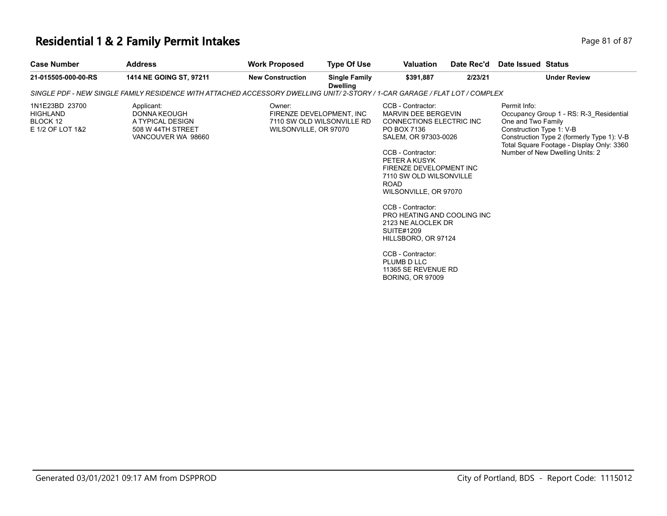## **Residential 1 & 2 Family Permit Intakes Page 81 of 87 Page 81 of 87**

| 1414 NE GOING ST, 97211<br><b>New Construction</b><br>\$391.887<br><b>Under Review</b><br>21-015505-000-00-RS<br><b>Single Family</b><br>2/23/21<br><b>Dwelling</b><br>SINGLE PDF - NEW SINGLE FAMILY RESIDENCE WITH ATTACHED ACCESSORY DWELLING UNIT/ 2-STORY / 1-CAR GARAGE / FLAT LOT / COMPLEX<br>1N1E23BD 23700<br>Applicant:<br>CCB - Contractor:<br>Permit Info:<br>Owner:<br>HIGHLAND<br><b>DONNA KEOUGH</b><br>FIRENZE DEVELOPMENT. INC<br>MARVIN DEE BERGEVIN<br>BLOCK 12<br>A TYPICAL DESIGN<br>7110 SW OLD WILSONVILLE RD<br><b>CONNECTIONS ELECTRIC INC.</b><br>One and Two Family<br>E 1/2 OF LOT 1&2<br>Construction Type 1: V-B<br>508 W 44TH STREET<br>WILSONVILLE, OR 97070<br>PO BOX 7136<br>VANCOUVER WA 98660<br>SALEM, OR 97303-0026<br>Number of New Dwelling Units: 2<br>CCB - Contractor:<br>PETER A KUSYK<br>FIRENZE DEVELOPMENT INC<br>7110 SW OLD WILSONVILLE<br><b>ROAD</b><br>WILSONVILLE, OR 97070<br>CCB - Contractor:<br>PRO HEATING AND COOLING INC.<br>2123 NE ALOCLEK DR<br><b>SUITE#1209</b><br>HILLSBORO, OR 97124<br>CCB - Contractor:<br>PLUMB D LLC<br>11365 SE REVENUE RD<br><b>BORING, OR 97009</b> | <b>Case Number</b> | <b>Address</b> | <b>Work Proposed</b> | <b>Type Of Use</b> | <b>Valuation</b> | Date Rec'd | Date Issued Status                                                                                                                 |
|------------------------------------------------------------------------------------------------------------------------------------------------------------------------------------------------------------------------------------------------------------------------------------------------------------------------------------------------------------------------------------------------------------------------------------------------------------------------------------------------------------------------------------------------------------------------------------------------------------------------------------------------------------------------------------------------------------------------------------------------------------------------------------------------------------------------------------------------------------------------------------------------------------------------------------------------------------------------------------------------------------------------------------------------------------------------------------------------------------------------------------------------|--------------------|----------------|----------------------|--------------------|------------------|------------|------------------------------------------------------------------------------------------------------------------------------------|
|                                                                                                                                                                                                                                                                                                                                                                                                                                                                                                                                                                                                                                                                                                                                                                                                                                                                                                                                                                                                                                                                                                                                                |                    |                |                      |                    |                  |            |                                                                                                                                    |
|                                                                                                                                                                                                                                                                                                                                                                                                                                                                                                                                                                                                                                                                                                                                                                                                                                                                                                                                                                                                                                                                                                                                                |                    |                |                      |                    |                  |            |                                                                                                                                    |
|                                                                                                                                                                                                                                                                                                                                                                                                                                                                                                                                                                                                                                                                                                                                                                                                                                                                                                                                                                                                                                                                                                                                                |                    |                |                      |                    |                  |            | Occupancy Group 1 - RS: R-3 Residential<br>Construction Type 2 (formerly Type 1): V-B<br>Total Square Footage - Display Only: 3360 |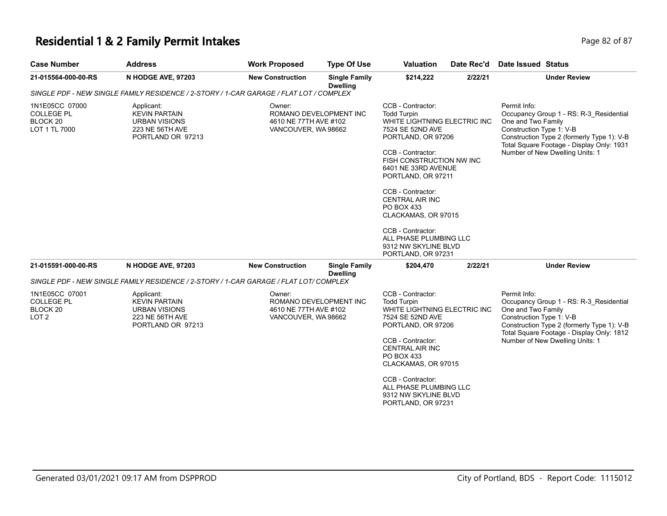#### **Residential 1 & 2 Family Permit Intakes Page 11 and 2018 12 and 2018 12 and 2018 12 and 2018 12 and 2018 12 and 2018 12 and 2018 12 and 2018 12 and 2018 12 and 2018 12 and 2018 12 and 2018 12 and 2018 12 and 2019 12:00:**

| <b>Case Number</b>                                                             | <b>Address</b>                                                                                     | <b>Work Proposed</b>                                   | <b>Type Of Use</b>                      | <b>Valuation</b>                                                                                                                                                                                                                                                                                                                                                           | Date Rec'd | Date Issued Status                                                                                                                                                                                                                      |
|--------------------------------------------------------------------------------|----------------------------------------------------------------------------------------------------|--------------------------------------------------------|-----------------------------------------|----------------------------------------------------------------------------------------------------------------------------------------------------------------------------------------------------------------------------------------------------------------------------------------------------------------------------------------------------------------------------|------------|-----------------------------------------------------------------------------------------------------------------------------------------------------------------------------------------------------------------------------------------|
| 21-015564-000-00-RS                                                            | N HODGE AVE, 97203                                                                                 | <b>New Construction</b>                                | <b>Single Family</b><br><b>Dwelling</b> | \$214,222                                                                                                                                                                                                                                                                                                                                                                  | 2/22/21    | <b>Under Review</b>                                                                                                                                                                                                                     |
|                                                                                | SINGLE PDF - NEW SINGLE FAMILY RESIDENCE / 2-STORY / 1-CAR GARAGE / FLAT LOT / COMPLEX             |                                                        |                                         |                                                                                                                                                                                                                                                                                                                                                                            |            |                                                                                                                                                                                                                                         |
| 1N1E05CC 07000<br><b>COLLEGE PL</b><br>BLOCK <sub>20</sub><br>LOT 1 TL 7000    | Applicant:<br><b>KEVIN PARTAIN</b><br><b>URBAN VISIONS</b><br>223 NE 56TH AVE<br>PORTLAND OR 97213 | Owner:<br>4610 NE 77TH AVE #102<br>VANCOUVER, WA 98662 | ROMANO DEVELOPMENT INC                  | CCB - Contractor:<br><b>Todd Turpin</b><br>WHITE LIGHTNING ELECTRIC INC<br>7524 SE 52ND AVE<br>PORTLAND, OR 97206<br>CCB - Contractor:<br>FISH CONSTRUCTION NW INC<br>6401 NE 33RD AVENUE<br>PORTLAND, OR 97211<br>CCB - Contractor:<br><b>CENTRAL AIR INC</b><br>PO BOX 433<br>CLACKAMAS, OR 97015<br>CCB - Contractor:<br>ALL PHASE PLUMBING LLC<br>9312 NW SKYLINE BLVD |            | Permit Info:<br>Occupancy Group 1 - RS: R-3 Residential<br>One and Two Family<br>Construction Type 1: V-B<br>Construction Type 2 (formerly Type 1): V-B<br>Total Square Footage - Display Only: 1931<br>Number of New Dwelling Units: 1 |
| 21-015591-000-00-RS                                                            | N HODGE AVE, 97203                                                                                 | <b>New Construction</b>                                | <b>Single Family</b>                    | PORTLAND, OR 97231<br>\$204,470                                                                                                                                                                                                                                                                                                                                            | 2/22/21    | <b>Under Review</b>                                                                                                                                                                                                                     |
|                                                                                | SINGLE PDF - NEW SINGLE FAMILY RESIDENCE / 2-STORY / 1-CAR GARAGE / FLAT LOT/ COMPLEX              |                                                        | <b>Dwelling</b>                         |                                                                                                                                                                                                                                                                                                                                                                            |            |                                                                                                                                                                                                                                         |
| 1N1E05CC 07001<br><b>COLLEGE PL</b><br>BLOCK <sub>20</sub><br>LOT <sub>2</sub> | Applicant:<br><b>KEVIN PARTAIN</b><br><b>URBAN VISIONS</b><br>223 NE 56TH AVE<br>PORTLAND OR 97213 | Owner:<br>4610 NE 77TH AVE #102<br>VANCOUVER, WA 98662 | ROMANO DEVELOPMENT INC                  | CCB - Contractor:<br><b>Todd Turpin</b><br>WHITE LIGHTNING ELECTRIC INC<br>7524 SE 52ND AVE<br>PORTLAND, OR 97206<br>CCB - Contractor:<br><b>CENTRAL AIR INC</b><br>PO BOX 433<br>CLACKAMAS, OR 97015<br>CCB - Contractor:<br>ALL PHASE PLUMBING LLC<br>9312 NW SKYLINE BLVD                                                                                               |            | Permit Info:<br>Occupancy Group 1 - RS: R-3_Residential<br>One and Two Family<br>Construction Type 1: V-B<br>Construction Type 2 (formerly Type 1): V-B<br>Total Square Footage - Display Only: 1812<br>Number of New Dwelling Units: 1 |

PORTLAND, OR 97231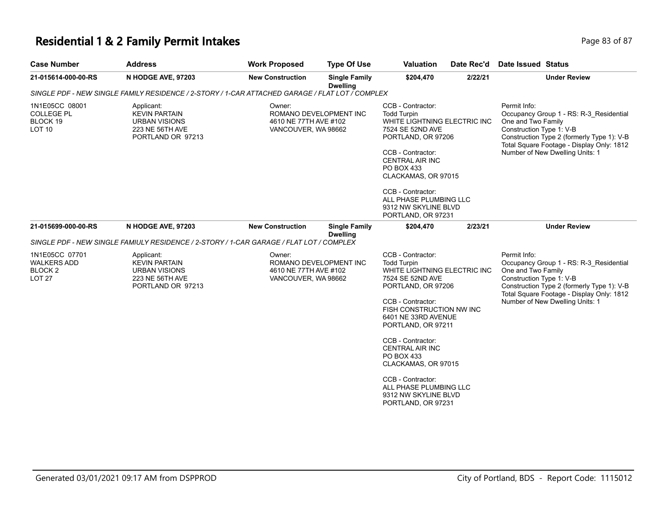## **Residential 1 & 2 Family Permit Intakes**

| Page 83 of 87 |
|---------------|
|---------------|

| <b>Case Number</b>                                                                              | <b>Address</b>                                                                                     | <b>Work Proposed</b>                                                             | <b>Type Of Use</b>                      | <b>Valuation</b>                                                                                                                                                                                                                                                                                                                                                                                 | Date Rec'd | Date Issued Status                                                                                                                                                                                                                      |  |  |  |
|-------------------------------------------------------------------------------------------------|----------------------------------------------------------------------------------------------------|----------------------------------------------------------------------------------|-----------------------------------------|--------------------------------------------------------------------------------------------------------------------------------------------------------------------------------------------------------------------------------------------------------------------------------------------------------------------------------------------------------------------------------------------------|------------|-----------------------------------------------------------------------------------------------------------------------------------------------------------------------------------------------------------------------------------------|--|--|--|
| 21-015614-000-00-RS                                                                             | N HODGE AVE, 97203                                                                                 | <b>New Construction</b>                                                          | <b>Single Family</b><br><b>Dwelling</b> | \$204,470                                                                                                                                                                                                                                                                                                                                                                                        | 2/22/21    | <b>Under Review</b>                                                                                                                                                                                                                     |  |  |  |
| SINGLE PDF - NEW SINGLE FAMILY RESIDENCE / 2-STORY / 1-CAR ATTACHED GARAGE / FLAT LOT / COMPLEX |                                                                                                    |                                                                                  |                                         |                                                                                                                                                                                                                                                                                                                                                                                                  |            |                                                                                                                                                                                                                                         |  |  |  |
| 1N1E05CC 08001<br><b>COLLEGE PL</b><br>BLOCK 19<br>LOT <sub>10</sub>                            | Applicant:<br><b>KEVIN PARTAIN</b><br><b>URBAN VISIONS</b><br>223 NE 56TH AVE<br>PORTLAND OR 97213 | Owner:<br>ROMANO DEVELOPMENT INC<br>4610 NE 77TH AVE #102<br>VANCOUVER, WA 98662 |                                         | CCB - Contractor:<br><b>Todd Turpin</b><br>WHITE LIGHTNING ELECTRIC INC<br>7524 SE 52ND AVE<br>PORTLAND, OR 97206<br>CCB - Contractor:<br><b>CENTRAL AIR INC</b><br>PO BOX 433<br>CLACKAMAS, OR 97015<br>CCB - Contractor:<br>ALL PHASE PLUMBING LLC<br>9312 NW SKYLINE BLVD<br>PORTLAND, OR 97231                                                                                               |            | Permit Info:<br>Occupancy Group 1 - RS: R-3_Residential<br>One and Two Family<br>Construction Type 1: V-B<br>Construction Type 2 (formerly Type 1): V-B<br>Total Square Footage - Display Only: 1812<br>Number of New Dwelling Units: 1 |  |  |  |
| 21-015699-000-00-RS                                                                             | N HODGE AVE, 97203                                                                                 | <b>New Construction</b>                                                          | <b>Single Family</b><br><b>Dwelling</b> | \$204,470                                                                                                                                                                                                                                                                                                                                                                                        | 2/23/21    | <b>Under Review</b>                                                                                                                                                                                                                     |  |  |  |
|                                                                                                 | SINGLE PDF - NEW SINGLE FAMIULY RESIDENCE / 2-STORY / 1-CAR GARAGE / FLAT LOT / COMPLEX            |                                                                                  |                                         |                                                                                                                                                                                                                                                                                                                                                                                                  |            |                                                                                                                                                                                                                                         |  |  |  |
| 1N1E05CC 07701<br><b>WALKERS ADD</b><br><b>BLOCK2</b><br><b>LOT 27</b>                          | Applicant:<br><b>KEVIN PARTAIN</b><br><b>URBAN VISIONS</b><br>223 NE 56TH AVE<br>PORTLAND OR 97213 | Owner:<br>ROMANO DEVELOPMENT INC<br>4610 NE 77TH AVE #102<br>VANCOUVER, WA 98662 |                                         | CCB - Contractor:<br><b>Todd Turpin</b><br>WHITE LIGHTNING ELECTRIC INC<br>7524 SE 52ND AVE<br>PORTLAND, OR 97206<br>CCB - Contractor:<br>FISH CONSTRUCTION NW INC<br>6401 NE 33RD AVENUE<br>PORTLAND, OR 97211<br>CCB - Contractor:<br><b>CENTRAL AIR INC</b><br>PO BOX 433<br>CLACKAMAS, OR 97015<br>CCB - Contractor:<br>ALL PHASE PLUMBING LLC<br>9312 NW SKYLINE BLVD<br>PORTLAND, OR 97231 |            | Permit Info:<br>Occupancy Group 1 - RS: R-3 Residential<br>One and Two Family<br>Construction Type 1: V-B<br>Construction Type 2 (formerly Type 1): V-B<br>Total Square Footage - Display Only: 1812<br>Number of New Dwelling Units: 1 |  |  |  |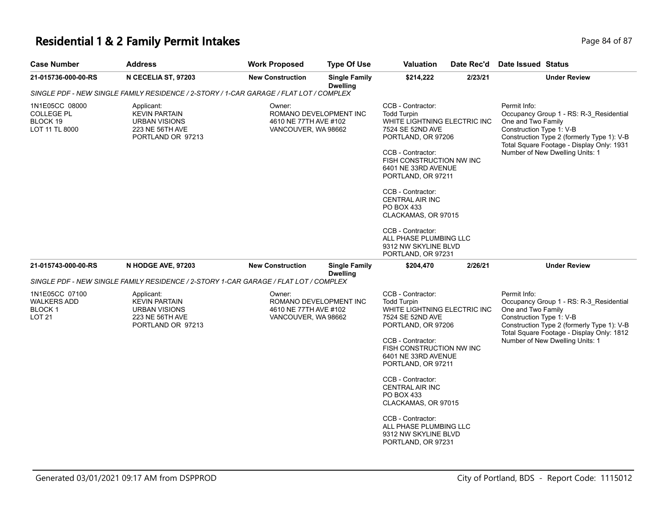#### **Residential 1 & 2 Family Permit Intakes Page 84 of 87 Page 84 of 87**

| <b>Case Number</b>                                                                     | <b>Address</b>                                                                                     | <b>Work Proposed</b>                                                             | <b>Type Of Use</b>                      | <b>Valuation</b>                                                                                                                                                                                                                                                                                                                                                                                 | Date Rec'd | <b>Date Issued Status</b>                                                                                                                                                                                                               |  |  |
|----------------------------------------------------------------------------------------|----------------------------------------------------------------------------------------------------|----------------------------------------------------------------------------------|-----------------------------------------|--------------------------------------------------------------------------------------------------------------------------------------------------------------------------------------------------------------------------------------------------------------------------------------------------------------------------------------------------------------------------------------------------|------------|-----------------------------------------------------------------------------------------------------------------------------------------------------------------------------------------------------------------------------------------|--|--|
| 21-015736-000-00-RS                                                                    | N CECELIA ST, 97203                                                                                | <b>New Construction</b>                                                          | <b>Single Family</b><br><b>Dwelling</b> | \$214,222                                                                                                                                                                                                                                                                                                                                                                                        | 2/23/21    | <b>Under Review</b>                                                                                                                                                                                                                     |  |  |
| SINGLE PDF - NEW SINGLE FAMILY RESIDENCE / 2-STORY / 1-CAR GARAGE / FLAT LOT / COMPLEX |                                                                                                    |                                                                                  |                                         |                                                                                                                                                                                                                                                                                                                                                                                                  |            |                                                                                                                                                                                                                                         |  |  |
| 1N1E05CC 08000<br><b>COLLEGE PL</b><br>BLOCK 19<br>LOT 11 TL 8000                      | Applicant:<br><b>KEVIN PARTAIN</b><br><b>URBAN VISIONS</b><br>223 NE 56TH AVE<br>PORTLAND OR 97213 | Owner:<br>ROMANO DEVELOPMENT INC<br>4610 NE 77TH AVE #102<br>VANCOUVER, WA 98662 |                                         | CCB - Contractor:<br><b>Todd Turpin</b><br>WHITE LIGHTNING ELECTRIC INC<br>7524 SE 52ND AVE<br>PORTLAND, OR 97206<br>CCB - Contractor:<br>FISH CONSTRUCTION NW INC<br>6401 NE 33RD AVENUE<br>PORTLAND, OR 97211<br>CCB - Contractor:<br><b>CENTRAL AIR INC</b><br>PO BOX 433<br>CLACKAMAS, OR 97015<br>CCB - Contractor:<br>ALL PHASE PLUMBING LLC<br>9312 NW SKYLINE BLVD<br>PORTLAND, OR 97231 |            | Permit Info:<br>Occupancy Group 1 - RS: R-3 Residential<br>One and Two Family<br>Construction Type 1: V-B<br>Construction Type 2 (formerly Type 1): V-B<br>Total Square Footage - Display Only: 1931<br>Number of New Dwelling Units: 1 |  |  |
| 21-015743-000-00-RS                                                                    | N HODGE AVE, 97203                                                                                 | <b>New Construction</b>                                                          | <b>Single Family</b><br><b>Dwelling</b> | \$204,470                                                                                                                                                                                                                                                                                                                                                                                        | 2/26/21    | <b>Under Review</b>                                                                                                                                                                                                                     |  |  |
|                                                                                        | SINGLE PDF - NEW SINGLE FAMILY RESIDENCE / 2-STORY 1-CAR GARAGE / FLAT LOT / COMPLEX               |                                                                                  |                                         |                                                                                                                                                                                                                                                                                                                                                                                                  |            |                                                                                                                                                                                                                                         |  |  |
| 1N1E05CC 07100<br><b>WALKERS ADD</b><br><b>BLOCK1</b><br><b>LOT 21</b>                 | Applicant:<br><b>KEVIN PARTAIN</b><br><b>URBAN VISIONS</b><br>223 NE 56TH AVE<br>PORTLAND OR 97213 | Owner:<br>ROMANO DEVELOPMENT INC<br>4610 NE 77TH AVE #102<br>VANCOUVER, WA 98662 |                                         | CCB - Contractor:<br><b>Todd Turpin</b><br>WHITE LIGHTNING ELECTRIC INC<br>7524 SE 52ND AVE<br>PORTLAND, OR 97206<br>CCB - Contractor:<br>FISH CONSTRUCTION NW INC<br>6401 NE 33RD AVENUE<br>PORTLAND, OR 97211<br>CCB - Contractor:<br><b>CENTRAL AIR INC</b><br><b>PO BOX 433</b><br>CLACKAMAS, OR 97015                                                                                       |            | Permit Info:<br>Occupancy Group 1 - RS: R-3 Residential<br>One and Two Family<br>Construction Type 1: V-B<br>Construction Type 2 (formerly Type 1): V-B<br>Total Square Footage - Display Only: 1812<br>Number of New Dwelling Units: 1 |  |  |

CCB - Contractor: ALL PHASE PLUMBING LLC 9312 NW SKYLINE BLVD PORTLAND, OR 97231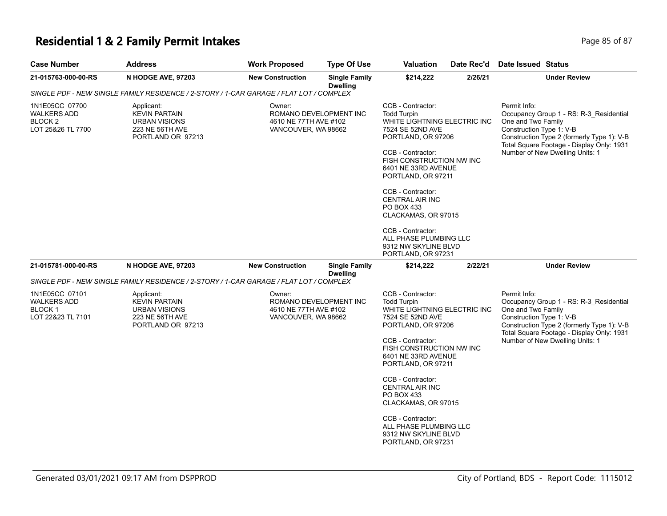#### **Residential 1 & 2 Family Permit Intakes Page 11 and 2012 12 and 2013 12 and 2013 12 and 2013 12 and 2013 12 and 2013 12 and 2014 12 and 2014 12 and 2014 12 and 2014 12 and 2014 12 and 2014 12 and 2014 12 and 2014 12 and**

| <b>Case Number</b>                                                   | <b>Address</b>                                                                                        | <b>Work Proposed</b>    | <b>Type Of Use</b>                                                     | Valuation                                                                                                                                                                                                                                                                                           | Date Rec'd                                                                                                                                                                                                                 | Date Issued Status                                                                                                                                                                                                                      |
|----------------------------------------------------------------------|-------------------------------------------------------------------------------------------------------|-------------------------|------------------------------------------------------------------------|-----------------------------------------------------------------------------------------------------------------------------------------------------------------------------------------------------------------------------------------------------------------------------------------------------|----------------------------------------------------------------------------------------------------------------------------------------------------------------------------------------------------------------------------|-----------------------------------------------------------------------------------------------------------------------------------------------------------------------------------------------------------------------------------------|
| 21-015763-000-00-RS                                                  | N HODGE AVE, 97203                                                                                    | <b>New Construction</b> | <b>Single Family</b><br><b>Dwelling</b>                                | \$214,222                                                                                                                                                                                                                                                                                           | 2/26/21                                                                                                                                                                                                                    | <b>Under Review</b>                                                                                                                                                                                                                     |
|                                                                      | SINGLE PDF - NEW SINGLE FAMILY RESIDENCE / 2-STORY / 1-CAR GARAGE / FLAT LOT / COMPLEX                |                         |                                                                        |                                                                                                                                                                                                                                                                                                     |                                                                                                                                                                                                                            |                                                                                                                                                                                                                                         |
| 1N1E05CC 07700<br><b>WALKERS ADD</b><br>BLOCK 2<br>LOT 25&26 TL 7700 | Applicant:<br><b>KEVIN PARTAIN</b><br><b>URBAN VISIONS</b><br>223 NE 56TH AVE<br>PORTLAND OR 97213    | Owner:                  | ROMANO DEVELOPMENT INC<br>4610 NE 77TH AVE #102<br>VANCOUVER, WA 98662 |                                                                                                                                                                                                                                                                                                     | WHITE LIGHTNING ELECTRIC INC<br>PORTLAND, OR 97206<br>FISH CONSTRUCTION NW INC<br>6401 NE 33RD AVENUE<br>PORTLAND, OR 97211<br>CLACKAMAS, OR 97015<br>ALL PHASE PLUMBING LLC<br>9312 NW SKYLINE BLVD<br>PORTLAND, OR 97231 | Permit Info:<br>Occupancy Group 1 - RS: R-3_Residential<br>One and Two Family<br>Construction Type 1: V-B<br>Construction Type 2 (formerly Type 1): V-B<br>Total Square Footage - Display Only: 1931<br>Number of New Dwelling Units: 1 |
| 21-015781-000-00-RS                                                  | N HODGE AVE, 97203                                                                                    | <b>New Construction</b> | <b>Single Family</b><br><b>Dwelling</b>                                | \$214,222                                                                                                                                                                                                                                                                                           | 2/22/21                                                                                                                                                                                                                    | <b>Under Review</b>                                                                                                                                                                                                                     |
|                                                                      | SINGLE PDF - NEW SINGLE FAMILY RESIDENCE / 2-STORY / 1-CAR GARAGE / FLAT LOT / COMPLEX                |                         |                                                                        |                                                                                                                                                                                                                                                                                                     |                                                                                                                                                                                                                            |                                                                                                                                                                                                                                         |
| 1N1E05CC 07101<br>WALKERS ADD<br><b>BLOCK1</b><br>LOT 22&23 TL 7101  | Applicant:<br>Owner:<br><b>KEVIN PARTAIN</b><br>URBAN VISIONS<br>223 NE 56TH AVE<br>PORTLAND OR 97213 |                         | ROMANO DEVELOPMENT INC<br>4610 NE 77TH AVE #102<br>VANCOUVER, WA 98662 | CCB - Contractor:<br><b>Todd Turpin</b><br>WHITE LIGHTNING ELECTRIC INC<br>7524 SE 52ND AVE<br>PORTLAND, OR 97206<br>CCB - Contractor:<br>FISH CONSTRUCTION NW INC<br>6401 NE 33RD AVENUE<br>PORTLAND, OR 97211<br>CCB - Contractor:<br><b>CENTRAL AIR INC</b><br>PO BOX 433<br>CLACKAMAS, OR 97015 |                                                                                                                                                                                                                            | Permit Info:<br>Occupancy Group 1 - RS: R-3_Residential<br>One and Two Family<br>Construction Type 1: V-B<br>Construction Type 2 (formerly Type 1): V-B<br>Total Square Footage - Display Only: 1931<br>Number of New Dwelling Units: 1 |
|                                                                      |                                                                                                       |                         |                                                                        | CCB - Contractor:<br>ALL PHASE PLUMBING LLC<br>9312 NW SKYLINE BLVD<br>PORTLAND, OR 97231                                                                                                                                                                                                           |                                                                                                                                                                                                                            |                                                                                                                                                                                                                                         |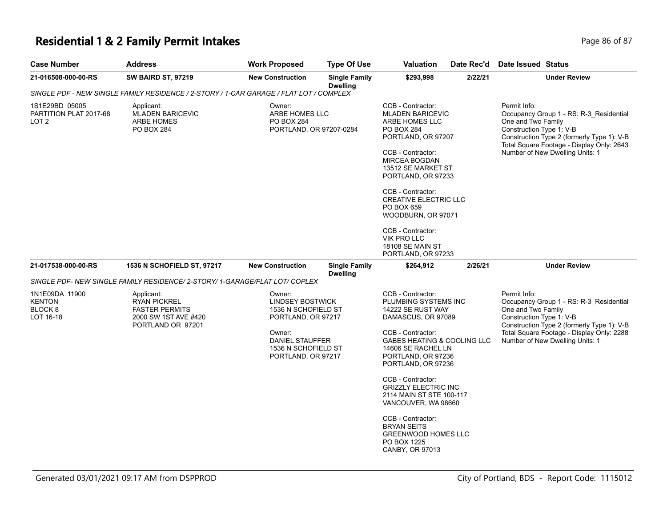## **Residential 1 & 2 Family Permit Intakes Page 10 Second 2 and 2 Residential 1 & 2 Family Permit Intakes**

| <b>Case Number</b>                                | <b>Address</b>                                                                                          | <b>Work Proposed</b>                                                                                                                                     | <b>Type Of Use</b>                      | <b>Valuation</b>                                                                                                                                                                                                                                                                                                                                           | Date Rec'd | Date Issued Status                                             |                                                                                                                                                                       |
|---------------------------------------------------|---------------------------------------------------------------------------------------------------------|----------------------------------------------------------------------------------------------------------------------------------------------------------|-----------------------------------------|------------------------------------------------------------------------------------------------------------------------------------------------------------------------------------------------------------------------------------------------------------------------------------------------------------------------------------------------------------|------------|----------------------------------------------------------------|-----------------------------------------------------------------------------------------------------------------------------------------------------------------------|
| 21-016508-000-00-RS                               | <b>SW BAIRD ST, 97219</b>                                                                               | <b>New Construction</b>                                                                                                                                  | <b>Single Family</b><br>Dwelling        | \$293,998                                                                                                                                                                                                                                                                                                                                                  | 2/22/21    |                                                                | <b>Under Review</b>                                                                                                                                                   |
|                                                   | SINGLE PDF - NEW SINGLE FAMILY RESIDENCE / 2-STORY / 1-CAR GARAGE / FLAT LOT / COMPLEX                  |                                                                                                                                                          |                                         |                                                                                                                                                                                                                                                                                                                                                            |            |                                                                |                                                                                                                                                                       |
| 1S1E29BD 05005<br>PARTITION PLAT 2017-68<br>LOT 2 | Applicant:<br><b>MLADEN BARICEVIC</b><br><b>ARBE HOMES</b><br>PO BOX 284                                | Owner:<br>ARBE HOMES LLC<br>PO BOX 284<br>PORTLAND, OR 97207-0284                                                                                        |                                         | CCB - Contractor:<br><b>MLADEN BARICEVIC</b><br>ARBE HOMES LLC<br>PO BOX 284<br>PORTLAND, OR 97207<br>CCB - Contractor:<br><b>MIRCEA BOGDAN</b><br>13512 SE MARKET ST<br>PORTLAND, OR 97233<br>CCB - Contractor:<br><b>CREATIVE ELECTRIC LLC</b><br>PO BOX 659<br>WOODBURN, OR 97071<br>CCB - Contractor:<br><b>VIK PRO LLC</b><br><b>18108 SE MAIN ST</b> |            | Permit Info:<br>One and Two Family<br>Construction Type 1: V-B | Occupancy Group 1 - RS: R-3_Residential<br>Construction Type 2 (formerly Type 1): V-B<br>Total Square Footage - Display Only: 2643<br>Number of New Dwelling Units: 1 |
|                                                   |                                                                                                         |                                                                                                                                                          |                                         | PORTLAND, OR 97233                                                                                                                                                                                                                                                                                                                                         |            |                                                                |                                                                                                                                                                       |
| 21-017538-000-00-RS                               | <b>1536 N SCHOFIELD ST, 97217</b>                                                                       | <b>New Construction</b>                                                                                                                                  | <b>Single Family</b><br><b>Dwelling</b> | \$264,912                                                                                                                                                                                                                                                                                                                                                  | 2/26/21    |                                                                | <b>Under Review</b>                                                                                                                                                   |
|                                                   | SINGLE PDF- NEW SINGLE FAMILY RESIDENCE/ 2-STORY/ 1-GARAGE/FLAT LOT/ COPLEX                             |                                                                                                                                                          |                                         |                                                                                                                                                                                                                                                                                                                                                            |            |                                                                |                                                                                                                                                                       |
| 1N1E09DA 11900<br>KENTON<br>BLOCK 8<br>LOT 16-18  | Applicant:<br><b>RYAN PICKREL</b><br><b>FASTER PERMITS</b><br>2000 SW 1ST AVE #420<br>PORTLAND OR 97201 | Owner:<br><b>LINDSEY BOSTWICK</b><br>1536 N SCHOFIELD ST<br>PORTLAND, OR 97217<br>Owner:<br>DANIEL STAUFFER<br>1536 N SCHOFIELD ST<br>PORTLAND, OR 97217 |                                         | CCB - Contractor:<br>PLUMBING SYSTEMS INC<br>14222 SE RUST WAY<br>DAMASCUS, OR 97089<br>CCB - Contractor:<br>GABES HEATING & COOLING LLC<br>14606 SE RACHEL LN<br>PORTLAND, OR 97236<br>PORTLAND, OR 97236<br>CCB - Contractor:<br><b>GRIZZLY ELECTRIC INC</b><br>2114 MAIN ST STE 100-117<br>VANCOUVER, WA 98660                                          |            | Permit Info:<br>One and Two Family<br>Construction Type 1: V-B | Occupancy Group 1 - RS: R-3 Residential<br>Construction Type 2 (formerly Type 1): V-B<br>Total Square Footage - Display Only: 2288<br>Number of New Dwelling Units: 1 |
|                                                   |                                                                                                         |                                                                                                                                                          |                                         | CCB - Contractor:<br><b>BRYAN SEITS</b><br><b>GREENWOOD HOMES LLC</b><br><b>PO BOX 1225</b><br>CANBY, OR 97013                                                                                                                                                                                                                                             |            |                                                                |                                                                                                                                                                       |